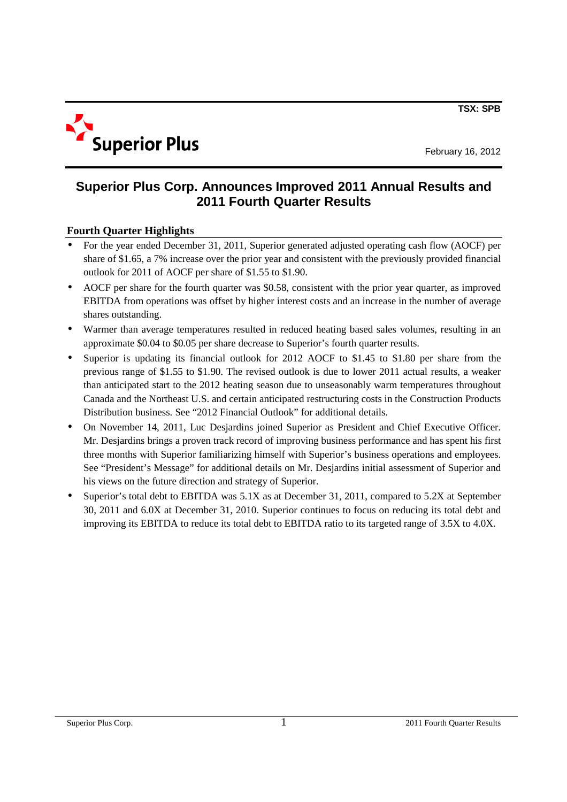

# **Superior Plus Corp. Announces Improved 2011 Annual Results and 2011 Fourth Quarter Results**

# **Fourth Quarter Highlights**

- For the year ended December 31, 2011, Superior generated adjusted operating cash flow (AOCF) per share of \$1.65, a 7% increase over the prior year and consistent with the previously provided financial outlook for 2011 of AOCF per share of \$1.55 to \$1.90.
- AOCF per share for the fourth quarter was \$0.58, consistent with the prior year quarter, as improved EBITDA from operations was offset by higher interest costs and an increase in the number of average shares outstanding.
- Warmer than average temperatures resulted in reduced heating based sales volumes, resulting in an approximate \$0.04 to \$0.05 per share decrease to Superior's fourth quarter results.
- Superior is updating its financial outlook for 2012 AOCF to \$1.45 to \$1.80 per share from the previous range of \$1.55 to \$1.90. The revised outlook is due to lower 2011 actual results, a weaker than anticipated start to the 2012 heating season due to unseasonably warm temperatures throughout Canada and the Northeast U.S. and certain anticipated restructuring costs in the Construction Products Distribution business. See "2012 Financial Outlook" for additional details.
- On November 14, 2011, Luc Desjardins joined Superior as President and Chief Executive Officer. Mr. Desjardins brings a proven track record of improving business performance and has spent his first three months with Superior familiarizing himself with Superior's business operations and employees. See "President's Message" for additional details on Mr. Desjardins initial assessment of Superior and his views on the future direction and strategy of Superior.
- Superior's total debt to EBITDA was 5.1X as at December 31, 2011, compared to 5.2X at September 30, 2011 and 6.0X at December 31, 2010. Superior continues to focus on reducing its total debt and improving its EBITDA to reduce its total debt to EBITDA ratio to its targeted range of 3.5X to 4.0X.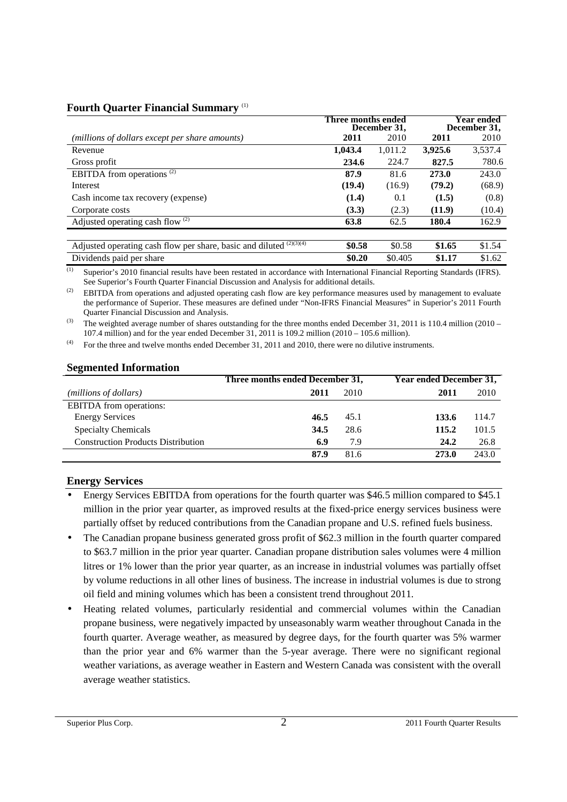## **Fourth Quarter Financial Summary** (1)

|                                                                     | Three months ended | December 31, | Year ended<br>December 31, |         |
|---------------------------------------------------------------------|--------------------|--------------|----------------------------|---------|
| (millions of dollars except per share amounts)                      | 2011               | 2010         | 2011                       | 2010    |
| Revenue                                                             | 1,043.4            | 1,011.2      | 3,925.6                    | 3,537.4 |
| Gross profit                                                        | 234.6              | 224.7        | 827.5                      | 780.6   |
| EBITDA from operations $(2)$                                        | 87.9               | 81.6         | 273.0                      | 243.0   |
| Interest                                                            | (19.4)             | (16.9)       | (79.2)                     | (68.9)  |
| Cash income tax recovery (expense)                                  | (1.4)              | 0.1          | (1.5)                      | (0.8)   |
| Corporate costs                                                     | (3.3)              | (2.3)        | (11.9)                     | (10.4)  |
| Adjusted operating cash flow $(2)$                                  | 63.8               | 62.5         | 180.4                      | 162.9   |
|                                                                     |                    |              |                            |         |
| Adjusted operating cash flow per share, basic and diluted (2)(3)(4) | \$0.58             | \$0.58       | \$1.65                     | \$1.54  |
| Dividends paid per share                                            | \$0.20             | \$0.405      | \$1.17                     | \$1.62  |

 $\overline{p}$  Superior's 2010 financial results have been restated in accordance with International Financial Reporting Standards (IFRS). See Superior's Fourth Quarter Financial Discussion and Analysis for additional details.

<sup>(2)</sup> EBITDA from operations and adjusted operating cash flow are key performance measures used by management to evaluate the performance of Superior. These measures are defined under "Non-IFRS Financial Measures" in Superior's 2011 Fourth Quarter Financial Discussion and Analysis.

(3) The weighted average number of shares outstanding for the three months ended December 31, 2011 is 110.4 million (2010 – 107.4 million) and for the year ended December 31, 2011 is 109.2 million (2010 – 105.6 million).

(4) For the three and twelve months ended December 31, 2011 and 2010, there were no dilutive instruments.

#### **Segmented Information**

|                                           | Three months ended December 31, |      | Year ended December 31, |       |
|-------------------------------------------|---------------------------------|------|-------------------------|-------|
| (millions of dollars)                     | 2011                            | 2010 | 2011                    | 2010  |
| <b>EBITDA</b> from operations:            |                                 |      |                         |       |
| <b>Energy Services</b>                    | 46.5                            | 45.1 | 133.6                   | 114.7 |
| <b>Specialty Chemicals</b>                | 34.5                            | 28.6 | 115.2                   | 101.5 |
| <b>Construction Products Distribution</b> | 6.9                             | 7.9  | 24.2                    | 26.8  |
|                                           | 87.9                            | 81.6 | 273.0                   | 243.0 |

#### **Energy Services**

- Energy Services EBITDA from operations for the fourth quarter was \$46.5 million compared to \$45.1 million in the prior year quarter, as improved results at the fixed-price energy services business were partially offset by reduced contributions from the Canadian propane and U.S. refined fuels business.
- The Canadian propane business generated gross profit of \$62.3 million in the fourth quarter compared to \$63.7 million in the prior year quarter. Canadian propane distribution sales volumes were 4 million litres or 1% lower than the prior year quarter, as an increase in industrial volumes was partially offset by volume reductions in all other lines of business. The increase in industrial volumes is due to strong oil field and mining volumes which has been a consistent trend throughout 2011.
- Heating related volumes, particularly residential and commercial volumes within the Canadian propane business, were negatively impacted by unseasonably warm weather throughout Canada in the fourth quarter. Average weather, as measured by degree days, for the fourth quarter was 5% warmer than the prior year and 6% warmer than the 5-year average. There were no significant regional weather variations, as average weather in Eastern and Western Canada was consistent with the overall average weather statistics.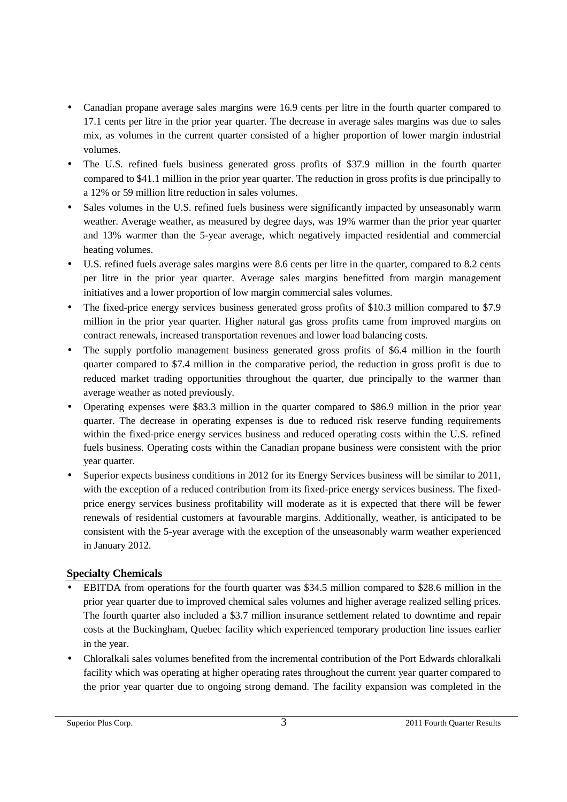- Canadian propane average sales margins were 16.9 cents per litre in the fourth quarter compared to 17.1 cents per litre in the prior year quarter. The decrease in average sales margins was due to sales mix, as volumes in the current quarter consisted of a higher proportion of lower margin industrial volumes.
- The U.S. refined fuels business generated gross profits of \$37.9 million in the fourth quarter compared to \$41.1 million in the prior year quarter. The reduction in gross profits is due principally to a 12% or 59 million litre reduction in sales volumes.
- Sales volumes in the U.S. refined fuels business were significantly impacted by unseasonably warm weather. Average weather, as measured by degree days, was 19% warmer than the prior year quarter and 13% warmer than the 5-year average, which negatively impacted residential and commercial heating volumes.
- U.S. refined fuels average sales margins were 8.6 cents per litre in the quarter, compared to 8.2 cents per litre in the prior year quarter. Average sales margins benefitted from margin management initiatives and a lower proportion of low margin commercial sales volumes.
- The fixed-price energy services business generated gross profits of \$10.3 million compared to \$7.9 million in the prior year quarter. Higher natural gas gross profits came from improved margins on contract renewals, increased transportation revenues and lower load balancing costs.
- The supply portfolio management business generated gross profits of \$6.4 million in the fourth quarter compared to \$7.4 million in the comparative period, the reduction in gross profit is due to reduced market trading opportunities throughout the quarter, due principally to the warmer than average weather as noted previously.
- Operating expenses were \$83.3 million in the quarter compared to \$86.9 million in the prior year quarter. The decrease in operating expenses is due to reduced risk reserve funding requirements within the fixed-price energy services business and reduced operating costs within the U.S. refined fuels business. Operating costs within the Canadian propane business were consistent with the prior year quarter.
- Superior expects business conditions in 2012 for its Energy Services business will be similar to 2011. with the exception of a reduced contribution from its fixed-price energy services business. The fixedprice energy services business profitability will moderate as it is expected that there will be fewer renewals of residential customers at favourable margins. Additionally, weather, is anticipated to be consistent with the 5-year average with the exception of the unseasonably warm weather experienced in January 2012.

# **Specialty Chemicals**

- EBITDA from operations for the fourth quarter was \$34.5 million compared to \$28.6 million in the prior year quarter due to improved chemical sales volumes and higher average realized selling prices. The fourth quarter also included a \$3.7 million insurance settlement related to downtime and repair costs at the Buckingham, Quebec facility which experienced temporary production line issues earlier in the year.
- Chloralkali sales volumes benefited from the incremental contribution of the Port Edwards chloralkali facility which was operating at higher operating rates throughout the current year quarter compared to the prior year quarter due to ongoing strong demand. The facility expansion was completed in the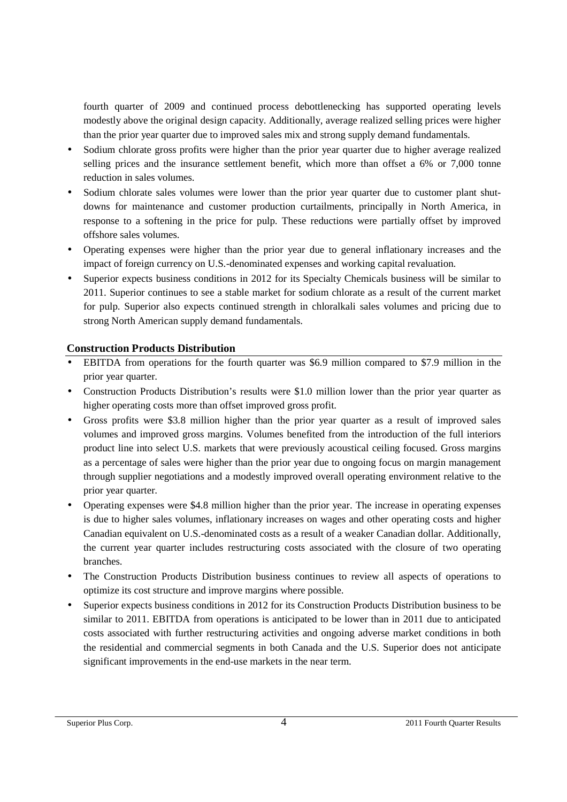fourth quarter of 2009 and continued process debottlenecking has supported operating levels modestly above the original design capacity. Additionally, average realized selling prices were higher than the prior year quarter due to improved sales mix and strong supply demand fundamentals.

- Sodium chlorate gross profits were higher than the prior year quarter due to higher average realized selling prices and the insurance settlement benefit, which more than offset a 6% or 7,000 tonne reduction in sales volumes.
- Sodium chlorate sales volumes were lower than the prior year quarter due to customer plant shutdowns for maintenance and customer production curtailments, principally in North America, in response to a softening in the price for pulp. These reductions were partially offset by improved offshore sales volumes.
- Operating expenses were higher than the prior year due to general inflationary increases and the impact of foreign currency on U.S.-denominated expenses and working capital revaluation.
- Superior expects business conditions in 2012 for its Specialty Chemicals business will be similar to 2011. Superior continues to see a stable market for sodium chlorate as a result of the current market for pulp. Superior also expects continued strength in chloralkali sales volumes and pricing due to strong North American supply demand fundamentals.

## **Construction Products Distribution**

- EBITDA from operations for the fourth quarter was \$6.9 million compared to \$7.9 million in the prior year quarter.
- Construction Products Distribution's results were \$1.0 million lower than the prior year quarter as higher operating costs more than offset improved gross profit.
- Gross profits were \$3.8 million higher than the prior year quarter as a result of improved sales volumes and improved gross margins. Volumes benefited from the introduction of the full interiors product line into select U.S. markets that were previously acoustical ceiling focused. Gross margins as a percentage of sales were higher than the prior year due to ongoing focus on margin management through supplier negotiations and a modestly improved overall operating environment relative to the prior year quarter.
- Operating expenses were \$4.8 million higher than the prior year. The increase in operating expenses is due to higher sales volumes, inflationary increases on wages and other operating costs and higher Canadian equivalent on U.S.-denominated costs as a result of a weaker Canadian dollar. Additionally, the current year quarter includes restructuring costs associated with the closure of two operating branches.
- The Construction Products Distribution business continues to review all aspects of operations to optimize its cost structure and improve margins where possible.
- Superior expects business conditions in 2012 for its Construction Products Distribution business to be similar to 2011. EBITDA from operations is anticipated to be lower than in 2011 due to anticipated costs associated with further restructuring activities and ongoing adverse market conditions in both the residential and commercial segments in both Canada and the U.S. Superior does not anticipate significant improvements in the end-use markets in the near term.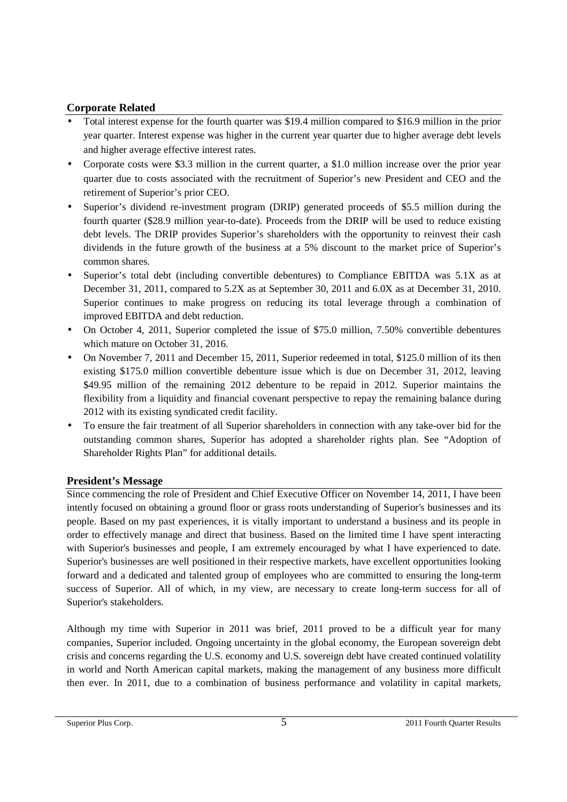# **Corporate Related**

- Total interest expense for the fourth quarter was \$19.4 million compared to \$16.9 million in the prior year quarter. Interest expense was higher in the current year quarter due to higher average debt levels and higher average effective interest rates.
- Corporate costs were \$3.3 million in the current quarter, a \$1.0 million increase over the prior year quarter due to costs associated with the recruitment of Superior's new President and CEO and the retirement of Superior's prior CEO.
- Superior's dividend re-investment program (DRIP) generated proceeds of \$5.5 million during the fourth quarter (\$28.9 million year-to-date). Proceeds from the DRIP will be used to reduce existing debt levels. The DRIP provides Superior's shareholders with the opportunity to reinvest their cash dividends in the future growth of the business at a 5% discount to the market price of Superior's common shares.
- Superior's total debt (including convertible debentures) to Compliance EBITDA was 5.1X as at December 31, 2011, compared to 5.2X as at September 30, 2011 and 6.0X as at December 31, 2010. Superior continues to make progress on reducing its total leverage through a combination of improved EBITDA and debt reduction.
- On October 4, 2011, Superior completed the issue of \$75.0 million, 7.50% convertible debentures which mature on October 31, 2016.
- On November 7, 2011 and December 15, 2011, Superior redeemed in total, \$125.0 million of its then existing \$175.0 million convertible debenture issue which is due on December 31, 2012, leaving \$49.95 million of the remaining 2012 debenture to be repaid in 2012. Superior maintains the flexibility from a liquidity and financial covenant perspective to repay the remaining balance during 2012 with its existing syndicated credit facility.
- To ensure the fair treatment of all Superior shareholders in connection with any take-over bid for the outstanding common shares, Superior has adopted a shareholder rights plan. See "Adoption of Shareholder Rights Plan" for additional details.

# **President's Message**

Since commencing the role of President and Chief Executive Officer on November 14, 2011, I have been intently focused on obtaining a ground floor or grass roots understanding of Superior's businesses and its people. Based on my past experiences, it is vitally important to understand a business and its people in order to effectively manage and direct that business. Based on the limited time I have spent interacting with Superior's businesses and people, I am extremely encouraged by what I have experienced to date. Superior's businesses are well positioned in their respective markets, have excellent opportunities looking forward and a dedicated and talented group of employees who are committed to ensuring the long-term success of Superior. All of which, in my view, are necessary to create long-term success for all of Superior's stakeholders.

Although my time with Superior in 2011 was brief, 2011 proved to be a difficult year for many companies, Superior included. Ongoing uncertainty in the global economy, the European sovereign debt crisis and concerns regarding the U.S. economy and U.S. sovereign debt have created continued volatility in world and North American capital markets, making the management of any business more difficult then ever. In 2011, due to a combination of business performance and volatility in capital markets,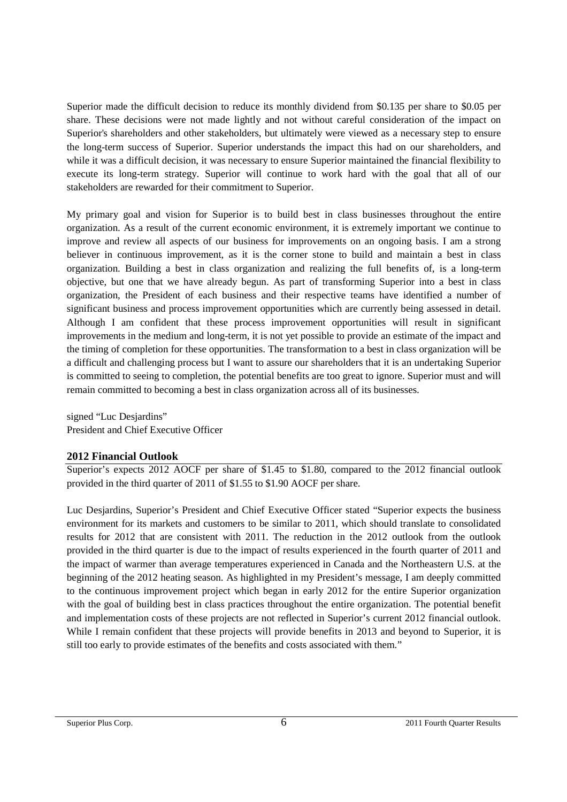Superior made the difficult decision to reduce its monthly dividend from \$0.135 per share to \$0.05 per share. These decisions were not made lightly and not without careful consideration of the impact on Superior's shareholders and other stakeholders, but ultimately were viewed as a necessary step to ensure the long-term success of Superior. Superior understands the impact this had on our shareholders, and while it was a difficult decision, it was necessary to ensure Superior maintained the financial flexibility to execute its long-term strategy. Superior will continue to work hard with the goal that all of our stakeholders are rewarded for their commitment to Superior.

My primary goal and vision for Superior is to build best in class businesses throughout the entire organization. As a result of the current economic environment, it is extremely important we continue to improve and review all aspects of our business for improvements on an ongoing basis. I am a strong believer in continuous improvement, as it is the corner stone to build and maintain a best in class organization. Building a best in class organization and realizing the full benefits of, is a long-term objective, but one that we have already begun. As part of transforming Superior into a best in class organization, the President of each business and their respective teams have identified a number of significant business and process improvement opportunities which are currently being assessed in detail. Although I am confident that these process improvement opportunities will result in significant improvements in the medium and long-term, it is not yet possible to provide an estimate of the impact and the timing of completion for these opportunities. The transformation to a best in class organization will be a difficult and challenging process but I want to assure our shareholders that it is an undertaking Superior is committed to seeing to completion, the potential benefits are too great to ignore. Superior must and will remain committed to becoming a best in class organization across all of its businesses.

signed "Luc Desjardins" President and Chief Executive Officer

# **2012 Financial Outlook**

Superior's expects 2012 AOCF per share of \$1.45 to \$1.80, compared to the 2012 financial outlook provided in the third quarter of 2011 of \$1.55 to \$1.90 AOCF per share.

Luc Desjardins, Superior's President and Chief Executive Officer stated "Superior expects the business environment for its markets and customers to be similar to 2011, which should translate to consolidated results for 2012 that are consistent with 2011. The reduction in the 2012 outlook from the outlook provided in the third quarter is due to the impact of results experienced in the fourth quarter of 2011 and the impact of warmer than average temperatures experienced in Canada and the Northeastern U.S. at the beginning of the 2012 heating season. As highlighted in my President's message, I am deeply committed to the continuous improvement project which began in early 2012 for the entire Superior organization with the goal of building best in class practices throughout the entire organization. The potential benefit and implementation costs of these projects are not reflected in Superior's current 2012 financial outlook. While I remain confident that these projects will provide benefits in 2013 and beyond to Superior, it is still too early to provide estimates of the benefits and costs associated with them."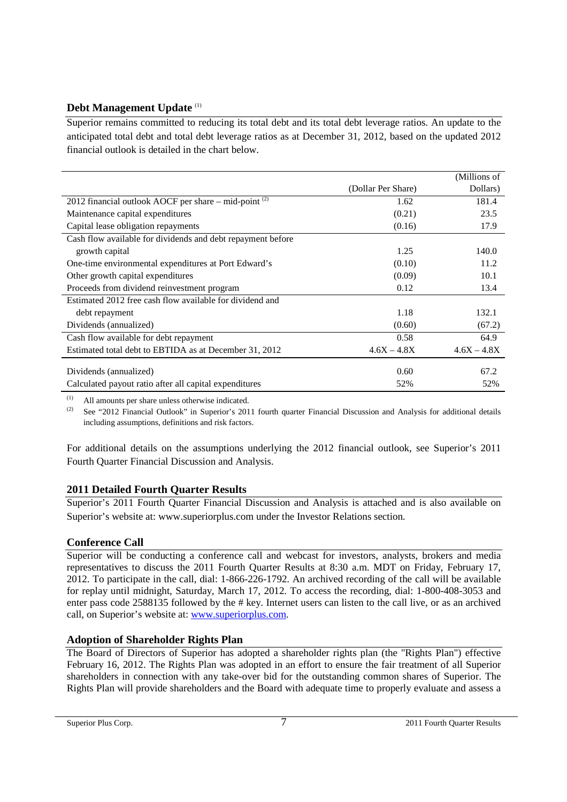## **Debt Management Update** (1)

Superior remains committed to reducing its total debt and its total debt leverage ratios. An update to the anticipated total debt and total debt leverage ratios as at December 31, 2012, based on the updated 2012 financial outlook is detailed in the chart below.

|                                                             |                    | (Millions of  |
|-------------------------------------------------------------|--------------------|---------------|
|                                                             | (Dollar Per Share) | Dollars)      |
| 2012 financial outlook AOCF per share – mid-point $(2)$     | 1.62               | 181.4         |
| Maintenance capital expenditures                            | (0.21)             | 23.5          |
| Capital lease obligation repayments                         | (0.16)             | 17.9          |
| Cash flow available for dividends and debt repayment before |                    |               |
| growth capital                                              | 1.25               | 140.0         |
| One-time environmental expenditures at Port Edward's        | (0.10)             | 11.2          |
| Other growth capital expenditures                           | (0.09)             | 10.1          |
| Proceeds from dividend reinvestment program                 | 0.12               | 13.4          |
| Estimated 2012 free cash flow available for dividend and    |                    |               |
| debt repayment                                              | 1.18               | 132.1         |
| Dividends (annualized)                                      | (0.60)             | (67.2)        |
| Cash flow available for debt repayment                      | 0.58               | 64.9          |
| Estimated total debt to EBTIDA as at December 31, 2012      | $4.6X - 4.8X$      | $4.6X - 4.8X$ |
| Dividends (annualized)                                      | 0.60               | 67.2          |
| Calculated payout ratio after all capital expenditures      | 52%                | 52%           |
|                                                             |                    |               |

(1) All amounts per share unless otherwise indicated.<br>(2) See "2012 Einensial Outlook" in Superior's 201

See "2012 Financial Outlook" in Superior's 2011 fourth quarter Financial Discussion and Analysis for additional details including assumptions, definitions and risk factors.

For additional details on the assumptions underlying the 2012 financial outlook, see Superior's 2011 Fourth Quarter Financial Discussion and Analysis.

## **2011 Detailed Fourth Quarter Results**

Superior's 2011 Fourth Quarter Financial Discussion and Analysis is attached and is also available on Superior's website at: www.superiorplus.com under the Investor Relations section.

## **Conference Call**

Superior will be conducting a conference call and webcast for investors, analysts, brokers and media representatives to discuss the 2011 Fourth Quarter Results at 8:30 a.m. MDT on Friday, February 17, 2012. To participate in the call, dial: 1-866-226-1792. An archived recording of the call will be available for replay until midnight, Saturday, March 17, 2012. To access the recording, dial: 1-800-408-3053 and enter pass code 2588135 followed by the # key. Internet users can listen to the call live, or as an archived call, on Superior's website at: www.superiorplus.com.

## **Adoption of Shareholder Rights Plan**

The Board of Directors of Superior has adopted a shareholder rights plan (the "Rights Plan") effective February 16, 2012. The Rights Plan was adopted in an effort to ensure the fair treatment of all Superior shareholders in connection with any take-over bid for the outstanding common shares of Superior. The Rights Plan will provide shareholders and the Board with adequate time to properly evaluate and assess a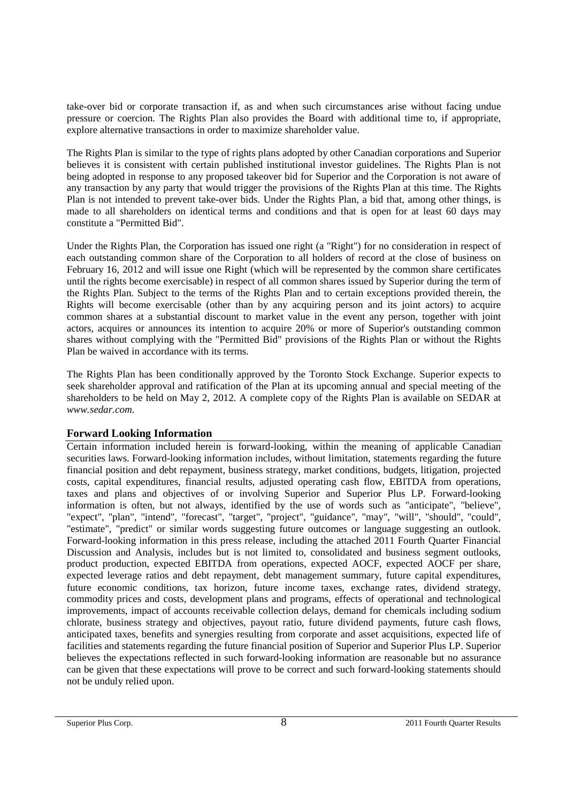take-over bid or corporate transaction if, as and when such circumstances arise without facing undue pressure or coercion. The Rights Plan also provides the Board with additional time to, if appropriate, explore alternative transactions in order to maximize shareholder value.

The Rights Plan is similar to the type of rights plans adopted by other Canadian corporations and Superior believes it is consistent with certain published institutional investor guidelines. The Rights Plan is not being adopted in response to any proposed takeover bid for Superior and the Corporation is not aware of any transaction by any party that would trigger the provisions of the Rights Plan at this time. The Rights Plan is not intended to prevent take-over bids. Under the Rights Plan, a bid that, among other things, is made to all shareholders on identical terms and conditions and that is open for at least 60 days may constitute a "Permitted Bid".

Under the Rights Plan, the Corporation has issued one right (a "Right") for no consideration in respect of each outstanding common share of the Corporation to all holders of record at the close of business on February 16, 2012 and will issue one Right (which will be represented by the common share certificates until the rights become exercisable) in respect of all common shares issued by Superior during the term of the Rights Plan. Subject to the terms of the Rights Plan and to certain exceptions provided therein, the Rights will become exercisable (other than by any acquiring person and its joint actors) to acquire common shares at a substantial discount to market value in the event any person, together with joint actors, acquires or announces its intention to acquire 20% or more of Superior's outstanding common shares without complying with the "Permitted Bid" provisions of the Rights Plan or without the Rights Plan be waived in accordance with its terms.

The Rights Plan has been conditionally approved by the Toronto Stock Exchange. Superior expects to seek shareholder approval and ratification of the Plan at its upcoming annual and special meeting of the shareholders to be held on May 2, 2012. A complete copy of the Rights Plan is available on SEDAR at *www.sedar.com*.

# **Forward Looking Information**

Certain information included herein is forward-looking, within the meaning of applicable Canadian securities laws. Forward-looking information includes, without limitation, statements regarding the future financial position and debt repayment, business strategy, market conditions, budgets, litigation, projected costs, capital expenditures, financial results, adjusted operating cash flow, EBITDA from operations, taxes and plans and objectives of or involving Superior and Superior Plus LP. Forward-looking information is often, but not always, identified by the use of words such as "anticipate", "believe", "expect", "plan", "intend", "forecast", "target", "project", "guidance", "may", "will", "should", "could", "estimate", "predict" or similar words suggesting future outcomes or language suggesting an outlook. Forward-looking information in this press release, including the attached 2011 Fourth Quarter Financial Discussion and Analysis, includes but is not limited to, consolidated and business segment outlooks, product production, expected EBITDA from operations, expected AOCF, expected AOCF per share, expected leverage ratios and debt repayment, debt management summary, future capital expenditures, future economic conditions, tax horizon, future income taxes, exchange rates, dividend strategy, commodity prices and costs, development plans and programs, effects of operational and technological improvements, impact of accounts receivable collection delays, demand for chemicals including sodium chlorate, business strategy and objectives, payout ratio, future dividend payments, future cash flows, anticipated taxes, benefits and synergies resulting from corporate and asset acquisitions, expected life of facilities and statements regarding the future financial position of Superior and Superior Plus LP. Superior believes the expectations reflected in such forward-looking information are reasonable but no assurance can be given that these expectations will prove to be correct and such forward-looking statements should not be unduly relied upon.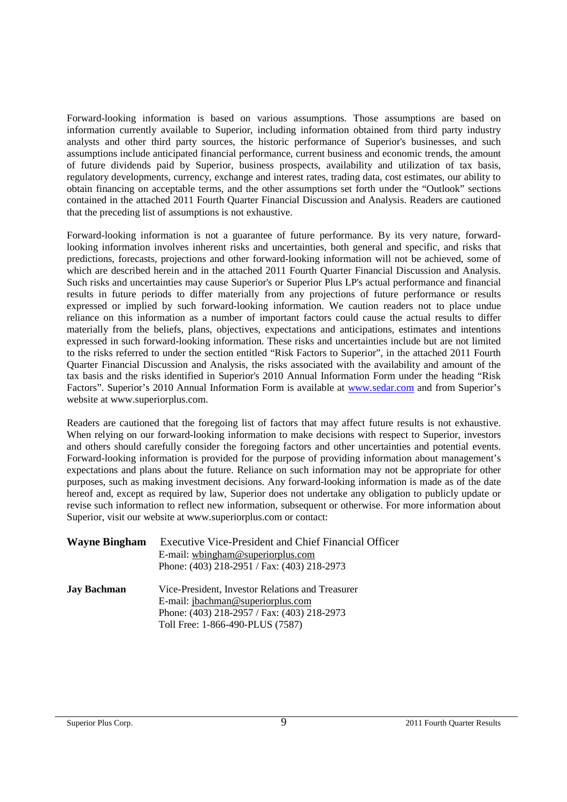Forward-looking information is based on various assumptions. Those assumptions are based on information currently available to Superior, including information obtained from third party industry analysts and other third party sources, the historic performance of Superior's businesses, and such assumptions include anticipated financial performance, current business and economic trends, the amount of future dividends paid by Superior, business prospects, availability and utilization of tax basis, regulatory developments, currency, exchange and interest rates, trading data, cost estimates, our ability to obtain financing on acceptable terms, and the other assumptions set forth under the "Outlook" sections contained in the attached 2011 Fourth Quarter Financial Discussion and Analysis. Readers are cautioned that the preceding list of assumptions is not exhaustive.

Forward-looking information is not a guarantee of future performance. By its very nature, forwardlooking information involves inherent risks and uncertainties, both general and specific, and risks that predictions, forecasts, projections and other forward-looking information will not be achieved, some of which are described herein and in the attached 2011 Fourth Quarter Financial Discussion and Analysis. Such risks and uncertainties may cause Superior's or Superior Plus LP's actual performance and financial results in future periods to differ materially from any projections of future performance or results expressed or implied by such forward-looking information. We caution readers not to place undue reliance on this information as a number of important factors could cause the actual results to differ materially from the beliefs, plans, objectives, expectations and anticipations, estimates and intentions expressed in such forward-looking information. These risks and uncertainties include but are not limited to the risks referred to under the section entitled "Risk Factors to Superior", in the attached 2011 Fourth Quarter Financial Discussion and Analysis, the risks associated with the availability and amount of the tax basis and the risks identified in Superior's 2010 Annual Information Form under the heading "Risk Factors". Superior's 2010 Annual Information Form is available at www.sedar.com and from Superior's website at www.superiorplus.com.

Readers are cautioned that the foregoing list of factors that may affect future results is not exhaustive. When relying on our forward-looking information to make decisions with respect to Superior, investors and others should carefully consider the foregoing factors and other uncertainties and potential events. Forward-looking information is provided for the purpose of providing information about management's expectations and plans about the future. Reliance on such information may not be appropriate for other purposes, such as making investment decisions. Any forward-looking information is made as of the date hereof and, except as required by law, Superior does not undertake any obligation to publicly update or revise such information to reflect new information, subsequent or otherwise. For more information about Superior, visit our website at www.superiorplus.com or contact:

| <b>Wayne Bingham</b> | <b>Executive Vice-President and Chief Financial Officer</b> |
|----------------------|-------------------------------------------------------------|
|                      | E-mail: wbingham@superiorplus.com                           |
|                      | Phone: (403) 218-2951 / Fax: (403) 218-2973                 |
| <b>Jay Bachman</b>   | Vice-President, Investor Relations and Treasurer            |
|                      | E-mail: jbachman@superiorplus.com                           |
|                      | Phone: (403) 218-2957 / Fax: (403) 218-2973                 |
|                      | Toll Free: 1-866-490-PLUS (7587)                            |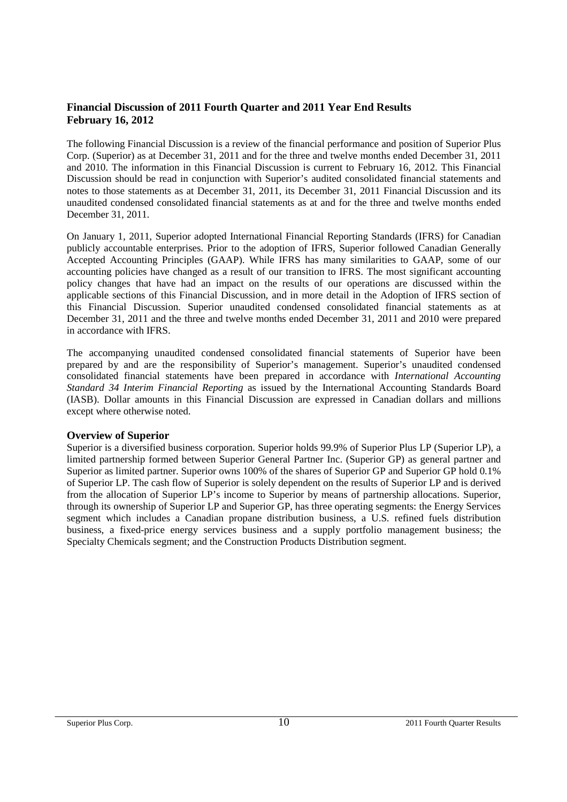## **Financial Discussion of 2011 Fourth Quarter and 2011 Year End Results February 16, 2012**

The following Financial Discussion is a review of the financial performance and position of Superior Plus Corp. (Superior) as at December 31, 2011 and for the three and twelve months ended December 31, 2011 and 2010. The information in this Financial Discussion is current to February 16, 2012. This Financial Discussion should be read in conjunction with Superior's audited consolidated financial statements and notes to those statements as at December 31, 2011, its December 31, 2011 Financial Discussion and its unaudited condensed consolidated financial statements as at and for the three and twelve months ended December 31, 2011.

On January 1, 2011, Superior adopted International Financial Reporting Standards (IFRS) for Canadian publicly accountable enterprises. Prior to the adoption of IFRS, Superior followed Canadian Generally Accepted Accounting Principles (GAAP). While IFRS has many similarities to GAAP, some of our accounting policies have changed as a result of our transition to IFRS. The most significant accounting policy changes that have had an impact on the results of our operations are discussed within the applicable sections of this Financial Discussion, and in more detail in the Adoption of IFRS section of this Financial Discussion. Superior unaudited condensed consolidated financial statements as at December 31, 2011 and the three and twelve months ended December 31, 2011 and 2010 were prepared in accordance with IFRS.

The accompanying unaudited condensed consolidated financial statements of Superior have been prepared by and are the responsibility of Superior's management. Superior's unaudited condensed consolidated financial statements have been prepared in accordance with *International Accounting Standard 34 Interim Financial Reporting* as issued by the International Accounting Standards Board (IASB). Dollar amounts in this Financial Discussion are expressed in Canadian dollars and millions except where otherwise noted.

## **Overview of Superior**

Superior is a diversified business corporation. Superior holds 99.9% of Superior Plus LP (Superior LP), a limited partnership formed between Superior General Partner Inc. (Superior GP) as general partner and Superior as limited partner. Superior owns 100% of the shares of Superior GP and Superior GP hold 0.1% of Superior LP. The cash flow of Superior is solely dependent on the results of Superior LP and is derived from the allocation of Superior LP's income to Superior by means of partnership allocations. Superior, through its ownership of Superior LP and Superior GP, has three operating segments: the Energy Services segment which includes a Canadian propane distribution business, a U.S. refined fuels distribution business, a fixed-price energy services business and a supply portfolio management business; the Specialty Chemicals segment; and the Construction Products Distribution segment.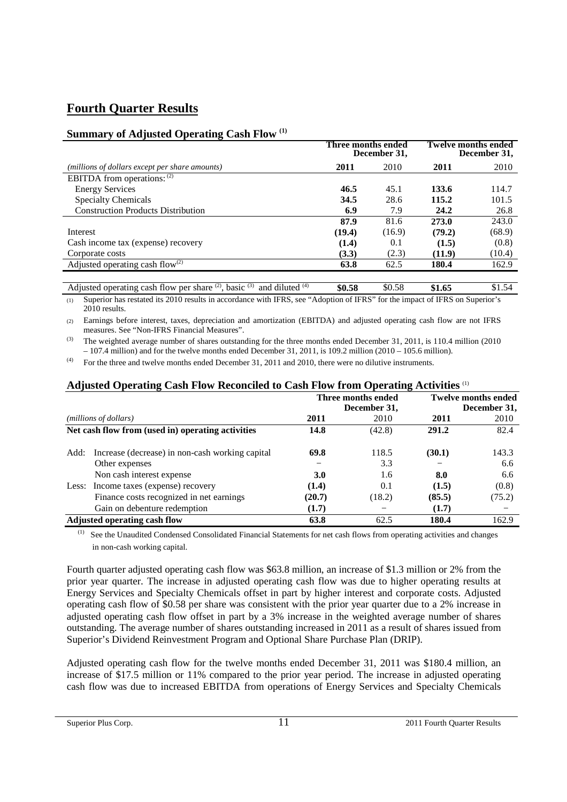# **Fourth Quarter Results**

#### **Summary of Adjusted Operating Cash Flow (1)**

| .<br>$\overline{ }$                            | Three months ended<br>December 31, | <b>Twelve months ended</b><br>December 31, |        |        |
|------------------------------------------------|------------------------------------|--------------------------------------------|--------|--------|
| (millions of dollars except per share amounts) | 2011                               | 2010                                       | 2011   | 2010   |
| EBITDA from operations: $(2)$                  |                                    |                                            |        |        |
| <b>Energy Services</b>                         | 46.5                               | 45.1                                       | 133.6  | 114.7  |
| <b>Specialty Chemicals</b>                     | 34.5                               | 28.6                                       | 115.2  | 101.5  |
| <b>Construction Products Distribution</b>      | 6.9                                | 7.9                                        | 24.2   | 26.8   |
|                                                | 87.9                               | 81.6                                       | 273.0  | 243.0  |
| Interest                                       | (19.4)                             | (16.9)                                     | (79.2) | (68.9) |
| Cash income tax (expense) recovery             | (1.4)                              | 0.1                                        | (1.5)  | (0.8)  |
| Corporate costs                                | (3.3)                              | (2.3)                                      | (11.9) | (10.4) |
| Adjusted operating cash flow $^{(2)}$          | 63.8                               | 62.5                                       | 180.4  | 162.9  |
|                                                |                                    |                                            |        |        |

Adjusted operating cash flow per share <sup>(2)</sup>, basic <sup>(3)</sup> and diluted (4) **\$0.58** \$0.58 \$1.65 \$1.54 (1) Superior has restated its 2010 results in accordance with IFRS, see "Adoption of IFRS" for the impact of IFRS on Superior's

2010 results. (2) Earnings before interest, taxes, depreciation and amortization (EBITDA) and adjusted operating cash flow are not IFRS measures. See "Non-IFRS Financial Measures".

(3) The weighted average number of shares outstanding for the three months ended December 31, 2011, is 110.4 million (2010)  $-107.4$  million) and for the twelve months ended December 31, 2011, is 109.2 million (2010 – 105.6 million).

(4) For the three and twelve months ended December 31, 2011 and 2010, there were no dilutive instruments.

#### **Adjusted Operating Cash Flow Reconciled to Cash Flow from Operating Activities** (1)

|      |                                                   |        | Three months ended | <b>Twelve months ended</b> |              |  |
|------|---------------------------------------------------|--------|--------------------|----------------------------|--------------|--|
|      |                                                   |        | December 31,       |                            | December 31, |  |
|      | (millions of dollars)                             | 2011   | 2010               | 2011                       | 2010         |  |
|      | Net cash flow from (used in) operating activities | 14.8   | (42.8)             | 291.2                      | 82.4         |  |
| Add: | Increase (decrease) in non-cash working capital   | 69.8   | 118.5              | (30.1)                     | 143.3        |  |
|      | Other expenses                                    |        | 3.3                |                            | 6.6          |  |
|      | Non cash interest expense                         | 3.0    | 1.6                | 8.0                        | 6.6          |  |
|      | Less: Income taxes (expense) recovery             | (1.4)  | 0.1                | (1.5)                      | (0.8)        |  |
|      | Finance costs recognized in net earnings          | (20.7) | (18.2)             | (85.5)                     | (75.2)       |  |
|      | Gain on debenture redemption                      | (1.7)  |                    | (1.7)                      |              |  |
|      | <b>Adjusted operating cash flow</b>               | 63.8   | 62.5               | 180.4                      | 162.9        |  |

(1) See the Unaudited Condensed Consolidated Financial Statements for net cash flows from operating activities and changes in non-cash working capital.

Fourth quarter adjusted operating cash flow was \$63.8 million, an increase of \$1.3 million or 2% from the prior year quarter. The increase in adjusted operating cash flow was due to higher operating results at Energy Services and Specialty Chemicals offset in part by higher interest and corporate costs. Adjusted operating cash flow of \$0.58 per share was consistent with the prior year quarter due to a 2% increase in adjusted operating cash flow offset in part by a 3% increase in the weighted average number of shares outstanding. The average number of shares outstanding increased in 2011 as a result of shares issued from Superior's Dividend Reinvestment Program and Optional Share Purchase Plan (DRIP).

Adjusted operating cash flow for the twelve months ended December 31, 2011 was \$180.4 million, an increase of \$17.5 million or 11% compared to the prior year period. The increase in adjusted operating cash flow was due to increased EBITDA from operations of Energy Services and Specialty Chemicals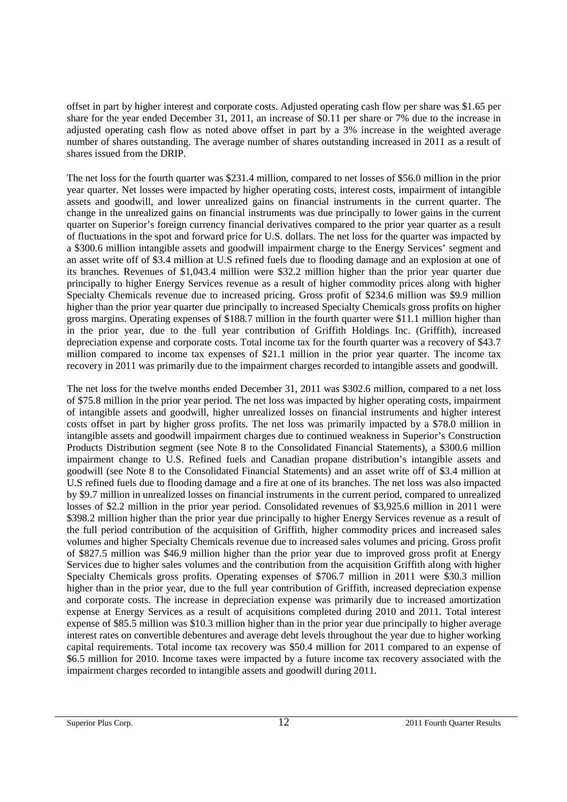offset in part by higher interest and corporate costs. Adjusted operating cash flow per share was \$1.65 per share for the year ended December 31, 2011, an increase of \$0.11 per share or 7% due to the increase in adjusted operating cash flow as noted above offset in part by a 3% increase in the weighted average number of shares outstanding. The average number of shares outstanding increased in 2011 as a result of shares issued from the DRIP.

The net loss for the fourth quarter was \$231.4 million, compared to net losses of \$56.0 million in the prior year quarter. Net losses were impacted by higher operating costs, interest costs, impairment of intangible assets and goodwill, and lower unrealized gains on financial instruments in the current quarter. The change in the unrealized gains on financial instruments was due principally to lower gains in the current quarter on Superior's foreign currency financial derivatives compared to the prior year quarter as a result of fluctuations in the spot and forward price for U.S. dollars. The net loss for the quarter was impacted by a \$300.6 million intangible assets and goodwill impairment charge to the Energy Services' segment and an asset write off of \$3.4 million at U.S refined fuels due to flooding damage and an explosion at one of its branches. Revenues of \$1,043.4 million were \$32.2 million higher than the prior year quarter due principally to higher Energy Services revenue as a result of higher commodity prices along with higher Specialty Chemicals revenue due to increased pricing. Gross profit of \$234.6 million was \$9.9 million higher than the prior year quarter due principally to increased Specialty Chemicals gross profits on higher gross margins. Operating expenses of \$188.7 million in the fourth quarter were \$11.1 million higher than in the prior year, due to the full year contribution of Griffith Holdings Inc. (Griffith), increased depreciation expense and corporate costs. Total income tax for the fourth quarter was a recovery of \$43.7 million compared to income tax expenses of \$21.1 million in the prior year quarter. The income tax recovery in 2011 was primarily due to the impairment charges recorded to intangible assets and goodwill.

The net loss for the twelve months ended December 31, 2011 was \$302.6 million, compared to a net loss of \$75.8 million in the prior year period. The net loss was impacted by higher operating costs, impairment of intangible assets and goodwill, higher unrealized losses on financial instruments and higher interest costs offset in part by higher gross profits. The net loss was primarily impacted by a \$78.0 million in intangible assets and goodwill impairment charges due to continued weakness in Superior's Construction Products Distribution segment (see Note 8 to the Consolidated Financial Statements), a \$300.6 million impairment change to U.S. Refined fuels and Canadian propane distribution's intangible assets and goodwill (see Note 8 to the Consolidated Financial Statements) and an asset write off of \$3.4 million at U.S refined fuels due to flooding damage and a fire at one of its branches. The net loss was also impacted by \$9.7 million in unrealized losses on financial instruments in the current period, compared to unrealized losses of \$2.2 million in the prior year period. Consolidated revenues of \$3,925.6 million in 2011 were \$398.2 million higher than the prior year due principally to higher Energy Services revenue as a result of the full period contribution of the acquisition of Griffith, higher commodity prices and increased sales volumes and higher Specialty Chemicals revenue due to increased sales volumes and pricing. Gross profit of \$827.5 million was \$46.9 million higher than the prior year due to improved gross profit at Energy Services due to higher sales volumes and the contribution from the acquisition Griffith along with higher Specialty Chemicals gross profits. Operating expenses of \$706.7 million in 2011 were \$30.3 million higher than in the prior year, due to the full year contribution of Griffith, increased depreciation expense and corporate costs. The increase in depreciation expense was primarily due to increased amortization expense at Energy Services as a result of acquisitions completed during 2010 and 2011. Total interest expense of \$85.5 million was \$10.3 million higher than in the prior year due principally to higher average interest rates on convertible debentures and average debt levels throughout the year due to higher working capital requirements. Total income tax recovery was \$50.4 million for 2011 compared to an expense of \$6.5 million for 2010. Income taxes were impacted by a future income tax recovery associated with the impairment charges recorded to intangible assets and goodwill during 2011.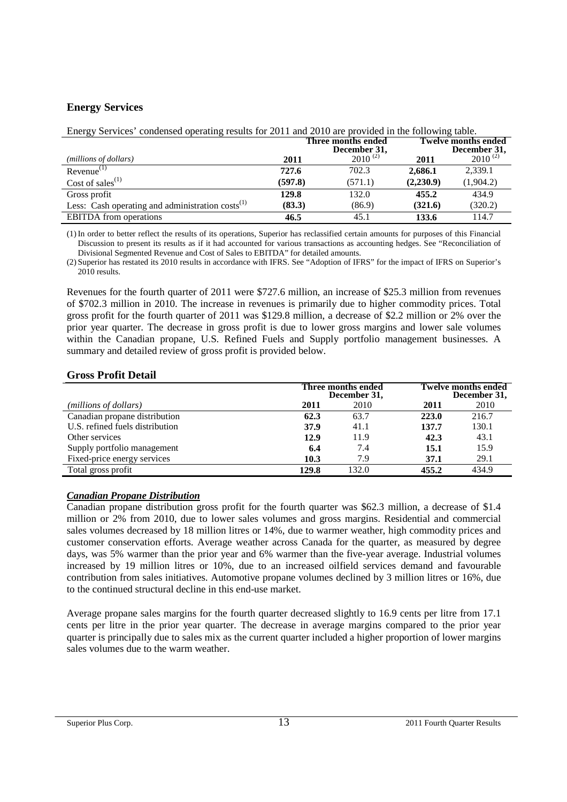# **Energy Services**

| Effect of the condensed operating results for 2011 and 2010 are provided in the following table. |                              |                    |                            |              |  |  |  |
|--------------------------------------------------------------------------------------------------|------------------------------|--------------------|----------------------------|--------------|--|--|--|
|                                                                                                  |                              | Three months ended | <b>Twelve months ended</b> |              |  |  |  |
|                                                                                                  | December 31,<br>December 31, |                    |                            |              |  |  |  |
| (millions of dollars)                                                                            | 2011                         | $2010^{(2)}$       | 2011                       | $2010^{(2)}$ |  |  |  |
| $Revenue$ <sup>(1)</sup>                                                                         | 727.6                        | 702.3              | 2,686.1                    | 2.339.1      |  |  |  |
| Cost of sales <sup><math>(1)</math></sup>                                                        | (597.8)                      | (571.1)            | (2,230.9)                  | (1,904.2)    |  |  |  |
| Gross profit                                                                                     | 129.8                        | 132.0              | 455.2                      | 434.9        |  |  |  |
| Less: Cash operating and administration $costs^{(1)}$                                            | (83.3)                       | (86.9)             | (321.6)                    | (320.2)      |  |  |  |
| <b>EBITDA</b> from operations                                                                    | 46.5                         | 45.1               | 133.6                      | 114.7        |  |  |  |

Energy Services' condensed operating results for 2011 and 2010 are provided in the following table.

(1)In order to better reflect the results of its operations, Superior has reclassified certain amounts for purposes of this Financial Discussion to present its results as if it had accounted for various transactions as accounting hedges. See "Reconciliation of Divisional Segmented Revenue and Cost of Sales to EBITDA" for detailed amounts.

(2) Superior has restated its 2010 results in accordance with IFRS. See "Adoption of IFRS" for the impact of IFRS on Superior's 2010 results.

Revenues for the fourth quarter of 2011 were \$727.6 million, an increase of \$25.3 million from revenues of \$702.3 million in 2010. The increase in revenues is primarily due to higher commodity prices. Total gross profit for the fourth quarter of 2011 was \$129.8 million, a decrease of \$2.2 million or 2% over the prior year quarter. The decrease in gross profit is due to lower gross margins and lower sale volumes within the Canadian propane, U.S. Refined Fuels and Supply portfolio management businesses. A summary and detailed review of gross profit is provided below.

#### **Gross Profit Detail**

|                                 | Three months ended<br>December 31, |       |       | <b>Twelve months ended</b><br>December 31, |
|---------------------------------|------------------------------------|-------|-------|--------------------------------------------|
| (millions of dollars)           | 2011                               | 2010  | 2011  | 2010                                       |
| Canadian propane distribution   | 62.3                               | 63.7  | 223.0 | 216.7                                      |
| U.S. refined fuels distribution | 37.9                               | 41.1  | 137.7 | 130.1                                      |
| Other services                  | 12.9                               | 11.9  | 42.3  | 43.1                                       |
| Supply portfolio management     | 6.4                                | 7.4   | 15.1  | 15.9                                       |
| Fixed-price energy services     | 10.3                               | 7.9   | 37.1  | 29.1                                       |
| Total gross profit              | 129.8                              | 132.0 | 455.2 | 434.9                                      |

## *Canadian Propane Distribution*

Canadian propane distribution gross profit for the fourth quarter was \$62.3 million, a decrease of \$1.4 million or 2% from 2010, due to lower sales volumes and gross margins. Residential and commercial sales volumes decreased by 18 million litres or 14%, due to warmer weather, high commodity prices and customer conservation efforts. Average weather across Canada for the quarter, as measured by degree days, was 5% warmer than the prior year and 6% warmer than the five-year average. Industrial volumes increased by 19 million litres or 10%, due to an increased oilfield services demand and favourable contribution from sales initiatives. Automotive propane volumes declined by 3 million litres or 16%, due to the continued structural decline in this end-use market.

Average propane sales margins for the fourth quarter decreased slightly to 16.9 cents per litre from 17.1 cents per litre in the prior year quarter. The decrease in average margins compared to the prior year quarter is principally due to sales mix as the current quarter included a higher proportion of lower margins sales volumes due to the warm weather.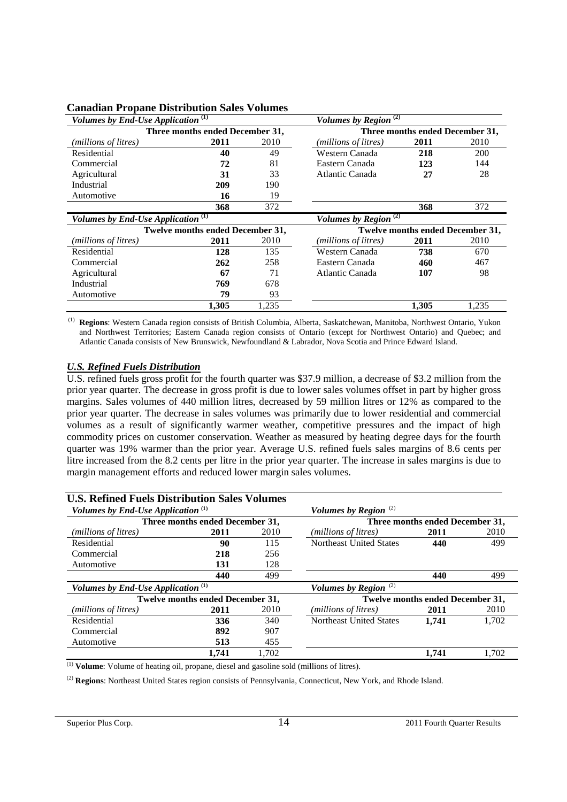| Volumes by End-Use Application <sup>(1)</sup> |                                  |      | Volumes by Region <sup>(2)</sup> |                                  |      |  |
|-----------------------------------------------|----------------------------------|------|----------------------------------|----------------------------------|------|--|
|                                               | Three months ended December 31,  |      | Three months ended December 31,  |                                  |      |  |
| (millions of litres)                          | 2011                             | 2010 | (millions of litres)             | 2011                             | 2010 |  |
| Residential                                   | 40                               | 49   | Western Canada                   | 218                              | 200  |  |
| Commercial                                    | 72                               | 81   | Eastern Canada                   | 123                              | 144  |  |
| Agricultural                                  | 31                               | 33   | Atlantic Canada                  | 27                               | 28   |  |
| Industrial                                    | 209                              | 190  |                                  |                                  |      |  |
| Automotive                                    | 16                               | 19   |                                  |                                  |      |  |
|                                               | 368                              | 372  |                                  | 368                              | 372  |  |
|                                               |                                  |      |                                  |                                  |      |  |
| Volumes by End-Use Application <sup>(1)</sup> |                                  |      |                                  |                                  |      |  |
|                                               | Twelve months ended December 31, |      | Volumes by Region <sup>(2)</sup> | Twelve months ended December 31, |      |  |
| (millions of litres)                          | 2011                             | 2010 | (millions of litres)             | 2011                             | 2010 |  |
| Residential                                   | 128                              | 135  | Western Canada                   | 738                              | 670  |  |
| Commercial                                    | 262                              | 258  | Eastern Canada                   | 460                              | 467  |  |
| Agricultural                                  | 67                               | 71   | Atlantic Canada                  | 107                              | 98   |  |
| Industrial                                    | 769                              | 678  |                                  |                                  |      |  |
| Automotive                                    | 79                               | 93   |                                  |                                  |      |  |

#### **Canadian Propane Distribution Sales Volumes**

(1) **Regions**: Western Canada region consists of British Columbia, Alberta, Saskatchewan, Manitoba, Northwest Ontario, Yukon and Northwest Territories; Eastern Canada region consists of Ontario (except for Northwest Ontario) and Quebec; and Atlantic Canada consists of New Brunswick, Newfoundland & Labrador, Nova Scotia and Prince Edward Island.

#### *U.S. Refined Fuels Distribution*

U.S. refined fuels gross profit for the fourth quarter was \$37.9 million, a decrease of \$3.2 million from the prior year quarter. The decrease in gross profit is due to lower sales volumes offset in part by higher gross margins. Sales volumes of 440 million litres, decreased by 59 million litres or 12% as compared to the prior year quarter. The decrease in sales volumes was primarily due to lower residential and commercial volumes as a result of significantly warmer weather, competitive pressures and the impact of high commodity prices on customer conservation. Weather as measured by heating degree days for the fourth quarter was 19% warmer than the prior year. Average U.S. refined fuels sales margins of 8.6 cents per litre increased from the 8.2 cents per litre in the prior year quarter. The increase in sales margins is due to margin management efforts and reduced lower margin sales volumes.

| <b>U.S. Refined Fuels Distribution Sales Volumes</b> |                                         |                                 |                                         |       |       |  |
|------------------------------------------------------|-----------------------------------------|---------------------------------|-----------------------------------------|-------|-------|--|
| Volumes by End-Use Application $(1)$                 |                                         |                                 | Volumes by Region $(2)$                 |       |       |  |
| Three months ended December 31,                      |                                         | Three months ended December 31, |                                         |       |       |  |
| ( <i>millions of litres</i> )                        | 2011                                    | 2010                            | ( <i>millions of litres</i> )           | 2011  | 2010  |  |
| Residential                                          | 90                                      | 115                             | Northeast United States                 | 440   | 499   |  |
| Commercial                                           | 218                                     | 256                             |                                         |       |       |  |
| Automotive                                           | 131                                     | 128                             |                                         |       |       |  |
|                                                      | 440                                     | 499                             |                                         | 440   | 499   |  |
| Volumes by End-Use Application <sup>(1)</sup>        |                                         |                                 | Volumes by Region <sup>(2)</sup>        |       |       |  |
|                                                      | <b>Twelve months ended December 31,</b> |                                 | <b>Twelve months ended December 31,</b> |       |       |  |
| ( <i>millions of litres</i> )                        | 2011                                    | 2010                            | (millions of litres)                    | 2011  | 2010  |  |
| Residential                                          | 336                                     | 340                             | Northeast United States                 | 1.741 | 1.702 |  |
| Commercial                                           | 892                                     | 907                             |                                         |       |       |  |
| Automotive                                           | 513                                     | 455                             |                                         |       |       |  |
| (1)                                                  | 1.741                                   | 1.702                           |                                         | 1.741 | 1.702 |  |

(1) **Volume**: Volume of heating oil, propane, diesel and gasoline sold (millions of litres).

(2) **Regions**: Northeast United States region consists of Pennsylvania, Connecticut, New York, and Rhode Island.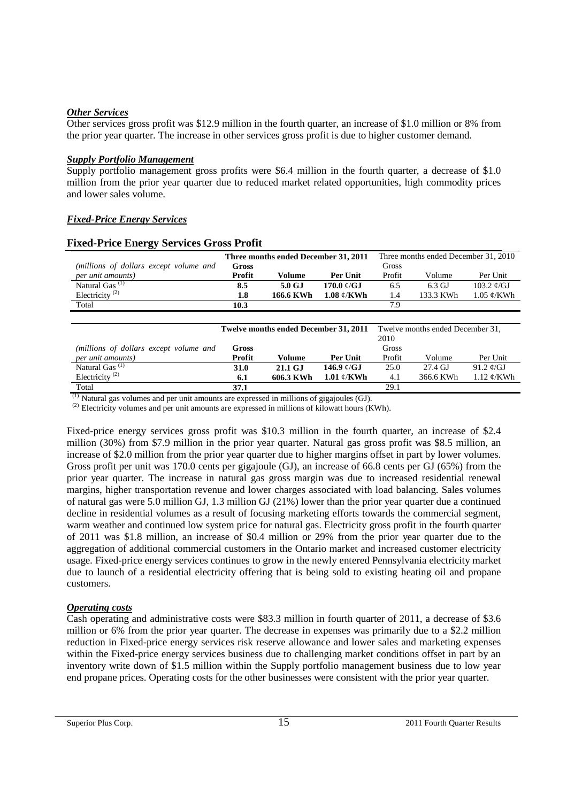#### *Other Services*

Other services gross profit was \$12.9 million in the fourth quarter, an increase of \$1.0 million or 8% from the prior year quarter. The increase in other services gross profit is due to higher customer demand.

#### *Supply Portfolio Management*

Supply portfolio management gross profits were \$6.4 million in the fourth quarter, a decrease of \$1.0 million from the prior year quarter due to reduced market related opportunities, high commodity prices and lower sales volume.

## *Fixed-Price Energy Services*

|                                         | Three months ended December 31, 2011 |                  |                        |        | Three months ended December 31, 2010 |                               |
|-----------------------------------------|--------------------------------------|------------------|------------------------|--------|--------------------------------------|-------------------------------|
| (millions of dollars except volume and  | Gross                                |                  |                        | Gross  |                                      |                               |
| <i>per unit amounts</i> )               | Profit                               | Volume           | Per Unit               | Profit | Volume                               | Per Unit                      |
| Natural Gas <sup>(1)</sup>              | 8.5                                  | 5.0 G.I          | 170.0 $\mathcal{C}/GJ$ | 6.5    | 6.3 GJ                               | 103.2 $\mathcal{C}/\text{GJ}$ |
| Electricity <sup><math>(2)</math></sup> | 1.8                                  | <b>166.6 KWh</b> | 1.08 $\mathcal{C}/KWh$ | 1.4    | 133.3 KWh                            | $1.05 \ \text{\eKWh}$         |
| Total                                   | 10.3                                 |                  |                        | 7.9    |                                      |                               |

#### **Fixed-Price Energy Services Gross Profit**

|                                        | Twelve months ended December 31, 2011 |           |                        |        | Twelve months ended December 31, |                              |
|----------------------------------------|---------------------------------------|-----------|------------------------|--------|----------------------------------|------------------------------|
|                                        |                                       |           |                        | 2010   |                                  |                              |
| (millions of dollars except volume and | Gross                                 |           |                        | Gross  |                                  |                              |
| per unit amounts)                      | <b>Profit</b>                         | Volume    | Per Unit               | Profit | Volume                           | Per Unit                     |
| Natural Gas <sup>(1)</sup>             | <b>31.0</b>                           | 21.1 GJ   | 146.9 $\mathcal{C}/GJ$ | 25.0   | 27.4 GJ                          | 91.2 $\mathcal{C}/\text{GJ}$ |
| Electricity <sup>(2)</sup>             | 6.1                                   | 606.3 KWh | 1.01 $\epsilon$ /KWh   | 4.1    | 366.6 KWh                        | 1.12 $\mathcal{C}/KWh$       |
| Total                                  | 37.1                                  |           |                        | 29.1   |                                  |                              |

(1) Natural gas volumes and per unit amounts are expressed in millions of gigajoules (GJ).

<sup>(2)</sup> Electricity volumes and per unit amounts are expressed in millions of kilowatt hours (KWh).

Fixed-price energy services gross profit was \$10.3 million in the fourth quarter, an increase of \$2.4 million (30%) from \$7.9 million in the prior year quarter. Natural gas gross profit was \$8.5 million, an increase of \$2.0 million from the prior year quarter due to higher margins offset in part by lower volumes. Gross profit per unit was 170.0 cents per gigajoule (GJ), an increase of 66.8 cents per GJ (65%) from the prior year quarter. The increase in natural gas gross margin was due to increased residential renewal margins, higher transportation revenue and lower charges associated with load balancing. Sales volumes of natural gas were 5.0 million GJ, 1.3 million GJ (21%) lower than the prior year quarter due a continued decline in residential volumes as a result of focusing marketing efforts towards the commercial segment, warm weather and continued low system price for natural gas. Electricity gross profit in the fourth quarter of 2011 was \$1.8 million, an increase of \$0.4 million or 29% from the prior year quarter due to the aggregation of additional commercial customers in the Ontario market and increased customer electricity usage. Fixed-price energy services continues to grow in the newly entered Pennsylvania electricity market due to launch of a residential electricity offering that is being sold to existing heating oil and propane customers.

## *Operating costs*

Cash operating and administrative costs were \$83.3 million in fourth quarter of 2011, a decrease of \$3.6 million or 6% from the prior year quarter. The decrease in expenses was primarily due to a \$2.2 million reduction in Fixed-price energy services risk reserve allowance and lower sales and marketing expenses within the Fixed-price energy services business due to challenging market conditions offset in part by an inventory write down of \$1.5 million within the Supply portfolio management business due to low year end propane prices. Operating costs for the other businesses were consistent with the prior year quarter.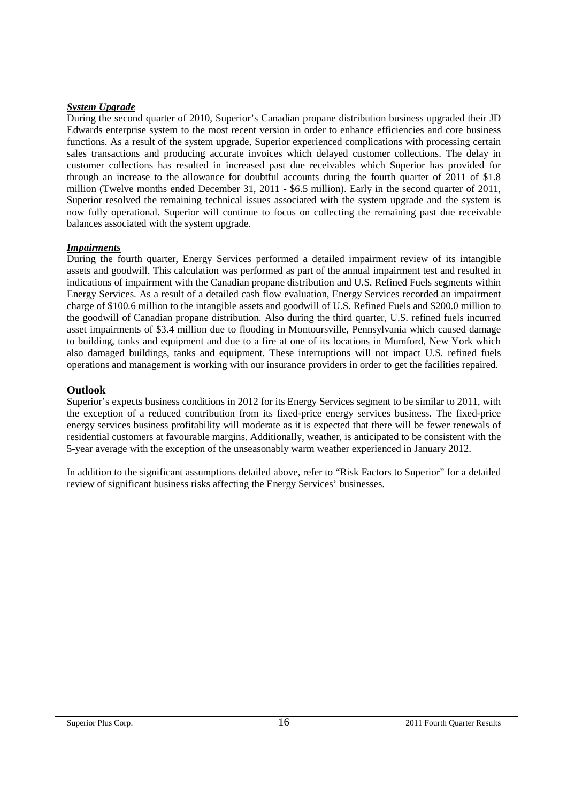## *System Upgrade*

During the second quarter of 2010, Superior's Canadian propane distribution business upgraded their JD Edwards enterprise system to the most recent version in order to enhance efficiencies and core business functions. As a result of the system upgrade, Superior experienced complications with processing certain sales transactions and producing accurate invoices which delayed customer collections. The delay in customer collections has resulted in increased past due receivables which Superior has provided for through an increase to the allowance for doubtful accounts during the fourth quarter of 2011 of \$1.8 million (Twelve months ended December 31, 2011 - \$6.5 million). Early in the second quarter of 2011, Superior resolved the remaining technical issues associated with the system upgrade and the system is now fully operational. Superior will continue to focus on collecting the remaining past due receivable balances associated with the system upgrade.

#### *Impairments*

During the fourth quarter, Energy Services performed a detailed impairment review of its intangible assets and goodwill. This calculation was performed as part of the annual impairment test and resulted in indications of impairment with the Canadian propane distribution and U.S. Refined Fuels segments within Energy Services. As a result of a detailed cash flow evaluation, Energy Services recorded an impairment charge of \$100.6 million to the intangible assets and goodwill of U.S. Refined Fuels and \$200.0 million to the goodwill of Canadian propane distribution. Also during the third quarter, U.S. refined fuels incurred asset impairments of \$3.4 million due to flooding in Montoursville, Pennsylvania which caused damage to building, tanks and equipment and due to a fire at one of its locations in Mumford, New York which also damaged buildings, tanks and equipment. These interruptions will not impact U.S. refined fuels operations and management is working with our insurance providers in order to get the facilities repaired.

## **Outlook**

Superior's expects business conditions in 2012 for its Energy Services segment to be similar to 2011, with the exception of a reduced contribution from its fixed-price energy services business. The fixed-price energy services business profitability will moderate as it is expected that there will be fewer renewals of residential customers at favourable margins. Additionally, weather, is anticipated to be consistent with the 5-year average with the exception of the unseasonably warm weather experienced in January 2012.

In addition to the significant assumptions detailed above, refer to "Risk Factors to Superior" for a detailed review of significant business risks affecting the Energy Services' businesses.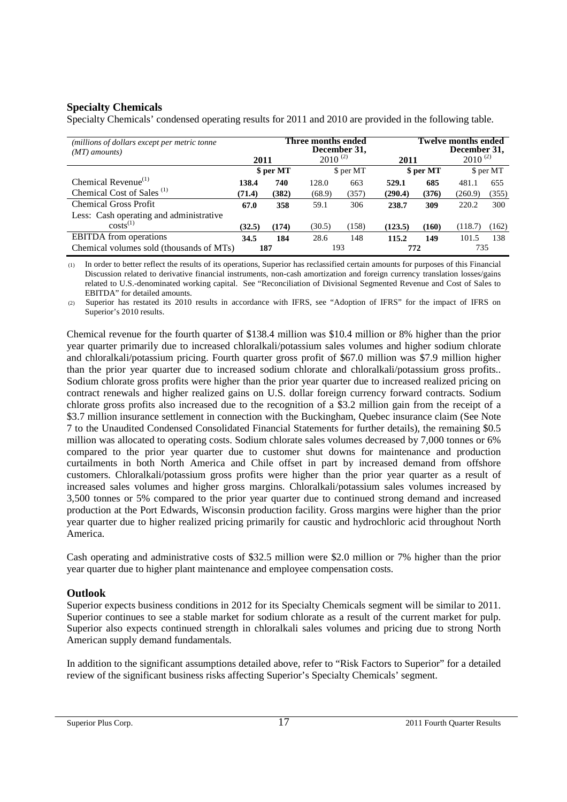## **Specialty Chemicals**

Specialty Chemicals' condensed operating results for 2011 and 2010 are provided in the following table.

| (millions of dollars except per metric tonne<br>$(MT)$ amounts) |        |           | Three months ended<br>December 31, |       | <b>Twelve months ended</b><br>December 31, |       |              |       |
|-----------------------------------------------------------------|--------|-----------|------------------------------------|-------|--------------------------------------------|-------|--------------|-------|
|                                                                 | 2011   |           | $2010^{(2)}$                       |       | 2011                                       |       | $2010^{(2)}$ |       |
|                                                                 |        | \$ per MT | \$ per MT                          |       | \$ per MT                                  |       | \$ per MT    |       |
| Chemical Revenue $(1)$                                          | 138.4  | 740       | 128.0                              | 663   | 529.1                                      | 685   | 481.1        | 655   |
| Chemical Cost of Sales <sup>(1)</sup>                           | (71.4) | (382)     | (68.9)                             | (357) | (290.4)                                    | (376) | (260.9)      | (355) |
| <b>Chemical Gross Profit</b>                                    | 67.0   | 358       | 59.1                               | 306   | 238.7                                      | 309   | 220.2        | 300   |
| Less: Cash operating and administrative                         |        |           |                                    |       |                                            |       |              |       |
| $costs^{(1)}$                                                   | (32.5) | (174)     | (30.5)                             | (158) | (123.5)                                    | (160) | (118.7)      | (162) |
| <b>EBITDA</b> from operations                                   | 34.5   | 184       | 28.6                               | 148   | 115.2                                      | 149   | 101.5        | 138   |
| Chemical volumes sold (thousands of MTs)                        | 187    |           | 193                                |       | 772                                        |       | 735          |       |

(1) In order to better reflect the results of its operations, Superior has reclassified certain amounts for purposes of this Financial Discussion related to derivative financial instruments, non-cash amortization and foreign currency translation losses/gains related to U.S.-denominated working capital. See "Reconciliation of Divisional Segmented Revenue and Cost of Sales to EBITDA" for detailed amounts.

(2) Superior has restated its 2010 results in accordance with IFRS, see "Adoption of IFRS" for the impact of IFRS on Superior's 2010 results.

Chemical revenue for the fourth quarter of \$138.4 million was \$10.4 million or 8% higher than the prior year quarter primarily due to increased chloralkali/potassium sales volumes and higher sodium chlorate and chloralkali/potassium pricing. Fourth quarter gross profit of \$67.0 million was \$7.9 million higher than the prior year quarter due to increased sodium chlorate and chloralkali/potassium gross profits.. Sodium chlorate gross profits were higher than the prior year quarter due to increased realized pricing on contract renewals and higher realized gains on U.S. dollar foreign currency forward contracts. Sodium chlorate gross profits also increased due to the recognition of a \$3.2 million gain from the receipt of a \$3.7 million insurance settlement in connection with the Buckingham, Quebec insurance claim (See Note 7 to the Unaudited Condensed Consolidated Financial Statements for further details), the remaining \$0.5 million was allocated to operating costs. Sodium chlorate sales volumes decreased by 7,000 tonnes or 6% compared to the prior year quarter due to customer shut downs for maintenance and production curtailments in both North America and Chile offset in part by increased demand from offshore customers. Chloralkali/potassium gross profits were higher than the prior year quarter as a result of increased sales volumes and higher gross margins. Chloralkali/potassium sales volumes increased by 3,500 tonnes or 5% compared to the prior year quarter due to continued strong demand and increased production at the Port Edwards, Wisconsin production facility. Gross margins were higher than the prior year quarter due to higher realized pricing primarily for caustic and hydrochloric acid throughout North America.

Cash operating and administrative costs of \$32.5 million were \$2.0 million or 7% higher than the prior year quarter due to higher plant maintenance and employee compensation costs.

## **Outlook**

Superior expects business conditions in 2012 for its Specialty Chemicals segment will be similar to 2011. Superior continues to see a stable market for sodium chlorate as a result of the current market for pulp. Superior also expects continued strength in chloralkali sales volumes and pricing due to strong North American supply demand fundamentals.

In addition to the significant assumptions detailed above, refer to "Risk Factors to Superior" for a detailed review of the significant business risks affecting Superior's Specialty Chemicals' segment.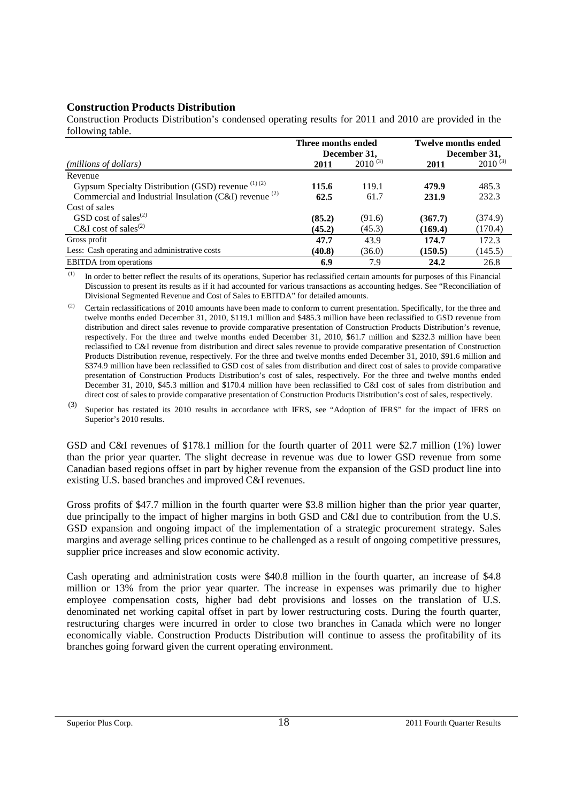## **Construction Products Distribution**

Construction Products Distribution's condensed operating results for 2011 and 2010 are provided in the following table.

|                                                          | Three months ended |              | <b>Twelve months ended</b><br>December 31, |              |  |
|----------------------------------------------------------|--------------------|--------------|--------------------------------------------|--------------|--|
|                                                          |                    | December 31, |                                            |              |  |
| (millions of dollars)                                    | 2011               | $2010^{(3)}$ | 2011                                       | $2010^{(3)}$ |  |
| Revenue                                                  |                    |              |                                            |              |  |
| Gypsum Specialty Distribution (GSD) revenue $(1)(2)$     | 115.6              | 119.1        | 479.9                                      | 485.3        |  |
| Commercial and Industrial Insulation (C&I) revenue $(2)$ | 62.5               | 61.7         | 231.9                                      | 232.3        |  |
| Cost of sales                                            |                    |              |                                            |              |  |
| GSD cost of sales <sup><math>(2)</math></sup>            | (85.2)             | (91.6)       | (367.7)                                    | (374.9)      |  |
| C&I cost of sales <sup>(2)</sup>                         | (45.2)             | (45.3)       | (169.4)                                    | (170.4)      |  |
| Gross profit                                             | 47.7               | 43.9         | 174.7                                      | 172.3        |  |
| Less: Cash operating and administrative costs            | (40.8)             | (36.0)       | (150.5)                                    | (145.5)      |  |
| <b>EBITDA</b> from operations                            | 6.9                | 7.9          | 24.2                                       | 26.8         |  |

(1) In order to better reflect the results of its operations, Superior has reclassified certain amounts for purposes of this Financial Discussion to present its results as if it had accounted for various transactions as accounting hedges. See "Reconciliation of Divisional Segmented Revenue and Cost of Sales to EBITDA" for detailed amounts.

(2) Certain reclassifications of 2010 amounts have been made to conform to current presentation. Specifically, for the three and twelve months ended December 31, 2010, \$119.1 million and \$485.3 million have been reclassified to GSD revenue from distribution and direct sales revenue to provide comparative presentation of Construction Products Distribution's revenue, respectively. For the three and twelve months ended December 31, 2010, \$61.7 million and \$232.3 million have been reclassified to C&I revenue from distribution and direct sales revenue to provide comparative presentation of Construction Products Distribution revenue, respectively. For the three and twelve months ended December 31, 2010, \$91.6 million and \$374.9 million have been reclassified to GSD cost of sales from distribution and direct cost of sales to provide comparative presentation of Construction Products Distribution's cost of sales, respectively. For the three and twelve months ended December 31, 2010, \$45.3 million and \$170.4 million have been reclassified to C&I cost of sales from distribution and direct cost of sales to provide comparative presentation of Construction Products Distribution's cost of sales, respectively.

(3) Superior has restated its 2010 results in accordance with IFRS, see "Adoption of IFRS" for the impact of IFRS on Superior's 2010 results.

GSD and C&I revenues of \$178.1 million for the fourth quarter of 2011 were \$2.7 million (1%) lower than the prior year quarter. The slight decrease in revenue was due to lower GSD revenue from some Canadian based regions offset in part by higher revenue from the expansion of the GSD product line into existing U.S. based branches and improved C&I revenues.

Gross profits of \$47.7 million in the fourth quarter were \$3.8 million higher than the prior year quarter, due principally to the impact of higher margins in both GSD and C&I due to contribution from the U.S. GSD expansion and ongoing impact of the implementation of a strategic procurement strategy. Sales margins and average selling prices continue to be challenged as a result of ongoing competitive pressures, supplier price increases and slow economic activity.

Cash operating and administration costs were \$40.8 million in the fourth quarter, an increase of \$4.8 million or 13% from the prior year quarter. The increase in expenses was primarily due to higher employee compensation costs, higher bad debt provisions and losses on the translation of U.S. denominated net working capital offset in part by lower restructuring costs. During the fourth quarter, restructuring charges were incurred in order to close two branches in Canada which were no longer economically viable. Construction Products Distribution will continue to assess the profitability of its branches going forward given the current operating environment.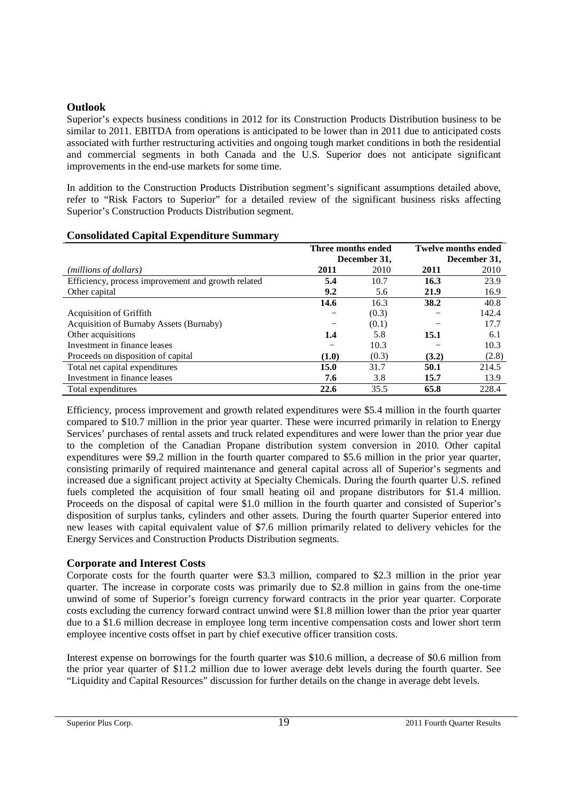## **Outlook**

Superior's expects business conditions in 2012 for its Construction Products Distribution business to be similar to 2011. EBITDA from operations is anticipated to be lower than in 2011 due to anticipated costs associated with further restructuring activities and ongoing tough market conditions in both the residential and commercial segments in both Canada and the U.S. Superior does not anticipate significant improvements in the end-use markets for some time.

In addition to the Construction Products Distribution segment's significant assumptions detailed above, refer to "Risk Factors to Superior" for a detailed review of the significant business risks affecting Superior's Construction Products Distribution segment.

|                                                    | Three months ended |              | <b>Twelve months ended</b> |       |  |
|----------------------------------------------------|--------------------|--------------|----------------------------|-------|--|
|                                                    |                    | December 31, | December 31,               |       |  |
| ( <i>millions of dollars</i> )                     | 2011               | 2010         | 2011                       | 2010  |  |
| Efficiency, process improvement and growth related | 5.4                | 10.7         | 16.3                       | 23.9  |  |
| Other capital                                      | 9.2                | 5.6          | 21.9                       | 16.9  |  |
|                                                    | 14.6               | 16.3         | 38.2                       | 40.8  |  |
| <b>Acquisition of Griffith</b>                     |                    | (0.3)        |                            | 142.4 |  |
| Acquisition of Burnaby Assets (Burnaby)            |                    | (0.1)        |                            | 17.7  |  |
| Other acquisitions                                 | 1.4                | 5.8          | 15.1                       | 6.1   |  |
| Investment in finance leases                       |                    | 10.3         |                            | 10.3  |  |
| Proceeds on disposition of capital                 | (1.0)              | (0.3)        | (3.2)                      | (2.8) |  |
| Total net capital expenditures                     | 15.0               | 31.7         | 50.1                       | 214.5 |  |
| Investment in finance leases                       | 7.6                | 3.8          | 15.7                       | 13.9  |  |
| Total expenditures                                 | 22.6               | 35.5         | 65.8                       | 228.4 |  |

## **Consolidated Capital Expenditure Summary**

Efficiency, process improvement and growth related expenditures were \$5.4 million in the fourth quarter compared to \$10.7 million in the prior year quarter. These were incurred primarily in relation to Energy Services' purchases of rental assets and truck related expenditures and were lower than the prior year due to the completion of the Canadian Propane distribution system conversion in 2010. Other capital expenditures were \$9.2 million in the fourth quarter compared to \$5.6 million in the prior year quarter, consisting primarily of required maintenance and general capital across all of Superior's segments and increased due a significant project activity at Specialty Chemicals. During the fourth quarter U.S. refined fuels completed the acquisition of four small heating oil and propane distributors for \$1.4 million. Proceeds on the disposal of capital were \$1.0 million in the fourth quarter and consisted of Superior's disposition of surplus tanks, cylinders and other assets. During the fourth quarter Superior entered into new leases with capital equivalent value of \$7.6 million primarily related to delivery vehicles for the Energy Services and Construction Products Distribution segments.

# **Corporate and Interest Costs**

Corporate costs for the fourth quarter were \$3.3 million, compared to \$2.3 million in the prior year quarter. The increase in corporate costs was primarily due to \$2.8 million in gains from the one-time unwind of some of Superior's foreign currency forward contracts in the prior year quarter. Corporate costs excluding the currency forward contract unwind were \$1.8 million lower than the prior year quarter due to a \$1.6 million decrease in employee long term incentive compensation costs and lower short term employee incentive costs offset in part by chief executive officer transition costs.

Interest expense on borrowings for the fourth quarter was \$10.6 million, a decrease of \$0.6 million from the prior year quarter of \$11.2 million due to lower average debt levels during the fourth quarter. See "Liquidity and Capital Resources" discussion for further details on the change in average debt levels.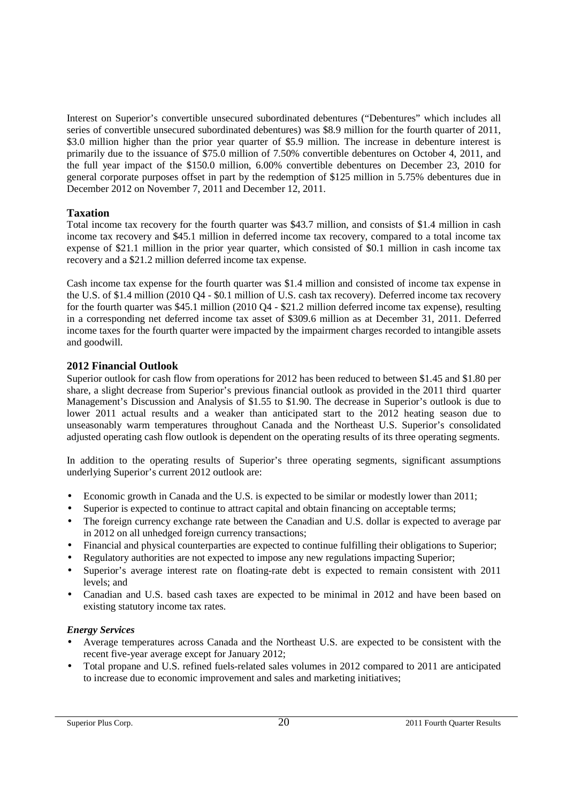Interest on Superior's convertible unsecured subordinated debentures ("Debentures" which includes all series of convertible unsecured subordinated debentures) was \$8.9 million for the fourth quarter of 2011, \$3.0 million higher than the prior year quarter of \$5.9 million. The increase in debenture interest is primarily due to the issuance of \$75.0 million of 7.50% convertible debentures on October 4, 2011, and the full year impact of the \$150.0 million, 6.00% convertible debentures on December 23, 2010 for general corporate purposes offset in part by the redemption of \$125 million in 5.75% debentures due in December 2012 on November 7, 2011 and December 12, 2011.

## **Taxation**

Total income tax recovery for the fourth quarter was \$43.7 million, and consists of \$1.4 million in cash income tax recovery and \$45.1 million in deferred income tax recovery, compared to a total income tax expense of \$21.1 million in the prior year quarter, which consisted of \$0.1 million in cash income tax recovery and a \$21.2 million deferred income tax expense.

Cash income tax expense for the fourth quarter was \$1.4 million and consisted of income tax expense in the U.S. of \$1.4 million (2010 Q4 - \$0.1 million of U.S. cash tax recovery). Deferred income tax recovery for the fourth quarter was \$45.1 million (2010 Q4 - \$21.2 million deferred income tax expense), resulting in a corresponding net deferred income tax asset of \$309.6 million as at December 31, 2011. Deferred income taxes for the fourth quarter were impacted by the impairment charges recorded to intangible assets and goodwill.

## **2012 Financial Outlook**

Superior outlook for cash flow from operations for 2012 has been reduced to between \$1.45 and \$1.80 per share, a slight decrease from Superior's previous financial outlook as provided in the 2011 third quarter Management's Discussion and Analysis of \$1.55 to \$1.90. The decrease in Superior's outlook is due to lower 2011 actual results and a weaker than anticipated start to the 2012 heating season due to unseasonably warm temperatures throughout Canada and the Northeast U.S. Superior's consolidated adjusted operating cash flow outlook is dependent on the operating results of its three operating segments.

In addition to the operating results of Superior's three operating segments, significant assumptions underlying Superior's current 2012 outlook are:

- Economic growth in Canada and the U.S. is expected to be similar or modestly lower than 2011;
- Superior is expected to continue to attract capital and obtain financing on acceptable terms;
- The foreign currency exchange rate between the Canadian and U.S. dollar is expected to average par in 2012 on all unhedged foreign currency transactions;
- Financial and physical counterparties are expected to continue fulfilling their obligations to Superior;
- Regulatory authorities are not expected to impose any new regulations impacting Superior;
- Superior's average interest rate on floating-rate debt is expected to remain consistent with 2011 levels; and
- Canadian and U.S. based cash taxes are expected to be minimal in 2012 and have been based on existing statutory income tax rates.

## *Energy Services*

- Average temperatures across Canada and the Northeast U.S. are expected to be consistent with the recent five-year average except for January 2012;
- Total propane and U.S. refined fuels-related sales volumes in 2012 compared to 2011 are anticipated to increase due to economic improvement and sales and marketing initiatives;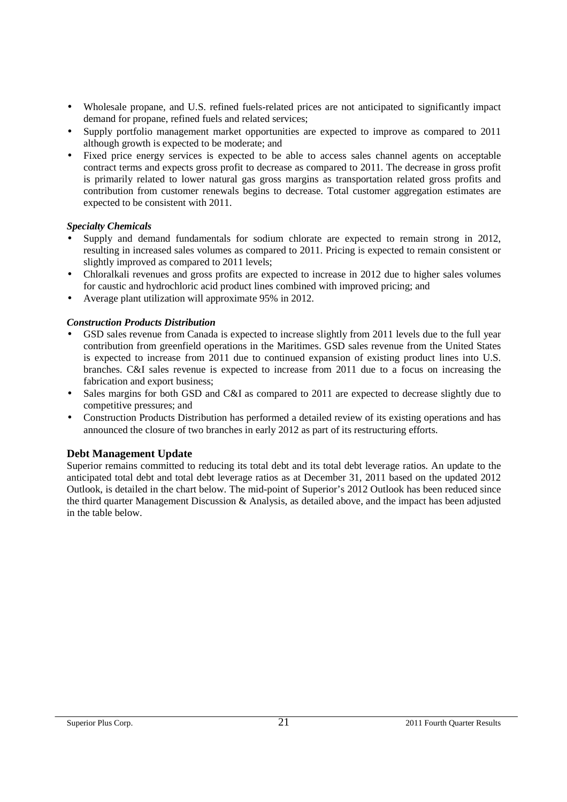- Wholesale propane, and U.S. refined fuels-related prices are not anticipated to significantly impact demand for propane, refined fuels and related services;
- Supply portfolio management market opportunities are expected to improve as compared to 2011 although growth is expected to be moderate; and
- Fixed price energy services is expected to be able to access sales channel agents on acceptable contract terms and expects gross profit to decrease as compared to 2011. The decrease in gross profit is primarily related to lower natural gas gross margins as transportation related gross profits and contribution from customer renewals begins to decrease. Total customer aggregation estimates are expected to be consistent with 2011.

## *Specialty Chemicals*

- Supply and demand fundamentals for sodium chlorate are expected to remain strong in 2012, resulting in increased sales volumes as compared to 2011. Pricing is expected to remain consistent or slightly improved as compared to 2011 levels;
- Chloralkali revenues and gross profits are expected to increase in 2012 due to higher sales volumes for caustic and hydrochloric acid product lines combined with improved pricing; and
- Average plant utilization will approximate 95% in 2012.

#### *Construction Products Distribution*

- GSD sales revenue from Canada is expected to increase slightly from 2011 levels due to the full year contribution from greenfield operations in the Maritimes. GSD sales revenue from the United States is expected to increase from 2011 due to continued expansion of existing product lines into U.S. branches. C&I sales revenue is expected to increase from 2011 due to a focus on increasing the fabrication and export business;
- Sales margins for both GSD and C&I as compared to 2011 are expected to decrease slightly due to competitive pressures; and
- Construction Products Distribution has performed a detailed review of its existing operations and has announced the closure of two branches in early 2012 as part of its restructuring efforts.

## **Debt Management Update**

Superior remains committed to reducing its total debt and its total debt leverage ratios. An update to the anticipated total debt and total debt leverage ratios as at December 31, 2011 based on the updated 2012 Outlook, is detailed in the chart below. The mid-point of Superior's 2012 Outlook has been reduced since the third quarter Management Discussion & Analysis, as detailed above, and the impact has been adjusted in the table below.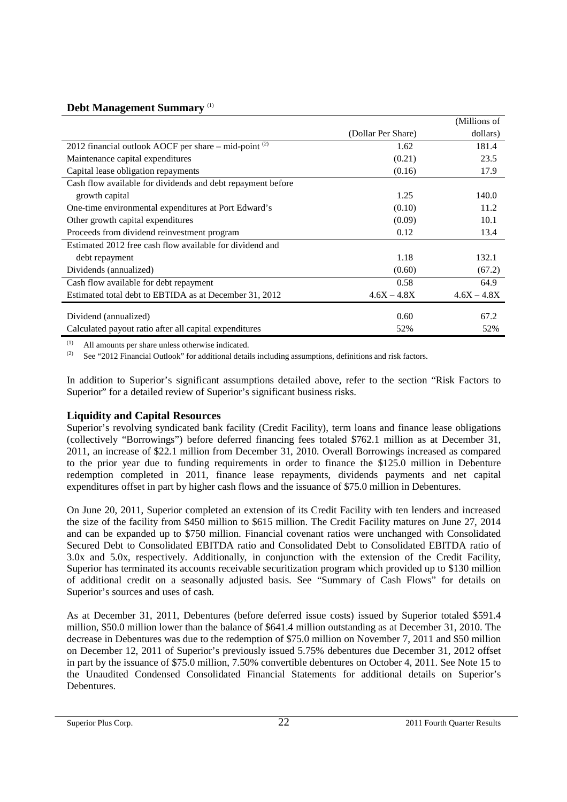## **Debt Management Summary** (1)

|                                                             |                    | (Millions of  |
|-------------------------------------------------------------|--------------------|---------------|
|                                                             | (Dollar Per Share) | dollars)      |
| 2012 financial outlook AOCF per share – mid-point $(2)$     | 1.62               | 181.4         |
| Maintenance capital expenditures                            | (0.21)             | 23.5          |
| Capital lease obligation repayments                         | (0.16)             | 17.9          |
| Cash flow available for dividends and debt repayment before |                    |               |
| growth capital                                              | 1.25               | 140.0         |
| One-time environmental expenditures at Port Edward's        | (0.10)             | 11.2          |
| Other growth capital expenditures                           | (0.09)             | 10.1          |
| Proceeds from dividend reinvestment program                 | 0.12               | 13.4          |
| Estimated 2012 free cash flow available for dividend and    |                    |               |
| debt repayment                                              | 1.18               | 132.1         |
| Dividends (annualized)                                      | (0.60)             | (67.2)        |
| Cash flow available for debt repayment                      | 0.58               | 64.9          |
| Estimated total debt to EBTIDA as at December 31, 2012      | $4.6X - 4.8X$      | $4.6X - 4.8X$ |
|                                                             |                    |               |
| Dividend (annualized)                                       | 0.60               | 67.2          |
| Calculated payout ratio after all capital expenditures      | 52%                | 52%           |

(1) All amounts per share unless otherwise indicated.

<sup>(2)</sup> See "2012 Financial Outlook" for additional details including assumptions, definitions and risk factors.

In addition to Superior's significant assumptions detailed above, refer to the section "Risk Factors to Superior" for a detailed review of Superior's significant business risks.

## **Liquidity and Capital Resources**

Superior's revolving syndicated bank facility (Credit Facility), term loans and finance lease obligations (collectively "Borrowings") before deferred financing fees totaled \$762.1 million as at December 31, 2011, an increase of \$22.1 million from December 31, 2010. Overall Borrowings increased as compared to the prior year due to funding requirements in order to finance the \$125.0 million in Debenture redemption completed in 2011, finance lease repayments, dividends payments and net capital expenditures offset in part by higher cash flows and the issuance of \$75.0 million in Debentures.

On June 20, 2011, Superior completed an extension of its Credit Facility with ten lenders and increased the size of the facility from \$450 million to \$615 million. The Credit Facility matures on June 27, 2014 and can be expanded up to \$750 million. Financial covenant ratios were unchanged with Consolidated Secured Debt to Consolidated EBITDA ratio and Consolidated Debt to Consolidated EBITDA ratio of 3.0x and 5.0x, respectively. Additionally, in conjunction with the extension of the Credit Facility, Superior has terminated its accounts receivable securitization program which provided up to \$130 million of additional credit on a seasonally adjusted basis. See "Summary of Cash Flows" for details on Superior's sources and uses of cash.

As at December 31, 2011, Debentures (before deferred issue costs) issued by Superior totaled \$591.4 million, \$50.0 million lower than the balance of \$641.4 million outstanding as at December 31, 2010. The decrease in Debentures was due to the redemption of \$75.0 million on November 7, 2011 and \$50 million on December 12, 2011 of Superior's previously issued 5.75% debentures due December 31, 2012 offset in part by the issuance of \$75.0 million, 7.50% convertible debentures on October 4, 2011. See Note 15 to the Unaudited Condensed Consolidated Financial Statements for additional details on Superior's Debentures.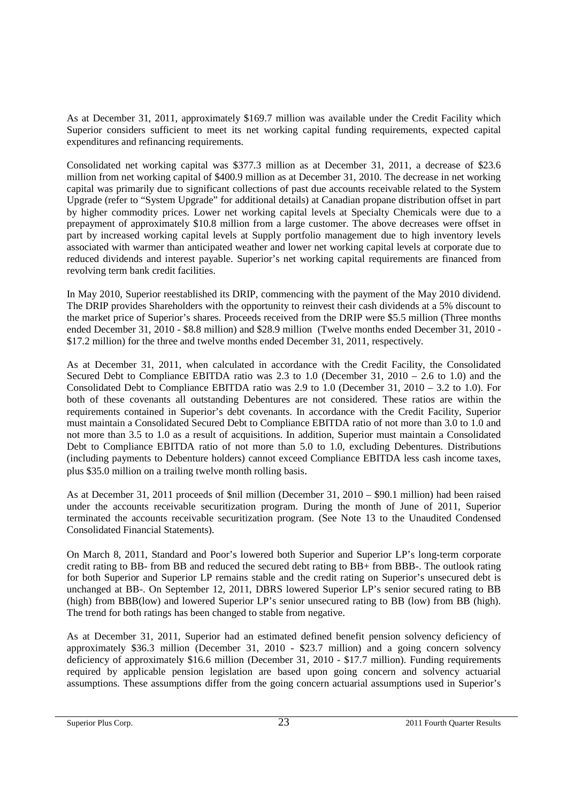As at December 31, 2011, approximately \$169.7 million was available under the Credit Facility which Superior considers sufficient to meet its net working capital funding requirements, expected capital expenditures and refinancing requirements.

Consolidated net working capital was \$377.3 million as at December 31, 2011, a decrease of \$23.6 million from net working capital of \$400.9 million as at December 31, 2010. The decrease in net working capital was primarily due to significant collections of past due accounts receivable related to the System Upgrade (refer to "System Upgrade" for additional details) at Canadian propane distribution offset in part by higher commodity prices. Lower net working capital levels at Specialty Chemicals were due to a prepayment of approximately \$10.8 million from a large customer. The above decreases were offset in part by increased working capital levels at Supply portfolio management due to high inventory levels associated with warmer than anticipated weather and lower net working capital levels at corporate due to reduced dividends and interest payable. Superior's net working capital requirements are financed from revolving term bank credit facilities.

In May 2010, Superior reestablished its DRIP, commencing with the payment of the May 2010 dividend. The DRIP provides Shareholders with the opportunity to reinvest their cash dividends at a 5% discount to the market price of Superior's shares. Proceeds received from the DRIP were \$5.5 million (Three months ended December 31, 2010 - \$8.8 million) and \$28.9 million (Twelve months ended December 31, 2010 - \$17.2 million) for the three and twelve months ended December 31, 2011, respectively.

As at December 31, 2011, when calculated in accordance with the Credit Facility, the Consolidated Secured Debt to Compliance EBITDA ratio was 2.3 to 1.0 (December 31, 2010 – 2.6 to 1.0) and the Consolidated Debt to Compliance EBITDA ratio was 2.9 to 1.0 (December 31, 2010 – 3.2 to 1.0). For both of these covenants all outstanding Debentures are not considered. These ratios are within the requirements contained in Superior's debt covenants. In accordance with the Credit Facility, Superior must maintain a Consolidated Secured Debt to Compliance EBITDA ratio of not more than 3.0 to 1.0 and not more than 3.5 to 1.0 as a result of acquisitions. In addition, Superior must maintain a Consolidated Debt to Compliance EBITDA ratio of not more than 5.0 to 1.0, excluding Debentures. Distributions (including payments to Debenture holders) cannot exceed Compliance EBITDA less cash income taxes, plus \$35.0 million on a trailing twelve month rolling basis.

As at December 31, 2011 proceeds of \$nil million (December 31, 2010 – \$90.1 million) had been raised under the accounts receivable securitization program. During the month of June of 2011, Superior terminated the accounts receivable securitization program. (See Note 13 to the Unaudited Condensed Consolidated Financial Statements).

On March 8, 2011, Standard and Poor's lowered both Superior and Superior LP's long-term corporate credit rating to BB- from BB and reduced the secured debt rating to BB+ from BBB-. The outlook rating for both Superior and Superior LP remains stable and the credit rating on Superior's unsecured debt is unchanged at BB-. On September 12, 2011, DBRS lowered Superior LP's senior secured rating to BB (high) from BBB(low) and lowered Superior LP's senior unsecured rating to BB (low) from BB (high). The trend for both ratings has been changed to stable from negative.

As at December 31, 2011, Superior had an estimated defined benefit pension solvency deficiency of approximately \$36.3 million (December 31, 2010 - \$23.7 million) and a going concern solvency deficiency of approximately \$16.6 million (December 31, 2010 - \$17.7 million). Funding requirements required by applicable pension legislation are based upon going concern and solvency actuarial assumptions. These assumptions differ from the going concern actuarial assumptions used in Superior's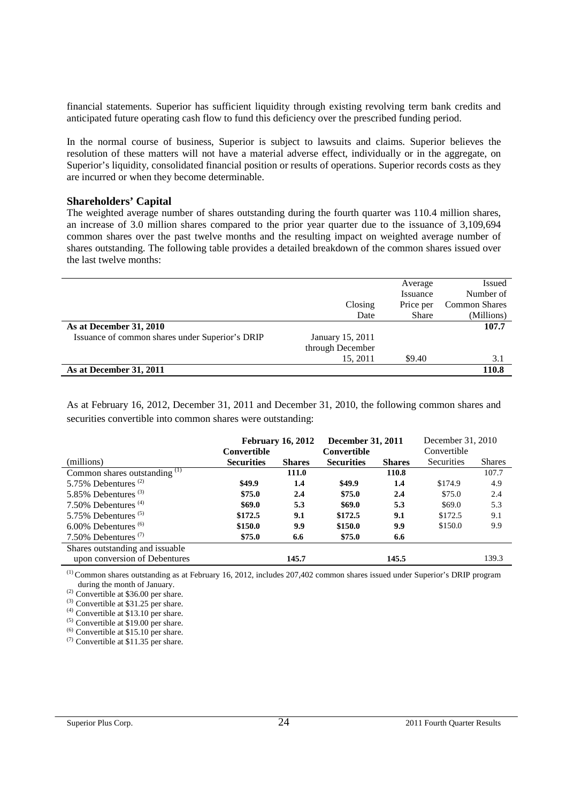financial statements. Superior has sufficient liquidity through existing revolving term bank credits and anticipated future operating cash flow to fund this deficiency over the prescribed funding period.

In the normal course of business, Superior is subject to lawsuits and claims. Superior believes the resolution of these matters will not have a material adverse effect, individually or in the aggregate, on Superior's liquidity, consolidated financial position or results of operations. Superior records costs as they are incurred or when they become determinable.

#### **Shareholders' Capital**

The weighted average number of shares outstanding during the fourth quarter was 110.4 million shares, an increase of 3.0 million shares compared to the prior year quarter due to the issuance of 3,109,694 common shares over the past twelve months and the resulting impact on weighted average number of shares outstanding. The following table provides a detailed breakdown of the common shares issued over the last twelve months:

|                                                 |                  | Average      | Issued               |
|-------------------------------------------------|------------------|--------------|----------------------|
|                                                 |                  | Issuance     | Number of            |
|                                                 | Closing          | Price per    | <b>Common Shares</b> |
|                                                 | Date             | <b>Share</b> | (Millions)           |
| As at December 31, 2010                         |                  |              | 107.7                |
| Issuance of common shares under Superior's DRIP | January 15, 2011 |              |                      |
|                                                 | through December |              |                      |
|                                                 | 15.2011          | \$9.40       | 3.1                  |
| As at December 31, 2011                         |                  |              | 110.8                |

As at February 16, 2012, December 31, 2011 and December 31, 2010, the following common shares and securities convertible into common shares were outstanding:

|                                                 | <b>February 16, 2012</b><br>Convertible |               | December 31, 2011<br>Convertible |               | December 31, 2010<br>Convertible |               |
|-------------------------------------------------|-----------------------------------------|---------------|----------------------------------|---------------|----------------------------------|---------------|
| (millions)                                      | <b>Securities</b>                       | <b>Shares</b> | <b>Securities</b>                | <b>Shares</b> | <b>Securities</b>                | <b>Shares</b> |
| Common shares outstanding $(1)$                 |                                         | 111.0         |                                  | 110.8         |                                  | 107.7         |
| 5.75% Debentures $(2)$                          | \$49.9                                  | 1.4           | \$49.9                           | 1.4           | \$174.9                          | 4.9           |
| 5.85% Debentures $(3)$                          | \$75.0                                  | 2.4           | \$75.0                           | 2.4           | \$75.0                           | 2.4           |
| 7.50% Debentures $(4)$                          | \$69.0                                  | 5.3           | \$69.0\$                         | 5.3           | \$69.0                           | 5.3           |
| 5.75% Debentures <sup>(5)</sup>                 | \$172.5                                 | 9.1           | \$172.5                          | 9.1           | \$172.5                          | 9.1           |
| $6.00\%$ Debentures <sup><math>(6)</math></sup> | \$150.0                                 | 9.9           | \$150.0                          | 9.9           | \$150.0                          | 9.9           |
| 7.50% Debentures $(7)$                          | \$75.0                                  | 6.6           | \$75.0                           | 6.6           |                                  |               |
| Shares outstanding and issuable                 |                                         |               |                                  |               |                                  |               |
| upon conversion of Debentures                   |                                         | 145.7         |                                  | 145.5         |                                  | 139.3         |

(1) Common shares outstanding as at February 16, 2012, includes 207,402 common shares issued under Superior's DRIP program during the month of January.

(2) Convertible at \$36.00 per share.

 $^{(3)}$  Convertible at \$31.25 per share.

 $^{(4)}$  Convertible at \$13.10 per share.

 $(5)$  Convertible at \$19.00 per share.

 $^{(6)}$  Convertible at \$15.10 per share.

 $(7)$  Convertible at \$11.35 per share.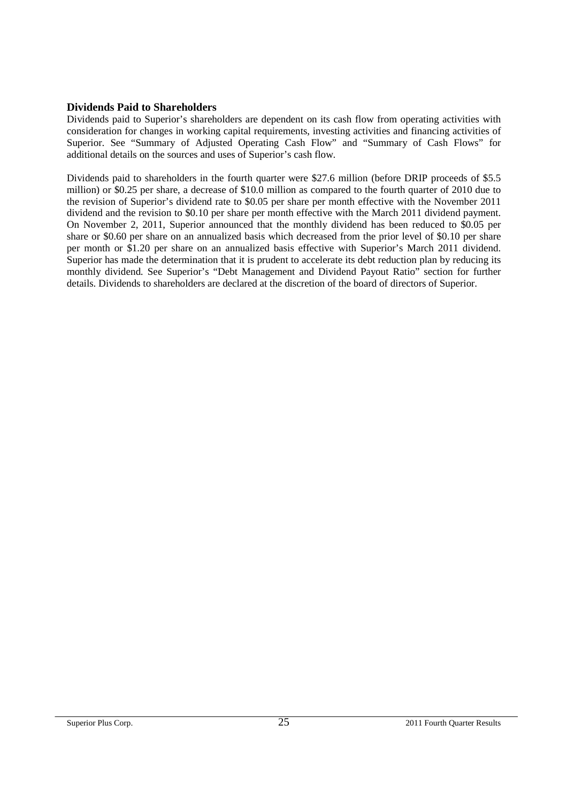## **Dividends Paid to Shareholders**

Dividends paid to Superior's shareholders are dependent on its cash flow from operating activities with consideration for changes in working capital requirements, investing activities and financing activities of Superior. See "Summary of Adjusted Operating Cash Flow" and "Summary of Cash Flows" for additional details on the sources and uses of Superior's cash flow.

Dividends paid to shareholders in the fourth quarter were \$27.6 million (before DRIP proceeds of \$5.5 million) or \$0.25 per share, a decrease of \$10.0 million as compared to the fourth quarter of 2010 due to the revision of Superior's dividend rate to \$0.05 per share per month effective with the November 2011 dividend and the revision to \$0.10 per share per month effective with the March 2011 dividend payment. On November 2, 2011, Superior announced that the monthly dividend has been reduced to \$0.05 per share or \$0.60 per share on an annualized basis which decreased from the prior level of \$0.10 per share per month or \$1.20 per share on an annualized basis effective with Superior's March 2011 dividend. Superior has made the determination that it is prudent to accelerate its debt reduction plan by reducing its monthly dividend. See Superior's "Debt Management and Dividend Payout Ratio" section for further details. Dividends to shareholders are declared at the discretion of the board of directors of Superior.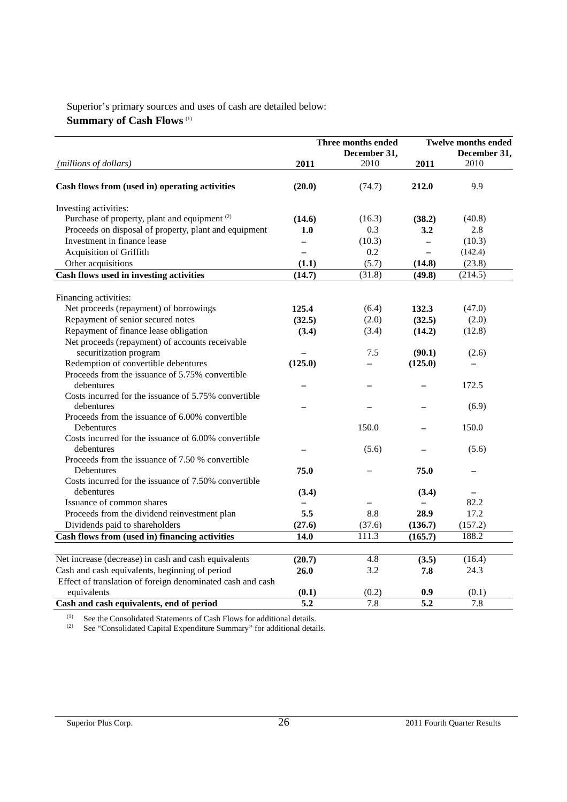Superior's primary sources and uses of cash are detailed below: **Summary of Cash Flows** (1)

|                                                            |                  | Three months ended<br>December 31, |                          | <b>Twelve months ended</b><br>December 31, |
|------------------------------------------------------------|------------------|------------------------------------|--------------------------|--------------------------------------------|
| (millions of dollars)                                      | 2011             | 2010                               | 2011                     | 2010                                       |
| Cash flows from (used in) operating activities             | (20.0)           | (74.7)                             | 212.0                    | 9.9                                        |
| Investing activities:                                      |                  |                                    |                          |                                            |
| Purchase of property, plant and equipment <sup>(2)</sup>   | (14.6)           | (16.3)                             | (38.2)                   | (40.8)                                     |
| Proceeds on disposal of property, plant and equipment      | 1.0              | 0.3                                | 3.2                      | 2.8                                        |
| Investment in finance lease                                |                  | (10.3)                             | $\overline{\phantom{0}}$ | (10.3)                                     |
| <b>Acquisition of Griffith</b>                             |                  | 0.2                                |                          | (142.4)                                    |
| Other acquisitions                                         | (1.1)            | (5.7)                              | (14.8)                   | (23.8)                                     |
| Cash flows used in investing activities                    | (14.7)           | (31.8)                             | (49.8)                   | (214.5)                                    |
| Financing activities:                                      |                  |                                    |                          |                                            |
| Net proceeds (repayment) of borrowings                     | 125.4            | (6.4)                              | 132.3                    | (47.0)                                     |
| Repayment of senior secured notes                          | (32.5)           | (2.0)                              | (32.5)                   | (2.0)                                      |
| Repayment of finance lease obligation                      | (3.4)            | (3.4)                              | (14.2)                   | (12.8)                                     |
| Net proceeds (repayment) of accounts receivable            |                  |                                    |                          |                                            |
| securitization program                                     |                  | 7.5                                | (90.1)                   | (2.6)                                      |
| Redemption of convertible debentures                       | (125.0)          |                                    | (125.0)                  |                                            |
| Proceeds from the issuance of 5.75% convertible            |                  |                                    |                          |                                            |
| debentures                                                 |                  |                                    |                          | 172.5                                      |
| Costs incurred for the issuance of 5.75% convertible       |                  |                                    |                          |                                            |
| debentures                                                 |                  |                                    |                          | (6.9)                                      |
| Proceeds from the issuance of 6.00% convertible            |                  |                                    |                          |                                            |
| Debentures                                                 |                  | 150.0                              |                          | 150.0                                      |
| Costs incurred for the issuance of 6.00% convertible       |                  |                                    |                          |                                            |
| debentures                                                 |                  | (5.6)                              |                          | (5.6)                                      |
| Proceeds from the issuance of 7.50 % convertible           |                  |                                    |                          |                                            |
| <b>Debentures</b>                                          | 75.0             |                                    | 75.0                     |                                            |
| Costs incurred for the issuance of 7.50% convertible       |                  |                                    |                          |                                            |
| debentures                                                 | (3.4)            |                                    | (3.4)                    |                                            |
| Issuance of common shares                                  |                  |                                    |                          | 82.2                                       |
| Proceeds from the dividend reinvestment plan               | 5.5              | 8.8                                | 28.9                     | 17.2                                       |
| Dividends paid to shareholders                             | (27.6)           | (37.6)                             | (136.7)                  | (157.2)                                    |
| Cash flows from (used in) financing activities             | 14.0             | 111.3                              | (165.7)                  | 188.2                                      |
| Net increase (decrease) in cash and cash equivalents       | (20.7)           | 4.8                                | (3.5)                    | (16.4)                                     |
| Cash and cash equivalents, beginning of period             | 26.0             | 3.2                                | 7.8                      | 24.3                                       |
| Effect of translation of foreign denominated cash and cash |                  |                                    |                          |                                            |
| equivalents                                                | (0.1)            | (0.2)                              | 0.9                      | (0.1)                                      |
| Cash and cash equivalents, end of period                   | $\overline{5.2}$ | 7.8                                | $\overline{5.2}$         | 7.8                                        |

 $\left(1\right)$ (1) See the Consolidated Statements of Cash Flows for additional details.

 $(2)$  See "Consolidated Capital Expenditure Summary" for additional details.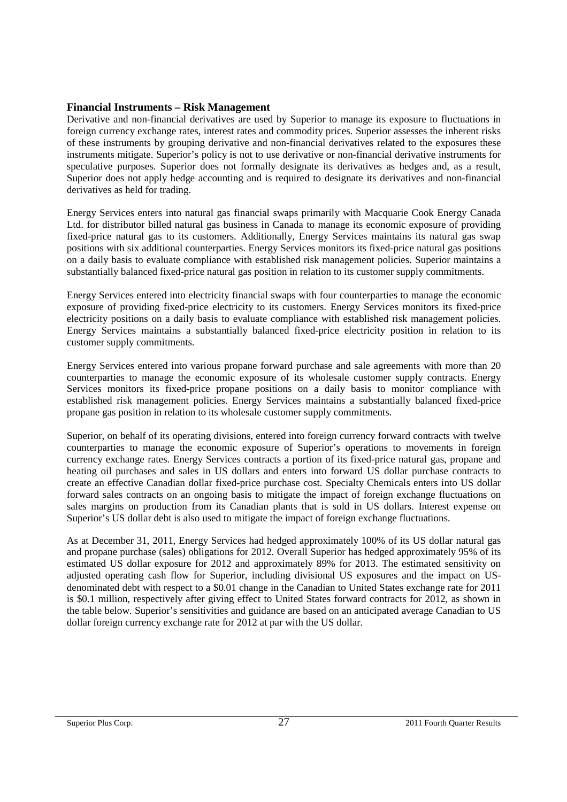#### **Financial Instruments – Risk Management**

Derivative and non-financial derivatives are used by Superior to manage its exposure to fluctuations in foreign currency exchange rates, interest rates and commodity prices. Superior assesses the inherent risks of these instruments by grouping derivative and non-financial derivatives related to the exposures these instruments mitigate. Superior's policy is not to use derivative or non-financial derivative instruments for speculative purposes. Superior does not formally designate its derivatives as hedges and, as a result, Superior does not apply hedge accounting and is required to designate its derivatives and non-financial derivatives as held for trading.

Energy Services enters into natural gas financial swaps primarily with Macquarie Cook Energy Canada Ltd. for distributor billed natural gas business in Canada to manage its economic exposure of providing fixed-price natural gas to its customers. Additionally, Energy Services maintains its natural gas swap positions with six additional counterparties. Energy Services monitors its fixed-price natural gas positions on a daily basis to evaluate compliance with established risk management policies. Superior maintains a substantially balanced fixed-price natural gas position in relation to its customer supply commitments.

Energy Services entered into electricity financial swaps with four counterparties to manage the economic exposure of providing fixed-price electricity to its customers. Energy Services monitors its fixed-price electricity positions on a daily basis to evaluate compliance with established risk management policies. Energy Services maintains a substantially balanced fixed-price electricity position in relation to its customer supply commitments.

Energy Services entered into various propane forward purchase and sale agreements with more than 20 counterparties to manage the economic exposure of its wholesale customer supply contracts. Energy Services monitors its fixed-price propane positions on a daily basis to monitor compliance with established risk management policies. Energy Services maintains a substantially balanced fixed-price propane gas position in relation to its wholesale customer supply commitments.

Superior, on behalf of its operating divisions, entered into foreign currency forward contracts with twelve counterparties to manage the economic exposure of Superior's operations to movements in foreign currency exchange rates. Energy Services contracts a portion of its fixed-price natural gas, propane and heating oil purchases and sales in US dollars and enters into forward US dollar purchase contracts to create an effective Canadian dollar fixed-price purchase cost. Specialty Chemicals enters into US dollar forward sales contracts on an ongoing basis to mitigate the impact of foreign exchange fluctuations on sales margins on production from its Canadian plants that is sold in US dollars. Interest expense on Superior's US dollar debt is also used to mitigate the impact of foreign exchange fluctuations.

As at December 31, 2011, Energy Services had hedged approximately 100% of its US dollar natural gas and propane purchase (sales) obligations for 2012. Overall Superior has hedged approximately 95% of its estimated US dollar exposure for 2012 and approximately 89% for 2013. The estimated sensitivity on adjusted operating cash flow for Superior, including divisional US exposures and the impact on USdenominated debt with respect to a \$0.01 change in the Canadian to United States exchange rate for 2011 is \$0.1 million, respectively after giving effect to United States forward contracts for 2012, as shown in the table below. Superior's sensitivities and guidance are based on an anticipated average Canadian to US dollar foreign currency exchange rate for 2012 at par with the US dollar.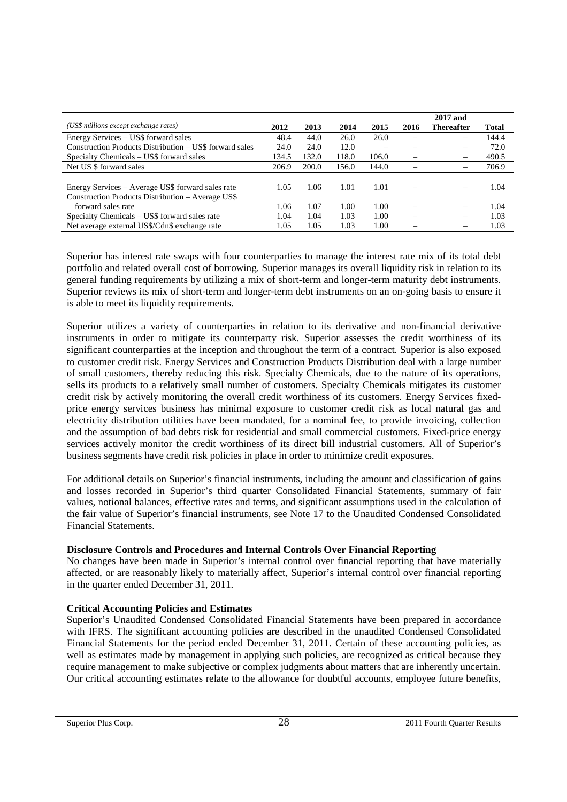|                                                         |       |       |       |       |      | 2017 and                 |              |
|---------------------------------------------------------|-------|-------|-------|-------|------|--------------------------|--------------|
| (US\$ millions except exchange rates)                   | 2012  | 2013  | 2014  | 2015  | 2016 | <b>Thereafter</b>        | <b>Total</b> |
| Energy Services – US\$ forward sales                    | 48.4  | 44.0  | 26.0  | 26.0  | -    | $\overline{\phantom{0}}$ | 144.4        |
| Construction Products Distribution – US\$ forward sales | 24.0  | 24.0  | 12.0  |       |      | -                        | 72.0         |
| Specialty Chemicals – US\$ forward sales                | 134.5 | 132.0 | 118.0 | 106.0 |      | $\overline{\phantom{m}}$ | 490.5        |
| Net US \$ forward sales                                 | 206.9 | 200.0 | 156.0 | 144.0 |      | -                        | 706.9        |
|                                                         |       |       |       |       |      |                          |              |
| Energy Services – Average US\$ forward sales rate       | 1.05  | 1.06  | 1.01  | 1.01  |      |                          | 1.04         |
| Construction Products Distribution – Average US\$       |       |       |       |       |      |                          |              |
| forward sales rate                                      | 1.06  | 1.07  | 1.00  | 1.00  |      |                          | 1.04         |
| Specialty Chemicals – US\$ forward sales rate           | 1.04  | 1.04  | 1.03  | 1.00  | -    | -                        | 1.03         |
| Net average external US\$/Cdn\$ exchange rate           | 1.05  | 1.05  | 1.03  | 1.00  |      |                          | 1.03         |

Superior has interest rate swaps with four counterparties to manage the interest rate mix of its total debt portfolio and related overall cost of borrowing. Superior manages its overall liquidity risk in relation to its general funding requirements by utilizing a mix of short-term and longer-term maturity debt instruments. Superior reviews its mix of short-term and longer-term debt instruments on an on-going basis to ensure it is able to meet its liquidity requirements.

Superior utilizes a variety of counterparties in relation to its derivative and non-financial derivative instruments in order to mitigate its counterparty risk. Superior assesses the credit worthiness of its significant counterparties at the inception and throughout the term of a contract. Superior is also exposed to customer credit risk. Energy Services and Construction Products Distribution deal with a large number of small customers, thereby reducing this risk. Specialty Chemicals, due to the nature of its operations, sells its products to a relatively small number of customers. Specialty Chemicals mitigates its customer credit risk by actively monitoring the overall credit worthiness of its customers. Energy Services fixedprice energy services business has minimal exposure to customer credit risk as local natural gas and electricity distribution utilities have been mandated, for a nominal fee, to provide invoicing, collection and the assumption of bad debts risk for residential and small commercial customers. Fixed-price energy services actively monitor the credit worthiness of its direct bill industrial customers. All of Superior's business segments have credit risk policies in place in order to minimize credit exposures.

For additional details on Superior's financial instruments, including the amount and classification of gains and losses recorded in Superior's third quarter Consolidated Financial Statements, summary of fair values, notional balances, effective rates and terms, and significant assumptions used in the calculation of the fair value of Superior's financial instruments, see Note 17 to the Unaudited Condensed Consolidated Financial Statements.

## **Disclosure Controls and Procedures and Internal Controls Over Financial Reporting**

No changes have been made in Superior's internal control over financial reporting that have materially affected, or are reasonably likely to materially affect, Superior's internal control over financial reporting in the quarter ended December 31, 2011.

## **Critical Accounting Policies and Estimates**

Superior's Unaudited Condensed Consolidated Financial Statements have been prepared in accordance with IFRS. The significant accounting policies are described in the unaudited Condensed Consolidated Financial Statements for the period ended December 31, 2011. Certain of these accounting policies, as well as estimates made by management in applying such policies, are recognized as critical because they require management to make subjective or complex judgments about matters that are inherently uncertain. Our critical accounting estimates relate to the allowance for doubtful accounts, employee future benefits,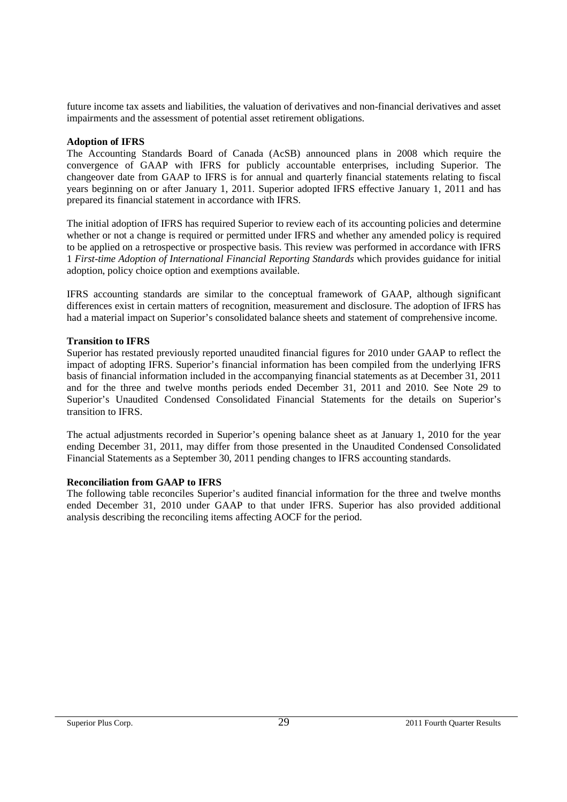future income tax assets and liabilities, the valuation of derivatives and non-financial derivatives and asset impairments and the assessment of potential asset retirement obligations.

#### **Adoption of IFRS**

The Accounting Standards Board of Canada (AcSB) announced plans in 2008 which require the convergence of GAAP with IFRS for publicly accountable enterprises, including Superior. The changeover date from GAAP to IFRS is for annual and quarterly financial statements relating to fiscal years beginning on or after January 1, 2011. Superior adopted IFRS effective January 1, 2011 and has prepared its financial statement in accordance with IFRS.

The initial adoption of IFRS has required Superior to review each of its accounting policies and determine whether or not a change is required or permitted under IFRS and whether any amended policy is required to be applied on a retrospective or prospective basis. This review was performed in accordance with IFRS 1 *First-time Adoption of International Financial Reporting Standards* which provides guidance for initial adoption, policy choice option and exemptions available.

IFRS accounting standards are similar to the conceptual framework of GAAP, although significant differences exist in certain matters of recognition, measurement and disclosure. The adoption of IFRS has had a material impact on Superior's consolidated balance sheets and statement of comprehensive income.

#### **Transition to IFRS**

Superior has restated previously reported unaudited financial figures for 2010 under GAAP to reflect the impact of adopting IFRS. Superior's financial information has been compiled from the underlying IFRS basis of financial information included in the accompanying financial statements as at December 31, 2011 and for the three and twelve months periods ended December 31, 2011 and 2010. See Note 29 to Superior's Unaudited Condensed Consolidated Financial Statements for the details on Superior's transition to IFRS.

The actual adjustments recorded in Superior's opening balance sheet as at January 1, 2010 for the year ending December 31, 2011, may differ from those presented in the Unaudited Condensed Consolidated Financial Statements as a September 30, 2011 pending changes to IFRS accounting standards.

#### **Reconciliation from GAAP to IFRS**

The following table reconciles Superior's audited financial information for the three and twelve months ended December 31, 2010 under GAAP to that under IFRS. Superior has also provided additional analysis describing the reconciling items affecting AOCF for the period.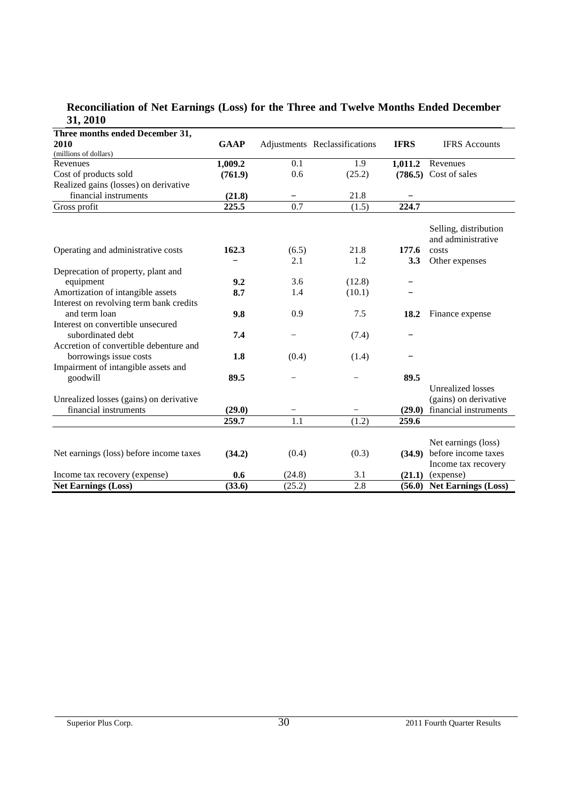| Three months ended December 31,                                  |             |        |                               |             |                                                                     |
|------------------------------------------------------------------|-------------|--------|-------------------------------|-------------|---------------------------------------------------------------------|
| 2010                                                             | <b>GAAP</b> |        | Adjustments Reclassifications | <b>IFRS</b> | <b>IFRS</b> Accounts                                                |
| (millions of dollars)                                            |             |        |                               |             |                                                                     |
| Revenues                                                         | 1,009.2     | 0.1    | 1.9                           | 1,011.2     | Revenues                                                            |
| Cost of products sold                                            | (761.9)     | 0.6    | (25.2)                        |             | $(786.5)$ Cost of sales                                             |
| Realized gains (losses) on derivative                            |             |        |                               |             |                                                                     |
| financial instruments                                            | (21.8)      |        | 21.8                          |             |                                                                     |
| Gross profit                                                     | 225.5       | 0.7    | (1.5)                         | 224.7       |                                                                     |
| Operating and administrative costs                               | 162.3       | (6.5)  | 21.8                          | 177.6       | Selling, distribution<br>and administrative<br>costs                |
|                                                                  |             | 2.1    | 1.2                           | 3.3         | Other expenses                                                      |
| Deprecation of property, plant and                               |             |        |                               |             |                                                                     |
| equipment                                                        | 9.2         | 3.6    | (12.8)                        |             |                                                                     |
| Amortization of intangible assets                                | 8.7         | 1.4    | (10.1)                        |             |                                                                     |
| Interest on revolving term bank credits                          |             |        |                               |             |                                                                     |
| and term loan                                                    | 9.8         | 0.9    | 7.5                           | 18.2        | Finance expense                                                     |
| Interest on convertible unsecured                                |             |        |                               |             |                                                                     |
| subordinated debt                                                | 7.4         |        | (7.4)                         |             |                                                                     |
| Accretion of convertible debenture and                           |             |        |                               |             |                                                                     |
| borrowings issue costs                                           | 1.8         | (0.4)  | (1.4)                         |             |                                                                     |
| Impairment of intangible assets and                              |             |        |                               |             |                                                                     |
| goodwill                                                         | 89.5        |        |                               | 89.5        |                                                                     |
| Unrealized losses (gains) on derivative<br>financial instruments | (29.0)      |        |                               | (29.0)      | Unrealized losses<br>(gains) on derivative<br>financial instruments |
|                                                                  | 259.7       | 1.1    | (1.2)                         | 259.6       |                                                                     |
|                                                                  |             |        |                               |             |                                                                     |
| Net earnings (loss) before income taxes                          | (34.2)      | (0.4)  | (0.3)                         | (34.9)      | Net earnings (loss)<br>before income taxes<br>Income tax recovery   |
| Income tax recovery (expense)                                    | 0.6         | (24.8) | 3.1                           | (21.1)      | (expense)                                                           |
| <b>Net Earnings (Loss)</b>                                       | (33.6)      | (25.2) | 2.8                           |             | (56.0) Net Earnings (Loss)                                          |

# **Reconciliation of Net Earnings (Loss) for the Three and Twelve Months Ended December 31, 2010**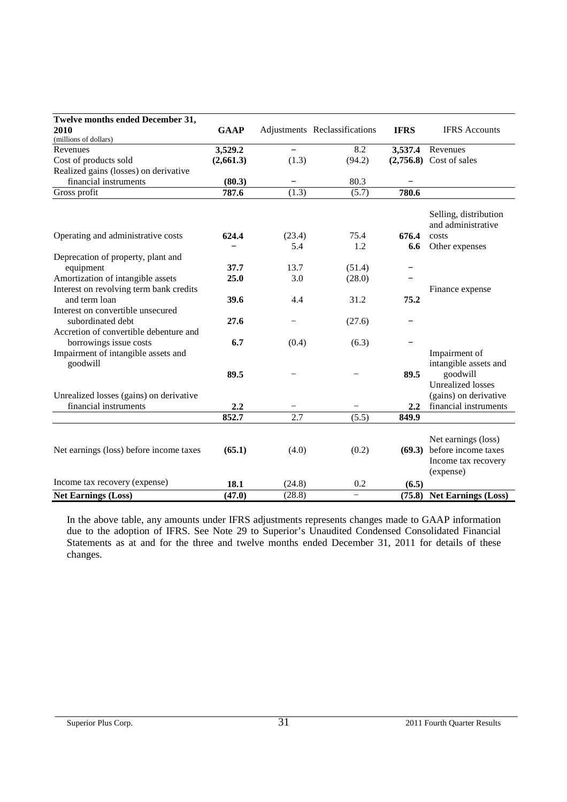| Twelve months ended December 31,                                                                        |             |        |                               |             |                                                                                |
|---------------------------------------------------------------------------------------------------------|-------------|--------|-------------------------------|-------------|--------------------------------------------------------------------------------|
| 2010                                                                                                    | <b>GAAP</b> |        | Adjustments Reclassifications | <b>IFRS</b> | <b>IFRS</b> Accounts                                                           |
| (millions of dollars)                                                                                   |             |        |                               |             |                                                                                |
| Revenues                                                                                                | 3,529.2     |        | 8.2                           | 3,537.4     | Revenues                                                                       |
| Cost of products sold                                                                                   | (2,661.3)   | (1.3)  | (94.2)                        |             | $(2,756.8)$ Cost of sales                                                      |
| Realized gains (losses) on derivative                                                                   |             |        |                               |             |                                                                                |
| financial instruments                                                                                   | (80.3)      |        | 80.3                          |             |                                                                                |
| Gross profit                                                                                            | 787.6       | (1.3)  | (5.7)                         | 780.6       |                                                                                |
|                                                                                                         |             |        | 75.4                          |             | Selling, distribution<br>and administrative                                    |
| Operating and administrative costs                                                                      | 624.4       | (23.4) | 1.2                           | 676.4       | costs                                                                          |
| Deprecation of property, plant and                                                                      |             | 5.4    |                               | 6.6         | Other expenses                                                                 |
| equipment                                                                                               | 37.7        | 13.7   | (51.4)                        |             |                                                                                |
| Amortization of intangible assets                                                                       | 25.0        | 3.0    | (28.0)                        |             |                                                                                |
| Interest on revolving term bank credits<br>and term loan                                                | 39.6        | 4.4    | 31.2                          | 75.2        | Finance expense                                                                |
| Interest on convertible unsecured<br>subordinated debt                                                  | 27.6        |        | (27.6)                        |             |                                                                                |
| Accretion of convertible debenture and<br>borrowings issue costs<br>Impairment of intangible assets and | 6.7         | (0.4)  | (6.3)                         |             | Impairment of                                                                  |
| goodwill                                                                                                | 89.5        |        |                               | 89.5        | intangible assets and<br>goodwill<br><b>Unrealized</b> losses                  |
| Unrealized losses (gains) on derivative                                                                 |             |        |                               |             | (gains) on derivative                                                          |
| financial instruments                                                                                   | 2.2         |        |                               | 2.2         | financial instruments                                                          |
|                                                                                                         | 852.7       | 2.7    | (5.5)                         | 849.9       |                                                                                |
| Net earnings (loss) before income taxes                                                                 | (65.1)      | (4.0)  | (0.2)                         | (69.3)      | Net earnings (loss)<br>before income taxes<br>Income tax recovery<br>(expense) |
| Income tax recovery (expense)                                                                           | 18.1        | (24.8) | 0.2                           | (6.5)       |                                                                                |
| <b>Net Earnings (Loss)</b>                                                                              | (47.0)      | (28.8) | $\equiv$                      |             | (75.8) Net Earnings (Loss)                                                     |

In the above table, any amounts under IFRS adjustments represents changes made to GAAP information due to the adoption of IFRS. See Note 29 to Superior's Unaudited Condensed Consolidated Financial Statements as at and for the three and twelve months ended December 31, 2011 for details of these changes.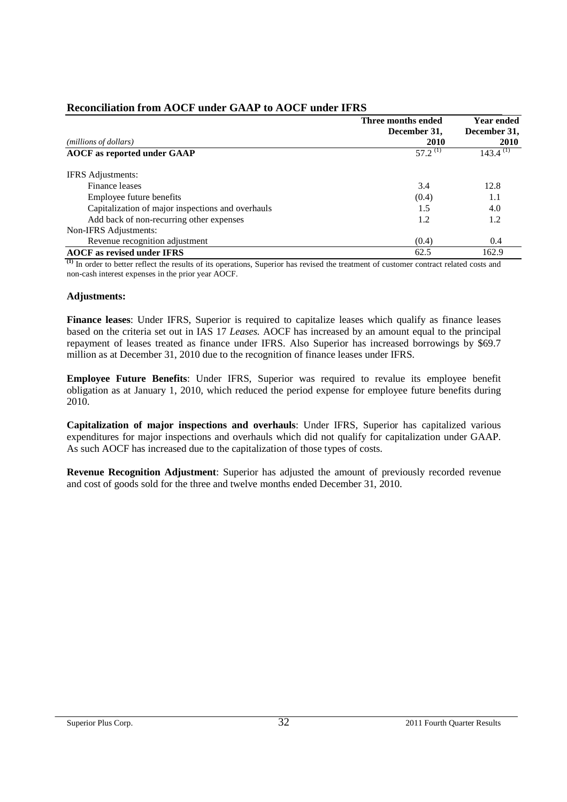|                                                   | Three months ended | <b>Year ended</b>      |
|---------------------------------------------------|--------------------|------------------------|
|                                                   | December 31,       | December 31,           |
| (millions of dollars)                             | <b>2010</b>        | 2010                   |
| <b>AOCF</b> as reported under GAAP                | $57.2^{(1)}$       | $143.4$ <sup>(I)</sup> |
| <b>IFRS</b> Adjustments:                          |                    |                        |
| Finance leases                                    | 3.4                | 12.8                   |
| Employee future benefits                          | (0.4)              | 1.1                    |
| Capitalization of major inspections and overhauls | 1.5                | 4.0                    |
| Add back of non-recurring other expenses          | 1.2                | 1.2                    |
| Non-IFRS Adjustments:                             |                    |                        |
| Revenue recognition adjustment                    | (0.4)              | 0.4                    |
| <b>AOCF</b> as revised under IFRS                 | 62.5               | 162.9                  |

## **Reconciliation from AOCF under GAAP to AOCF under IFRS**

**(1)** In order to better reflect the results of its operations, Superior has revised the treatment of customer contract related costs and non-cash interest expenses in the prior year AOCF.

#### **Adjustments:**

**Finance leases**: Under IFRS, Superior is required to capitalize leases which qualify as finance leases based on the criteria set out in IAS 17 *Leases.* AOCF has increased by an amount equal to the principal repayment of leases treated as finance under IFRS. Also Superior has increased borrowings by \$69.7 million as at December 31, 2010 due to the recognition of finance leases under IFRS.

**Employee Future Benefits**: Under IFRS, Superior was required to revalue its employee benefit obligation as at January 1, 2010, which reduced the period expense for employee future benefits during 2010.

**Capitalization of major inspections and overhauls**: Under IFRS, Superior has capitalized various expenditures for major inspections and overhauls which did not qualify for capitalization under GAAP. As such AOCF has increased due to the capitalization of those types of costs.

**Revenue Recognition Adjustment**: Superior has adjusted the amount of previously recorded revenue and cost of goods sold for the three and twelve months ended December 31, 2010.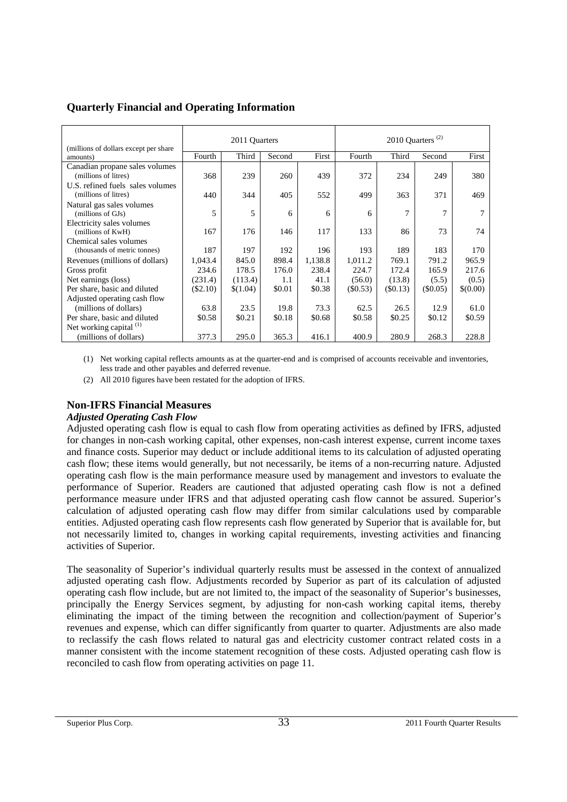# **Quarterly Financial and Operating Information**

| (millions of dollars except per share)                   | 2011 Quarters |          |        |         | 2010 Quarters <sup><math>(2)</math></sup> |            |         |          |
|----------------------------------------------------------|---------------|----------|--------|---------|-------------------------------------------|------------|---------|----------|
| amounts)                                                 | Fourth        | Third    | Second | First   | Fourth                                    | Third      | Second  | First    |
| Canadian propane sales volumes<br>(millions of litres)   | 368           | 239      | 260    | 439     | 372                                       | 234        | 249     | 380      |
| U.S. refined fuels sales volumes<br>(millions of litres) | 440           | 344      | 405    | 552     | 499                                       | 363        | 371     | 469      |
| Natural gas sales volumes<br>(millions of GJs)           | 5             | 5        | 6      | 6       | 6                                         | 7          | 7       | $\tau$   |
| Electricity sales volumes<br>(millions of KwH)           | 167           | 176      | 146    | 117     | 133                                       | 86         | 73      | 74       |
| Chemical sales volumes                                   |               |          |        |         |                                           |            |         |          |
| (thousands of metric tonnes)                             | 187           | 197      | 192    | 196     | 193                                       | 189        | 183     | 170      |
| Revenues (millions of dollars)                           | 1,043.4       | 845.0    | 898.4  | 1,138.8 | 1,011.2                                   | 769.1      | 791.2   | 965.9    |
| Gross profit                                             | 234.6         | 178.5    | 176.0  | 238.4   | 224.7                                     | 172.4      | 165.9   | 217.6    |
| Net earnings (loss)                                      | (231.4)       | (113.4)  | 1.1    | 41.1    | (56.0)                                    | (13.8)     | (5.5)   | (0.5)    |
| Per share, basic and diluted                             | $(\$2.10)$    | \$(1.04) | \$0.01 | \$0.38  | $(\$0.53)$                                | $(\$0.13)$ | (S0.05) | \$(0.00) |
| Adjusted operating cash flow                             |               |          |        |         |                                           |            |         |          |
| (millions of dollars)                                    | 63.8          | 23.5     | 19.8   | 73.3    | 62.5                                      | 26.5       | 12.9    | 61.0     |
| Per share, basic and diluted                             | \$0.58        | \$0.21   | \$0.18 | \$0.68  | \$0.58                                    | \$0.25     | \$0.12  | \$0.59   |
| Net working capital $(1)$                                |               |          |        |         |                                           |            |         |          |
| (millions of dollars)                                    | 377.3         | 295.0    | 365.3  | 416.1   | 400.9                                     | 280.9      | 268.3   | 228.8    |

(1) Net working capital reflects amounts as at the quarter-end and is comprised of accounts receivable and inventories, less trade and other payables and deferred revenue.

(2) All 2010 figures have been restated for the adoption of IFRS.

## **Non-IFRS Financial Measures**

#### *Adjusted Operating Cash Flow*

Adjusted operating cash flow is equal to cash flow from operating activities as defined by IFRS, adjusted for changes in non-cash working capital, other expenses, non-cash interest expense, current income taxes and finance costs. Superior may deduct or include additional items to its calculation of adjusted operating cash flow; these items would generally, but not necessarily, be items of a non-recurring nature. Adjusted operating cash flow is the main performance measure used by management and investors to evaluate the performance of Superior. Readers are cautioned that adjusted operating cash flow is not a defined performance measure under IFRS and that adjusted operating cash flow cannot be assured. Superior's calculation of adjusted operating cash flow may differ from similar calculations used by comparable entities. Adjusted operating cash flow represents cash flow generated by Superior that is available for, but not necessarily limited to, changes in working capital requirements, investing activities and financing activities of Superior.

The seasonality of Superior's individual quarterly results must be assessed in the context of annualized adjusted operating cash flow. Adjustments recorded by Superior as part of its calculation of adjusted operating cash flow include, but are not limited to, the impact of the seasonality of Superior's businesses, principally the Energy Services segment, by adjusting for non-cash working capital items, thereby eliminating the impact of the timing between the recognition and collection/payment of Superior's revenues and expense, which can differ significantly from quarter to quarter. Adjustments are also made to reclassify the cash flows related to natural gas and electricity customer contract related costs in a manner consistent with the income statement recognition of these costs. Adjusted operating cash flow is reconciled to cash flow from operating activities on page 11.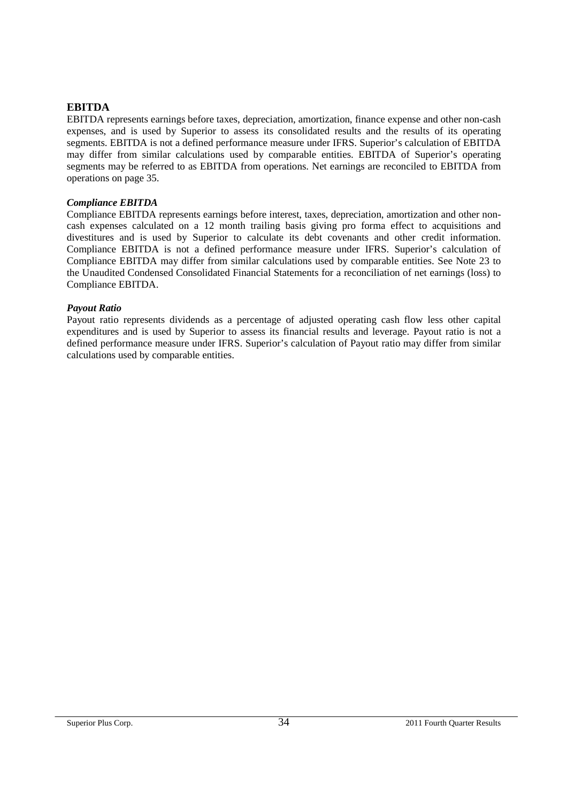## **EBITDA**

EBITDA represents earnings before taxes, depreciation, amortization, finance expense and other non-cash expenses, and is used by Superior to assess its consolidated results and the results of its operating segments. EBITDA is not a defined performance measure under IFRS. Superior's calculation of EBITDA may differ from similar calculations used by comparable entities. EBITDA of Superior's operating segments may be referred to as EBITDA from operations. Net earnings are reconciled to EBITDA from operations on page 35.

#### *Compliance EBITDA*

Compliance EBITDA represents earnings before interest, taxes, depreciation, amortization and other noncash expenses calculated on a 12 month trailing basis giving pro forma effect to acquisitions and divestitures and is used by Superior to calculate its debt covenants and other credit information. Compliance EBITDA is not a defined performance measure under IFRS. Superior's calculation of Compliance EBITDA may differ from similar calculations used by comparable entities. See Note 23 to the Unaudited Condensed Consolidated Financial Statements for a reconciliation of net earnings (loss) to Compliance EBITDA.

#### *Payout Ratio*

Payout ratio represents dividends as a percentage of adjusted operating cash flow less other capital expenditures and is used by Superior to assess its financial results and leverage. Payout ratio is not a defined performance measure under IFRS. Superior's calculation of Payout ratio may differ from similar calculations used by comparable entities.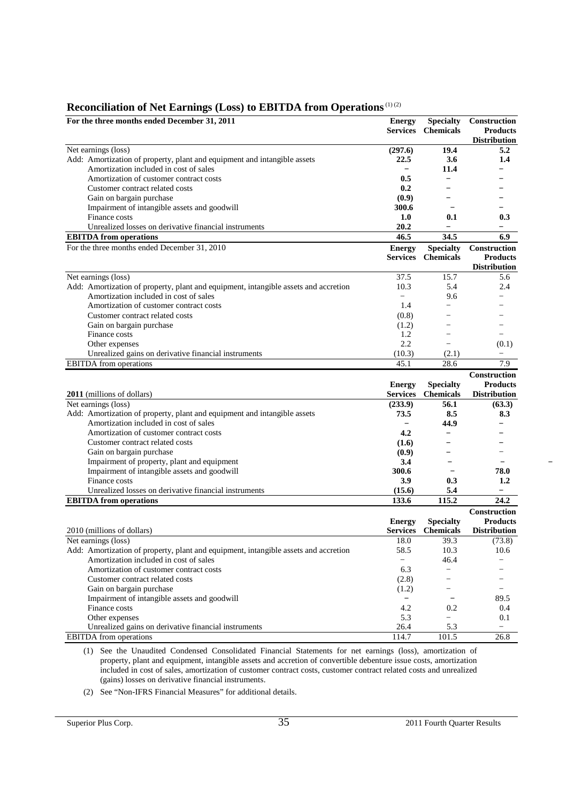| For the three months ended December 31, 2011                                        | <b>Energy</b><br><b>Services</b> | <b>Specialty</b><br><b>Chemicals</b> | Construction<br><b>Products</b><br><b>Distribution</b> |  |  |
|-------------------------------------------------------------------------------------|----------------------------------|--------------------------------------|--------------------------------------------------------|--|--|
| Net earnings (loss)                                                                 | (297.6)                          | 19.4                                 | 5.2                                                    |  |  |
| Add: Amortization of property, plant and equipment and intangible assets            | 22.5                             | 3.6                                  | 1.4                                                    |  |  |
| Amortization included in cost of sales                                              |                                  | 11.4                                 |                                                        |  |  |
| Amortization of customer contract costs                                             | 0.5                              | $-$                                  |                                                        |  |  |
| Customer contract related costs                                                     | 0.2                              |                                      |                                                        |  |  |
| Gain on bargain purchase                                                            | (0.9)                            | $\overline{\phantom{0}}$             |                                                        |  |  |
| Impairment of intangible assets and goodwill                                        | 300.6                            | $\qquad \qquad -$                    |                                                        |  |  |
| Finance costs                                                                       | 1.0                              | 0.1                                  | 0.3                                                    |  |  |
| Unrealized losses on derivative financial instruments                               | 20.2                             | $\overline{\phantom{0}}$             |                                                        |  |  |
| <b>EBITDA</b> from operations                                                       | 46.5                             | 34.5                                 | 6.9                                                    |  |  |
| For the three months ended December 31, 2010                                        | <b>Energy</b><br><b>Services</b> | <b>Specialty</b><br><b>Chemicals</b> | Construction<br><b>Products</b><br><b>Distribution</b> |  |  |
| Net earnings (loss)                                                                 | 37.5                             | 15.7                                 | 5.6                                                    |  |  |
| Add: Amortization of property, plant and equipment, intangible assets and accretion | 10.3                             | 5.4                                  | 2.4                                                    |  |  |
| Amortization included in cost of sales                                              |                                  | 9.6                                  | $\overline{\phantom{0}}$                               |  |  |
| Amortization of customer contract costs                                             | 1.4                              | $\overline{\phantom{0}}$             | $\overline{\phantom{0}}$                               |  |  |
| Customer contract related costs                                                     | (0.8)                            | $\overline{\phantom{0}}$             |                                                        |  |  |
| Gain on bargain purchase                                                            | (1.2)                            |                                      |                                                        |  |  |
| Finance costs                                                                       | 1.2                              |                                      | $\overline{\phantom{0}}$                               |  |  |
| Other expenses                                                                      | 2.2                              | $\qquad \qquad -$                    | (0.1)                                                  |  |  |
| Unrealized gains on derivative financial instruments                                | (10.3)                           | (2.1)                                |                                                        |  |  |
| <b>EBITDA</b> from operations                                                       | 45.1                             | 28.6                                 | 7.9                                                    |  |  |
|                                                                                     |                                  |                                      | <b>Construction</b>                                    |  |  |
|                                                                                     | <b>Energy</b>                    | <b>Specialty</b>                     | <b>Products</b>                                        |  |  |
| 2011 (millions of dollars)                                                          | <b>Services</b>                  | <b>Chemicals</b>                     | <b>Distribution</b>                                    |  |  |
| Net earnings (loss)                                                                 | (233.9)                          | 56.1                                 | (63.3)                                                 |  |  |
| Add: Amortization of property, plant and equipment and intangible assets            | 73.5                             | 8.5                                  | 8.3                                                    |  |  |
| Amortization included in cost of sales                                              |                                  | 44.9                                 |                                                        |  |  |
| Amortization of customer contract costs                                             | 4.2                              | $\overline{\phantom{0}}$             |                                                        |  |  |
| Customer contract related costs                                                     | (1.6)                            | $\overline{\phantom{0}}$             | $\overline{\phantom{0}}$                               |  |  |
| Gain on bargain purchase                                                            | (0.9)                            |                                      |                                                        |  |  |
| Impairment of property, plant and equipment                                         | 3.4                              | —                                    |                                                        |  |  |
| Impairment of intangible assets and goodwill                                        | 300.6                            | $\overline{\phantom{0}}$             | 78.0                                                   |  |  |
| Finance costs                                                                       | 3.9                              | 0.3                                  | 1.2                                                    |  |  |
| Unrealized losses on derivative financial instruments                               | (15.6)                           | 5.4                                  | $\qquad \qquad -$                                      |  |  |
| <b>EBITDA</b> from operations                                                       | 133.6                            | 115.2                                | 24.2                                                   |  |  |
|                                                                                     |                                  |                                      | <b>Construction</b>                                    |  |  |
|                                                                                     | <b>Energy</b>                    | <b>Specialty</b>                     | <b>Products</b>                                        |  |  |
| 2010 (millions of dollars)                                                          | <b>Services</b>                  | <b>Chemicals</b>                     | <b>Distribution</b>                                    |  |  |
| Net earnings (loss)                                                                 | $18.0\,$                         | 39.3                                 | (73.8)                                                 |  |  |
| Add: Amortization of property, plant and equipment, intangible assets and accretion | 58.5                             | 10.3                                 | 10.6                                                   |  |  |
| Amortization included in cost of sales                                              |                                  | 46.4                                 |                                                        |  |  |
| Amortization of customer contract costs                                             | 6.3                              | $\overline{\phantom{0}}$             |                                                        |  |  |
| Customer contract related costs                                                     | (2.8)                            |                                      |                                                        |  |  |
| Gain on bargain purchase                                                            | (1.2)                            |                                      |                                                        |  |  |
| Impairment of intangible assets and goodwill                                        |                                  |                                      | 89.5                                                   |  |  |
| Finance costs                                                                       | 4.2                              | 0.2                                  | 0.4                                                    |  |  |
| Other expenses                                                                      | 5.3                              |                                      | 0.1                                                    |  |  |
| Unrealized gains on derivative financial instruments                                | 26.4                             | 5.3                                  | $\overline{\phantom{0}}$                               |  |  |
| <b>EBITDA</b> from operations                                                       | 114.7                            | 101.5                                | 26.8                                                   |  |  |

# **Reconciliation of Net Earnings (Loss) to EBITDA from Operations** (1) (2)

(1) See the Unaudited Condensed Consolidated Financial Statements for net earnings (loss), amortization of property, plant and equipment, intangible assets and accretion of convertible debenture issue costs, amortization included in cost of sales, amortization of customer contract costs, customer contract related costs and unrealized (gains) losses on derivative financial instruments.

(2) See "Non-IFRS Financial Measures" for additional details.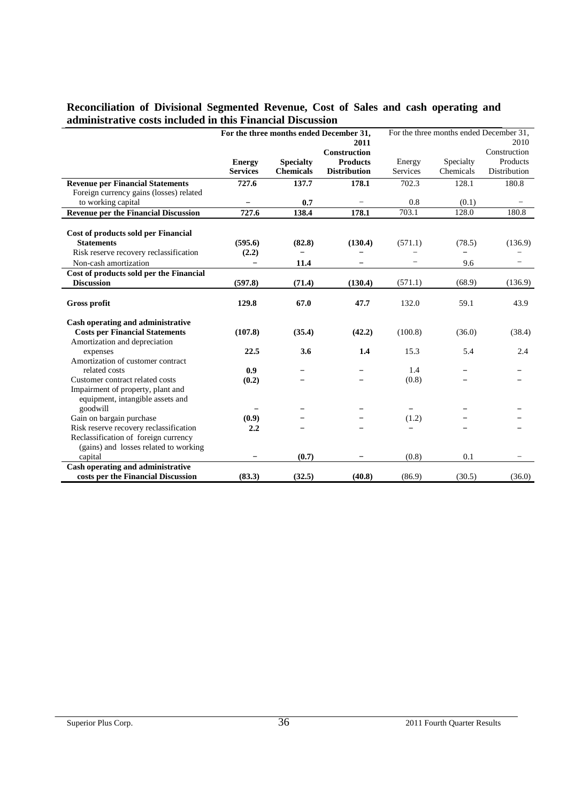## **Reconciliation of Divisional Segmented Revenue, Cost of Sales and cash operating and administrative costs included in this Financial Discussion**

|                                             | For the three months ended December 31, |                  |                     | For the three months ended December 31, |           |              |  |
|---------------------------------------------|-----------------------------------------|------------------|---------------------|-----------------------------------------|-----------|--------------|--|
|                                             |                                         |                  | 2011                | 2010                                    |           |              |  |
|                                             |                                         |                  | <b>Construction</b> |                                         |           | Construction |  |
|                                             | <b>Energy</b>                           | <b>Specialty</b> | <b>Products</b>     | Energy                                  | Specialty | Products     |  |
|                                             | <b>Services</b>                         | <b>Chemicals</b> | <b>Distribution</b> | Services                                | Chemicals | Distribution |  |
| <b>Revenue per Financial Statements</b>     | 727.6                                   | 137.7            | 178.1               | 702.3                                   | 128.1     | 180.8        |  |
| Foreign currency gains (losses) related     |                                         |                  |                     |                                         |           |              |  |
| to working capital                          |                                         | 0.7              |                     | 0.8                                     | (0.1)     |              |  |
| <b>Revenue per the Financial Discussion</b> | 727.6                                   | 138.4            | 178.1               | 703.1                                   | 128.0     | 180.8        |  |
|                                             |                                         |                  |                     |                                         |           |              |  |
| Cost of products sold per Financial         |                                         |                  |                     |                                         |           |              |  |
| <b>Statements</b>                           | (595.6)                                 | (82.8)           | (130.4)             | (571.1)                                 | (78.5)    | (136.9)      |  |
| Risk reserve recovery reclassification      | (2.2)                                   |                  |                     |                                         |           |              |  |
| Non-cash amortization                       |                                         | 11.4             |                     |                                         | 9.6       |              |  |
| Cost of products sold per the Financial     |                                         |                  |                     |                                         |           |              |  |
| <b>Discussion</b>                           | (597.8)                                 | (71.4)           | (130.4)             | (571.1)                                 | (68.9)    | (136.9)      |  |
|                                             | 129.8                                   | 67.0             | 47.7                | 132.0                                   | 59.1      | 43.9         |  |
| <b>Gross profit</b>                         |                                         |                  |                     |                                         |           |              |  |
| Cash operating and administrative           |                                         |                  |                     |                                         |           |              |  |
| <b>Costs per Financial Statements</b>       | (107.8)                                 | (35.4)           | (42.2)              | (100.8)                                 | (36.0)    | (38.4)       |  |
| Amortization and depreciation               |                                         |                  |                     |                                         |           |              |  |
| expenses                                    | 22.5                                    | 3.6              | 1.4                 | 15.3                                    | 5.4       | 2.4          |  |
| Amortization of customer contract           |                                         |                  |                     |                                         |           |              |  |
| related costs                               | 0.9                                     |                  |                     | 1.4                                     |           |              |  |
| Customer contract related costs             | (0.2)                                   |                  |                     | (0.8)                                   |           |              |  |
| Impairment of property, plant and           |                                         |                  |                     |                                         |           |              |  |
| equipment, intangible assets and            |                                         |                  |                     |                                         |           |              |  |
| goodwill                                    |                                         |                  |                     |                                         |           |              |  |
| Gain on bargain purchase                    | (0.9)                                   |                  |                     | (1.2)                                   |           |              |  |
| Risk reserve recovery reclassification      | 2.2                                     |                  |                     |                                         |           |              |  |
| Reclassification of foreign currency        |                                         |                  |                     |                                         |           |              |  |
| (gains) and losses related to working       |                                         |                  |                     |                                         |           |              |  |
| capital                                     |                                         | (0.7)            |                     | (0.8)                                   | 0.1       |              |  |
| Cash operating and administrative           |                                         |                  |                     |                                         |           |              |  |
| costs per the Financial Discussion          | (83.3)                                  | (32.5)           | (40.8)              | (86.9)                                  | (30.5)    | (36.0)       |  |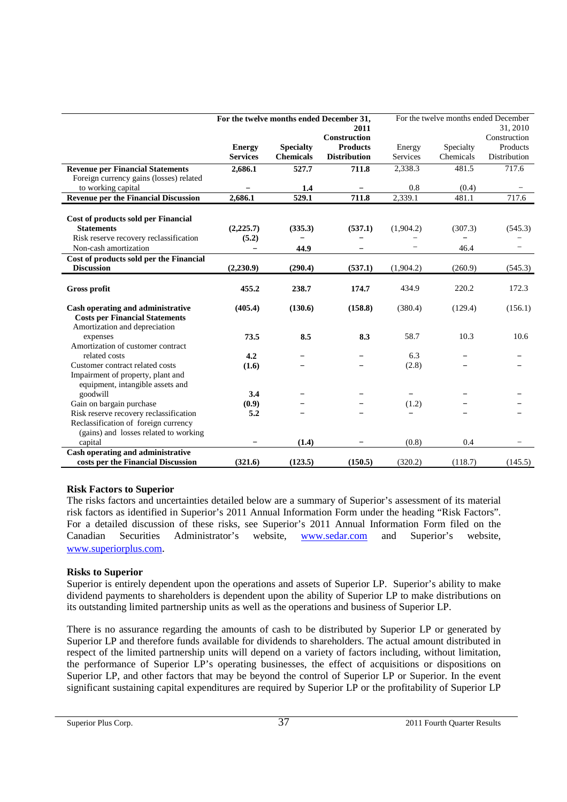|                                             | For the twelve months ended December 31, |                  |                     | For the twelve months ended December |           |              |
|---------------------------------------------|------------------------------------------|------------------|---------------------|--------------------------------------|-----------|--------------|
|                                             |                                          |                  | 2011                |                                      |           | 31, 2010     |
|                                             |                                          |                  | <b>Construction</b> |                                      |           | Construction |
|                                             | <b>Energy</b>                            | <b>Specialty</b> | <b>Products</b>     | Energy                               | Specialty | Products     |
|                                             | <b>Services</b>                          | <b>Chemicals</b> | <b>Distribution</b> | <b>Services</b>                      | Chemicals | Distribution |
| <b>Revenue per Financial Statements</b>     | 2,686.1                                  | 527.7            | 711.8               | 2,338.3                              | 481.5     | 717.6        |
| Foreign currency gains (losses) related     |                                          |                  |                     |                                      |           |              |
| to working capital                          |                                          | 1.4              |                     | 0.8                                  | (0.4)     |              |
| <b>Revenue per the Financial Discussion</b> | 2,686.1                                  | 529.1            | 711.8               | 2,339.1                              | 481.1     | 717.6        |
|                                             |                                          |                  |                     |                                      |           |              |
| Cost of products sold per Financial         |                                          |                  |                     |                                      |           |              |
| <b>Statements</b>                           | (2,225.7)                                | (335.3)          | (537.1)             | (1,904.2)                            | (307.3)   | (545.3)      |
| Risk reserve recovery reclassification      | (5.2)                                    |                  |                     |                                      |           |              |
| Non-cash amortization                       |                                          | 44.9             |                     |                                      | 46.4      |              |
| Cost of products sold per the Financial     |                                          |                  |                     |                                      |           |              |
| <b>Discussion</b>                           | (2,230.9)                                | (290.4)          | (537.1)             | (1,904.2)                            | (260.9)   | (545.3)      |
|                                             |                                          |                  |                     | 434.9                                | 220.2     | 172.3        |
| <b>Gross profit</b>                         | 455.2                                    | 238.7            | 174.7               |                                      |           |              |
| Cash operating and administrative           | (405.4)                                  | (130.6)          | (158.8)             | (380.4)                              | (129.4)   | (156.1)      |
| <b>Costs per Financial Statements</b>       |                                          |                  |                     |                                      |           |              |
| Amortization and depreciation               |                                          |                  |                     |                                      |           |              |
| expenses                                    | 73.5                                     | 8.5              | 8.3                 | 58.7                                 | 10.3      | 10.6         |
| Amortization of customer contract           |                                          |                  |                     |                                      |           |              |
| related costs                               | 4.2                                      |                  |                     | 6.3                                  |           |              |
| Customer contract related costs             | (1.6)                                    |                  |                     | (2.8)                                |           |              |
| Impairment of property, plant and           |                                          |                  |                     |                                      |           |              |
| equipment, intangible assets and            |                                          |                  |                     |                                      |           |              |
| goodwill                                    | 3.4                                      |                  |                     |                                      |           |              |
| Gain on bargain purchase                    | (0.9)                                    |                  |                     | (1.2)                                |           |              |
| Risk reserve recovery reclassification      | 5.2                                      |                  |                     |                                      |           |              |
| Reclassification of foreign currency        |                                          |                  |                     |                                      |           |              |
| (gains) and losses related to working       |                                          |                  |                     |                                      |           |              |
| capital                                     |                                          | (1.4)            |                     | (0.8)                                | 0.4       |              |
| Cash operating and administrative           |                                          |                  |                     |                                      |           |              |
| costs per the Financial Discussion          | (321.6)                                  | (123.5)          | (150.5)             | (320.2)                              | (118.7)   | (145.5)      |

### **Risk Factors to Superior**

The risks factors and uncertainties detailed below are a summary of Superior's assessment of its material risk factors as identified in Superior's 2011 Annual Information Form under the heading "Risk Factors". For a detailed discussion of these risks, see Superior's 2011 Annual Information Form filed on the Canadian Securities Administrator's website, www.sedar.com and Superior's website, www.superiorplus.com.

### **Risks to Superior**

Superior is entirely dependent upon the operations and assets of Superior LP. Superior's ability to make dividend payments to shareholders is dependent upon the ability of Superior LP to make distributions on its outstanding limited partnership units as well as the operations and business of Superior LP.

There is no assurance regarding the amounts of cash to be distributed by Superior LP or generated by Superior LP and therefore funds available for dividends to shareholders. The actual amount distributed in respect of the limited partnership units will depend on a variety of factors including, without limitation, the performance of Superior LP's operating businesses, the effect of acquisitions or dispositions on Superior LP, and other factors that may be beyond the control of Superior LP or Superior. In the event significant sustaining capital expenditures are required by Superior LP or the profitability of Superior LP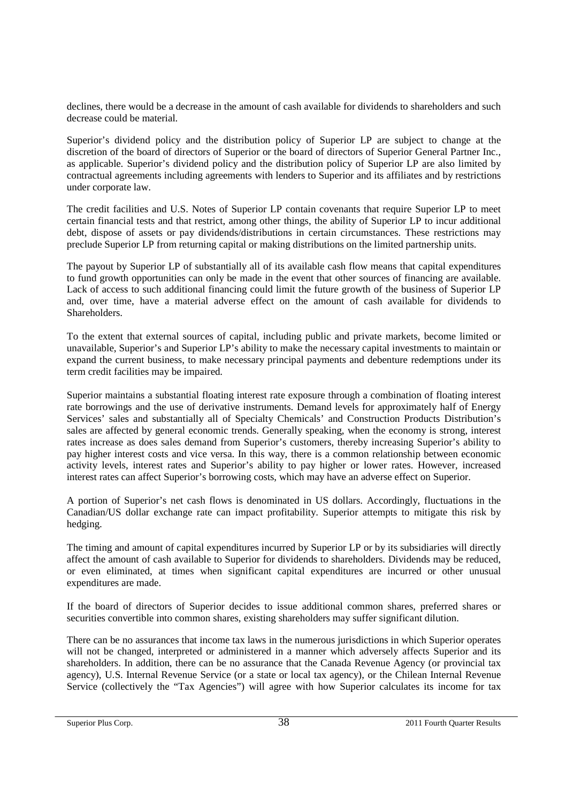declines, there would be a decrease in the amount of cash available for dividends to shareholders and such decrease could be material.

Superior's dividend policy and the distribution policy of Superior LP are subject to change at the discretion of the board of directors of Superior or the board of directors of Superior General Partner Inc., as applicable. Superior's dividend policy and the distribution policy of Superior LP are also limited by contractual agreements including agreements with lenders to Superior and its affiliates and by restrictions under corporate law.

The credit facilities and U.S. Notes of Superior LP contain covenants that require Superior LP to meet certain financial tests and that restrict, among other things, the ability of Superior LP to incur additional debt, dispose of assets or pay dividends/distributions in certain circumstances. These restrictions may preclude Superior LP from returning capital or making distributions on the limited partnership units.

The payout by Superior LP of substantially all of its available cash flow means that capital expenditures to fund growth opportunities can only be made in the event that other sources of financing are available. Lack of access to such additional financing could limit the future growth of the business of Superior LP and, over time, have a material adverse effect on the amount of cash available for dividends to Shareholders.

To the extent that external sources of capital, including public and private markets, become limited or unavailable, Superior's and Superior LP's ability to make the necessary capital investments to maintain or expand the current business, to make necessary principal payments and debenture redemptions under its term credit facilities may be impaired.

Superior maintains a substantial floating interest rate exposure through a combination of floating interest rate borrowings and the use of derivative instruments. Demand levels for approximately half of Energy Services' sales and substantially all of Specialty Chemicals' and Construction Products Distribution's sales are affected by general economic trends. Generally speaking, when the economy is strong, interest rates increase as does sales demand from Superior's customers, thereby increasing Superior's ability to pay higher interest costs and vice versa. In this way, there is a common relationship between economic activity levels, interest rates and Superior's ability to pay higher or lower rates. However, increased interest rates can affect Superior's borrowing costs, which may have an adverse effect on Superior.

A portion of Superior's net cash flows is denominated in US dollars. Accordingly, fluctuations in the Canadian/US dollar exchange rate can impact profitability. Superior attempts to mitigate this risk by hedging.

The timing and amount of capital expenditures incurred by Superior LP or by its subsidiaries will directly affect the amount of cash available to Superior for dividends to shareholders. Dividends may be reduced, or even eliminated, at times when significant capital expenditures are incurred or other unusual expenditures are made.

If the board of directors of Superior decides to issue additional common shares, preferred shares or securities convertible into common shares, existing shareholders may suffer significant dilution.

There can be no assurances that income tax laws in the numerous jurisdictions in which Superior operates will not be changed, interpreted or administered in a manner which adversely affects Superior and its shareholders. In addition, there can be no assurance that the Canada Revenue Agency (or provincial tax agency), U.S. Internal Revenue Service (or a state or local tax agency), or the Chilean Internal Revenue Service (collectively the "Tax Agencies") will agree with how Superior calculates its income for tax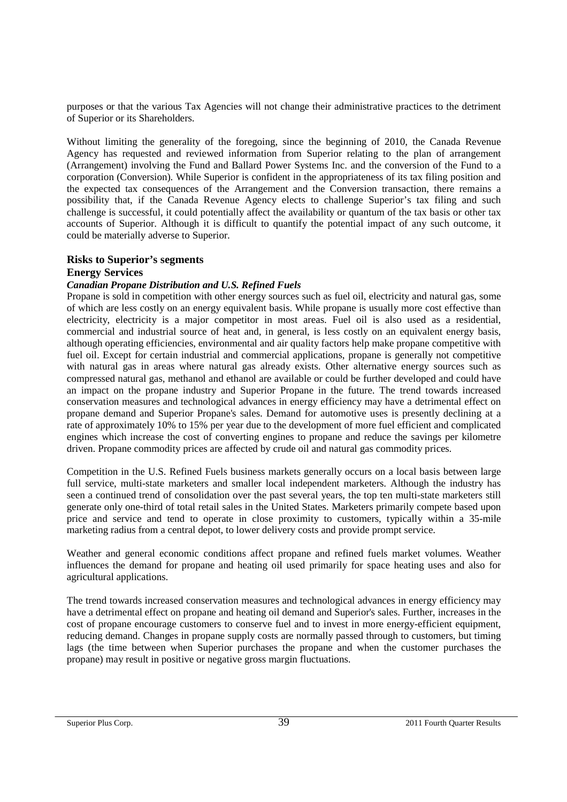purposes or that the various Tax Agencies will not change their administrative practices to the detriment of Superior or its Shareholders.

Without limiting the generality of the foregoing, since the beginning of 2010, the Canada Revenue Agency has requested and reviewed information from Superior relating to the plan of arrangement (Arrangement) involving the Fund and Ballard Power Systems Inc. and the conversion of the Fund to a corporation (Conversion). While Superior is confident in the appropriateness of its tax filing position and the expected tax consequences of the Arrangement and the Conversion transaction, there remains a possibility that, if the Canada Revenue Agency elects to challenge Superior's tax filing and such challenge is successful, it could potentially affect the availability or quantum of the tax basis or other tax accounts of Superior. Although it is difficult to quantify the potential impact of any such outcome, it could be materially adverse to Superior.

### **Risks to Superior's segments**

### **Energy Services**

### *Canadian Propane Distribution and U.S. Refined Fuels*

Propane is sold in competition with other energy sources such as fuel oil, electricity and natural gas, some of which are less costly on an energy equivalent basis. While propane is usually more cost effective than electricity, electricity is a major competitor in most areas. Fuel oil is also used as a residential, commercial and industrial source of heat and, in general, is less costly on an equivalent energy basis, although operating efficiencies, environmental and air quality factors help make propane competitive with fuel oil. Except for certain industrial and commercial applications, propane is generally not competitive with natural gas in areas where natural gas already exists. Other alternative energy sources such as compressed natural gas, methanol and ethanol are available or could be further developed and could have an impact on the propane industry and Superior Propane in the future. The trend towards increased conservation measures and technological advances in energy efficiency may have a detrimental effect on propane demand and Superior Propane's sales. Demand for automotive uses is presently declining at a rate of approximately 10% to 15% per year due to the development of more fuel efficient and complicated engines which increase the cost of converting engines to propane and reduce the savings per kilometre driven. Propane commodity prices are affected by crude oil and natural gas commodity prices.

Competition in the U.S. Refined Fuels business markets generally occurs on a local basis between large full service, multi-state marketers and smaller local independent marketers. Although the industry has seen a continued trend of consolidation over the past several years, the top ten multi-state marketers still generate only one-third of total retail sales in the United States. Marketers primarily compete based upon price and service and tend to operate in close proximity to customers, typically within a 35-mile marketing radius from a central depot, to lower delivery costs and provide prompt service.

Weather and general economic conditions affect propane and refined fuels market volumes. Weather influences the demand for propane and heating oil used primarily for space heating uses and also for agricultural applications.

The trend towards increased conservation measures and technological advances in energy efficiency may have a detrimental effect on propane and heating oil demand and Superior's sales. Further, increases in the cost of propane encourage customers to conserve fuel and to invest in more energy-efficient equipment, reducing demand. Changes in propane supply costs are normally passed through to customers, but timing lags (the time between when Superior purchases the propane and when the customer purchases the propane) may result in positive or negative gross margin fluctuations.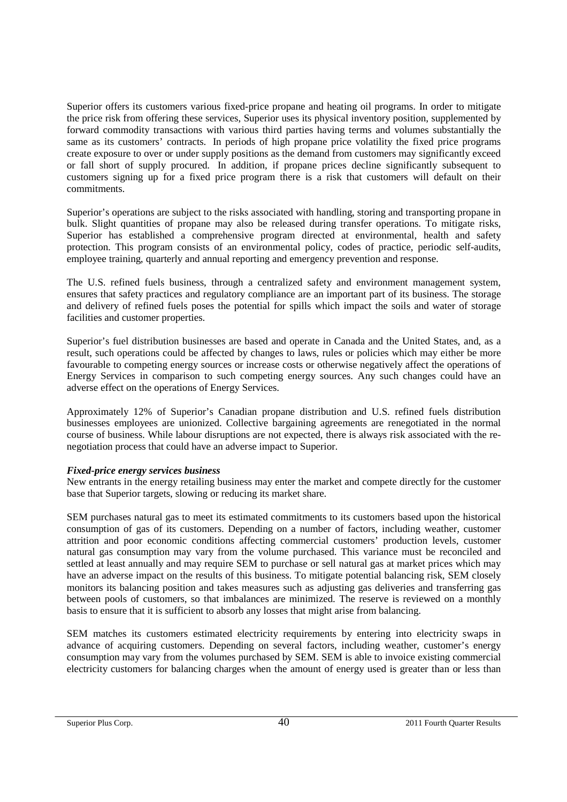Superior offers its customers various fixed-price propane and heating oil programs. In order to mitigate the price risk from offering these services, Superior uses its physical inventory position, supplemented by forward commodity transactions with various third parties having terms and volumes substantially the same as its customers' contracts. In periods of high propane price volatility the fixed price programs create exposure to over or under supply positions as the demand from customers may significantly exceed or fall short of supply procured. In addition, if propane prices decline significantly subsequent to customers signing up for a fixed price program there is a risk that customers will default on their commitments.

Superior's operations are subject to the risks associated with handling, storing and transporting propane in bulk. Slight quantities of propane may also be released during transfer operations. To mitigate risks, Superior has established a comprehensive program directed at environmental, health and safety protection. This program consists of an environmental policy, codes of practice, periodic self-audits, employee training, quarterly and annual reporting and emergency prevention and response.

The U.S. refined fuels business, through a centralized safety and environment management system, ensures that safety practices and regulatory compliance are an important part of its business. The storage and delivery of refined fuels poses the potential for spills which impact the soils and water of storage facilities and customer properties.

Superior's fuel distribution businesses are based and operate in Canada and the United States, and, as a result, such operations could be affected by changes to laws, rules or policies which may either be more favourable to competing energy sources or increase costs or otherwise negatively affect the operations of Energy Services in comparison to such competing energy sources. Any such changes could have an adverse effect on the operations of Energy Services.

Approximately 12% of Superior's Canadian propane distribution and U.S. refined fuels distribution businesses employees are unionized. Collective bargaining agreements are renegotiated in the normal course of business. While labour disruptions are not expected, there is always risk associated with the renegotiation process that could have an adverse impact to Superior.

### *Fixed-price energy services business*

New entrants in the energy retailing business may enter the market and compete directly for the customer base that Superior targets, slowing or reducing its market share.

SEM purchases natural gas to meet its estimated commitments to its customers based upon the historical consumption of gas of its customers. Depending on a number of factors, including weather, customer attrition and poor economic conditions affecting commercial customers' production levels, customer natural gas consumption may vary from the volume purchased. This variance must be reconciled and settled at least annually and may require SEM to purchase or sell natural gas at market prices which may have an adverse impact on the results of this business. To mitigate potential balancing risk, SEM closely monitors its balancing position and takes measures such as adjusting gas deliveries and transferring gas between pools of customers, so that imbalances are minimized. The reserve is reviewed on a monthly basis to ensure that it is sufficient to absorb any losses that might arise from balancing.

SEM matches its customers estimated electricity requirements by entering into electricity swaps in advance of acquiring customers. Depending on several factors, including weather, customer's energy consumption may vary from the volumes purchased by SEM. SEM is able to invoice existing commercial electricity customers for balancing charges when the amount of energy used is greater than or less than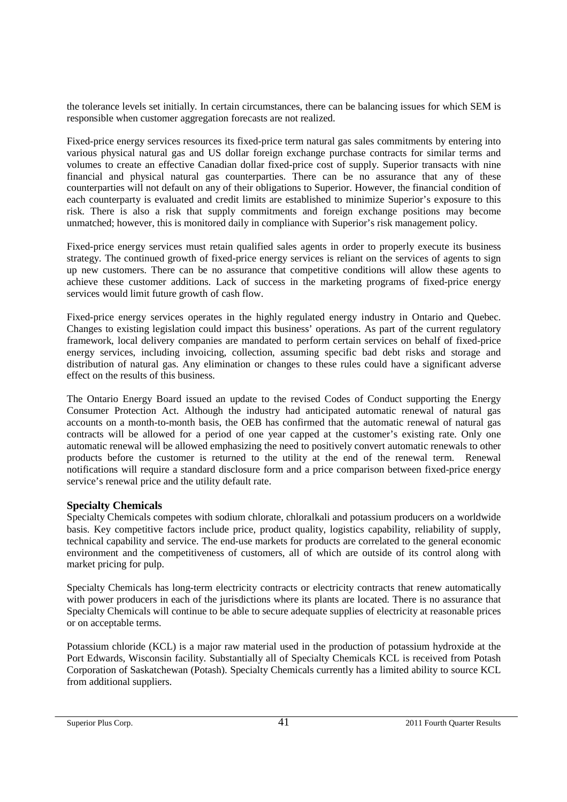the tolerance levels set initially. In certain circumstances, there can be balancing issues for which SEM is responsible when customer aggregation forecasts are not realized.

Fixed-price energy services resources its fixed-price term natural gas sales commitments by entering into various physical natural gas and US dollar foreign exchange purchase contracts for similar terms and volumes to create an effective Canadian dollar fixed-price cost of supply. Superior transacts with nine financial and physical natural gas counterparties. There can be no assurance that any of these counterparties will not default on any of their obligations to Superior. However, the financial condition of each counterparty is evaluated and credit limits are established to minimize Superior's exposure to this risk. There is also a risk that supply commitments and foreign exchange positions may become unmatched; however, this is monitored daily in compliance with Superior's risk management policy.

Fixed-price energy services must retain qualified sales agents in order to properly execute its business strategy. The continued growth of fixed-price energy services is reliant on the services of agents to sign up new customers. There can be no assurance that competitive conditions will allow these agents to achieve these customer additions. Lack of success in the marketing programs of fixed-price energy services would limit future growth of cash flow.

Fixed-price energy services operates in the highly regulated energy industry in Ontario and Quebec. Changes to existing legislation could impact this business' operations. As part of the current regulatory framework, local delivery companies are mandated to perform certain services on behalf of fixed-price energy services, including invoicing, collection, assuming specific bad debt risks and storage and distribution of natural gas. Any elimination or changes to these rules could have a significant adverse effect on the results of this business.

The Ontario Energy Board issued an update to the revised Codes of Conduct supporting the Energy Consumer Protection Act. Although the industry had anticipated automatic renewal of natural gas accounts on a month-to-month basis, the OEB has confirmed that the automatic renewal of natural gas contracts will be allowed for a period of one year capped at the customer's existing rate. Only one automatic renewal will be allowed emphasizing the need to positively convert automatic renewals to other products before the customer is returned to the utility at the end of the renewal term. Renewal notifications will require a standard disclosure form and a price comparison between fixed-price energy service's renewal price and the utility default rate.

### **Specialty Chemicals**

Specialty Chemicals competes with sodium chlorate, chloralkali and potassium producers on a worldwide basis. Key competitive factors include price, product quality, logistics capability, reliability of supply, technical capability and service. The end-use markets for products are correlated to the general economic environment and the competitiveness of customers, all of which are outside of its control along with market pricing for pulp.

Specialty Chemicals has long-term electricity contracts or electricity contracts that renew automatically with power producers in each of the jurisdictions where its plants are located. There is no assurance that Specialty Chemicals will continue to be able to secure adequate supplies of electricity at reasonable prices or on acceptable terms.

Potassium chloride (KCL) is a major raw material used in the production of potassium hydroxide at the Port Edwards, Wisconsin facility. Substantially all of Specialty Chemicals KCL is received from Potash Corporation of Saskatchewan (Potash). Specialty Chemicals currently has a limited ability to source KCL from additional suppliers.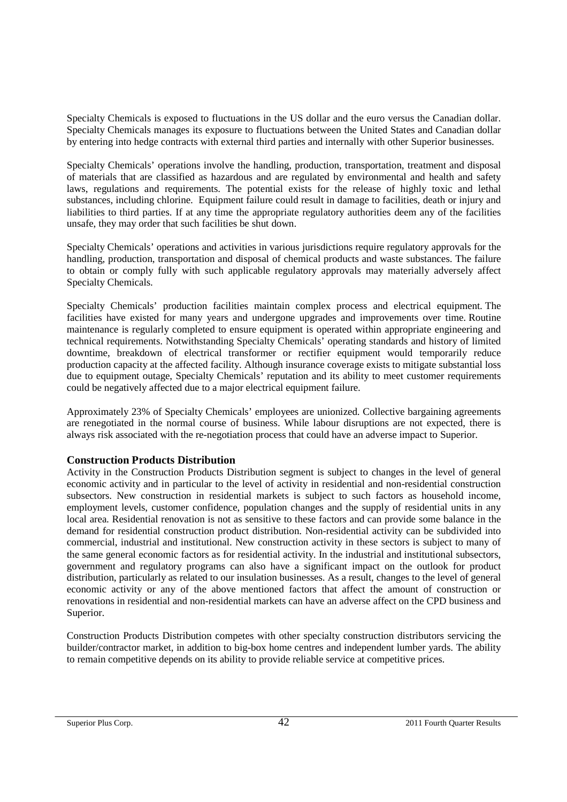Specialty Chemicals is exposed to fluctuations in the US dollar and the euro versus the Canadian dollar. Specialty Chemicals manages its exposure to fluctuations between the United States and Canadian dollar by entering into hedge contracts with external third parties and internally with other Superior businesses.

Specialty Chemicals' operations involve the handling, production, transportation, treatment and disposal of materials that are classified as hazardous and are regulated by environmental and health and safety laws, regulations and requirements. The potential exists for the release of highly toxic and lethal substances, including chlorine. Equipment failure could result in damage to facilities, death or injury and liabilities to third parties. If at any time the appropriate regulatory authorities deem any of the facilities unsafe, they may order that such facilities be shut down.

Specialty Chemicals' operations and activities in various jurisdictions require regulatory approvals for the handling, production, transportation and disposal of chemical products and waste substances. The failure to obtain or comply fully with such applicable regulatory approvals may materially adversely affect Specialty Chemicals.

Specialty Chemicals' production facilities maintain complex process and electrical equipment. The facilities have existed for many years and undergone upgrades and improvements over time. Routine maintenance is regularly completed to ensure equipment is operated within appropriate engineering and technical requirements. Notwithstanding Specialty Chemicals' operating standards and history of limited downtime, breakdown of electrical transformer or rectifier equipment would temporarily reduce production capacity at the affected facility. Although insurance coverage exists to mitigate substantial loss due to equipment outage, Specialty Chemicals' reputation and its ability to meet customer requirements could be negatively affected due to a major electrical equipment failure.

Approximately 23% of Specialty Chemicals' employees are unionized. Collective bargaining agreements are renegotiated in the normal course of business. While labour disruptions are not expected, there is always risk associated with the re-negotiation process that could have an adverse impact to Superior.

### **Construction Products Distribution**

Activity in the Construction Products Distribution segment is subject to changes in the level of general economic activity and in particular to the level of activity in residential and non-residential construction subsectors. New construction in residential markets is subject to such factors as household income, employment levels, customer confidence, population changes and the supply of residential units in any local area. Residential renovation is not as sensitive to these factors and can provide some balance in the demand for residential construction product distribution. Non-residential activity can be subdivided into commercial, industrial and institutional. New construction activity in these sectors is subject to many of the same general economic factors as for residential activity. In the industrial and institutional subsectors, government and regulatory programs can also have a significant impact on the outlook for product distribution, particularly as related to our insulation businesses. As a result, changes to the level of general economic activity or any of the above mentioned factors that affect the amount of construction or renovations in residential and non-residential markets can have an adverse affect on the CPD business and Superior.

Construction Products Distribution competes with other specialty construction distributors servicing the builder/contractor market, in addition to big-box home centres and independent lumber yards. The ability to remain competitive depends on its ability to provide reliable service at competitive prices.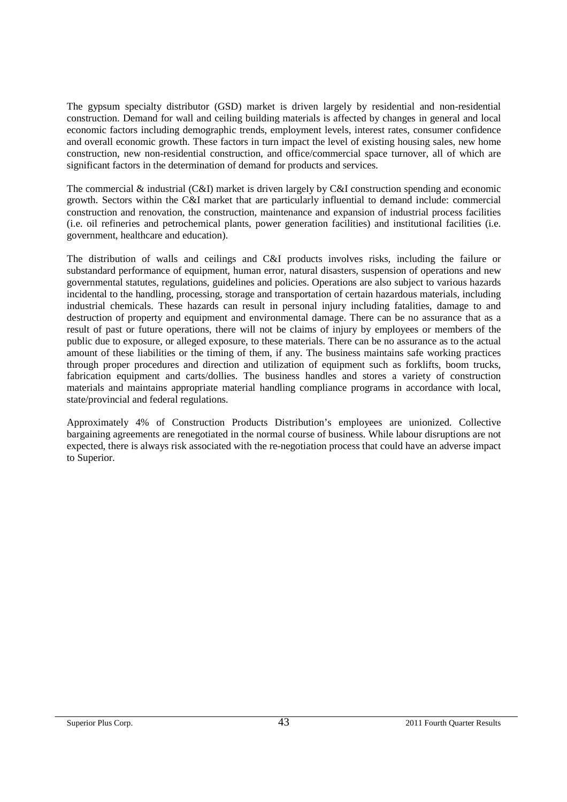The gypsum specialty distributor (GSD) market is driven largely by residential and non-residential construction. Demand for wall and ceiling building materials is affected by changes in general and local economic factors including demographic trends, employment levels, interest rates, consumer confidence and overall economic growth. These factors in turn impact the level of existing housing sales, new home construction, new non-residential construction, and office/commercial space turnover, all of which are significant factors in the determination of demand for products and services.

The commercial  $\&$  industrial (C&I) market is driven largely by C&I construction spending and economic growth. Sectors within the C&I market that are particularly influential to demand include: commercial construction and renovation, the construction, maintenance and expansion of industrial process facilities (i.e. oil refineries and petrochemical plants, power generation facilities) and institutional facilities (i.e. government, healthcare and education).

The distribution of walls and ceilings and C&I products involves risks, including the failure or substandard performance of equipment, human error, natural disasters, suspension of operations and new governmental statutes, regulations, guidelines and policies. Operations are also subject to various hazards incidental to the handling, processing, storage and transportation of certain hazardous materials, including industrial chemicals. These hazards can result in personal injury including fatalities, damage to and destruction of property and equipment and environmental damage. There can be no assurance that as a result of past or future operations, there will not be claims of injury by employees or members of the public due to exposure, or alleged exposure, to these materials. There can be no assurance as to the actual amount of these liabilities or the timing of them, if any. The business maintains safe working practices through proper procedures and direction and utilization of equipment such as forklifts, boom trucks, fabrication equipment and carts/dollies. The business handles and stores a variety of construction materials and maintains appropriate material handling compliance programs in accordance with local, state/provincial and federal regulations.

Approximately 4% of Construction Products Distribution's employees are unionized. Collective bargaining agreements are renegotiated in the normal course of business. While labour disruptions are not expected, there is always risk associated with the re-negotiation process that could have an adverse impact to Superior.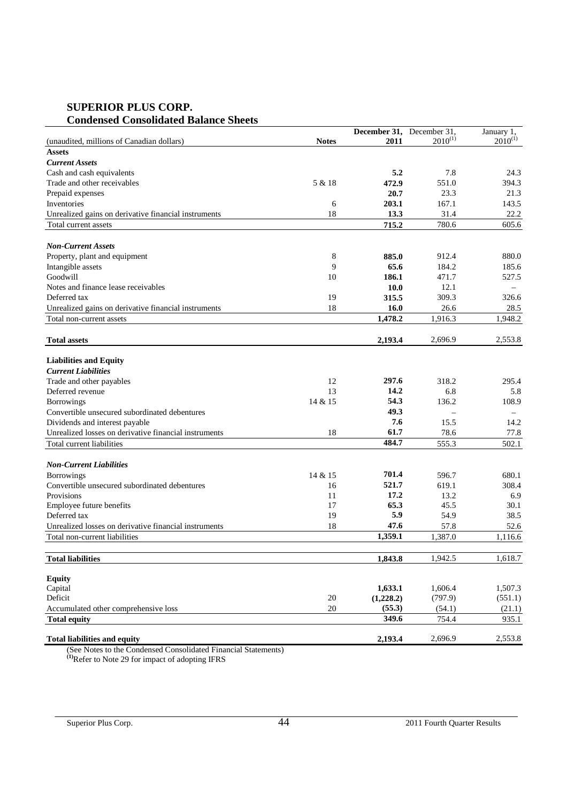### **SUPERIOR PLUS CORP. Condensed Consolidated Balance Sheets**

|                                                       |              | December 31, December 31, |              | January 1,               |
|-------------------------------------------------------|--------------|---------------------------|--------------|--------------------------|
| (unaudited, millions of Canadian dollars)             | <b>Notes</b> | 2011                      | $2010^{(1)}$ | $2010^{(1)}$             |
| <b>Assets</b>                                         |              |                           |              |                          |
| <b>Current Assets</b>                                 |              |                           |              |                          |
| Cash and cash equivalents                             |              | 5.2                       | 7.8          | 24.3                     |
| Trade and other receivables                           | 5 & 18       | 472.9                     | 551.0        | 394.3                    |
| Prepaid expenses                                      |              | 20.7                      | 23.3         | 21.3                     |
| Inventories                                           | 6            | 203.1                     | 167.1        | 143.5                    |
| Unrealized gains on derivative financial instruments  | 18           | 13.3                      | 31.4         | 22.2                     |
| Total current assets                                  |              | 715.2                     | 780.6        | 605.6                    |
|                                                       |              |                           |              |                          |
| <b>Non-Current Assets</b>                             |              |                           |              |                          |
| Property, plant and equipment                         | 8            | 885.0                     | 912.4        | 880.0                    |
| Intangible assets                                     | 9            | 65.6                      | 184.2        | 185.6                    |
| Goodwill                                              | 10           | 186.1                     | 471.7        | 527.5                    |
| Notes and finance lease receivables                   |              | 10.0                      | 12.1         |                          |
| Deferred tax                                          | 19           | 315.5                     | 309.3        | 326.6                    |
| Unrealized gains on derivative financial instruments  | 18           | 16.0                      | 26.6         | 28.5                     |
| Total non-current assets                              |              | 1,478.2                   | 1,916.3      | 1,948.2                  |
|                                                       |              |                           |              |                          |
| <b>Total assets</b>                                   |              | 2,193.4                   | 2,696.9      | 2,553.8                  |
|                                                       |              |                           |              |                          |
| <b>Liabilities and Equity</b>                         |              |                           |              |                          |
| <b>Current Liabilities</b>                            |              |                           |              |                          |
| Trade and other payables                              | 12           | 297.6                     | 318.2        | 295.4                    |
| Deferred revenue                                      | 13           | 14.2                      | 6.8          | 5.8                      |
| <b>Borrowings</b>                                     | 14 & 15      | 54.3                      | 136.2        | 108.9                    |
| Convertible unsecured subordinated debentures         |              | 49.3                      |              | $\overline{\phantom{0}}$ |
| Dividends and interest payable                        |              | 7.6                       | 15.5         | 14.2                     |
| Unrealized losses on derivative financial instruments | 18           | 61.7                      | 78.6         | 77.8                     |
| Total current liabilities                             |              | 484.7                     | 555.3        | 502.1                    |
|                                                       |              |                           |              |                          |
| <b>Non-Current Liabilities</b>                        |              | 701.4                     |              |                          |
| <b>Borrowings</b>                                     | 14 & 15      |                           | 596.7        | 680.1                    |
| Convertible unsecured subordinated debentures         | 16           | 521.7                     | 619.1        | 308.4                    |
| Provisions                                            | 11<br>17     | 17.2                      | 13.2<br>45.5 | 6.9<br>30.1              |
| Employee future benefits<br>Deferred tax              |              | 65.3<br>5.9               |              |                          |
|                                                       | 19           | 47.6                      | 54.9         | 38.5                     |
| Unrealized losses on derivative financial instruments | 18           |                           | 57.8         | 52.6                     |
| Total non-current liabilities                         |              | 1,359.1                   | 1,387.0      | 1,116.6                  |
| <b>Total liabilities</b>                              |              | 1,843.8                   | 1,942.5      | 1,618.7                  |
|                                                       |              |                           |              |                          |
| <b>Equity</b>                                         |              |                           |              |                          |
| Capital                                               |              | 1,633.1                   | 1,606.4      | 1,507.3                  |
| Deficit                                               | 20           | (1,228.2)                 | (797.9)      | (551.1)                  |
| Accumulated other comprehensive loss                  | 20           | (55.3)                    | (54.1)       | (21.1)                   |
| <b>Total equity</b>                                   |              | 349.6                     | 754.4        | 935.1                    |
| <b>Total liabilities and equity</b>                   |              | 2,193.4                   | 2,696.9      | 2,553.8                  |

(See Notes to the Condensed Consolidated Financial Statements) **(1)**Refer to Note 29 for impact of adopting IFRS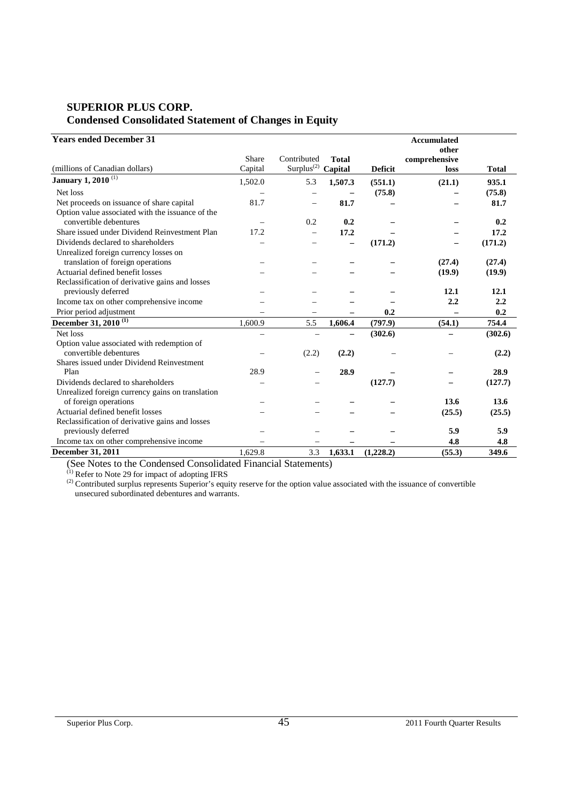### **SUPERIOR PLUS CORP. Condensed Consolidated Statement of Changes in Equity**

| <b>Years ended December 31</b>                                             |                  |                                       |                          |                | <b>Accumulated</b>             |              |
|----------------------------------------------------------------------------|------------------|---------------------------------------|--------------------------|----------------|--------------------------------|--------------|
| (millions of Canadian dollars)                                             | Share<br>Capital | Contributed<br>Surplus <sup>(2)</sup> | <b>Total</b><br>Capital  | <b>Deficit</b> | other<br>comprehensive<br>loss | <b>Total</b> |
| January 1, 2010 <sup>(1)</sup>                                             | 1,502.0          | 5.3                                   | 1,507.3                  | (551.1)        | (21.1)                         | 935.1        |
| Net loss                                                                   |                  |                                       |                          | (75.8)         |                                | (75.8)       |
| Net proceeds on issuance of share capital                                  | 81.7             |                                       | 81.7                     |                |                                | 81.7         |
| Option value associated with the issuance of the<br>convertible debentures |                  | 0.2                                   | 0.2                      |                |                                | 0.2          |
| Share issued under Dividend Reinvestment Plan                              | 17.2             |                                       | 17.2                     |                |                                | 17.2         |
| Dividends declared to shareholders                                         |                  |                                       | $\overline{\phantom{0}}$ | (171.2)        |                                | (171.2)      |
| Unrealized foreign currency losses on                                      |                  |                                       |                          |                |                                |              |
| translation of foreign operations                                          |                  |                                       |                          |                | (27.4)                         | (27.4)       |
| Actuarial defined benefit losses                                           |                  |                                       |                          |                | (19.9)                         | (19.9)       |
| Reclassification of derivative gains and losses                            |                  |                                       |                          |                |                                |              |
| previously deferred                                                        |                  |                                       |                          |                | 12.1                           | 12.1         |
| Income tax on other comprehensive income                                   |                  |                                       |                          |                | 2.2                            | 2.2          |
| Prior period adjustment                                                    |                  |                                       |                          | 0.2            |                                | 0.2          |
| December 31, 2010 $\overline{^{(1)}}$                                      | 1,600.9          | 5.5                                   | 1,606.4                  | (797.9)        | (54.1)                         | 754.4        |
| Net loss                                                                   |                  |                                       |                          | (302.6)        |                                | (302.6)      |
| Option value associated with redemption of                                 |                  |                                       |                          |                |                                |              |
| convertible debentures                                                     |                  | (2.2)                                 | (2.2)                    |                |                                | (2.2)        |
| Shares issued under Dividend Reinvestment                                  |                  |                                       |                          |                |                                |              |
| Plan                                                                       | 28.9             |                                       | 28.9                     |                |                                | 28.9         |
| Dividends declared to shareholders                                         |                  |                                       |                          | (127.7)        |                                | (127.7)      |
| Unrealized foreign currency gains on translation                           |                  |                                       |                          |                |                                |              |
| of foreign operations                                                      |                  |                                       |                          |                | 13.6                           | 13.6         |
| Actuarial defined benefit losses                                           |                  |                                       |                          |                | (25.5)                         | (25.5)       |
| Reclassification of derivative gains and losses                            |                  |                                       |                          |                |                                |              |
| previously deferred                                                        |                  |                                       |                          |                | 5.9                            | 5.9          |
| Income tax on other comprehensive income                                   |                  |                                       |                          |                | 4.8                            | 4.8          |
| <b>December 31, 2011</b>                                                   | 1,629.8          | 3.3                                   | 1,633.1                  | (1,228.2)      | (55.3)                         | 349.6        |

(See Notes to the Condensed Consolidated Financial Statements)

 $^{(1)}$  Refer to Note 29 for impact of adopting IFRS

 $(2)$  Contributed surplus represents Superior's equity reserve for the option value associated with the issuance of convertible unsecured subordinated debentures and warrants.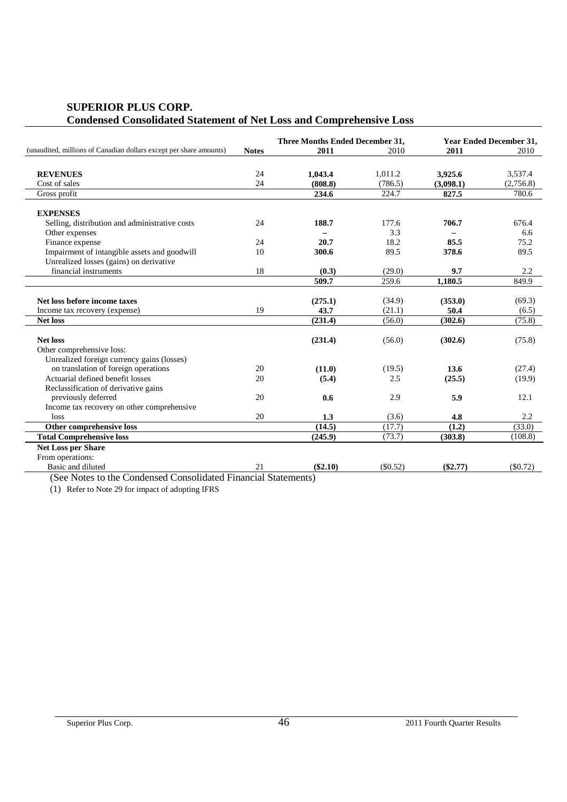# **SUPERIOR PLUS CORP. Condensed Consolidated Statement of Net Loss and Comprehensive Loss**

|                                                                    |              | Three Months Ended December 31, |            |            | Year Ended December 31, |
|--------------------------------------------------------------------|--------------|---------------------------------|------------|------------|-------------------------|
| (unaudited, millions of Canadian dollars except per share amounts) | <b>Notes</b> | 2011                            | 2010       | 2011       | 2010                    |
|                                                                    |              |                                 |            |            |                         |
| <b>REVENUES</b><br>Cost of sales                                   | 24<br>24     | 1,043.4                         | 1.011.2    | 3,925.6    | 3,537.4                 |
|                                                                    |              | (808.8)                         | (786.5)    | (3,098.1)  | (2,756.8)               |
| Gross profit                                                       |              | 234.6                           | 224.7      | 827.5      | 780.6                   |
| <b>EXPENSES</b>                                                    |              |                                 |            |            |                         |
| Selling, distribution and administrative costs                     | 24           | 188.7                           | 177.6      | 706.7      | 676.4                   |
| Other expenses                                                     |              |                                 | 3.3        |            | 6.6                     |
| Finance expense                                                    | 24           | 20.7                            | 18.2       | 85.5       | 75.2                    |
| Impairment of intangible assets and goodwill                       | 10           | 300.6                           | 89.5       | 378.6      | 89.5                    |
| Unrealized losses (gains) on derivative                            |              |                                 |            |            |                         |
| financial instruments                                              | 18           | (0.3)                           | (29.0)     | 9.7        | 2.2                     |
|                                                                    |              | 509.7                           | 259.6      | 1,180.5    | 849.9                   |
|                                                                    |              |                                 |            |            |                         |
| Net loss before income taxes                                       |              | (275.1)                         | (34.9)     | (353.0)    | (69.3)                  |
| Income tax recovery (expense)                                      | 19           | 43.7                            | (21.1)     | 50.4       | (6.5)                   |
| <b>Net loss</b>                                                    |              | (231.4)                         | (56.0)     | (302.6)    | (75.8)                  |
| <b>Net loss</b>                                                    |              | (231.4)                         | (56.0)     | (302.6)    | (75.8)                  |
| Other comprehensive loss:                                          |              |                                 |            |            |                         |
| Unrealized foreign currency gains (losses)                         |              |                                 |            |            |                         |
| on translation of foreign operations                               | 20           | (11.0)                          | (19.5)     | 13.6       | (27.4)                  |
| Actuarial defined benefit losses                                   | 20           | (5.4)                           | 2.5        | (25.5)     | (19.9)                  |
| Reclassification of derivative gains                               |              |                                 |            |            |                         |
| previously deferred                                                | 20           | 0.6                             | 2.9        | 5.9        | 12.1                    |
| Income tax recovery on other comprehensive                         |              |                                 |            |            |                         |
| loss                                                               | 20           | 1.3                             | (3.6)      | 4.8        | 2.2                     |
| Other comprehensive loss                                           |              | (14.5)                          | (17.7)     | (1.2)      | (33.0)                  |
| <b>Total Comprehensive loss</b>                                    |              | (245.9)                         | (73.7)     | (303.8)    | (108.8)                 |
| <b>Net Loss per Share</b>                                          |              |                                 |            |            |                         |
| From operations:                                                   |              |                                 |            |            |                         |
| Basic and diluted                                                  | 21           | $(\$2.10)$                      | $(\$0.52)$ | $(\$2.77)$ | $(\$0.72)$              |

(See Notes to the Condensed Consolidated Financial Statements)

(1) Refer to Note 29 for impact of adopting IFRS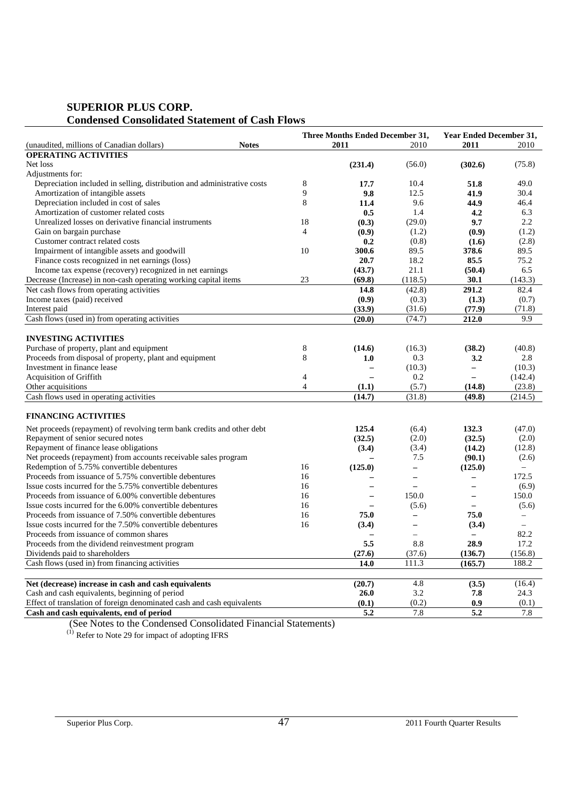|                                                                         |                | <b>Three Months Ended December 31,</b> |                          | <b>Year Ended December 31,</b> |          |
|-------------------------------------------------------------------------|----------------|----------------------------------------|--------------------------|--------------------------------|----------|
| (unaudited, millions of Canadian dollars)<br><b>Notes</b>               |                | 2011                                   | 2010                     | 2011                           | 2010     |
| <b>OPERATING ACTIVITIES</b>                                             |                |                                        |                          |                                |          |
| Net loss                                                                |                | (231.4)                                | (56.0)                   | (302.6)                        | (75.8)   |
| Adjustments for:                                                        |                |                                        |                          |                                |          |
| Depreciation included in selling, distribution and administrative costs | 8              | 17.7                                   | 10.4                     | 51.8                           | 49.0     |
| Amortization of intangible assets                                       | 9              | 9.8                                    | 12.5                     | 41.9                           | 30.4     |
| Depreciation included in cost of sales                                  | 8              | 11.4                                   | 9.6                      | 44.9                           | 46.4     |
| Amortization of customer related costs                                  |                | 0.5                                    | 1.4                      | 4.2                            | 6.3      |
| Unrealized losses on derivative financial instruments                   | 18             | (0.3)                                  | (29.0)                   | 9.7                            | 2.2      |
| Gain on bargain purchase                                                | $\overline{4}$ | (0.9)                                  | (1.2)                    | (0.9)                          | (1.2)    |
| Customer contract related costs                                         |                | 0.2                                    | (0.8)                    | (1.6)                          | (2.8)    |
| Impairment of intangible assets and goodwill                            | 10             | 300.6                                  | 89.5                     | 378.6                          | 89.5     |
| Finance costs recognized in net earnings (loss)                         |                | 20.7                                   | 18.2                     | 85.5                           | 75.2     |
| Income tax expense (recovery) recognized in net earnings                |                | (43.7)                                 | 21.1                     | (50.4)                         | 6.5      |
| Decrease (Increase) in non-cash operating working capital items         | 23             | (69.8)                                 | (118.5)                  | 30.1                           | (143.3)  |
| Net cash flows from operating activities                                |                | 14.8                                   | (42.8)                   | 291.2                          | 82.4     |
| Income taxes (paid) received                                            |                | (0.9)                                  | (0.3)                    | (1.3)                          | (0.7)    |
| Interest paid                                                           |                | (33.9)                                 | (31.6)                   | (77.9)                         | (71.8)   |
| Cash flows (used in) from operating activities                          |                | (20.0)                                 | (74.7)                   | 212.0                          | 9.9      |
|                                                                         |                |                                        |                          |                                |          |
| <b>INVESTING ACTIVITIES</b>                                             |                |                                        |                          |                                |          |
| Purchase of property, plant and equipment                               | 8              | (14.6)                                 | (16.3)                   | (38.2)                         | (40.8)   |
| Proceeds from disposal of property, plant and equipment                 | 8              | 1.0                                    | 0.3                      | 3.2                            | 2.8      |
| Investment in finance lease                                             |                | $\qquad \qquad -$                      | (10.3)                   | $\qquad \qquad -$              | (10.3)   |
| Acquisition of Griffith                                                 | $\overline{4}$ | $\equiv$                               | 0.2                      | $\equiv$                       | (142.4)  |
| Other acquisitions                                                      | $\overline{4}$ | (1.1)                                  | (5.7)                    | (14.8)                         | (23.8)   |
| Cash flows used in operating activities                                 |                | (14.7)                                 | (31.8)                   | (49.8)                         | (214.5)  |
|                                                                         |                |                                        |                          |                                |          |
| <b>FINANCING ACTIVITIES</b>                                             |                |                                        |                          |                                |          |
| Net proceeds (repayment) of revolving term bank credits and other debt  |                | 125.4                                  | (6.4)                    | 132.3                          | (47.0)   |
| Repayment of senior secured notes                                       |                | (32.5)                                 | (2.0)                    | (32.5)                         | (2.0)    |
| Repayment of finance lease obligations                                  |                | (3.4)                                  | (3.4)                    | (14.2)                         | (12.8)   |
| Net proceeds (repayment) from accounts receivable sales program         |                |                                        | 7.5                      | (90.1)                         | (2.6)    |
| Redemption of 5.75% convertible debentures                              | 16             | (125.0)                                | $\equiv$                 | (125.0)                        |          |
| Proceeds from issuance of 5.75% convertible debentures                  | 16             |                                        | $\overline{\phantom{0}}$ | $\overline{\phantom{0}}$       | 172.5    |
| Issue costs incurred for the 5.75% convertible debentures               | 16             |                                        | $\equiv$                 | $\overline{\phantom{0}}$       | (6.9)    |
| Proceeds from issuance of 6.00% convertible debentures                  | 16             | $\overline{\phantom{a}}$               | 150.0                    | $\overline{a}$                 | 150.0    |
| Issue costs incurred for the 6.00% convertible debentures               | 16             |                                        | (5.6)                    | $\equiv$                       | (5.6)    |
| Proceeds from issuance of 7.50% convertible debentures                  | 16             | 75.0                                   | $\overline{\phantom{0}}$ | 75.0                           | $\equiv$ |
| Issue costs incurred for the 7.50% convertible debentures               | 16             | (3.4)                                  | $\overline{a}$           | (3.4)                          | $\equiv$ |
| Proceeds from issuance of common shares                                 |                |                                        | $\overline{\phantom{0}}$ | $\equiv$                       | 82.2     |
| Proceeds from the dividend reinvestment program                         |                | 5.5                                    | 8.8                      | 28.9                           | 17.2     |
| Dividends paid to shareholders                                          |                | (27.6)                                 | (37.6)                   | (136.7)                        | (156.8)  |
| Cash flows (used in) from financing activities                          |                | 14.0                                   | 111.3                    | (165.7)                        | 188.2    |
|                                                                         |                |                                        |                          |                                |          |
| Net (decrease) increase in cash and cash equivalents                    |                | (20.7)                                 | 4.8                      | (3.5)                          | (16.4)   |
| Cash and cash equivalents, beginning of period                          |                | 26.0                                   | 3.2                      | 7.8                            | 24.3     |
| Effect of translation of foreign denominated cash and cash equivalents  |                | (0.1)                                  | (0.2)                    | 0.9                            | (0.1)    |
| Cash and cash equivalents, end of period                                |                | 5.2                                    | 7.8                      | $\overline{5.2}$               | 7.8      |

# **SUPERIOR PLUS CORP. Condensed Consolidated Statement of Cash Flows**

(See Notes to the Condensed Consolidated Financial Statements)

 $<sup>(1)</sup>$  Refer to Note 29 for impact of adopting IFRS</sup>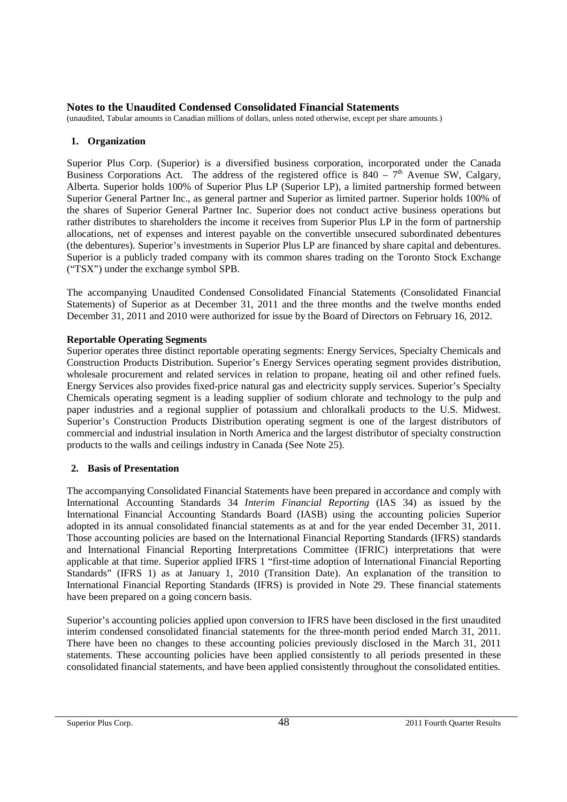### **Notes to the Unaudited Condensed Consolidated Financial Statements**

(unaudited, Tabular amounts in Canadian millions of dollars, unless noted otherwise, except per share amounts.)

### **1. Organization**

Superior Plus Corp. (Superior) is a diversified business corporation, incorporated under the Canada Business Corporations Act. The address of the registered office is  $840 - 7<sup>th</sup>$  Avenue SW, Calgary, Alberta. Superior holds 100% of Superior Plus LP (Superior LP), a limited partnership formed between Superior General Partner Inc., as general partner and Superior as limited partner. Superior holds 100% of the shares of Superior General Partner Inc. Superior does not conduct active business operations but rather distributes to shareholders the income it receives from Superior Plus LP in the form of partnership allocations, net of expenses and interest payable on the convertible unsecured subordinated debentures (the debentures). Superior's investments in Superior Plus LP are financed by share capital and debentures. Superior is a publicly traded company with its common shares trading on the Toronto Stock Exchange ("TSX") under the exchange symbol SPB.

The accompanying Unaudited Condensed Consolidated Financial Statements (Consolidated Financial Statements) of Superior as at December 31, 2011 and the three months and the twelve months ended December 31, 2011 and 2010 were authorized for issue by the Board of Directors on February 16, 2012.

### **Reportable Operating Segments**

Superior operates three distinct reportable operating segments: Energy Services, Specialty Chemicals and Construction Products Distribution. Superior's Energy Services operating segment provides distribution, wholesale procurement and related services in relation to propane, heating oil and other refined fuels. Energy Services also provides fixed-price natural gas and electricity supply services. Superior's Specialty Chemicals operating segment is a leading supplier of sodium chlorate and technology to the pulp and paper industries and a regional supplier of potassium and chloralkali products to the U.S. Midwest. Superior's Construction Products Distribution operating segment is one of the largest distributors of commercial and industrial insulation in North America and the largest distributor of specialty construction products to the walls and ceilings industry in Canada (See Note 25).

### **2. Basis of Presentation**

The accompanying Consolidated Financial Statements have been prepared in accordance and comply with International Accounting Standards 34 *Interim Financial Reporting* (IAS 34) as issued by the International Financial Accounting Standards Board (IASB) using the accounting policies Superior adopted in its annual consolidated financial statements as at and for the year ended December 31, 2011. Those accounting policies are based on the International Financial Reporting Standards (IFRS) standards and International Financial Reporting Interpretations Committee (IFRIC) interpretations that were applicable at that time. Superior applied IFRS 1 "first-time adoption of International Financial Reporting Standards" (IFRS 1) as at January 1, 2010 (Transition Date). An explanation of the transition to International Financial Reporting Standards (IFRS) is provided in Note 29. These financial statements have been prepared on a going concern basis.

Superior's accounting policies applied upon conversion to IFRS have been disclosed in the first unaudited interim condensed consolidated financial statements for the three-month period ended March 31, 2011. There have been no changes to these accounting policies previously disclosed in the March 31, 2011 statements. These accounting policies have been applied consistently to all periods presented in these consolidated financial statements, and have been applied consistently throughout the consolidated entities.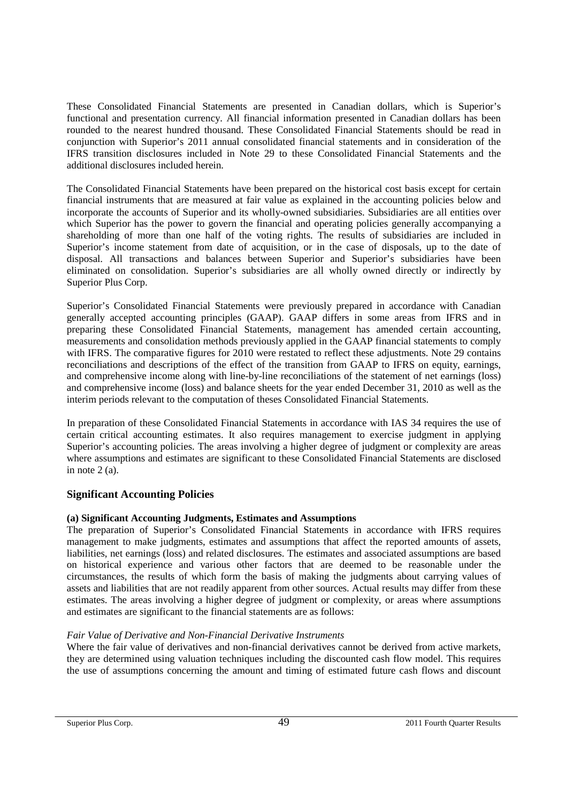These Consolidated Financial Statements are presented in Canadian dollars, which is Superior's functional and presentation currency. All financial information presented in Canadian dollars has been rounded to the nearest hundred thousand. These Consolidated Financial Statements should be read in conjunction with Superior's 2011 annual consolidated financial statements and in consideration of the IFRS transition disclosures included in Note 29 to these Consolidated Financial Statements and the additional disclosures included herein.

The Consolidated Financial Statements have been prepared on the historical cost basis except for certain financial instruments that are measured at fair value as explained in the accounting policies below and incorporate the accounts of Superior and its wholly-owned subsidiaries. Subsidiaries are all entities over which Superior has the power to govern the financial and operating policies generally accompanying a shareholding of more than one half of the voting rights. The results of subsidiaries are included in Superior's income statement from date of acquisition, or in the case of disposals, up to the date of disposal. All transactions and balances between Superior and Superior's subsidiaries have been eliminated on consolidation. Superior's subsidiaries are all wholly owned directly or indirectly by Superior Plus Corp.

Superior's Consolidated Financial Statements were previously prepared in accordance with Canadian generally accepted accounting principles (GAAP). GAAP differs in some areas from IFRS and in preparing these Consolidated Financial Statements, management has amended certain accounting, measurements and consolidation methods previously applied in the GAAP financial statements to comply with IFRS. The comparative figures for 2010 were restated to reflect these adjustments. Note 29 contains reconciliations and descriptions of the effect of the transition from GAAP to IFRS on equity, earnings, and comprehensive income along with line-by-line reconciliations of the statement of net earnings (loss) and comprehensive income (loss) and balance sheets for the year ended December 31, 2010 as well as the interim periods relevant to the computation of theses Consolidated Financial Statements.

In preparation of these Consolidated Financial Statements in accordance with IAS 34 requires the use of certain critical accounting estimates. It also requires management to exercise judgment in applying Superior's accounting policies. The areas involving a higher degree of judgment or complexity are areas where assumptions and estimates are significant to these Consolidated Financial Statements are disclosed in note  $2$  (a).

# **Significant Accounting Policies**

# **(a) Significant Accounting Judgments, Estimates and Assumptions**

The preparation of Superior's Consolidated Financial Statements in accordance with IFRS requires management to make judgments, estimates and assumptions that affect the reported amounts of assets, liabilities, net earnings (loss) and related disclosures. The estimates and associated assumptions are based on historical experience and various other factors that are deemed to be reasonable under the circumstances, the results of which form the basis of making the judgments about carrying values of assets and liabilities that are not readily apparent from other sources. Actual results may differ from these estimates. The areas involving a higher degree of judgment or complexity, or areas where assumptions and estimates are significant to the financial statements are as follows:

# *Fair Value of Derivative and Non-Financial Derivative Instruments*

Where the fair value of derivatives and non-financial derivatives cannot be derived from active markets, they are determined using valuation techniques including the discounted cash flow model. This requires the use of assumptions concerning the amount and timing of estimated future cash flows and discount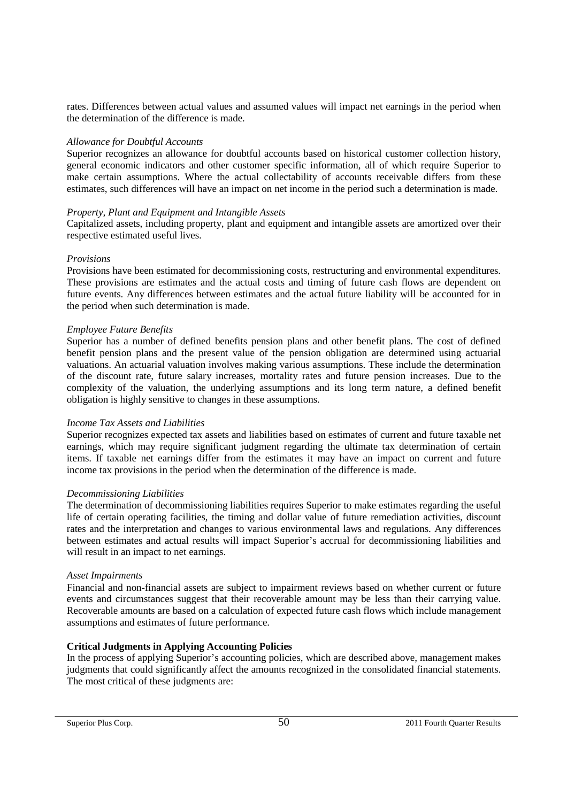rates. Differences between actual values and assumed values will impact net earnings in the period when the determination of the difference is made.

#### *Allowance for Doubtful Accounts*

Superior recognizes an allowance for doubtful accounts based on historical customer collection history, general economic indicators and other customer specific information, all of which require Superior to make certain assumptions. Where the actual collectability of accounts receivable differs from these estimates, such differences will have an impact on net income in the period such a determination is made.

#### *Property, Plant and Equipment and Intangible Assets*

Capitalized assets, including property, plant and equipment and intangible assets are amortized over their respective estimated useful lives.

#### *Provisions*

Provisions have been estimated for decommissioning costs, restructuring and environmental expenditures. These provisions are estimates and the actual costs and timing of future cash flows are dependent on future events. Any differences between estimates and the actual future liability will be accounted for in the period when such determination is made.

#### *Employee Future Benefits*

Superior has a number of defined benefits pension plans and other benefit plans. The cost of defined benefit pension plans and the present value of the pension obligation are determined using actuarial valuations. An actuarial valuation involves making various assumptions. These include the determination of the discount rate, future salary increases, mortality rates and future pension increases. Due to the complexity of the valuation, the underlying assumptions and its long term nature, a defined benefit obligation is highly sensitive to changes in these assumptions.

#### *Income Tax Assets and Liabilities*

Superior recognizes expected tax assets and liabilities based on estimates of current and future taxable net earnings, which may require significant judgment regarding the ultimate tax determination of certain items. If taxable net earnings differ from the estimates it may have an impact on current and future income tax provisions in the period when the determination of the difference is made.

#### *Decommissioning Liabilities*

The determination of decommissioning liabilities requires Superior to make estimates regarding the useful life of certain operating facilities, the timing and dollar value of future remediation activities, discount rates and the interpretation and changes to various environmental laws and regulations. Any differences between estimates and actual results will impact Superior's accrual for decommissioning liabilities and will result in an impact to net earnings.

#### *Asset Impairments*

Financial and non-financial assets are subject to impairment reviews based on whether current or future events and circumstances suggest that their recoverable amount may be less than their carrying value. Recoverable amounts are based on a calculation of expected future cash flows which include management assumptions and estimates of future performance.

### **Critical Judgments in Applying Accounting Policies**

In the process of applying Superior's accounting policies, which are described above, management makes judgments that could significantly affect the amounts recognized in the consolidated financial statements. The most critical of these judgments are: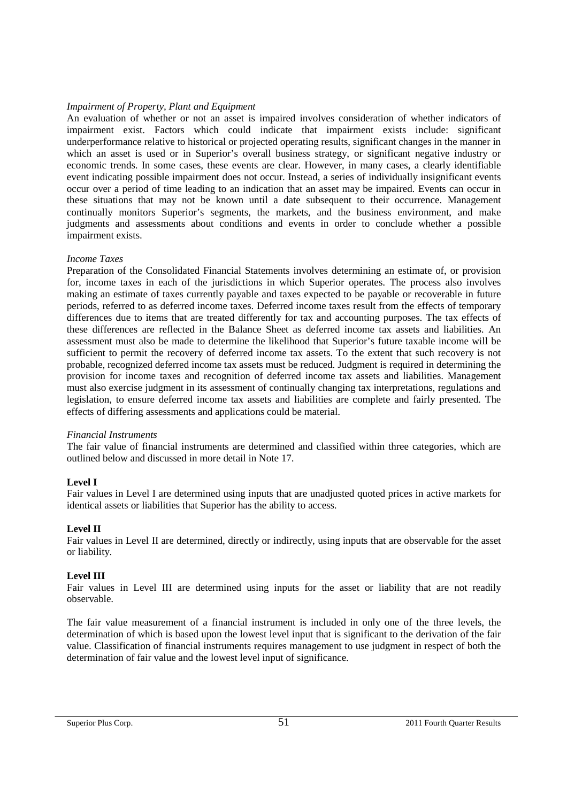#### *Impairment of Property, Plant and Equipment*

An evaluation of whether or not an asset is impaired involves consideration of whether indicators of impairment exist. Factors which could indicate that impairment exists include: significant underperformance relative to historical or projected operating results, significant changes in the manner in which an asset is used or in Superior's overall business strategy, or significant negative industry or economic trends. In some cases, these events are clear. However, in many cases, a clearly identifiable event indicating possible impairment does not occur. Instead, a series of individually insignificant events occur over a period of time leading to an indication that an asset may be impaired. Events can occur in these situations that may not be known until a date subsequent to their occurrence. Management continually monitors Superior's segments, the markets, and the business environment, and make judgments and assessments about conditions and events in order to conclude whether a possible impairment exists.

#### *Income Taxes*

Preparation of the Consolidated Financial Statements involves determining an estimate of, or provision for, income taxes in each of the jurisdictions in which Superior operates. The process also involves making an estimate of taxes currently payable and taxes expected to be payable or recoverable in future periods, referred to as deferred income taxes. Deferred income taxes result from the effects of temporary differences due to items that are treated differently for tax and accounting purposes. The tax effects of these differences are reflected in the Balance Sheet as deferred income tax assets and liabilities. An assessment must also be made to determine the likelihood that Superior's future taxable income will be sufficient to permit the recovery of deferred income tax assets. To the extent that such recovery is not probable, recognized deferred income tax assets must be reduced. Judgment is required in determining the provision for income taxes and recognition of deferred income tax assets and liabilities. Management must also exercise judgment in its assessment of continually changing tax interpretations, regulations and legislation, to ensure deferred income tax assets and liabilities are complete and fairly presented. The effects of differing assessments and applications could be material.

### *Financial Instruments*

The fair value of financial instruments are determined and classified within three categories, which are outlined below and discussed in more detail in Note 17.

### **Level I**

Fair values in Level I are determined using inputs that are unadjusted quoted prices in active markets for identical assets or liabilities that Superior has the ability to access.

### **Level II**

Fair values in Level II are determined, directly or indirectly, using inputs that are observable for the asset or liability.

### **Level III**

Fair values in Level III are determined using inputs for the asset or liability that are not readily observable.

The fair value measurement of a financial instrument is included in only one of the three levels, the determination of which is based upon the lowest level input that is significant to the derivation of the fair value. Classification of financial instruments requires management to use judgment in respect of both the determination of fair value and the lowest level input of significance.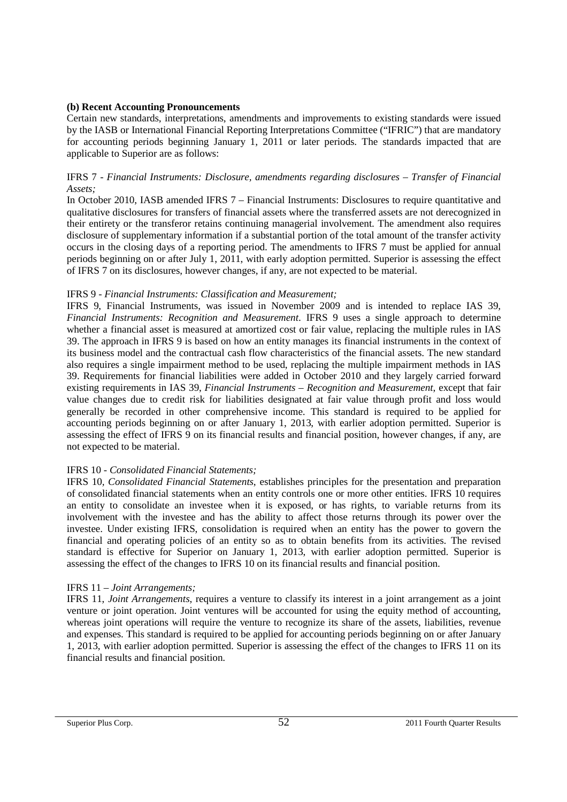### **(b) Recent Accounting Pronouncements**

Certain new standards, interpretations, amendments and improvements to existing standards were issued by the IASB or International Financial Reporting Interpretations Committee ("IFRIC") that are mandatory for accounting periods beginning January 1, 2011 or later periods. The standards impacted that are applicable to Superior are as follows:

### IFRS 7 - *Financial Instruments: Disclosure, amendments regarding disclosures – Transfer of Financial Assets;*

In October 2010, IASB amended IFRS 7 – Financial Instruments: Disclosures to require quantitative and qualitative disclosures for transfers of financial assets where the transferred assets are not derecognized in their entirety or the transferor retains continuing managerial involvement. The amendment also requires disclosure of supplementary information if a substantial portion of the total amount of the transfer activity occurs in the closing days of a reporting period. The amendments to IFRS 7 must be applied for annual periods beginning on or after July 1, 2011, with early adoption permitted. Superior is assessing the effect of IFRS 7 on its disclosures, however changes, if any, are not expected to be material.

### IFRS 9 - *Financial Instruments: Classification and Measurement;*

IFRS 9, Financial Instruments, was issued in November 2009 and is intended to replace IAS 39*, Financial Instruments: Recognition and Measurement*. IFRS 9 uses a single approach to determine whether a financial asset is measured at amortized cost or fair value, replacing the multiple rules in IAS 39. The approach in IFRS 9 is based on how an entity manages its financial instruments in the context of its business model and the contractual cash flow characteristics of the financial assets. The new standard also requires a single impairment method to be used, replacing the multiple impairment methods in IAS 39. Requirements for financial liabilities were added in October 2010 and they largely carried forward existing requirements in IAS 39, *Financial Instruments – Recognition and Measurement*, except that fair value changes due to credit risk for liabilities designated at fair value through profit and loss would generally be recorded in other comprehensive income. This standard is required to be applied for accounting periods beginning on or after January 1, 2013, with earlier adoption permitted. Superior is assessing the effect of IFRS 9 on its financial results and financial position, however changes, if any, are not expected to be material.

### IFRS 10 - *Consolidated Financial Statements;*

IFRS 10*, Consolidated Financial Statements*, establishes principles for the presentation and preparation of consolidated financial statements when an entity controls one or more other entities. IFRS 10 requires an entity to consolidate an investee when it is exposed, or has rights, to variable returns from its involvement with the investee and has the ability to affect those returns through its power over the investee. Under existing IFRS, consolidation is required when an entity has the power to govern the financial and operating policies of an entity so as to obtain benefits from its activities. The revised standard is effective for Superior on January 1, 2013, with earlier adoption permitted. Superior is assessing the effect of the changes to IFRS 10 on its financial results and financial position.

### IFRS 11 – *Joint Arrangements;*

IFRS 11, *Joint Arrangements*, requires a venture to classify its interest in a joint arrangement as a joint venture or joint operation. Joint ventures will be accounted for using the equity method of accounting, whereas joint operations will require the venture to recognize its share of the assets, liabilities, revenue and expenses. This standard is required to be applied for accounting periods beginning on or after January 1, 2013, with earlier adoption permitted. Superior is assessing the effect of the changes to IFRS 11 on its financial results and financial position.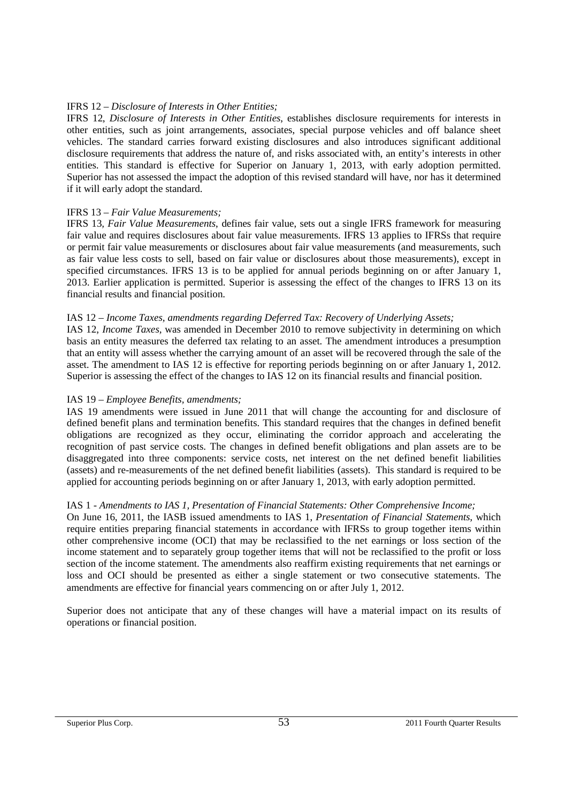### IFRS 12 – *Disclosure of Interests in Other Entities;*

IFRS 12, *Disclosure of Interests in Other Entities*, establishes disclosure requirements for interests in other entities, such as joint arrangements, associates, special purpose vehicles and off balance sheet vehicles. The standard carries forward existing disclosures and also introduces significant additional disclosure requirements that address the nature of, and risks associated with, an entity's interests in other entities. This standard is effective for Superior on January 1, 2013, with early adoption permitted. Superior has not assessed the impact the adoption of this revised standard will have, nor has it determined if it will early adopt the standard.

### IFRS 13 *– Fair Value Measurements;*

IFRS 13*, Fair Value Measurements*, defines fair value, sets out a single IFRS framework for measuring fair value and requires disclosures about fair value measurements. IFRS 13 applies to IFRSs that require or permit fair value measurements or disclosures about fair value measurements (and measurements, such as fair value less costs to sell, based on fair value or disclosures about those measurements), except in specified circumstances. IFRS 13 is to be applied for annual periods beginning on or after January 1, 2013. Earlier application is permitted. Superior is assessing the effect of the changes to IFRS 13 on its financial results and financial position.

### IAS 12 – *Income Taxes, amendments regarding Deferred Tax: Recovery of Underlying Assets;*

IAS 12, *Income Taxes,* was amended in December 2010 to remove subjectivity in determining on which basis an entity measures the deferred tax relating to an asset. The amendment introduces a presumption that an entity will assess whether the carrying amount of an asset will be recovered through the sale of the asset. The amendment to IAS 12 is effective for reporting periods beginning on or after January 1, 2012. Superior is assessing the effect of the changes to IAS 12 on its financial results and financial position.

### IAS 19 – *Employee Benefits, amendments;*

IAS 19 amendments were issued in June 2011 that will change the accounting for and disclosure of defined benefit plans and termination benefits. This standard requires that the changes in defined benefit obligations are recognized as they occur, eliminating the corridor approach and accelerating the recognition of past service costs. The changes in defined benefit obligations and plan assets are to be disaggregated into three components: service costs, net interest on the net defined benefit liabilities (assets) and re-measurements of the net defined benefit liabilities (assets). This standard is required to be applied for accounting periods beginning on or after January 1, 2013, with early adoption permitted.

### IAS 1 - *Amendments to IAS 1, Presentation of Financial Statements: Other Comprehensive Income;*

On June 16, 2011, the IASB issued amendments to IAS 1, *Presentation of Financial Statements*, which require entities preparing financial statements in accordance with IFRSs to group together items within other comprehensive income (OCI) that may be reclassified to the net earnings or loss section of the income statement and to separately group together items that will not be reclassified to the profit or loss section of the income statement. The amendments also reaffirm existing requirements that net earnings or loss and OCI should be presented as either a single statement or two consecutive statements. The amendments are effective for financial years commencing on or after July 1, 2012.

Superior does not anticipate that any of these changes will have a material impact on its results of operations or financial position.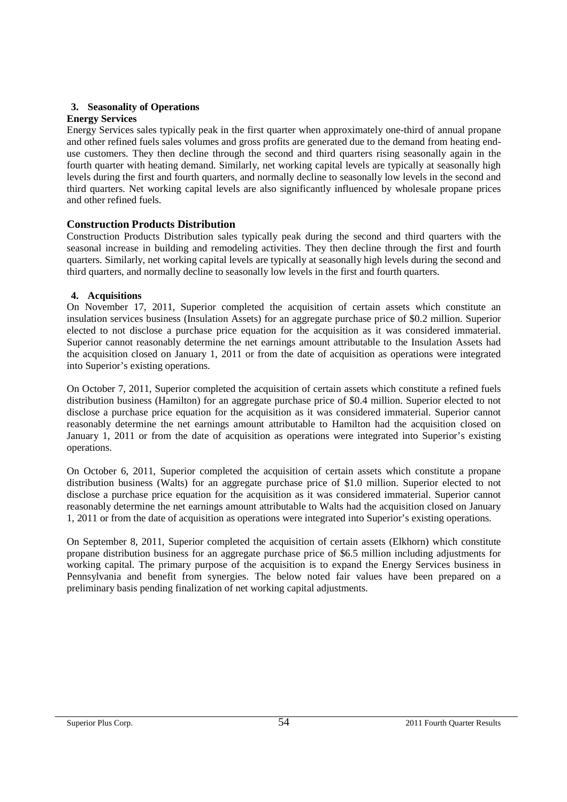### **3. Seasonality of Operations**

### **Energy Services**

Energy Services sales typically peak in the first quarter when approximately one-third of annual propane and other refined fuels sales volumes and gross profits are generated due to the demand from heating enduse customers. They then decline through the second and third quarters rising seasonally again in the fourth quarter with heating demand. Similarly, net working capital levels are typically at seasonally high levels during the first and fourth quarters, and normally decline to seasonally low levels in the second and third quarters. Net working capital levels are also significantly influenced by wholesale propane prices and other refined fuels.

### **Construction Products Distribution**

Construction Products Distribution sales typically peak during the second and third quarters with the seasonal increase in building and remodeling activities. They then decline through the first and fourth quarters. Similarly, net working capital levels are typically at seasonally high levels during the second and third quarters, and normally decline to seasonally low levels in the first and fourth quarters.

### **4. Acquisitions**

On November 17, 2011, Superior completed the acquisition of certain assets which constitute an insulation services business (Insulation Assets) for an aggregate purchase price of \$0.2 million. Superior elected to not disclose a purchase price equation for the acquisition as it was considered immaterial. Superior cannot reasonably determine the net earnings amount attributable to the Insulation Assets had the acquisition closed on January 1, 2011 or from the date of acquisition as operations were integrated into Superior's existing operations.

On October 7, 2011, Superior completed the acquisition of certain assets which constitute a refined fuels distribution business (Hamilton) for an aggregate purchase price of \$0.4 million. Superior elected to not disclose a purchase price equation for the acquisition as it was considered immaterial. Superior cannot reasonably determine the net earnings amount attributable to Hamilton had the acquisition closed on January 1, 2011 or from the date of acquisition as operations were integrated into Superior's existing operations.

On October 6, 2011, Superior completed the acquisition of certain assets which constitute a propane distribution business (Walts) for an aggregate purchase price of \$1.0 million. Superior elected to not disclose a purchase price equation for the acquisition as it was considered immaterial. Superior cannot reasonably determine the net earnings amount attributable to Walts had the acquisition closed on January 1, 2011 or from the date of acquisition as operations were integrated into Superior's existing operations.

On September 8, 2011, Superior completed the acquisition of certain assets (Elkhorn) which constitute propane distribution business for an aggregate purchase price of \$6.5 million including adjustments for working capital. The primary purpose of the acquisition is to expand the Energy Services business in Pennsylvania and benefit from synergies. The below noted fair values have been prepared on a preliminary basis pending finalization of net working capital adjustments.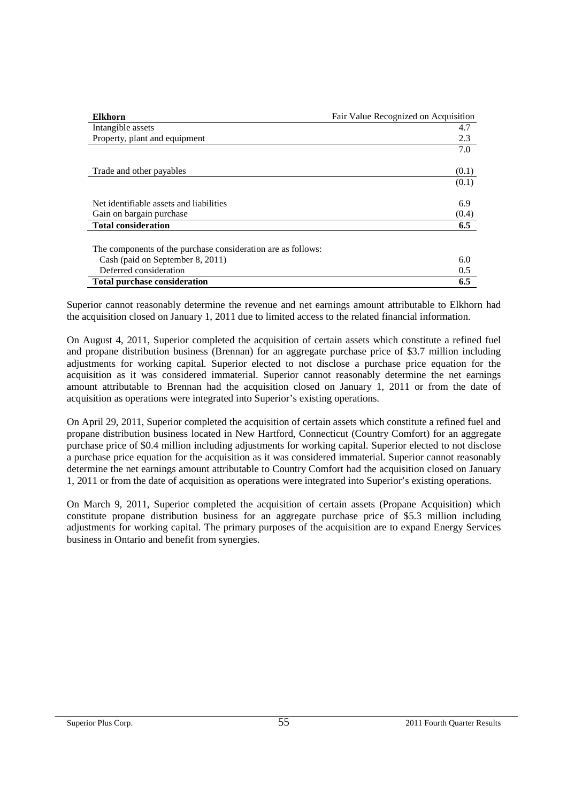| <b>Elkhorn</b>                                               | Fair Value Recognized on Acquisition |
|--------------------------------------------------------------|--------------------------------------|
| Intangible assets                                            | 4.7                                  |
| Property, plant and equipment                                | 2.3                                  |
|                                                              | 7.0                                  |
|                                                              |                                      |
| Trade and other payables                                     | (0.1)                                |
|                                                              | (0.1)                                |
|                                                              |                                      |
| Net identifiable assets and liabilities                      | 6.9                                  |
| Gain on bargain purchase                                     | (0.4)                                |
| <b>Total consideration</b>                                   | 6.5                                  |
|                                                              |                                      |
| The components of the purchase consideration are as follows: |                                      |
| Cash (paid on September 8, 2011)                             | 6.0                                  |
| Deferred consideration                                       | 0.5                                  |
| <b>Total purchase consideration</b>                          | 6.5                                  |

Superior cannot reasonably determine the revenue and net earnings amount attributable to Elkhorn had the acquisition closed on January 1, 2011 due to limited access to the related financial information.

On August 4, 2011, Superior completed the acquisition of certain assets which constitute a refined fuel and propane distribution business (Brennan) for an aggregate purchase price of \$3.7 million including adjustments for working capital. Superior elected to not disclose a purchase price equation for the acquisition as it was considered immaterial. Superior cannot reasonably determine the net earnings amount attributable to Brennan had the acquisition closed on January 1, 2011 or from the date of acquisition as operations were integrated into Superior's existing operations.

On April 29, 2011, Superior completed the acquisition of certain assets which constitute a refined fuel and propane distribution business located in New Hartford, Connecticut (Country Comfort) for an aggregate purchase price of \$0.4 million including adjustments for working capital. Superior elected to not disclose a purchase price equation for the acquisition as it was considered immaterial. Superior cannot reasonably determine the net earnings amount attributable to Country Comfort had the acquisition closed on January 1, 2011 or from the date of acquisition as operations were integrated into Superior's existing operations.

On March 9, 2011, Superior completed the acquisition of certain assets (Propane Acquisition) which constitute propane distribution business for an aggregate purchase price of \$5.3 million including adjustments for working capital. The primary purposes of the acquisition are to expand Energy Services business in Ontario and benefit from synergies.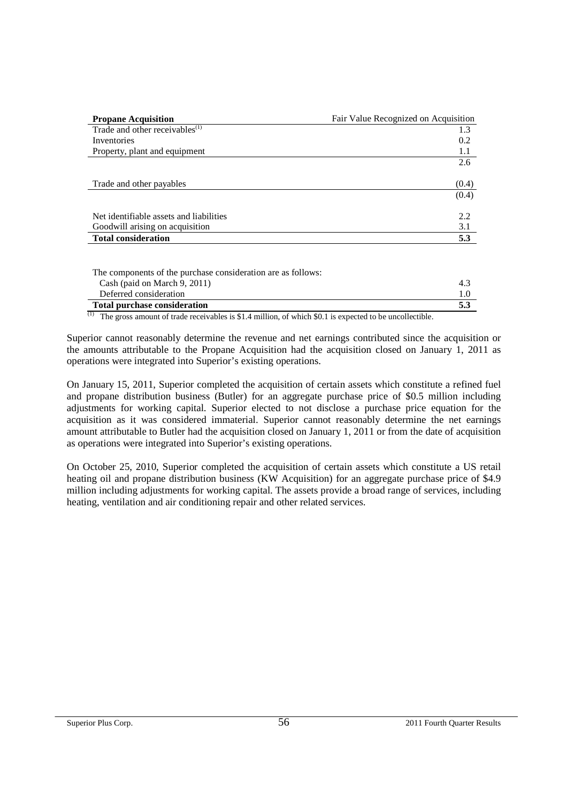| <b>Propane Acquisition</b>                 | Fair Value Recognized on Acquisition |
|--------------------------------------------|--------------------------------------|
| Trade and other receivables <sup>(1)</sup> | 1.3                                  |
| Inventories                                | 0.2                                  |
| Property, plant and equipment              | 1.1                                  |
|                                            | 2.6                                  |
|                                            |                                      |
| Trade and other payables                   | (0.4)                                |
|                                            | (0.4)                                |
| Net identifiable assets and liabilities    | 2.2                                  |
| Goodwill arising on acquisition            | 3.1                                  |
| <b>Total consideration</b>                 | 5.3                                  |

| The components of the purchase consideration are as follows: |     |
|--------------------------------------------------------------|-----|
| Cash (paid on March 9, 2011)                                 | 4.3 |
| Deferred consideration                                       |     |
| Total purchase consideration                                 |     |
|                                                              |     |

 $\overline{1}$  The gross amount of trade receivables is \$1.4 million, of which \$0.1 is expected to be uncollectible.

Superior cannot reasonably determine the revenue and net earnings contributed since the acquisition or the amounts attributable to the Propane Acquisition had the acquisition closed on January 1, 2011 as operations were integrated into Superior's existing operations.

On January 15, 2011, Superior completed the acquisition of certain assets which constitute a refined fuel and propane distribution business (Butler) for an aggregate purchase price of \$0.5 million including adjustments for working capital. Superior elected to not disclose a purchase price equation for the acquisition as it was considered immaterial. Superior cannot reasonably determine the net earnings amount attributable to Butler had the acquisition closed on January 1, 2011 or from the date of acquisition as operations were integrated into Superior's existing operations.

On October 25, 2010, Superior completed the acquisition of certain assets which constitute a US retail heating oil and propane distribution business (KW Acquisition) for an aggregate purchase price of \$4.9 million including adjustments for working capital. The assets provide a broad range of services, including heating, ventilation and air conditioning repair and other related services.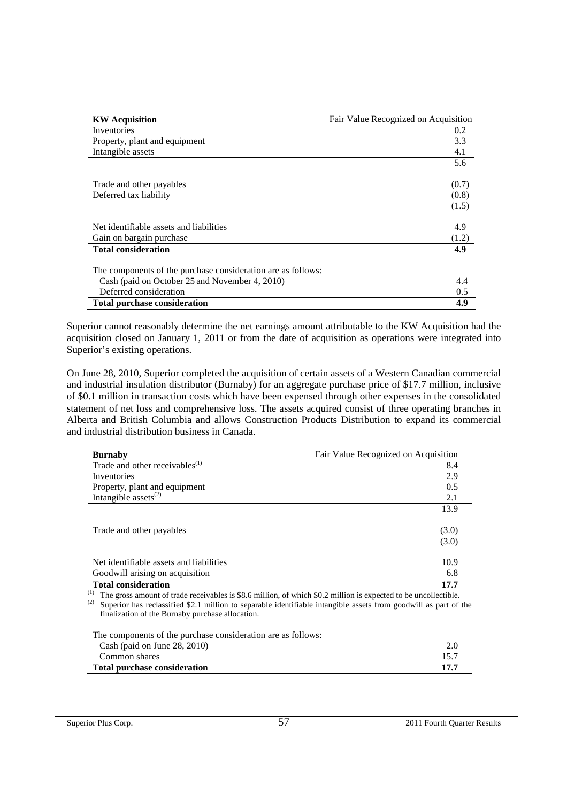| <b>KW</b> Acquisition                                        | Fair Value Recognized on Acquisition |
|--------------------------------------------------------------|--------------------------------------|
| Inventories                                                  | 0.2                                  |
| Property, plant and equipment                                | 3.3                                  |
| Intangible assets                                            | 4.1                                  |
|                                                              | 5.6                                  |
| Trade and other payables                                     | (0.7)                                |
| Deferred tax liability                                       | (0.8)                                |
|                                                              | (1.5)                                |
| Net identifiable assets and liabilities                      | 4.9                                  |
| Gain on bargain purchase                                     | (1.2)                                |
| <b>Total consideration</b>                                   | 4.9                                  |
| The components of the purchase consideration are as follows: |                                      |
| Cash (paid on October 25 and November 4, 2010)               | 4.4                                  |
| Deferred consideration                                       | 0.5                                  |
| <b>Total purchase consideration</b>                          | 4.9                                  |

Superior cannot reasonably determine the net earnings amount attributable to the KW Acquisition had the acquisition closed on January 1, 2011 or from the date of acquisition as operations were integrated into Superior's existing operations.

On June 28, 2010, Superior completed the acquisition of certain assets of a Western Canadian commercial and industrial insulation distributor (Burnaby) for an aggregate purchase price of \$17.7 million, inclusive of \$0.1 million in transaction costs which have been expensed through other expenses in the consolidated statement of net loss and comprehensive loss. The assets acquired consist of three operating branches in Alberta and British Columbia and allows Construction Products Distribution to expand its commercial and industrial distribution business in Canada.

| 8.4                                                                                                                                                  |
|------------------------------------------------------------------------------------------------------------------------------------------------------|
| 2.9                                                                                                                                                  |
| 0.5                                                                                                                                                  |
| 2.1                                                                                                                                                  |
| 13.9                                                                                                                                                 |
|                                                                                                                                                      |
| (3.0)                                                                                                                                                |
| (3.0)                                                                                                                                                |
|                                                                                                                                                      |
| 10.9                                                                                                                                                 |
| 6.8                                                                                                                                                  |
| 17.7<br>(1) The cases corrected from the contract the in $\&0.6$ contilling to fundity $\&0.2$ william in connected to be connected to the connected |
|                                                                                                                                                      |

The gross amount of trade receivables is \$8.6 million, of which \$0.2 million is expected to be uncollectible. (2) Superior has reclassified \$2.1 million to separable identifiable intangible assets from goodwill as part of the finalization of the Burnaby purchase allocation.

| The components of the purchase consideration are as follows: |      |
|--------------------------------------------------------------|------|
| Cash (paid on June 28, 2010)                                 | 2.0  |
| Common shares                                                | 15.7 |
| <b>Total purchase consideration</b>                          | 177  |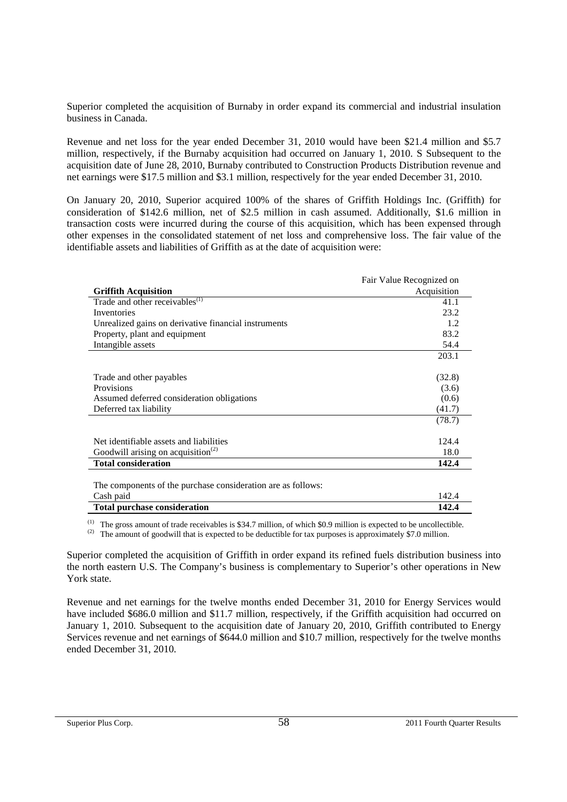Superior completed the acquisition of Burnaby in order expand its commercial and industrial insulation business in Canada.

Revenue and net loss for the year ended December 31, 2010 would have been \$21.4 million and \$5.7 million, respectively, if the Burnaby acquisition had occurred on January 1, 2010. S Subsequent to the acquisition date of June 28, 2010, Burnaby contributed to Construction Products Distribution revenue and net earnings were \$17.5 million and \$3.1 million, respectively for the year ended December 31, 2010.

On January 20, 2010, Superior acquired 100% of the shares of Griffith Holdings Inc. (Griffith) for consideration of \$142.6 million, net of \$2.5 million in cash assumed. Additionally, \$1.6 million in transaction costs were incurred during the course of this acquisition, which has been expensed through other expenses in the consolidated statement of net loss and comprehensive loss. The fair value of the identifiable assets and liabilities of Griffith as at the date of acquisition were:

|                                                              | Fair Value Recognized on |
|--------------------------------------------------------------|--------------------------|
| <b>Griffith Acquisition</b>                                  | Acquisition              |
| Trade and other receivables <sup>(1)</sup>                   | 41.1                     |
| Inventories                                                  | 23.2                     |
| Unrealized gains on derivative financial instruments         | 1.2                      |
| Property, plant and equipment                                | 83.2                     |
| Intangible assets                                            | 54.4                     |
|                                                              | 203.1                    |
|                                                              |                          |
| Trade and other payables                                     | (32.8)                   |
| <b>Provisions</b>                                            | (3.6)                    |
| Assumed deferred consideration obligations                   | (0.6)                    |
| Deferred tax liability                                       | (41.7)                   |
|                                                              | (78.7)                   |
|                                                              |                          |
| Net identifiable assets and liabilities                      | 124.4                    |
| Goodwill arising on acquisition <sup><math>(2)</math></sup>  | 18.0                     |
| <b>Total consideration</b>                                   | 142.4                    |
|                                                              |                          |
| The components of the purchase consideration are as follows: |                          |

Cash paid 142.4 **Total purchase consideration 142.4**

 $(1)$  The gross amount of trade receivables is \$34.7 million, of which \$0.9 million is expected to be uncollectible.

(2) The amount of goodwill that is expected to be deductible for tax purposes is approximately \$7.0 million.

Superior completed the acquisition of Griffith in order expand its refined fuels distribution business into the north eastern U.S. The Company's business is complementary to Superior's other operations in New York state.

Revenue and net earnings for the twelve months ended December 31, 2010 for Energy Services would have included \$686.0 million and \$11.7 million, respectively, if the Griffith acquisition had occurred on January 1, 2010. Subsequent to the acquisition date of January 20, 2010, Griffith contributed to Energy Services revenue and net earnings of \$644.0 million and \$10.7 million, respectively for the twelve months ended December 31, 2010.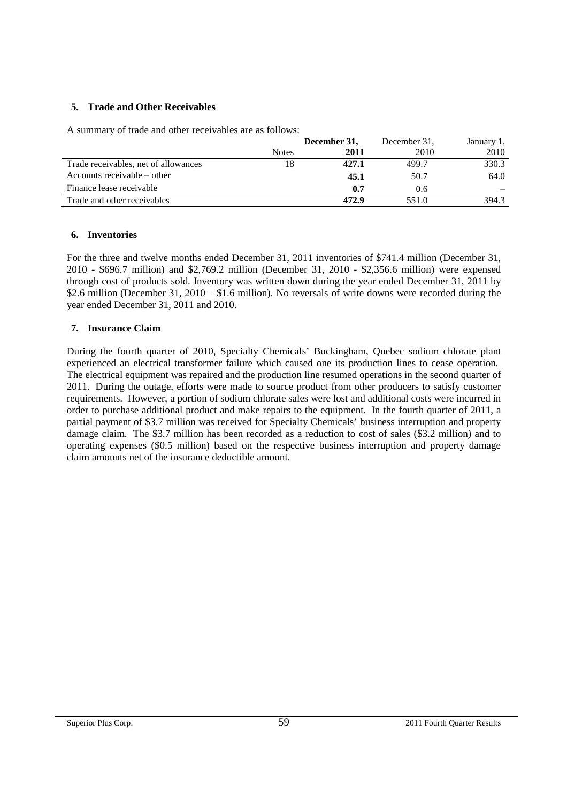### **5. Trade and Other Receivables**

A summary of trade and other receivables are as follows:

|                                      | December 31, |       | December 31, | January 1, |
|--------------------------------------|--------------|-------|--------------|------------|
|                                      | <b>Notes</b> | 2011  | 2010         | 2010       |
| Trade receivables, net of allowances | 18           | 427.1 | 499.7        | 330.3      |
| Accounts receivable – other          |              | 45.1  | 50.7         | 64.0       |
| Finance lease receivable             |              | 0.7   | 0.6          |            |
| Trade and other receivables          |              | 472.9 | 551.0        | 394.3      |

### **6. Inventories**

For the three and twelve months ended December 31, 2011 inventories of \$741.4 million (December 31, 2010 - \$696.7 million) and \$2,769.2 million (December 31, 2010 - \$2,356.6 million) were expensed through cost of products sold. Inventory was written down during the year ended December 31, 2011 by \$2.6 million (December 31, 2010 – \$1.6 million). No reversals of write downs were recorded during the year ended December 31, 2011 and 2010.

### **7. Insurance Claim**

During the fourth quarter of 2010, Specialty Chemicals' Buckingham, Quebec sodium chlorate plant experienced an electrical transformer failure which caused one its production lines to cease operation. The electrical equipment was repaired and the production line resumed operations in the second quarter of 2011. During the outage, efforts were made to source product from other producers to satisfy customer requirements. However, a portion of sodium chlorate sales were lost and additional costs were incurred in order to purchase additional product and make repairs to the equipment. In the fourth quarter of 2011, a partial payment of \$3.7 million was received for Specialty Chemicals' business interruption and property damage claim. The \$3.7 million has been recorded as a reduction to cost of sales (\$3.2 million) and to operating expenses (\$0.5 million) based on the respective business interruption and property damage claim amounts net of the insurance deductible amount.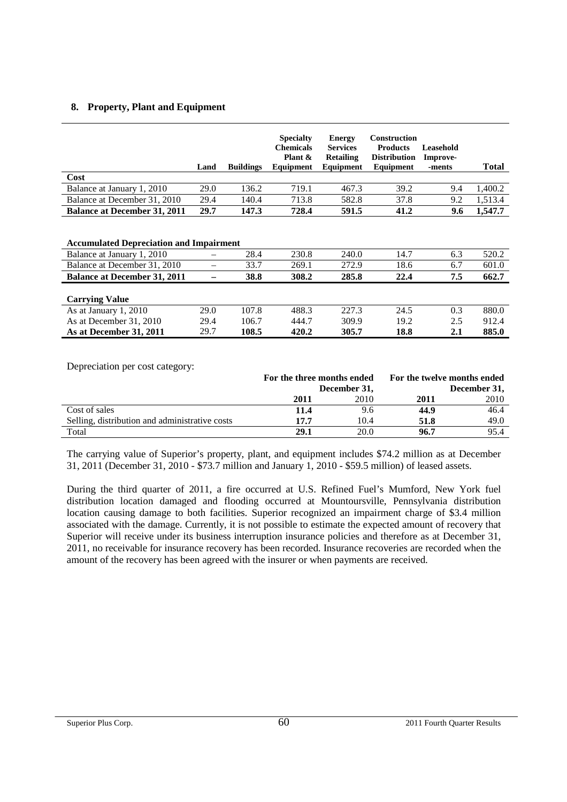### **8. Property, Plant and Equipment**

|                                                                              | Land | <b>Buildings</b> | <b>Specialty</b><br><b>Chemicals</b><br>Plant &<br>Equipment | <b>Energy</b><br><b>Services</b><br><b>Retailing</b><br>Equipment | <b>Construction</b><br><b>Products</b><br><b>Distribution</b><br>Equipment | Leasehold<br>Improve-<br>-ments | <b>Total</b> |
|------------------------------------------------------------------------------|------|------------------|--------------------------------------------------------------|-------------------------------------------------------------------|----------------------------------------------------------------------------|---------------------------------|--------------|
| Cost                                                                         |      |                  |                                                              |                                                                   |                                                                            |                                 |              |
| Balance at January 1, 2010                                                   | 29.0 | 136.2            | 719.1                                                        | 467.3                                                             | 39.2                                                                       | 9.4                             | 1,400.2      |
| Balance at December 31, 2010                                                 | 29.4 | 140.4            | 713.8                                                        | 582.8                                                             | 37.8                                                                       | 9.2                             | 1,513.4      |
| <b>Balance at December 31, 2011</b>                                          | 29.7 | 147.3            | 728.4                                                        | 591.5                                                             | 41.2                                                                       | 9.6                             | 1,547.7      |
| <b>Accumulated Depreciation and Impairment</b><br>Balance at January 1, 2010 |      | 28.4             | 230.8                                                        | 240.0                                                             | 14.7                                                                       | 6.3                             | 520.2        |
| Balance at December 31, 2010                                                 |      | 33.7             | 269.1                                                        | 272.9                                                             | 18.6                                                                       | 6.7                             | 601.0        |
| <b>Balance at December 31, 2011</b>                                          |      | 38.8             | 308.2                                                        | 285.8                                                             | 22.4                                                                       | 7.5                             | 662.7        |
| <b>Carrying Value</b>                                                        |      |                  |                                                              |                                                                   |                                                                            |                                 |              |
| As at January 1, 2010                                                        | 29.0 | 107.8            | 488.3                                                        | 227.3                                                             | 24.5                                                                       | 0.3                             | 880.0        |
| As at December 31, 2010                                                      | 29.4 | 106.7            | 444.7                                                        | 309.9                                                             | 19.2                                                                       | 2.5                             | 912.4        |
| As at December 31, 2011                                                      | 29.7 | 108.5            | 420.2                                                        | 305.7                                                             | 18.8                                                                       | 2.1                             | 885.0        |

Depreciation per cost category:

|                                                | For the three months ended |      | For the twelve months ended |              |
|------------------------------------------------|----------------------------|------|-----------------------------|--------------|
|                                                | December 31,               |      |                             | December 31, |
|                                                | 2011                       | 2010 | 2011                        | 2010         |
| Cost of sales                                  | 11.4                       | 9.6  | 44.9                        | 46.4         |
| Selling, distribution and administrative costs | 17.7                       | 10.4 | 51.8                        | 49.0         |
| Total                                          | 29.1                       | 20.0 | 96.7                        | 95.4         |

The carrying value of Superior's property, plant, and equipment includes \$74.2 million as at December 31, 2011 (December 31, 2010 - \$73.7 million and January 1, 2010 - \$59.5 million) of leased assets.

During the third quarter of 2011, a fire occurred at U.S. Refined Fuel's Mumford, New York fuel distribution location damaged and flooding occurred at Mountoursville, Pennsylvania distribution location causing damage to both facilities. Superior recognized an impairment charge of \$3.4 million associated with the damage. Currently, it is not possible to estimate the expected amount of recovery that Superior will receive under its business interruption insurance policies and therefore as at December 31, 2011, no receivable for insurance recovery has been recorded. Insurance recoveries are recorded when the amount of the recovery has been agreed with the insurer or when payments are received.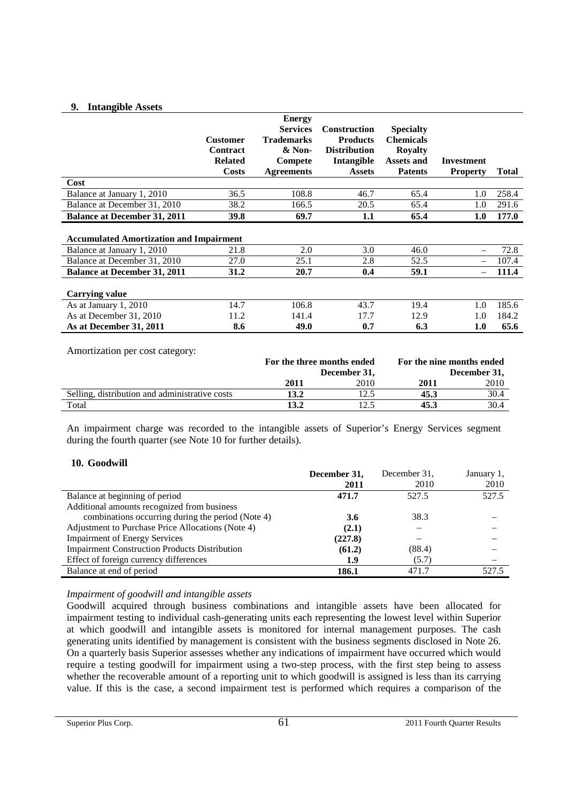### **9. Intangible Assets**

|                                                | <b>Customer</b><br><b>Contract</b><br><b>Related</b><br><b>Costs</b> | <b>Energy</b><br><b>Services</b><br><b>Trademarks</b><br>& Non-<br>Compete<br><b>Agreements</b> | <b>Construction</b><br><b>Products</b><br><b>Distribution</b><br>Intangible<br><b>Assets</b> | <b>Specialty</b><br><b>Chemicals</b><br><b>Royalty</b><br>Assets and<br><b>Patents</b> | Investment<br><b>Property</b> | <b>Total</b> |
|------------------------------------------------|----------------------------------------------------------------------|-------------------------------------------------------------------------------------------------|----------------------------------------------------------------------------------------------|----------------------------------------------------------------------------------------|-------------------------------|--------------|
| Cost                                           |                                                                      |                                                                                                 |                                                                                              |                                                                                        |                               |              |
| Balance at January 1, 2010                     | 36.5                                                                 | 108.8                                                                                           | 46.7                                                                                         | 65.4                                                                                   | 1.0                           | 258.4        |
| Balance at December 31, 2010                   | 38.2                                                                 | 166.5                                                                                           | 20.5                                                                                         | 65.4                                                                                   | 1.0                           | 291.6        |
| <b>Balance at December 31, 2011</b>            | 39.8                                                                 | 69.7                                                                                            | 1.1                                                                                          | 65.4                                                                                   | 1.0                           | 177.0        |
| <b>Accumulated Amortization and Impairment</b> |                                                                      |                                                                                                 |                                                                                              |                                                                                        |                               |              |
| Balance at January 1, 2010                     | 21.8                                                                 | 2.0                                                                                             | 3.0                                                                                          | 46.0                                                                                   | $\overline{\phantom{0}}$      | 72.8         |
| Balance at December 31, 2010                   | 27.0                                                                 | 25.1                                                                                            | 2.8                                                                                          | 52.5                                                                                   | $\overline{\phantom{0}}$      | 107.4        |
| <b>Balance at December 31, 2011</b>            | 31.2                                                                 | 20.7                                                                                            | 0.4                                                                                          | 59.1                                                                                   | $\overline{\phantom{0}}$      | 111.4        |
| <b>Carrying value</b>                          |                                                                      |                                                                                                 |                                                                                              |                                                                                        |                               |              |
| As at January 1, 2010                          | 14.7                                                                 | 106.8                                                                                           | 43.7                                                                                         | 19.4                                                                                   | 1.0                           | 185.6        |
| As at December 31, 2010                        | 11.2                                                                 | 141.4                                                                                           | 17.7                                                                                         | 12.9                                                                                   | 1.0                           | 184.2        |
| As at December 31, 2011                        | 8.6                                                                  | 49.0                                                                                            | 0.7                                                                                          | 6.3                                                                                    | 1.0                           | 65.6         |

Amortization per cost category:

|                                                | For the three months ended |      | For the nine months ended |              |  |
|------------------------------------------------|----------------------------|------|---------------------------|--------------|--|
|                                                | December 31,               |      |                           | December 31, |  |
|                                                | 2011                       | 2010 | 2011                      | 2010         |  |
| Selling, distribution and administrative costs | 13.2                       | 12.5 | 45.3                      | 30.4         |  |
| Total                                          | 13.2                       |      | 45.3                      | 30.4         |  |

An impairment charge was recorded to the intangible assets of Superior's Energy Services segment during the fourth quarter (see Note 10 for further details).

### **10. Goodwill**

|                                                      | December 31, | December 31. | January 1, |
|------------------------------------------------------|--------------|--------------|------------|
|                                                      | 2011         | 2010         | 2010       |
| Balance at beginning of period                       | 471.7        | 527.5        | 527.5      |
| Additional amounts recognized from business          |              |              |            |
| combinations occurring during the period (Note 4)    | 3.6          | 38.3         |            |
| Adjustment to Purchase Price Allocations (Note 4)    | (2.1)        |              |            |
| <b>Impairment of Energy Services</b>                 | (227.8)      |              |            |
| <b>Impairment Construction Products Distribution</b> | (61.2)       | (88.4)       |            |
| Effect of foreign currency differences               | 1.9          | (5.7)        |            |
| Balance at end of period                             | 186.1        | 471.7        | 527.5      |

### *Impairment of goodwill and intangible assets*

Goodwill acquired through business combinations and intangible assets have been allocated for impairment testing to individual cash-generating units each representing the lowest level within Superior at which goodwill and intangible assets is monitored for internal management purposes. The cash generating units identified by management is consistent with the business segments disclosed in Note 26. On a quarterly basis Superior assesses whether any indications of impairment have occurred which would require a testing goodwill for impairment using a two-step process, with the first step being to assess whether the recoverable amount of a reporting unit to which goodwill is assigned is less than its carrying value. If this is the case, a second impairment test is performed which requires a comparison of the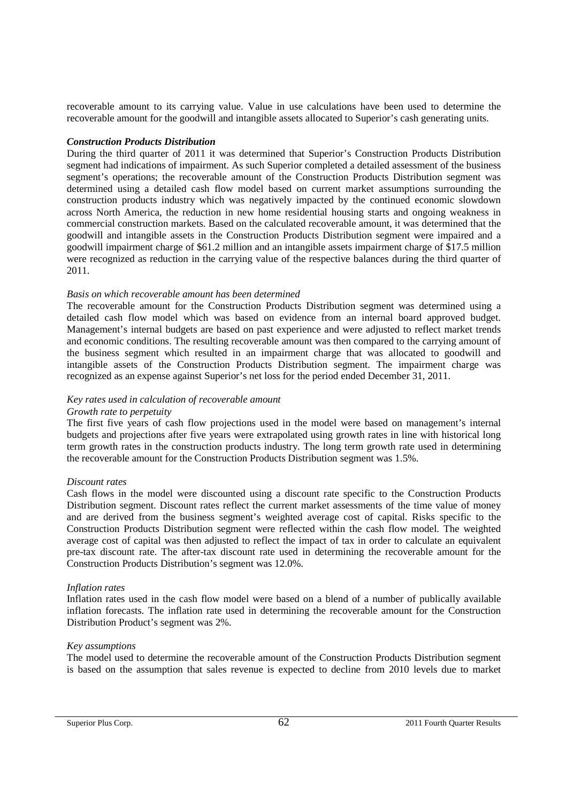recoverable amount to its carrying value. Value in use calculations have been used to determine the recoverable amount for the goodwill and intangible assets allocated to Superior's cash generating units.

#### *Construction Products Distribution*

During the third quarter of 2011 it was determined that Superior's Construction Products Distribution segment had indications of impairment. As such Superior completed a detailed assessment of the business segment's operations; the recoverable amount of the Construction Products Distribution segment was determined using a detailed cash flow model based on current market assumptions surrounding the construction products industry which was negatively impacted by the continued economic slowdown across North America, the reduction in new home residential housing starts and ongoing weakness in commercial construction markets. Based on the calculated recoverable amount, it was determined that the goodwill and intangible assets in the Construction Products Distribution segment were impaired and a goodwill impairment charge of \$61.2 million and an intangible assets impairment charge of \$17.5 million were recognized as reduction in the carrying value of the respective balances during the third quarter of 2011.

#### *Basis on which recoverable amount has been determined*

The recoverable amount for the Construction Products Distribution segment was determined using a detailed cash flow model which was based on evidence from an internal board approved budget. Management's internal budgets are based on past experience and were adjusted to reflect market trends and economic conditions. The resulting recoverable amount was then compared to the carrying amount of the business segment which resulted in an impairment charge that was allocated to goodwill and intangible assets of the Construction Products Distribution segment. The impairment charge was recognized as an expense against Superior's net loss for the period ended December 31, 2011.

### *Key rates used in calculation of recoverable amount*

### *Growth rate to perpetuity*

The first five years of cash flow projections used in the model were based on management's internal budgets and projections after five years were extrapolated using growth rates in line with historical long term growth rates in the construction products industry. The long term growth rate used in determining the recoverable amount for the Construction Products Distribution segment was 1.5%.

### *Discount rates*

Cash flows in the model were discounted using a discount rate specific to the Construction Products Distribution segment. Discount rates reflect the current market assessments of the time value of money and are derived from the business segment's weighted average cost of capital. Risks specific to the Construction Products Distribution segment were reflected within the cash flow model. The weighted average cost of capital was then adjusted to reflect the impact of tax in order to calculate an equivalent pre-tax discount rate. The after-tax discount rate used in determining the recoverable amount for the Construction Products Distribution's segment was 12.0%.

### *Inflation rates*

Inflation rates used in the cash flow model were based on a blend of a number of publically available inflation forecasts. The inflation rate used in determining the recoverable amount for the Construction Distribution Product's segment was 2%.

### *Key assumptions*

The model used to determine the recoverable amount of the Construction Products Distribution segment is based on the assumption that sales revenue is expected to decline from 2010 levels due to market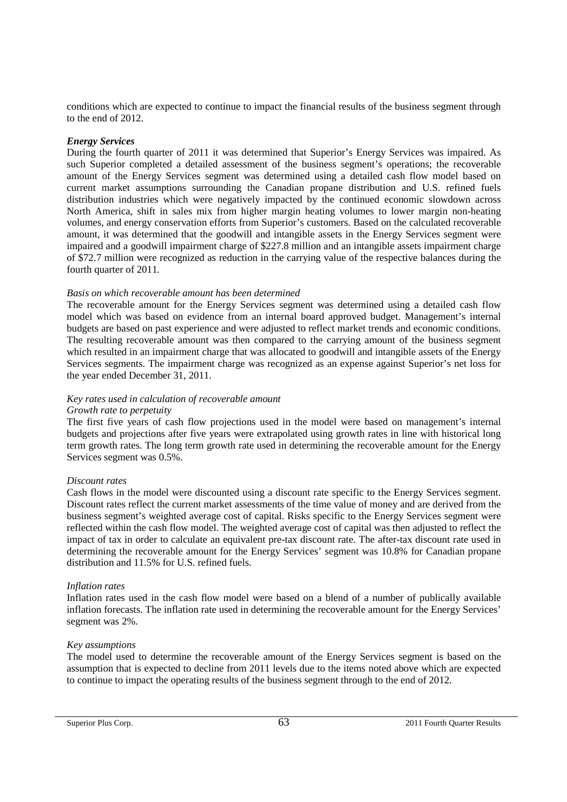conditions which are expected to continue to impact the financial results of the business segment through to the end of 2012.

### *Energy Services*

During the fourth quarter of 2011 it was determined that Superior's Energy Services was impaired. As such Superior completed a detailed assessment of the business segment's operations; the recoverable amount of the Energy Services segment was determined using a detailed cash flow model based on current market assumptions surrounding the Canadian propane distribution and U.S. refined fuels distribution industries which were negatively impacted by the continued economic slowdown across North America, shift in sales mix from higher margin heating volumes to lower margin non-heating volumes, and energy conservation efforts from Superior's customers. Based on the calculated recoverable amount, it was determined that the goodwill and intangible assets in the Energy Services segment were impaired and a goodwill impairment charge of \$227.8 million and an intangible assets impairment charge of \$72.7 million were recognized as reduction in the carrying value of the respective balances during the fourth quarter of 2011.

#### *Basis on which recoverable amount has been determined*

The recoverable amount for the Energy Services segment was determined using a detailed cash flow model which was based on evidence from an internal board approved budget. Management's internal budgets are based on past experience and were adjusted to reflect market trends and economic conditions. The resulting recoverable amount was then compared to the carrying amount of the business segment which resulted in an impairment charge that was allocated to goodwill and intangible assets of the Energy Services segments. The impairment charge was recognized as an expense against Superior's net loss for the year ended December 31, 2011.

# *Key rates used in calculation of recoverable amount*

### *Growth rate to perpetuity*

The first five years of cash flow projections used in the model were based on management's internal budgets and projections after five years were extrapolated using growth rates in line with historical long term growth rates. The long term growth rate used in determining the recoverable amount for the Energy Services segment was 0.5%.

### *Discount rates*

Cash flows in the model were discounted using a discount rate specific to the Energy Services segment. Discount rates reflect the current market assessments of the time value of money and are derived from the business segment's weighted average cost of capital. Risks specific to the Energy Services segment were reflected within the cash flow model. The weighted average cost of capital was then adjusted to reflect the impact of tax in order to calculate an equivalent pre-tax discount rate. The after-tax discount rate used in determining the recoverable amount for the Energy Services' segment was 10.8% for Canadian propane distribution and 11.5% for U.S. refined fuels.

### *Inflation rates*

Inflation rates used in the cash flow model were based on a blend of a number of publically available inflation forecasts. The inflation rate used in determining the recoverable amount for the Energy Services' segment was 2%.

### *Key assumptions*

The model used to determine the recoverable amount of the Energy Services segment is based on the assumption that is expected to decline from 2011 levels due to the items noted above which are expected to continue to impact the operating results of the business segment through to the end of 2012.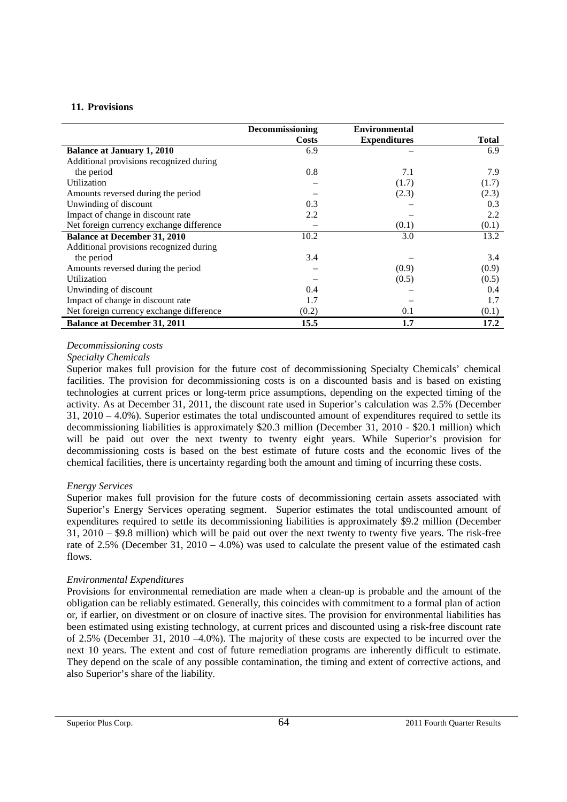#### **11. Provisions**

|                                          | Decommissioning | <b>Environmental</b> |       |
|------------------------------------------|-----------------|----------------------|-------|
|                                          | <b>Costs</b>    | <b>Expenditures</b>  | Total |
| <b>Balance at January 1, 2010</b>        | 6.9             |                      | 6.9   |
| Additional provisions recognized during  |                 |                      |       |
| the period                               | 0.8             | 7.1                  | 7.9   |
| Utilization                              |                 | (1.7)                | (1.7) |
| Amounts reversed during the period       |                 | (2.3)                | (2.3) |
| Unwinding of discount                    | 0.3             |                      | 0.3   |
| Impact of change in discount rate        | 2.2             |                      | 2.2   |
| Net foreign currency exchange difference |                 | (0.1)                | (0.1) |
| <b>Balance at December 31, 2010</b>      | 10.2            | 3.0                  | 13.2  |
| Additional provisions recognized during  |                 |                      |       |
| the period                               | 3.4             |                      | 3.4   |
| Amounts reversed during the period       |                 | (0.9)                | (0.9) |
| Utilization                              |                 | (0.5)                | (0.5) |
| Unwinding of discount                    | 0.4             |                      | 0.4   |
| Impact of change in discount rate        | 1.7             |                      | 1.7   |
| Net foreign currency exchange difference | (0.2)           | 0.1                  | (0.1) |
| <b>Balance at December 31, 2011</b>      | 15.5            | 1.7                  | 17.2  |

### *Decommissioning costs*

### *Specialty Chemicals*

Superior makes full provision for the future cost of decommissioning Specialty Chemicals' chemical facilities. The provision for decommissioning costs is on a discounted basis and is based on existing technologies at current prices or long-term price assumptions, depending on the expected timing of the activity. As at December 31, 2011, the discount rate used in Superior's calculation was 2.5% (December  $31, 2010 - 4.0\%$ ). Superior estimates the total undiscounted amount of expenditures required to settle its decommissioning liabilities is approximately \$20.3 million (December 31, 2010 - \$20.1 million) which will be paid out over the next twenty to twenty eight years. While Superior's provision for decommissioning costs is based on the best estimate of future costs and the economic lives of the chemical facilities, there is uncertainty regarding both the amount and timing of incurring these costs.

### *Energy Services*

Superior makes full provision for the future costs of decommissioning certain assets associated with Superior's Energy Services operating segment. Superior estimates the total undiscounted amount of expenditures required to settle its decommissioning liabilities is approximately \$9.2 million (December 31, 2010 – \$9.8 million) which will be paid out over the next twenty to twenty five years. The risk-free rate of 2.5% (December 31, 2010 – 4.0%) was used to calculate the present value of the estimated cash flows.

### *Environmental Expenditures*

Provisions for environmental remediation are made when a clean-up is probable and the amount of the obligation can be reliably estimated. Generally, this coincides with commitment to a formal plan of action or, if earlier, on divestment or on closure of inactive sites. The provision for environmental liabilities has been estimated using existing technology, at current prices and discounted using a risk-free discount rate of 2.5% (December 31, 2010 –4.0%). The majority of these costs are expected to be incurred over the next 10 years. The extent and cost of future remediation programs are inherently difficult to estimate. They depend on the scale of any possible contamination, the timing and extent of corrective actions, and also Superior's share of the liability.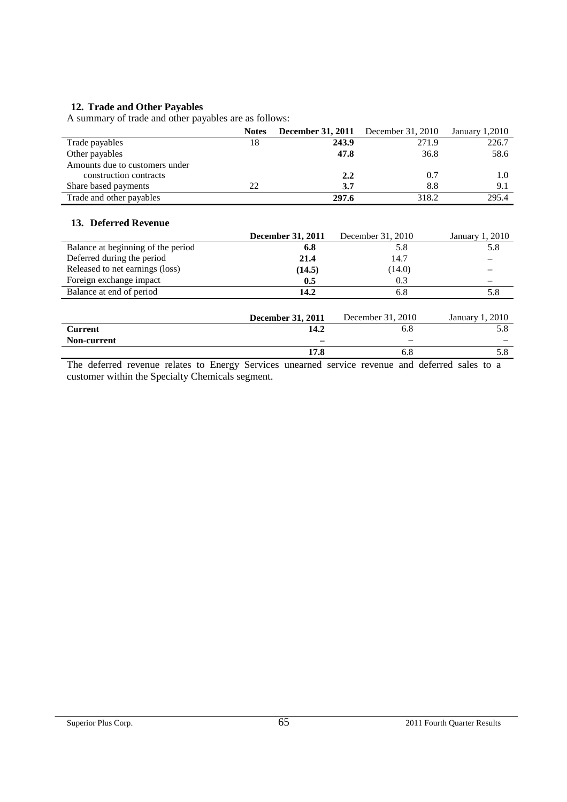### **12. Trade and Other Payables**

A summary of trade and other payables are as follows:

|                                    | <b>Notes</b> | <b>December 31, 2011</b> | December 31, 2010 | January 1,2010  |
|------------------------------------|--------------|--------------------------|-------------------|-----------------|
| Trade payables                     | 18           | 243.9                    | 271.9             | 226.7           |
| Other payables                     |              | 47.8                     | 36.8              | 58.6            |
| Amounts due to customers under     |              |                          |                   |                 |
| construction contracts             |              | 2.2                      | 0.7               | 1.0             |
| Share based payments               | 22           | 3.7                      | 8.8               | 9.1             |
| Trade and other payables           |              | 297.6                    | 318.2             | 295.4           |
| 13. Deferred Revenue               |              | December 31, 2011        | December 31, 2010 | January 1, 2010 |
| Balance at beginning of the period |              | 6.8                      | 5.8               | 5.8             |
| Deferred during the period         |              | 21.4                     | 14.7              |                 |
| Released to net earnings (loss)    |              | (14.5)                   | (14.0)            |                 |
| Foreign exchange impact            |              | 0.5                      | 0.3               |                 |
| Balance at end of period           |              | 14.2                     | 6.8               | 5.8             |

| Balance at end of period | 14.2                     | 6.8               | D.ŏ             |
|--------------------------|--------------------------|-------------------|-----------------|
|                          |                          |                   |                 |
|                          | <b>December 31, 2011</b> | December 31, 2010 | January 1, 2010 |
| <b>Current</b>           | 14.2                     | 6.8               |                 |
| Non-current              |                          |                   |                 |
|                          | 17.8                     |                   |                 |

The deferred revenue relates to Energy Services unearned service revenue and deferred sales to a customer within the Specialty Chemicals segment.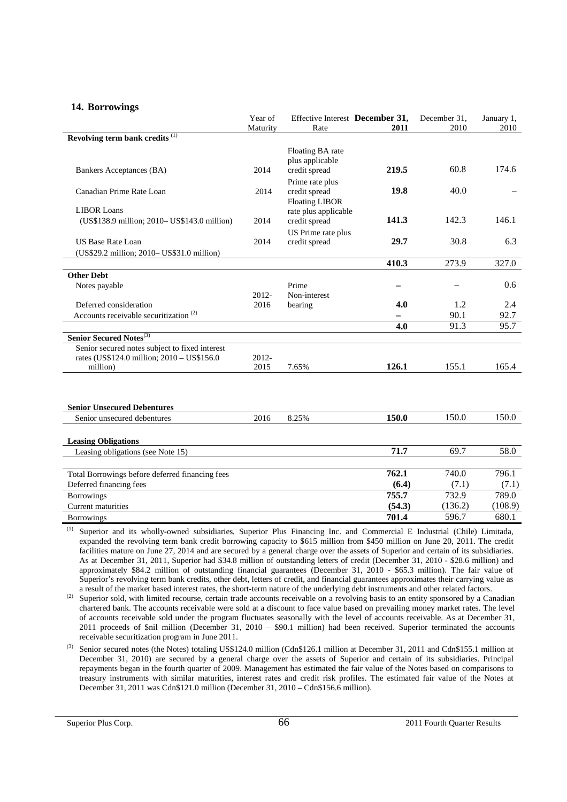#### **14. Borrowings**

|                                                                                              | Year of<br>Maturity | Effective Interest December 31,<br>Rate                     | 2011   | December 31,<br>2010 | January 1,<br>2010 |
|----------------------------------------------------------------------------------------------|---------------------|-------------------------------------------------------------|--------|----------------------|--------------------|
| Revolving term bank credits <sup>(1)</sup>                                                   |                     |                                                             |        |                      |                    |
| Bankers Acceptances (BA)                                                                     | 2014                | Floating BA rate<br>plus applicable<br>credit spread        | 219.5  | 60.8                 | 174.6              |
| Canadian Prime Rate Loan                                                                     | 2014                | Prime rate plus<br>credit spread<br><b>Floating LIBOR</b>   | 19.8   | 40.0                 |                    |
| <b>LIBOR Loans</b><br>(US\$138.9 million; 2010– US\$143.0 million)                           | 2014                | rate plus applicable<br>credit spread<br>US Prime rate plus | 141.3  | 142.3                | 146.1              |
| <b>US</b> Base Rate Loan<br>(US\$29.2 million; 2010- US\$31.0 million)                       | 2014                | credit spread                                               | 29.7   | 30.8                 | 6.3                |
|                                                                                              |                     |                                                             | 410.3  | 273.9                | 327.0              |
| <b>Other Debt</b>                                                                            |                     |                                                             |        |                      |                    |
| Notes payable                                                                                |                     | Prime                                                       |        |                      | 0.6                |
|                                                                                              | 2012-               | Non-interest                                                |        |                      |                    |
| Deferred consideration                                                                       | 2016                | bearing                                                     | 4.0    | 1.2                  | 2.4                |
| Accounts receivable securitization <sup>(2)</sup>                                            |                     |                                                             |        | 90.1                 | 92.7               |
|                                                                                              |                     |                                                             | 4.0    | 91.3                 | 95.7               |
| <b>Senior Secured Notes</b> <sup>(3)</sup>                                                   |                     |                                                             |        |                      |                    |
| Senior secured notes subject to fixed interest<br>rates (US\$124.0 million; 2010 - US\$156.0 | 2012-               |                                                             | 126.1  | 155.1                | 165.4              |
| million)                                                                                     | 2015                | 7.65%                                                       |        |                      |                    |
| <b>Senior Unsecured Debentures</b>                                                           |                     |                                                             |        |                      |                    |
| Senior unsecured debentures                                                                  | 2016                | 8.25%                                                       | 150.0  | 150.0                | 150.0              |
| <b>Leasing Obligations</b>                                                                   |                     |                                                             |        |                      |                    |
| Leasing obligations (see Note 15)                                                            |                     |                                                             | 71.7   | 69.7                 | 58.0               |
|                                                                                              |                     |                                                             |        |                      |                    |
| Total Borrowings before deferred financing fees                                              |                     |                                                             | 762.1  | 740.0                | 796.1              |
| Deferred financing fees                                                                      |                     |                                                             | (6.4)  | (7.1)                | (7.1)              |
| <b>Borrowings</b>                                                                            |                     |                                                             | 755.7  | 732.9                | 789.0              |
| Current maturities                                                                           |                     |                                                             | (54.3) | (136.2)              | (108.9)            |
| <b>Borrowings</b>                                                                            |                     |                                                             | 701.4  | 596.7                | 680.1              |

(1) Superior and its wholly-owned subsidiaries, Superior Plus Financing Inc. and Commercial E Industrial (Chile) Limitada, expanded the revolving term bank credit borrowing capacity to \$615 million from \$450 million on June 20, 2011. The credit facilities mature on June 27, 2014 and are secured by a general charge over the assets of Superior and certain of its subsidiaries. As at December 31, 2011, Superior had \$34.8 million of outstanding letters of credit (December 31, 2010 - \$28.6 million) and approximately \$84.2 million of outstanding financial guarantees (December 31, 2010 - \$65.3 million). The fair value of Superior's revolving term bank credits, other debt, letters of credit, and financial guarantees approximates their carrying value as a result of the market based interest rates, the short-term nature of the underlying debt instruments and other related factors.

<sup>(2)</sup> Superior sold, with limited recourse, certain trade accounts receivable on a revolving basis to an entity sponsored by a Canadian chartered bank. The accounts receivable were sold at a discount to face value based on prevailing money market rates. The level of accounts receivable sold under the program fluctuates seasonally with the level of accounts receivable. As at December 31, 2011 proceeds of \$nil million (December 31, 2010 – \$90.1 million) had been received. Superior terminated the accounts receivable securitization program in June 2011.

<sup>(3)</sup> Senior secured notes (the Notes) totaling US\$124.0 million (Cdn\$126.1 million at December 31, 2011 and Cdn\$155.1 million at December 31, 2010) are secured by a general charge over the assets of Superior and certain of its subsidiaries. Principal repayments began in the fourth quarter of 2009. Management has estimated the fair value of the Notes based on comparisons to treasury instruments with similar maturities, interest rates and credit risk profiles. The estimated fair value of the Notes at December 31, 2011 was Cdn\$121.0 million (December 31, 2010 – Cdn\$156.6 million).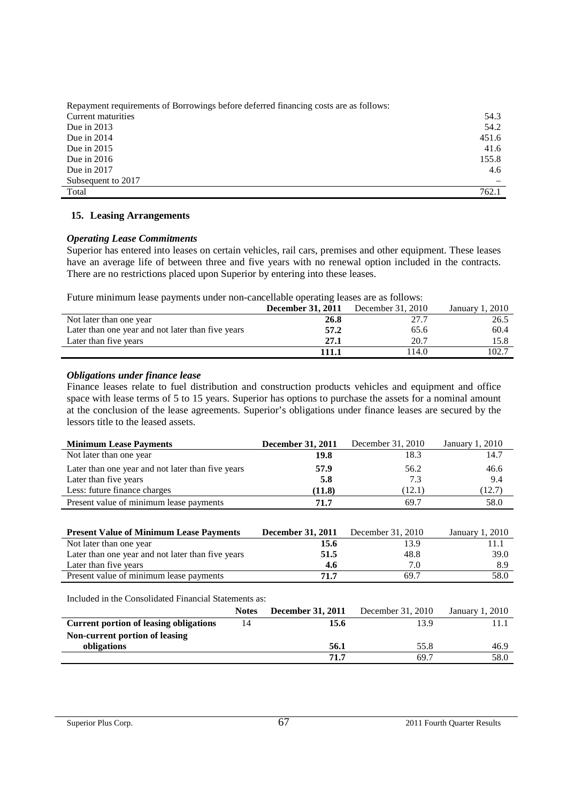| Repayment requirements of Borrowings before deferred financing costs are as follows: |       |
|--------------------------------------------------------------------------------------|-------|
| Current maturities                                                                   | 54.3  |
| Due in $2013$                                                                        | 54.2  |
| Due in $2014$                                                                        | 451.6 |
| Due in $2015$                                                                        | 41.6  |
| Due in $2016$                                                                        | 155.8 |
| Due in $2017$                                                                        | 4.6   |
| Subsequent to 2017                                                                   |       |
| Total                                                                                | 762.1 |

### **15. Leasing Arrangements**

#### *Operating Lease Commitments*

Superior has entered into leases on certain vehicles, rail cars, premises and other equipment. These leases have an average life of between three and five years with no renewal option included in the contracts. There are no restrictions placed upon Superior by entering into these leases.

Future minimum lease payments under non-cancellable operating leases are as follows:

|                                                   | <b>December 31, 2011</b> | December 31, 2010 | January 1, 2010 |
|---------------------------------------------------|--------------------------|-------------------|-----------------|
| Not later than one year                           | 26.8                     | 27.7              | 26.5            |
| Later than one year and not later than five years | 57.2                     | 65.6              | 60.4            |
| Later than five years                             | 27.1                     | 20.7              | 15.8            |
|                                                   | 111.1                    | 114.0             | 102.7           |

### *Obligations under finance lease*

Finance leases relate to fuel distribution and construction products vehicles and equipment and office space with lease terms of 5 to 15 years. Superior has options to purchase the assets for a nominal amount at the conclusion of the lease agreements. Superior's obligations under finance leases are secured by the lessors title to the leased assets.

| <b>Minimum Lease Payments</b>                     | <b>December 31, 2011</b> | December 31, 2010 | January 1, 2010 |
|---------------------------------------------------|--------------------------|-------------------|-----------------|
| Not later than one year                           | 19.8                     | 18.3              | 14.7            |
| Later than one year and not later than five years | 57.9                     | 56.2              | 46.6            |
| Later than five years                             | 5.8                      | 7.3               | 9.4             |
| Less: future finance charges                      | (11.8)                   | (12.1)            | (12.7)          |
| Present value of minimum lease payments           | 71.7                     | 69.7              | 58.0            |

| <b>Present Value of Minimum Lease Payments</b>    | <b>December 31, 2011</b> | December 31, 2010 | January 1, 2010 |
|---------------------------------------------------|--------------------------|-------------------|-----------------|
| Not later than one year                           | 15.6                     | 13.9              | 11.1            |
| Later than one year and not later than five years | 51.5                     | 48.8              | 39.0            |
| Later than five years                             | 4.6                      | 7.0               | 8.9             |
| Present value of minimum lease payments           | 71.7                     | 69.7              | 58.0            |

Included in the Consolidated Financial Statements as:

|                                               | <b>Notes</b> | <b>December 31, 2011</b> | December 31, 2010 | January 1, 2010 |
|-----------------------------------------------|--------------|--------------------------|-------------------|-----------------|
| <b>Current portion of leasing obligations</b> | 14           | 15.6                     | 13.9              |                 |
| Non-current portion of leasing                |              |                          |                   |                 |
| obligations                                   |              | 56.1                     | 55.8              | 46.9            |
|                                               |              | 71.7                     | 69.7              | 58.0            |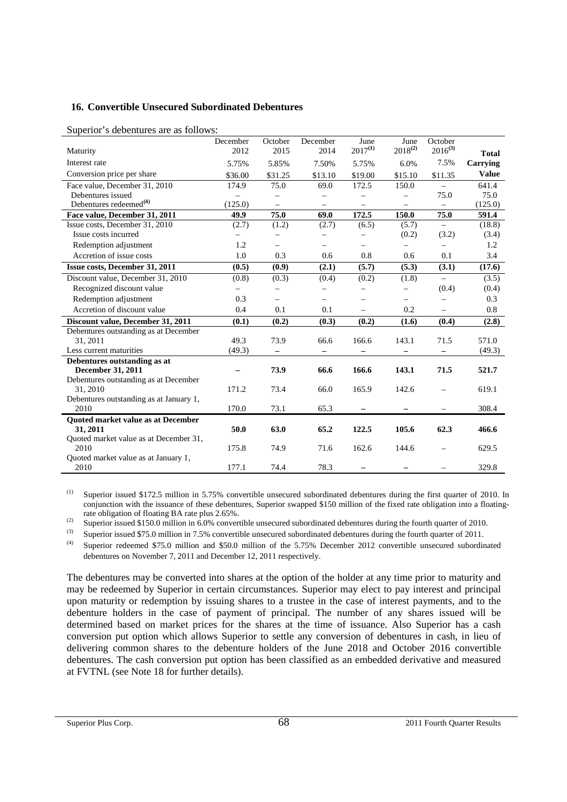### **16. Convertible Unsecured Subordinated Debentures**

|                                         | December | October           | December                 | June<br>$2017^{(1)}$     | June<br>$2018^{(2)}$     | October<br>$2016^{(3)}$  |              |
|-----------------------------------------|----------|-------------------|--------------------------|--------------------------|--------------------------|--------------------------|--------------|
| Maturity                                | 2012     | 2015              | 2014                     |                          |                          |                          | <b>Total</b> |
| Interest rate                           | 5.75%    | 5.85%             | 7.50%                    | 5.75%                    | 6.0%                     | 7.5%                     | Carrying     |
| Conversion price per share              | \$36.00  | \$31.25           | \$13.10                  | \$19.00                  | \$15.10                  | \$11.35                  | <b>Value</b> |
| Face value, December 31, 2010           | 174.9    | 75.0              | 69.0                     | 172.5                    | 150.0                    | $\overline{\phantom{0}}$ | 641.4        |
| Debentures issued                       |          |                   |                          |                          |                          | 75.0                     | 75.0         |
| Debentures redeemed <sup>(4)</sup>      | (125.0)  | $\qquad \qquad -$ | $\overline{\phantom{a}}$ | $\overline{\phantom{m}}$ |                          | $\overline{\phantom{0}}$ | (125.0)      |
| Face value, December 31, 2011           | 49.9     | 75.0              | 69.0                     | 172.5                    | 150.0                    | 75.0                     | 591.4        |
| Issue costs, December 31, 2010          | (2.7)    | (1.2)             | (2.7)                    | (6.5)                    | (5.7)                    | $\overline{\phantom{0}}$ | (18.8)       |
| Issue costs incurred                    |          | $\qquad \qquad -$ | $\qquad \qquad -$        |                          | (0.2)                    | (3.2)                    | (3.4)        |
| Redemption adjustment                   | 1.2      | $\qquad \qquad -$ | $\overline{\phantom{0}}$ | $\overline{\phantom{m}}$ |                          | $\overline{\phantom{0}}$ | 1.2          |
| Accretion of issue costs                | 1.0      | 0.3               | 0.6                      | 0.8                      | 0.6                      | 0.1                      | 3.4          |
| Issue costs, December 31, 2011          | (0.5)    | (0.9)             | (2.1)                    | (5.7)                    | (5.3)                    | (3.1)                    | (17.6)       |
| Discount value, December 31, 2010       | (0.8)    | (0.3)             | (0.4)                    | (0.2)                    | (1.8)                    | $\overline{\phantom{0}}$ | (3.5)        |
| Recognized discount value               |          |                   |                          |                          |                          | (0.4)                    | (0.4)        |
| Redemption adjustment                   | 0.3      | $\qquad \qquad -$ | $\qquad \qquad -$        |                          | $\qquad \qquad -$        |                          | 0.3          |
| Accretion of discount value             | 0.4      | 0.1               | 0.1                      | $\overline{\phantom{0}}$ | 0.2                      | $\overline{\phantom{0}}$ | 0.8          |
| Discount value, December 31, 2011       | (0.1)    | (0.2)             | (0.3)                    | (0.2)                    | (1.6)                    | (0.4)                    | (2.8)        |
| Debentures outstanding as at December   |          |                   |                          |                          |                          |                          |              |
| 31, 2011                                | 49.3     | 73.9              | 66.6                     | 166.6                    | 143.1                    | 71.5                     | 571.0        |
| Less current maturities                 | (49.3)   |                   | $\qquad \qquad -$        |                          | $\overline{\phantom{0}}$ | $\overline{\phantom{0}}$ | (49.3)       |
| Debentures outstanding as at            |          |                   |                          |                          |                          |                          |              |
| December 31, 2011                       |          | 73.9              | 66.6                     | 166.6                    | 143.1                    | 71.5                     | 521.7        |
| Debentures outstanding as at December   |          |                   |                          |                          |                          |                          |              |
| 31, 2010                                | 171.2    | 73.4              | 66.0                     | 165.9                    | 142.6                    |                          | 619.1        |
| Debentures outstanding as at January 1, |          |                   |                          |                          |                          |                          |              |
| 2010                                    | 170.0    | 73.1              | 65.3                     |                          |                          |                          | 308.4        |
| Quoted market value as at December      |          |                   |                          |                          |                          |                          |              |
| 31, 2011                                | 50.0     | 63.0              | 65.2                     | 122.5                    | 105.6                    | 62.3                     | 466.6        |
| Quoted market value as at December 31,  |          |                   |                          |                          |                          |                          |              |
| 2010                                    | 175.8    | 74.9              | 71.6                     | 162.6                    | 144.6                    |                          | 629.5        |
| Quoted market value as at January 1,    |          |                   |                          |                          |                          |                          |              |
| 2010                                    | 177.1    | 74.4              | 78.3                     |                          |                          |                          | 329.8        |

(1) Superior issued \$172.5 million in 5.75% convertible unsecured subordinated debentures during the first quarter of 2010. In conjunction with the issuance of these debentures, Superior swapped \$150 million of the fixed rate obligation into a floatingrate obligation of floating BA rate plus 2.65%.

(2) Superior issued \$150.0 million in 6.0% convertible unsecured subordinated debentures during the fourth quarter of 2010.

(3) Superior issued \$75.0 million in 7.5% convertible unsecured subordinated debentures during the fourth quarter of 2011.

Superior redeemed \$75.0 million and \$50.0 million of the 5.75% December 2012 convertible unsecured subordinated debentures on November 7, 2011 and December 12, 2011 respectively.

The debentures may be converted into shares at the option of the holder at any time prior to maturity and may be redeemed by Superior in certain circumstances. Superior may elect to pay interest and principal upon maturity or redemption by issuing shares to a trustee in the case of interest payments, and to the debenture holders in the case of payment of principal. The number of any shares issued will be determined based on market prices for the shares at the time of issuance. Also Superior has a cash conversion put option which allows Superior to settle any conversion of debentures in cash, in lieu of delivering common shares to the debenture holders of the June 2018 and October 2016 convertible debentures. The cash conversion put option has been classified as an embedded derivative and measured at FVTNL (see Note 18 for further details).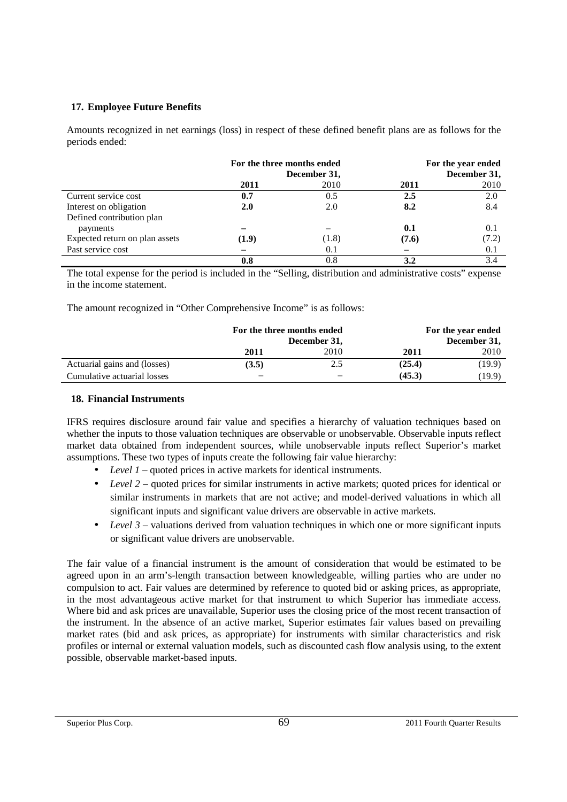### **17. Employee Future Benefits**

Amounts recognized in net earnings (loss) in respect of these defined benefit plans are as follows for the periods ended:

|                                | For the three months ended |              |       | For the year ended |  |
|--------------------------------|----------------------------|--------------|-------|--------------------|--|
|                                |                            | December 31, |       | December 31,       |  |
|                                | 2011                       | 2010         | 2011  | 2010               |  |
| Current service cost           | 0.7                        | 0.5          | 2.5   | 2.0                |  |
| Interest on obligation         | 2.0                        | 2.0          | 8.2   | 8.4                |  |
| Defined contribution plan      |                            |              |       |                    |  |
| payments                       | -                          |              | 0.1   | 0.1                |  |
| Expected return on plan assets | (1.9)                      | (1.8)        | (7.6) | (7.2)              |  |
| Past service cost              |                            | 0.1          |       | 0.1                |  |
|                                | 0.8                        | 0.8          | 3.2   | 3.4                |  |

The total expense for the period is included in the "Selling, distribution and administrative costs" expense in the income statement.

The amount recognized in "Other Comprehensive Income" is as follows:

|                              | For the three months ended<br>December 31, |                                 |        | For the year ended<br>December 31, |
|------------------------------|--------------------------------------------|---------------------------------|--------|------------------------------------|
|                              | 2011                                       | 2010                            | 2011   | 2010                               |
| Actuarial gains and (losses) | (3.5)                                      | 2.5                             | (25.4) | (19.9)                             |
| Cumulative actuarial losses  | $\hspace{0.1mm}-\hspace{0.1mm}$            | $\hspace{0.1mm}-\hspace{0.1mm}$ | (45.3) | (19.9)                             |

### **18. Financial Instruments**

IFRS requires disclosure around fair value and specifies a hierarchy of valuation techniques based on whether the inputs to those valuation techniques are observable or unobservable. Observable inputs reflect market data obtained from independent sources, while unobservable inputs reflect Superior's market assumptions. These two types of inputs create the following fair value hierarchy:

- *Level 1* quoted prices in active markets for identical instruments.
- *Level* 2 quoted prices for similar instruments in active markets; quoted prices for identical or similar instruments in markets that are not active; and model-derived valuations in which all significant inputs and significant value drivers are observable in active markets.
- *Level 3* valuations derived from valuation techniques in which one or more significant inputs or significant value drivers are unobservable.

The fair value of a financial instrument is the amount of consideration that would be estimated to be agreed upon in an arm's-length transaction between knowledgeable, willing parties who are under no compulsion to act. Fair values are determined by reference to quoted bid or asking prices, as appropriate, in the most advantageous active market for that instrument to which Superior has immediate access. Where bid and ask prices are unavailable, Superior uses the closing price of the most recent transaction of the instrument. In the absence of an active market, Superior estimates fair values based on prevailing market rates (bid and ask prices, as appropriate) for instruments with similar characteristics and risk profiles or internal or external valuation models, such as discounted cash flow analysis using, to the extent possible, observable market-based inputs.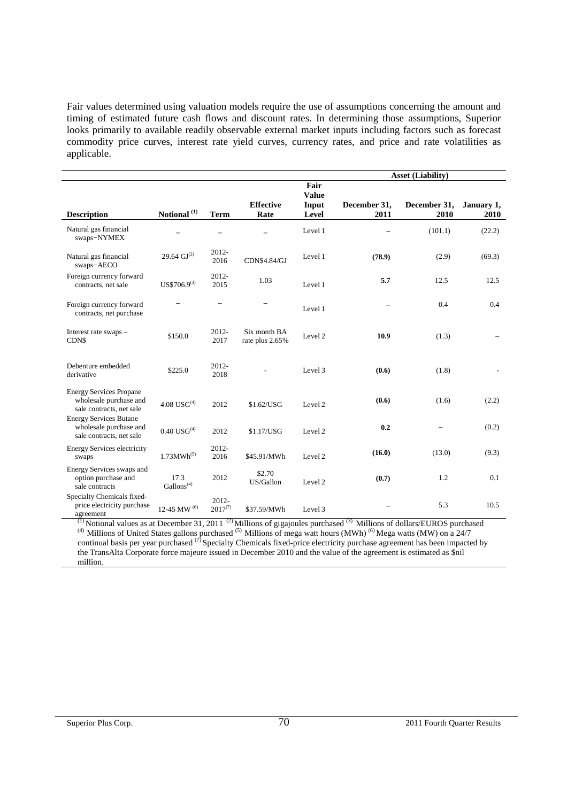Fair values determined using valuation models require the use of assumptions concerning the amount and timing of estimated future cash flows and discount rates. In determining those assumptions, Superior looks primarily to available readily observable external market inputs including factors such as forecast commodity price curves, interest rate yield curves, currency rates, and price and rate volatilities as applicable.

|                                                                                      |                                |                       |                                 |                                        | <b>Asset (Liability)</b> |                      |                    |
|--------------------------------------------------------------------------------------|--------------------------------|-----------------------|---------------------------------|----------------------------------------|--------------------------|----------------------|--------------------|
| <b>Description</b>                                                                   | Notional <sup>(1)</sup>        | <b>Term</b>           | <b>Effective</b><br>Rate        | Fair<br><b>Value</b><br>Input<br>Level | December 31,<br>2011     | December 31,<br>2010 | January 1,<br>2010 |
| Natural gas financial<br>swaps-NYMEX                                                 |                                |                       |                                 | Level 1                                |                          | (101.1)              | (22.2)             |
| Natural gas financial<br>swaps-AECO                                                  | $29.64\;\mathrm{GJ}^{(2)}$     | 2012-<br>2016         | CDN\$4.84/GJ                    | Level 1                                | (78.9)                   | (2.9)                | (69.3)             |
| Foreign currency forward<br>contracts, net sale                                      | US\$706.9(3)                   | 2012-<br>2015         | 1.03                            | Level 1                                | 5.7                      | 12.5                 | 12.5               |
| Foreign currency forward<br>contracts, net purchase                                  |                                |                       | $\overline{\phantom{0}}$        | Level 1                                |                          | 0.4                  | 0.4                |
| Interest rate swaps -<br><b>CDNS</b>                                                 | \$150.0                        | 2012-<br>2017         | Six month BA<br>rate plus 2.65% | Level 2                                | 10.9                     | (1.3)                |                    |
| Debenture embedded<br>derivative                                                     | \$225.0                        | 2012-<br>2018         |                                 | Level 3                                | (0.6)                    | (1.8)                |                    |
| <b>Energy Services Propane</b><br>wholesale purchase and<br>sale contracts, net sale | $4.08$ USG <sup>(4)</sup>      | 2012                  | \$1.62/USG                      | Level 2                                | (0.6)                    | (1.6)                | (2.2)              |
| <b>Energy Services Butane</b><br>wholesale purchase and<br>sale contracts, net sale  | $0.40$ USG <sup>(4)</sup>      | 2012                  | \$1.17/USG                      | Level 2                                | 0.2                      |                      | (0.2)              |
| Energy Services electricity<br>swaps                                                 | $1.73MWh^{(5)}$                | 2012-<br>2016         | \$45.91/MWh                     | Level 2                                | (16.0)                   | (13.0)               | (9.3)              |
| Energy Services swaps and<br>option purchase and<br>sale contracts                   | 17.3<br>Gallons <sup>(4)</sup> | 2012                  | \$2.70<br>US/Gallon             | Level 2                                | (0.7)                    | 1.2                  | 0.1                |
| Specialty Chemicals fixed-<br>price electricity purchase<br>agreement                | 12-45 MW $^{\left(6\right)}$   | 2012-<br>$2017^{(7)}$ | \$37.59/MWh                     | Level 3                                |                          | 5.3                  | 10.5               |

<sup>(1)</sup> Notional values as at December 31, 2011 <sup>(2)</sup> Millions of gigajoules purchased <sup>(3)</sup> Millions of dollars/EUROS purchased <sup>(4)</sup> Millions of United States gallons purchased <sup>(5)</sup> Millions of mega watt hours (MWh) <sup>(6)</sup> Mega watts (MW) on a 24/7 continual basis per year purchased  $^{(7)}$  Specialty Chemicals fixed-price electricity purchase agreement has been impacted by the TransAlta Corporate force majeure issued in December 2010 and the value of the agreement is estimated as \$nil million.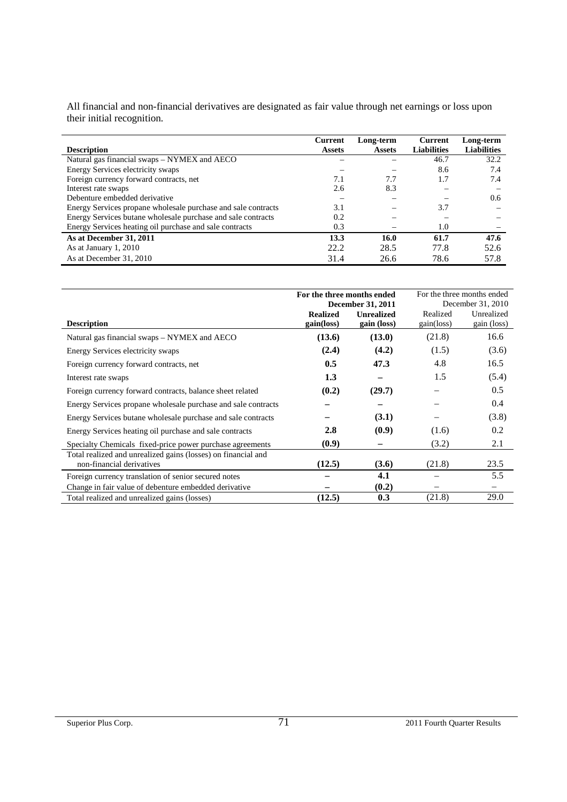| All financial and non-financial derivatives are designated as fair value through net earnings or loss upon |  |
|------------------------------------------------------------------------------------------------------------|--|
| their initial recognition.                                                                                 |  |

| <b>Description</b>                                            | Current<br><b>Assets</b> | Long-term<br><b>Assets</b> | Current<br><b>Liabilities</b> | Long-term<br><b>Liabilities</b> |
|---------------------------------------------------------------|--------------------------|----------------------------|-------------------------------|---------------------------------|
| Natural gas financial swaps – NYMEX and AECO                  |                          |                            | 46.7                          | 32.2                            |
| Energy Services electricity swaps                             |                          |                            | 8.6                           | 7.4                             |
| Foreign currency forward contracts, net                       | 7.1                      | 7.7                        | 1.7                           | 7.4                             |
| Interest rate swaps                                           | 2.6                      | 8.3                        |                               |                                 |
| Debenture embedded derivative                                 |                          |                            |                               | 0.6                             |
| Energy Services propane wholesale purchase and sale contracts | 3.1                      |                            | 3.7                           |                                 |
| Energy Services butane wholesale purchase and sale contracts  | 0.2                      |                            |                               |                                 |
| Energy Services heating oil purchase and sale contracts       | 0.3                      |                            | 1.0                           |                                 |
| As at December 31, 2011                                       | 13.3                     | <b>16.0</b>                | 61.7                          | 47.6                            |
| As at January 1, 2010                                         | 22.2                     | 28.5                       | 77.8                          | 52.6                            |
| As at December 31, 2010                                       | 31.4                     | 26.6                       | 78.6                          | 57.8                            |

|                                                                                            | For the three months ended<br>December 31, 2011 |                                  | For the three months ended<br>December 31, 2010 |                           |  |
|--------------------------------------------------------------------------------------------|-------------------------------------------------|----------------------------------|-------------------------------------------------|---------------------------|--|
| <b>Description</b>                                                                         | <b>Realized</b><br>gain(loss)                   | <b>Unrealized</b><br>gain (loss) | Realized<br>gain(loss)                          | Unrealized<br>gain (loss) |  |
| Natural gas financial swaps – NYMEX and AECO                                               | (13.6)                                          | (13.0)                           | (21.8)                                          | 16.6                      |  |
| Energy Services electricity swaps                                                          | (2.4)                                           | (4.2)                            | (1.5)                                           | (3.6)                     |  |
| Foreign currency forward contracts, net                                                    | 0.5                                             | 47.3                             | 4.8                                             | 16.5                      |  |
| Interest rate swaps                                                                        | 1.3                                             |                                  | 1.5                                             | (5.4)                     |  |
| Foreign currency forward contracts, balance sheet related                                  | (0.2)                                           | (29.7)                           |                                                 | 0.5                       |  |
| Energy Services propane wholesale purchase and sale contracts                              |                                                 |                                  |                                                 | 0.4                       |  |
| Energy Services butane wholesale purchase and sale contracts                               |                                                 | (3.1)                            |                                                 | (3.8)                     |  |
| Energy Services heating oil purchase and sale contracts                                    | 2.8                                             | (0.9)                            | (1.6)                                           | 0.2                       |  |
| Specialty Chemicals fixed-price power purchase agreements                                  | (0.9)                                           |                                  | (3.2)                                           | 2.1                       |  |
| Total realized and unrealized gains (losses) on financial and<br>non-financial derivatives | (12.5)                                          | (3.6)                            | (21.8)                                          | 23.5                      |  |
| Foreign currency translation of senior secured notes                                       |                                                 | 4.1                              |                                                 | 5.5                       |  |
| Change in fair value of debenture embedded derivative                                      |                                                 | (0.2)                            |                                                 |                           |  |
| Total realized and unrealized gains (losses)                                               | (12.5)                                          | 0.3                              | (21.8)                                          | 29.0                      |  |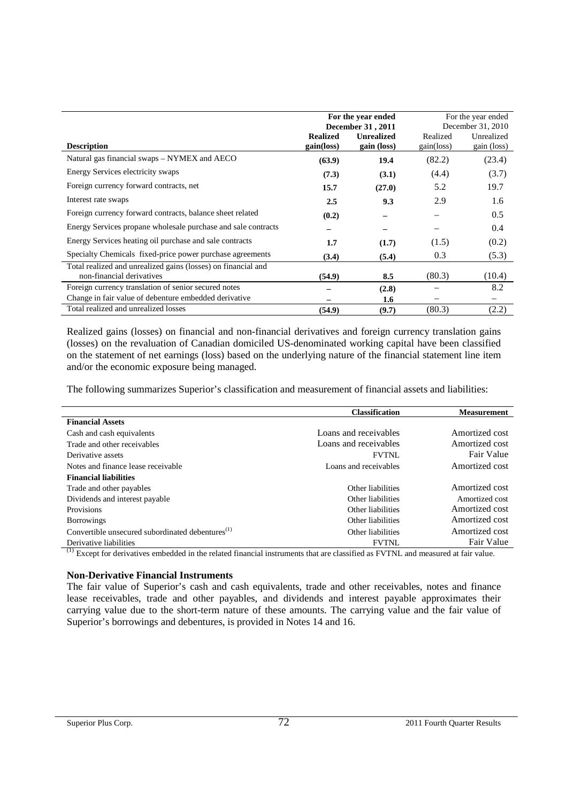|                                                               | For the year ended |                   |                     | For the year ended |
|---------------------------------------------------------------|--------------------|-------------------|---------------------|--------------------|
|                                                               | December 31, 2011  |                   | December 31, 2010   |                    |
|                                                               | <b>Realized</b>    | <b>Unrealized</b> | Realized            | Unrealized         |
| <b>Description</b>                                            | gain(loss)         | gain (loss)       | $gain(\text{loss})$ | gain (loss)        |
| Natural gas financial swaps – NYMEX and AECO                  | (63.9)             | 19.4              | (82.2)              | (23.4)             |
| Energy Services electricity swaps                             | (7.3)              | (3.1)             | (4.4)               | (3.7)              |
| Foreign currency forward contracts, net                       | 15.7               | (27.0)            | 5.2                 | 19.7               |
| Interest rate swaps                                           | 2.5                | 9.3               | 2.9                 | 1.6                |
| Foreign currency forward contracts, balance sheet related     | (0.2)              |                   |                     | 0.5                |
| Energy Services propane wholesale purchase and sale contracts | -                  |                   |                     | 0.4                |
| Energy Services heating oil purchase and sale contracts       | 1.7                | (1.7)             | (1.5)               | (0.2)              |
| Specialty Chemicals fixed-price power purchase agreements     | (3.4)              | (5.4)             | 0.3                 | (5.3)              |
| Total realized and unrealized gains (losses) on financial and |                    |                   |                     |                    |
| non-financial derivatives                                     | (54.9)             | 8.5               | (80.3)              | (10.4)             |
| Foreign currency translation of senior secured notes          |                    | (2.8)             |                     | 8.2                |
| Change in fair value of debenture embedded derivative         |                    | 1.6               |                     |                    |
| Total realized and unrealized losses                          | (54.9)             | (9.7)             | (80.3)              | (2.2)              |

Realized gains (losses) on financial and non-financial derivatives and foreign currency translation gains (losses) on the revaluation of Canadian domiciled US-denominated working capital have been classified on the statement of net earnings (loss) based on the underlying nature of the financial statement line item and/or the economic exposure being managed.

The following summarizes Superior's classification and measurement of financial assets and liabilities:

|                                                                                                                                                                                                                                                                                                                                                            | <b>Classification</b> | <b>Measurement</b> |
|------------------------------------------------------------------------------------------------------------------------------------------------------------------------------------------------------------------------------------------------------------------------------------------------------------------------------------------------------------|-----------------------|--------------------|
| <b>Financial Assets</b>                                                                                                                                                                                                                                                                                                                                    |                       |                    |
| Cash and cash equivalents                                                                                                                                                                                                                                                                                                                                  | Loans and receivables | Amortized cost     |
| Trade and other receivables                                                                                                                                                                                                                                                                                                                                | Loans and receivables | Amortized cost     |
| Derivative assets                                                                                                                                                                                                                                                                                                                                          | <b>FVTNL</b>          | Fair Value         |
| Notes and finance lease receivable                                                                                                                                                                                                                                                                                                                         | Loans and receivables | Amortized cost     |
| <b>Financial liabilities</b>                                                                                                                                                                                                                                                                                                                               |                       |                    |
| Trade and other payables                                                                                                                                                                                                                                                                                                                                   | Other liabilities     | Amortized cost     |
| Dividends and interest payable                                                                                                                                                                                                                                                                                                                             | Other liabilities     | Amortized cost     |
| Provisions                                                                                                                                                                                                                                                                                                                                                 | Other liabilities     | Amortized cost     |
| <b>Borrowings</b>                                                                                                                                                                                                                                                                                                                                          | Other liabilities     | Amortized cost     |
| Convertible unsecured subordinated debentures <sup>(1)</sup>                                                                                                                                                                                                                                                                                               | Other liabilities     | Amortized cost     |
| Derivative liabilities<br>$\theta$ and $\theta$ and $\theta$ and $\theta$ and $\theta$ and $\theta$ and $\theta$ and $\theta$ and $\theta$ and $\theta$ and $\theta$ and $\theta$ and $\theta$ and $\theta$ and $\theta$ and $\theta$ and $\theta$ and $\theta$ and $\theta$ and $\theta$ and $\theta$ and $\theta$ and $\theta$ and $\theta$ and $\theta$ | <b>FVTNL</b>          | Fair Value         |

<sup>(1)</sup> Except for derivatives embedded in the related financial instruments that are classified as FVTNL and measured at fair value.

### **Non-Derivative Financial Instruments**

The fair value of Superior's cash and cash equivalents, trade and other receivables, notes and finance lease receivables, trade and other payables, and dividends and interest payable approximates their carrying value due to the short-term nature of these amounts. The carrying value and the fair value of Superior's borrowings and debentures, is provided in Notes 14 and 16.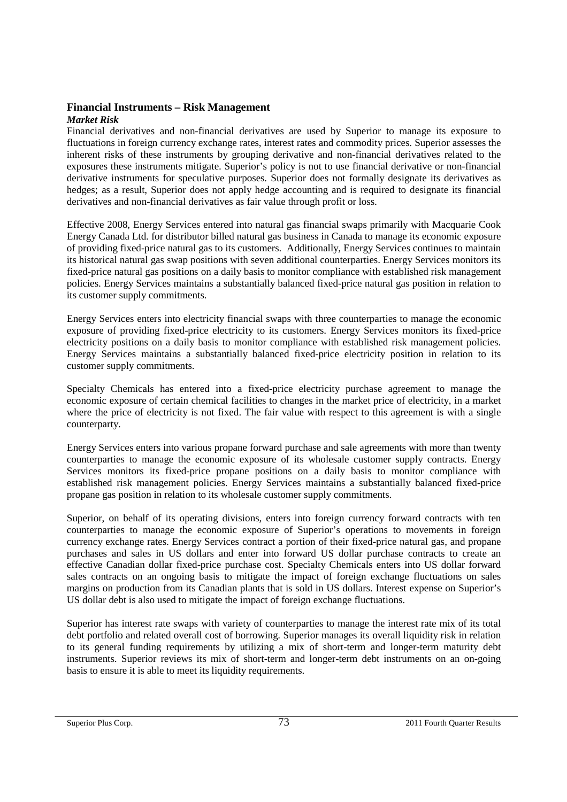## **Financial Instruments – Risk Management**  *Market Risk*

Financial derivatives and non-financial derivatives are used by Superior to manage its exposure to fluctuations in foreign currency exchange rates, interest rates and commodity prices. Superior assesses the inherent risks of these instruments by grouping derivative and non-financial derivatives related to the exposures these instruments mitigate. Superior's policy is not to use financial derivative or non-financial derivative instruments for speculative purposes. Superior does not formally designate its derivatives as hedges; as a result, Superior does not apply hedge accounting and is required to designate its financial derivatives and non-financial derivatives as fair value through profit or loss.

Effective 2008, Energy Services entered into natural gas financial swaps primarily with Macquarie Cook Energy Canada Ltd. for distributor billed natural gas business in Canada to manage its economic exposure of providing fixed-price natural gas to its customers. Additionally, Energy Services continues to maintain its historical natural gas swap positions with seven additional counterparties. Energy Services monitors its fixed-price natural gas positions on a daily basis to monitor compliance with established risk management policies. Energy Services maintains a substantially balanced fixed-price natural gas position in relation to its customer supply commitments.

Energy Services enters into electricity financial swaps with three counterparties to manage the economic exposure of providing fixed-price electricity to its customers. Energy Services monitors its fixed-price electricity positions on a daily basis to monitor compliance with established risk management policies. Energy Services maintains a substantially balanced fixed-price electricity position in relation to its customer supply commitments.

Specialty Chemicals has entered into a fixed-price electricity purchase agreement to manage the economic exposure of certain chemical facilities to changes in the market price of electricity, in a market where the price of electricity is not fixed. The fair value with respect to this agreement is with a single counterparty.

Energy Services enters into various propane forward purchase and sale agreements with more than twenty counterparties to manage the economic exposure of its wholesale customer supply contracts. Energy Services monitors its fixed-price propane positions on a daily basis to monitor compliance with established risk management policies. Energy Services maintains a substantially balanced fixed-price propane gas position in relation to its wholesale customer supply commitments.

Superior, on behalf of its operating divisions, enters into foreign currency forward contracts with ten counterparties to manage the economic exposure of Superior's operations to movements in foreign currency exchange rates. Energy Services contract a portion of their fixed-price natural gas, and propane purchases and sales in US dollars and enter into forward US dollar purchase contracts to create an effective Canadian dollar fixed-price purchase cost. Specialty Chemicals enters into US dollar forward sales contracts on an ongoing basis to mitigate the impact of foreign exchange fluctuations on sales margins on production from its Canadian plants that is sold in US dollars. Interest expense on Superior's US dollar debt is also used to mitigate the impact of foreign exchange fluctuations.

Superior has interest rate swaps with variety of counterparties to manage the interest rate mix of its total debt portfolio and related overall cost of borrowing. Superior manages its overall liquidity risk in relation to its general funding requirements by utilizing a mix of short-term and longer-term maturity debt instruments. Superior reviews its mix of short-term and longer-term debt instruments on an on-going basis to ensure it is able to meet its liquidity requirements.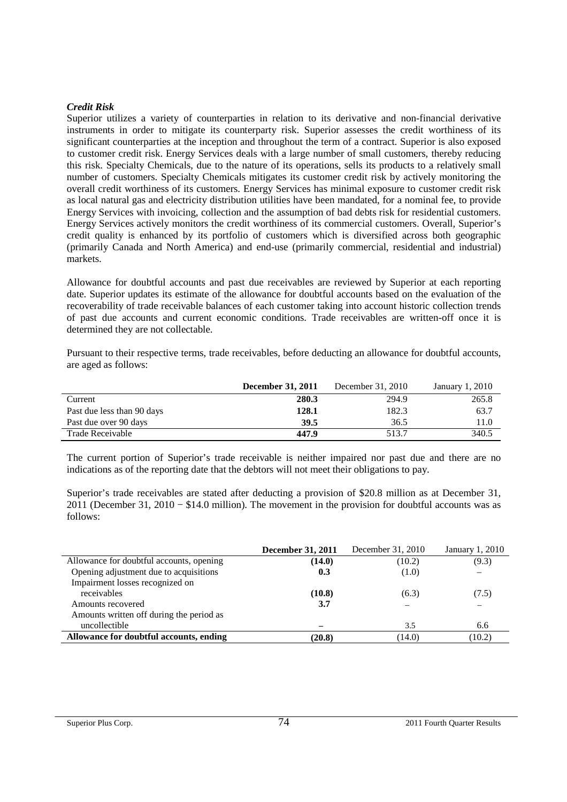#### *Credit Risk*

Superior utilizes a variety of counterparties in relation to its derivative and non-financial derivative instruments in order to mitigate its counterparty risk. Superior assesses the credit worthiness of its significant counterparties at the inception and throughout the term of a contract. Superior is also exposed to customer credit risk. Energy Services deals with a large number of small customers, thereby reducing this risk. Specialty Chemicals, due to the nature of its operations, sells its products to a relatively small number of customers. Specialty Chemicals mitigates its customer credit risk by actively monitoring the overall credit worthiness of its customers. Energy Services has minimal exposure to customer credit risk as local natural gas and electricity distribution utilities have been mandated, for a nominal fee, to provide Energy Services with invoicing, collection and the assumption of bad debts risk for residential customers. Energy Services actively monitors the credit worthiness of its commercial customers. Overall, Superior's credit quality is enhanced by its portfolio of customers which is diversified across both geographic (primarily Canada and North America) and end-use (primarily commercial, residential and industrial) markets.

Allowance for doubtful accounts and past due receivables are reviewed by Superior at each reporting date. Superior updates its estimate of the allowance for doubtful accounts based on the evaluation of the recoverability of trade receivable balances of each customer taking into account historic collection trends of past due accounts and current economic conditions. Trade receivables are written-off once it is determined they are not collectable.

Pursuant to their respective terms, trade receivables, before deducting an allowance for doubtful accounts, are aged as follows:

|                            | <b>December 31, 2011</b> | December 31, 2010 | January 1, 2010 |
|----------------------------|--------------------------|-------------------|-----------------|
| Current                    | 280.3                    | 294.9             | 265.8           |
| Past due less than 90 days | 128.1                    | 182.3             | 63.7            |
| Past due over 90 days      | 39.5                     | 36.5              | 11.0            |
| Trade Receivable           | 447.9                    | 513.7             | 340.5           |

The current portion of Superior's trade receivable is neither impaired nor past due and there are no indications as of the reporting date that the debtors will not meet their obligations to pay.

Superior's trade receivables are stated after deducting a provision of \$20.8 million as at December 31, 2011 (December 31, 2010 − \$14.0 million). The movement in the provision for doubtful accounts was as follows:

|                                          | <b>December 31, 2011</b> | December 31, 2010 | January 1, 2010 |
|------------------------------------------|--------------------------|-------------------|-----------------|
| Allowance for doubtful accounts, opening | (14.0)                   | (10.2)            | (9.3)           |
| Opening adjustment due to acquisitions   | 0.3                      | (1.0)             |                 |
| Impairment losses recognized on          |                          |                   |                 |
| receivables                              | (10.8)                   | (6.3)             | (7.5)           |
| Amounts recovered                        | 3.7                      |                   |                 |
| Amounts written off during the period as |                          |                   |                 |
| uncollectible                            |                          | 3.5               | 6.6             |
| Allowance for doubtful accounts, ending  | (20.8)                   | (14.0)            | (10.2)          |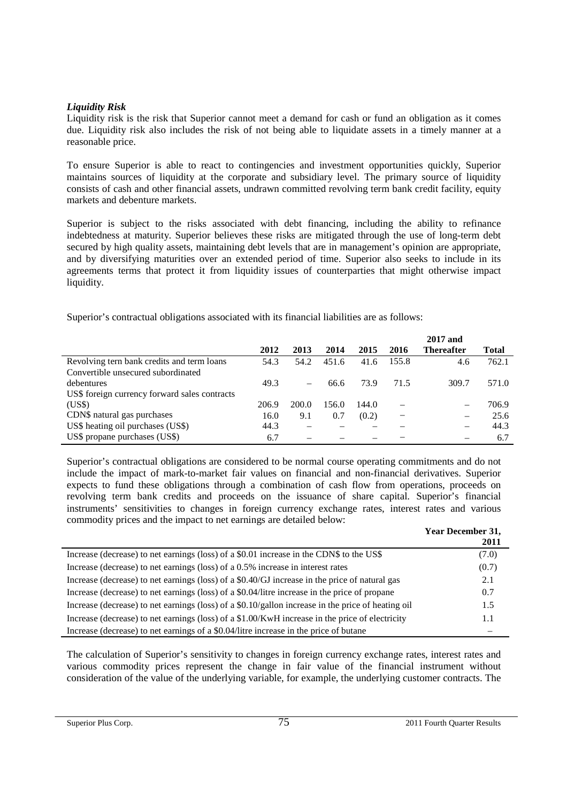## *Liquidity Risk*

Liquidity risk is the risk that Superior cannot meet a demand for cash or fund an obligation as it comes due. Liquidity risk also includes the risk of not being able to liquidate assets in a timely manner at a reasonable price.

To ensure Superior is able to react to contingencies and investment opportunities quickly, Superior maintains sources of liquidity at the corporate and subsidiary level. The primary source of liquidity consists of cash and other financial assets, undrawn committed revolving term bank credit facility, equity markets and debenture markets.

Superior is subject to the risks associated with debt financing, including the ability to refinance indebtedness at maturity. Superior believes these risks are mitigated through the use of long-term debt secured by high quality assets, maintaining debt levels that are in management's opinion are appropriate, and by diversifying maturities over an extended period of time. Superior also seeks to include in its agreements terms that protect it from liquidity issues of counterparties that might otherwise impact liquidity.

Superior's contractual obligations associated with its financial liabilities are as follows:

|                                               |       |       |       |       |       | 2017 and   |              |
|-----------------------------------------------|-------|-------|-------|-------|-------|------------|--------------|
|                                               | 2012  | 2013  | 2014  | 2015  | 2016  | Thereafter | <b>Total</b> |
| Revolving tern bank credits and term loans    | 54.3  | 54.2  | 451.6 | 41.6  | 155.8 | 4.6        | 762.1        |
| Convertible unsecured subordinated            |       |       |       |       |       |            |              |
| debentures                                    | 49.3  |       | 66.6  | 73.9  | 71.5  | 309.7      | 571.0        |
| US\$ foreign currency forward sales contracts |       |       |       |       |       |            |              |
| (US\$)                                        | 206.9 | 200.0 | 156.0 | 144.0 |       |            | 706.9        |
| CDN\$ natural gas purchases                   | 16.0  | 9.1   | 0.7   | (0.2) | —     |            | 25.6         |
| US\$ heating oil purchases (US\$)             | 44.3  |       |       |       |       |            | 44.3         |
| US\$ propane purchases (US\$)                 | 6.7   |       |       |       |       |            | 6.7          |

Superior's contractual obligations are considered to be normal course operating commitments and do not include the impact of mark-to-market fair values on financial and non-financial derivatives. Superior expects to fund these obligations through a combination of cash flow from operations, proceeds on revolving term bank credits and proceeds on the issuance of share capital. Superior's financial instruments' sensitivities to changes in foreign currency exchange rates, interest rates and various commodity prices and the impact to net earnings are detailed below:

|                                                                                                    | Year December 31, |
|----------------------------------------------------------------------------------------------------|-------------------|
|                                                                                                    | 2011              |
| Increase (decrease) to net earnings (loss) of a \$0.01 increase in the CDN\$ to the US\$           | (7.0)             |
| Increase (decrease) to net earnings (loss) of a 0.5% increase in interest rates                    | (0.7)             |
| Increase (decrease) to net earnings (loss) of a \$0.40/GJ increase in the price of natural gas     | 2.1               |
| Increase (decrease) to net earnings (loss) of a \$0.04/litre increase in the price of propane      | 0.7               |
| Increase (decrease) to net earnings (loss) of a \$0.10/gallon increase in the price of heating oil | 1.5               |
| Increase (decrease) to net earnings (loss) of a \$1.00/KwH increase in the price of electricity    | 1.1               |
| Increase (decrease) to net earnings of a \$0.04/litre increase in the price of butane              |                   |

The calculation of Superior's sensitivity to changes in foreign currency exchange rates, interest rates and various commodity prices represent the change in fair value of the financial instrument without consideration of the value of the underlying variable, for example, the underlying customer contracts. The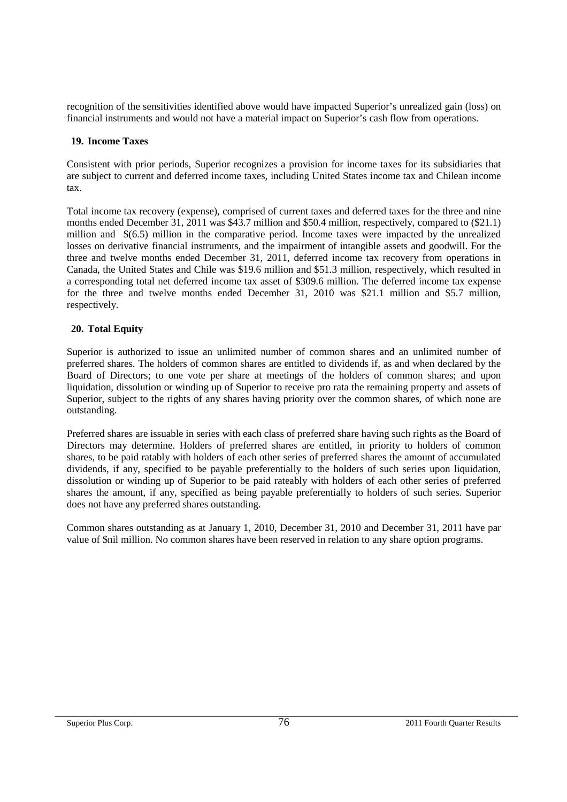recognition of the sensitivities identified above would have impacted Superior's unrealized gain (loss) on financial instruments and would not have a material impact on Superior's cash flow from operations.

## **19. Income Taxes**

Consistent with prior periods, Superior recognizes a provision for income taxes for its subsidiaries that are subject to current and deferred income taxes, including United States income tax and Chilean income tax.

Total income tax recovery (expense), comprised of current taxes and deferred taxes for the three and nine months ended December 31, 2011 was \$43.7 million and \$50.4 million, respectively, compared to (\$21.1) million and \$(6.5) million in the comparative period. Income taxes were impacted by the unrealized losses on derivative financial instruments, and the impairment of intangible assets and goodwill. For the three and twelve months ended December 31, 2011, deferred income tax recovery from operations in Canada, the United States and Chile was \$19.6 million and \$51.3 million, respectively, which resulted in a corresponding total net deferred income tax asset of \$309.6 million. The deferred income tax expense for the three and twelve months ended December 31, 2010 was \$21.1 million and \$5.7 million, respectively.

## **20. Total Equity**

Superior is authorized to issue an unlimited number of common shares and an unlimited number of preferred shares. The holders of common shares are entitled to dividends if, as and when declared by the Board of Directors; to one vote per share at meetings of the holders of common shares; and upon liquidation, dissolution or winding up of Superior to receive pro rata the remaining property and assets of Superior, subject to the rights of any shares having priority over the common shares, of which none are outstanding.

Preferred shares are issuable in series with each class of preferred share having such rights as the Board of Directors may determine. Holders of preferred shares are entitled, in priority to holders of common shares, to be paid ratably with holders of each other series of preferred shares the amount of accumulated dividends, if any, specified to be payable preferentially to the holders of such series upon liquidation, dissolution or winding up of Superior to be paid rateably with holders of each other series of preferred shares the amount, if any, specified as being payable preferentially to holders of such series. Superior does not have any preferred shares outstanding.

Common shares outstanding as at January 1, 2010, December 31, 2010 and December 31, 2011 have par value of \$nil million. No common shares have been reserved in relation to any share option programs.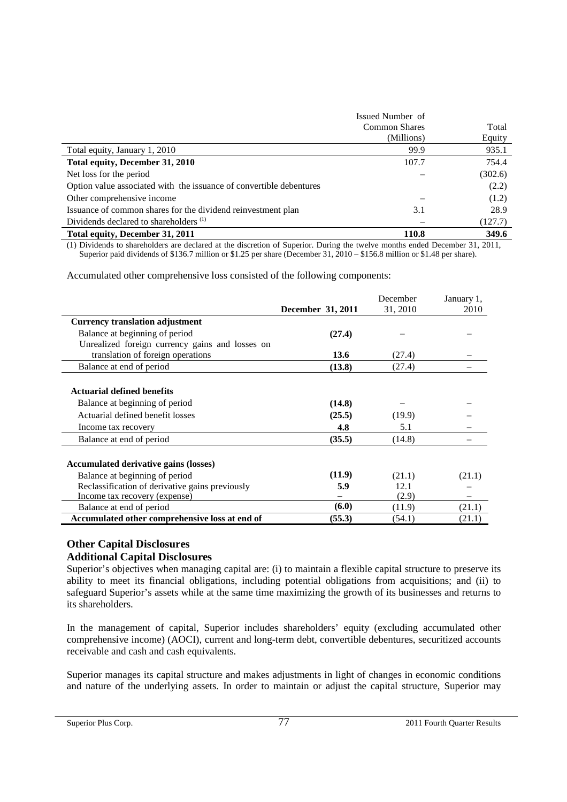|                                                                     | Issued Number of     |         |
|---------------------------------------------------------------------|----------------------|---------|
|                                                                     | <b>Common Shares</b> | Total   |
|                                                                     | (Millions)           | Equity  |
| Total equity, January 1, 2010                                       | 99.9                 | 935.1   |
| Total equity, December 31, 2010                                     | 107.7                | 754.4   |
| Net loss for the period                                             |                      | (302.6) |
| Option value associated with the issuance of convertible debentures |                      | (2.2)   |
| Other comprehensive income                                          |                      | (1.2)   |
| Issuance of common shares for the dividend reinvestment plan        | 3.1                  | 28.9    |
| Dividends declared to shareholders <sup>(1)</sup>                   |                      | (127.7) |
| Total equity, December 31, 2011                                     | 110.8                | 349.6   |

(1) Dividends to shareholders are declared at the discretion of Superior. During the twelve months ended December 31, 2011, Superior paid dividends of \$136.7 million or \$1.25 per share (December 31, 2010 – \$156.8 million or \$1.48 per share).

Accumulated other comprehensive loss consisted of the following components:

|                                                 |                   | December | January 1, |
|-------------------------------------------------|-------------------|----------|------------|
|                                                 | December 31, 2011 | 31, 2010 | 2010       |
| <b>Currency translation adjustment</b>          |                   |          |            |
| Balance at beginning of period                  | (27.4)            |          |            |
| Unrealized foreign currency gains and losses on |                   |          |            |
| translation of foreign operations               | 13.6              | (27.4)   |            |
| Balance at end of period                        | (13.8)            | (27.4)   |            |
|                                                 |                   |          |            |
| <b>Actuarial defined benefits</b>               |                   |          |            |
| Balance at beginning of period                  | (14.8)            |          |            |
| Actuarial defined benefit losses                | (25.5)            | (19.9)   |            |
| Income tax recovery                             | 4.8               | 5.1      |            |
| Balance at end of period                        | (35.5)            | (14.8)   |            |
|                                                 |                   |          |            |
| Accumulated derivative gains (losses)           |                   |          |            |
| Balance at beginning of period                  | (11.9)            | (21.1)   | (21.1)     |
| Reclassification of derivative gains previously | 5.9               | 12.1     |            |
| Income tax recovery (expense)                   |                   | (2.9)    |            |
| Balance at end of period                        | (6.0)             | (11.9)   | (21.1)     |
| Accumulated other comprehensive loss at end of  | (55.3)            | (54.1)   | (21.1)     |

## **Other Capital Disclosures Additional Capital Disclosures**

Superior's objectives when managing capital are: (i) to maintain a flexible capital structure to preserve its ability to meet its financial obligations, including potential obligations from acquisitions; and (ii) to safeguard Superior's assets while at the same time maximizing the growth of its businesses and returns to its shareholders.

In the management of capital, Superior includes shareholders' equity (excluding accumulated other comprehensive income) (AOCI), current and long-term debt, convertible debentures, securitized accounts receivable and cash and cash equivalents.

Superior manages its capital structure and makes adjustments in light of changes in economic conditions and nature of the underlying assets. In order to maintain or adjust the capital structure, Superior may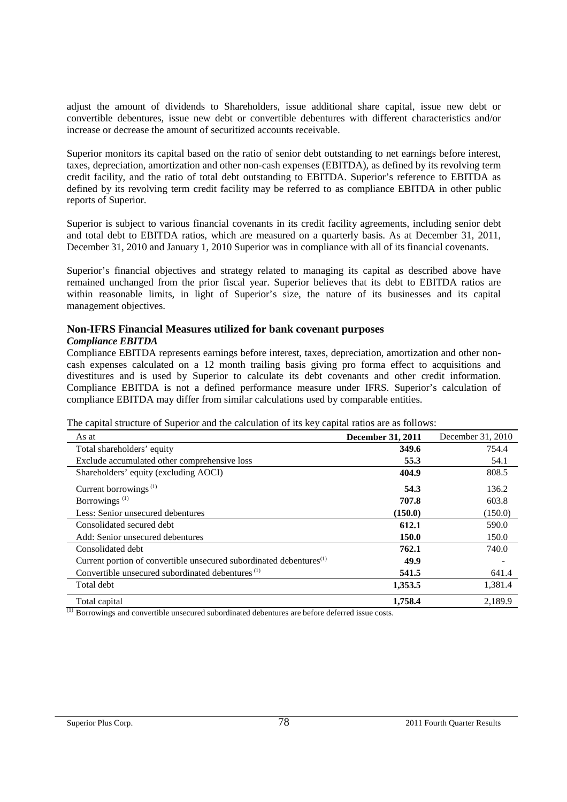adjust the amount of dividends to Shareholders, issue additional share capital, issue new debt or convertible debentures, issue new debt or convertible debentures with different characteristics and/or increase or decrease the amount of securitized accounts receivable.

Superior monitors its capital based on the ratio of senior debt outstanding to net earnings before interest, taxes, depreciation, amortization and other non-cash expenses (EBITDA), as defined by its revolving term credit facility, and the ratio of total debt outstanding to EBITDA. Superior's reference to EBITDA as defined by its revolving term credit facility may be referred to as compliance EBITDA in other public reports of Superior.

Superior is subject to various financial covenants in its credit facility agreements, including senior debt and total debt to EBITDA ratios, which are measured on a quarterly basis. As at December 31, 2011, December 31, 2010 and January 1, 2010 Superior was in compliance with all of its financial covenants.

Superior's financial objectives and strategy related to managing its capital as described above have remained unchanged from the prior fiscal year. Superior believes that its debt to EBITDA ratios are within reasonable limits, in light of Superior's size, the nature of its businesses and its capital management objectives.

## **Non-IFRS Financial Measures utilized for bank covenant purposes**

## *Compliance EBITDA*

Compliance EBITDA represents earnings before interest, taxes, depreciation, amortization and other noncash expenses calculated on a 12 month trailing basis giving pro forma effect to acquisitions and divestitures and is used by Superior to calculate its debt covenants and other credit information. Compliance EBITDA is not a defined performance measure under IFRS. Superior's calculation of compliance EBITDA may differ from similar calculations used by comparable entities.

| As at                                                                           | <b>December 31, 2011</b> | December 31, 2010 |
|---------------------------------------------------------------------------------|--------------------------|-------------------|
| Total shareholders' equity                                                      | 349.6                    | 754.4             |
| Exclude accumulated other comprehensive loss                                    | 55.3                     | 54.1              |
| Shareholders' equity (excluding AOCI)                                           | 404.9                    | 808.5             |
| Current borrowings $^{(1)}$                                                     | 54.3                     | 136.2             |
| Borrowings <sup>(1)</sup>                                                       | 707.8                    | 603.8             |
| Less: Senior unsecured debentures                                               | (150.0)                  | (150.0)           |
| Consolidated secured debt                                                       | 612.1                    | 590.0             |
| Add: Senior unsecured debentures                                                | 150.0                    | 150.0             |
| Consolidated debt                                                               | 762.1                    | 740.0             |
| Current portion of convertible unsecured subordinated debentures <sup>(1)</sup> | 49.9                     |                   |
| Convertible unsecured subordinated debentures <sup>(1)</sup>                    | 541.5                    | 641.4             |
| Total debt                                                                      | 1,353.5                  | 1,381.4           |
| Total capital                                                                   | 1,758.4                  | 2.189.9           |

The capital structure of Superior and the calculation of its key capital ratios are as follows:

(1) Borrowings and convertible unsecured subordinated debentures are before deferred issue costs.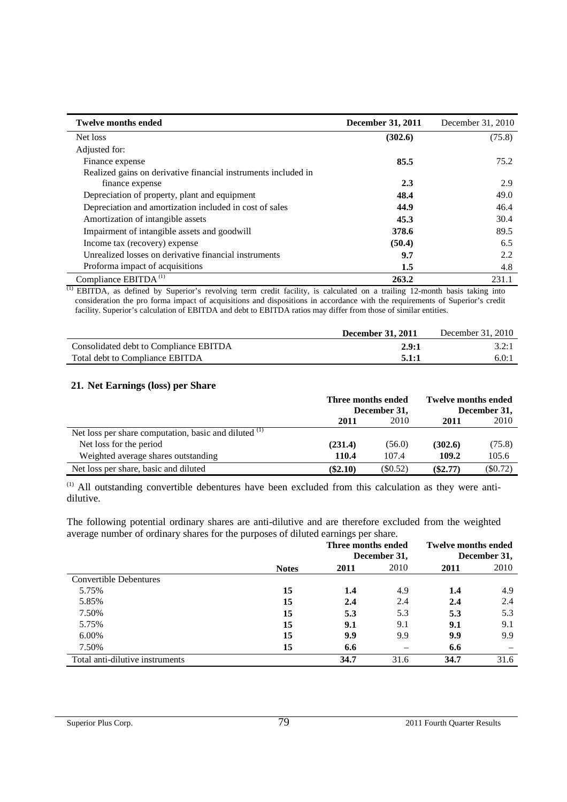| <b>Twelve months ended</b>                                     | <b>December 31, 2011</b> | December 31, 2010 |
|----------------------------------------------------------------|--------------------------|-------------------|
| Net loss                                                       | (302.6)                  | (75.8)            |
| Adjusted for:                                                  |                          |                   |
| Finance expense                                                | 85.5                     | 75.2              |
| Realized gains on derivative financial instruments included in |                          |                   |
| finance expense                                                | 2.3                      | 2.9               |
| Depreciation of property, plant and equipment                  | 48.4                     | 49.0              |
| Depreciation and amortization included in cost of sales        | 44.9                     | 46.4              |
| Amortization of intangible assets                              | 45.3                     | 30.4              |
| Impairment of intangible assets and goodwill                   | 378.6                    | 89.5              |
| Income tax (recovery) expense                                  | (50.4)                   | 6.5               |
| Unrealized losses on derivative financial instruments          | 9.7                      | 2.2               |
| Proforma impact of acquisitions                                | 1.5                      | 4.8               |
| Compliance EBITDA <sup>(1)</sup>                               | 263.2                    | 231.1             |

 $<sup>(1)</sup>$  EBITDA, as defined by Superior's revolving term credit facility, is calculated on a trailing 12-month basis taking into</sup> consideration the pro forma impact of acquisitions and dispositions in accordance with the requirements of Superior's credit facility. Superior's calculation of EBITDA and debt to EBITDA ratios may differ from those of similar entities.

|                                        | <b>December 31, 2011</b> | December 31, 2010 |
|----------------------------------------|--------------------------|-------------------|
| Consolidated debt to Compliance EBITDA | 2.9:1                    | 3.2:1             |
| Total debt to Compliance EBITDA        | 5.1:1                    | 6.0:1             |

## **21. Net Earnings (loss) per Share**

|                                                                  | Three months ended<br>December 31, |            | <b>Twelve months ended</b><br>December 31, |            |
|------------------------------------------------------------------|------------------------------------|------------|--------------------------------------------|------------|
|                                                                  | 2011                               | 2010       | 2011                                       | 2010       |
| Net loss per share computation, basic and diluted <sup>(1)</sup> |                                    |            |                                            |            |
| Net loss for the period                                          | (231.4)                            | (56.0)     | (302.6)                                    | (75.8)     |
| Weighted average shares outstanding                              | 110.4                              | 107.4      | 109.2                                      | 105.6      |
| Net loss per share, basic and diluted                            | $(\$2.10)$                         | $(\$0.52)$ | $(\$2.77)$                                 | $(\$0.72)$ |

(1) All outstanding convertible debentures have been excluded from this calculation as they were antidilutive.

The following potential ordinary shares are anti-dilutive and are therefore excluded from the weighted average number of ordinary shares for the purposes of diluted earnings per share.

|                                 |              | Three months ended | December 31, | <b>Twelve months ended</b> | December 31, |
|---------------------------------|--------------|--------------------|--------------|----------------------------|--------------|
|                                 | <b>Notes</b> | 2011               | 2010         | 2011                       | 2010         |
| <b>Convertible Debentures</b>   |              |                    |              |                            |              |
| 5.75%                           | 15           | 1.4                | 4.9          | 1.4                        | 4.9          |
| 5.85%                           | 15           | 2.4                | 2.4          | 2.4                        | 2.4          |
| 7.50%                           | 15           | 5.3                | 5.3          | 5.3                        | 5.3          |
| 5.75%                           | 15           | 9.1                | 9.1          | 9.1                        | 9.1          |
| 6.00%                           | 15           | 9.9                | 9.9          | 9.9                        | 9.9          |
| 7.50%                           | 15           | 6.6                |              | 6.6                        |              |
| Total anti-dilutive instruments |              | 34.7               | 31.6         | 34.7                       | 31.6         |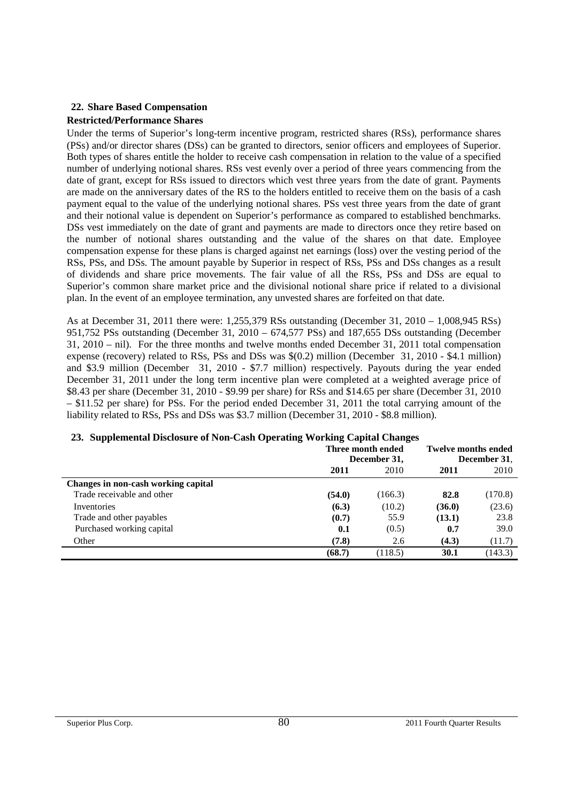## **22. Share Based Compensation**

## **Restricted/Performance Shares**

Under the terms of Superior's long-term incentive program, restricted shares (RSs), performance shares (PSs) and/or director shares (DSs) can be granted to directors, senior officers and employees of Superior. Both types of shares entitle the holder to receive cash compensation in relation to the value of a specified number of underlying notional shares. RSs vest evenly over a period of three years commencing from the date of grant, except for RSs issued to directors which vest three years from the date of grant. Payments are made on the anniversary dates of the RS to the holders entitled to receive them on the basis of a cash payment equal to the value of the underlying notional shares. PSs vest three years from the date of grant and their notional value is dependent on Superior's performance as compared to established benchmarks. DSs vest immediately on the date of grant and payments are made to directors once they retire based on the number of notional shares outstanding and the value of the shares on that date. Employee compensation expense for these plans is charged against net earnings (loss) over the vesting period of the RSs, PSs, and DSs. The amount payable by Superior in respect of RSs, PSs and DSs changes as a result of dividends and share price movements. The fair value of all the RSs, PSs and DSs are equal to Superior's common share market price and the divisional notional share price if related to a divisional plan. In the event of an employee termination, any unvested shares are forfeited on that date.

As at December 31, 2011 there were: 1,255,379 RSs outstanding (December 31, 2010 – 1,008,945 RSs) 951,752 PSs outstanding (December 31, 2010 – 674,577 PSs) and 187,655 DSs outstanding (December 31, 2010 – nil). For the three months and twelve months ended December 31, 2011 total compensation expense (recovery) related to RSs, PSs and DSs was \$(0.2) million (December 31, 2010 - \$4.1 million) and \$3.9 million (December 31, 2010 - \$7.7 million) respectively. Payouts during the year ended December 31, 2011 under the long term incentive plan were completed at a weighted average price of \$8.43 per share (December 31, 2010 - \$9.99 per share) for RSs and \$14.65 per share (December 31, 2010 – \$11.52 per share) for PSs. For the period ended December 31, 2011 the total carrying amount of the liability related to RSs, PSs and DSs was \$3.7 million (December 31, 2010 - \$8.8 million).

|                                     | Three month ended<br>December 31, |         | <b>Twelve months ended</b><br>December 31. |         |
|-------------------------------------|-----------------------------------|---------|--------------------------------------------|---------|
|                                     | 2011                              | 2010    | 2011                                       | 2010    |
| Changes in non-cash working capital |                                   |         |                                            |         |
| Trade receivable and other          | (54.0)                            | (166.3) | 82.8                                       | (170.8) |
| Inventories                         | (6.3)                             | (10.2)  | (36.0)                                     | (23.6)  |
| Trade and other payables            | (0.7)                             | 55.9    | (13.1)                                     | 23.8    |
| Purchased working capital           | 0.1                               | (0.5)   | 0.7                                        | 39.0    |
| Other                               | (7.8)                             | 2.6     | (4.3)                                      | (11.7)  |
|                                     | (68.7)                            | (118.5) | 30.1                                       | (143.3) |

## **23. Supplemental Disclosure of Non-Cash Operating Working Capital Changes**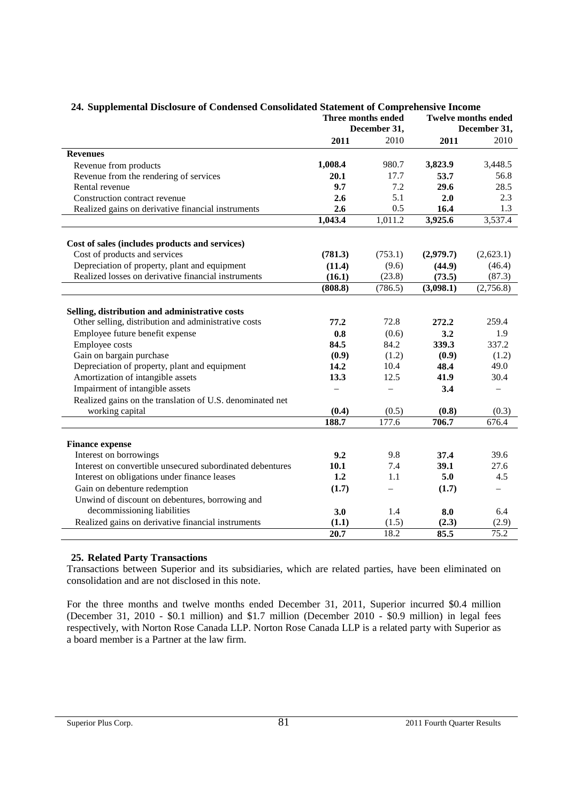| December 31,<br>December 31,<br>2011<br>2011<br>2010<br>2010<br><b>Revenues</b><br>980.7<br>1,008.4<br>3,823.9<br>3,448.5<br>Revenue from products<br>Revenue from the rendering of services<br>20.1<br>53.7<br>56.8<br>17.7<br>9.7<br>7.2<br>28.5<br>29.6<br>Rental revenue<br>5.1<br>Construction contract revenue<br>2.6<br>2.0<br>2.3<br>0.5<br>2.6<br>16.4<br>1.3<br>Realized gains on derivative financial instruments |
|------------------------------------------------------------------------------------------------------------------------------------------------------------------------------------------------------------------------------------------------------------------------------------------------------------------------------------------------------------------------------------------------------------------------------|
|                                                                                                                                                                                                                                                                                                                                                                                                                              |
|                                                                                                                                                                                                                                                                                                                                                                                                                              |
|                                                                                                                                                                                                                                                                                                                                                                                                                              |
|                                                                                                                                                                                                                                                                                                                                                                                                                              |
|                                                                                                                                                                                                                                                                                                                                                                                                                              |
|                                                                                                                                                                                                                                                                                                                                                                                                                              |
|                                                                                                                                                                                                                                                                                                                                                                                                                              |
|                                                                                                                                                                                                                                                                                                                                                                                                                              |
| 1,011.2<br>3,537.4<br>1,043.4<br>3,925.6                                                                                                                                                                                                                                                                                                                                                                                     |
| Cost of sales (includes products and services)                                                                                                                                                                                                                                                                                                                                                                               |
| Cost of products and services<br>(781.3)<br>(2,979.7)<br>(753.1)<br>(2,623.1)                                                                                                                                                                                                                                                                                                                                                |
| Depreciation of property, plant and equipment<br>(46.4)<br>(9.6)<br>(44.9)<br>(11.4)                                                                                                                                                                                                                                                                                                                                         |
| Realized losses on derivative financial instruments<br>(23.8)<br>(87.3)<br>(16.1)<br>(73.5)                                                                                                                                                                                                                                                                                                                                  |
| (2,756.8)<br>(808.8)<br>(786.5)<br>(3,098.1)                                                                                                                                                                                                                                                                                                                                                                                 |
|                                                                                                                                                                                                                                                                                                                                                                                                                              |
| Selling, distribution and administrative costs                                                                                                                                                                                                                                                                                                                                                                               |
| Other selling, distribution and administrative costs<br>72.8<br>259.4<br>77.2<br>272.2                                                                                                                                                                                                                                                                                                                                       |
| Employee future benefit expense<br>(0.6)<br>1.9<br>0.8<br>3.2                                                                                                                                                                                                                                                                                                                                                                |
| Employee costs<br>84.2<br>339.3<br>337.2<br>84.5                                                                                                                                                                                                                                                                                                                                                                             |
| Gain on bargain purchase<br>(0.9)<br>(1.2)<br>(0.9)<br>(1.2)                                                                                                                                                                                                                                                                                                                                                                 |
| Depreciation of property, plant and equipment<br>14.2<br>49.0<br>10.4<br>48.4                                                                                                                                                                                                                                                                                                                                                |
| 13.3<br>Amortization of intangible assets<br>41.9<br>30.4<br>12.5                                                                                                                                                                                                                                                                                                                                                            |
| Impairment of intangible assets<br>3.4                                                                                                                                                                                                                                                                                                                                                                                       |
| Realized gains on the translation of U.S. denominated net                                                                                                                                                                                                                                                                                                                                                                    |
| working capital<br>(0.5)<br>(0.4)<br>(0.8)<br>(0.3)                                                                                                                                                                                                                                                                                                                                                                          |
| 706.7<br>177.6<br>676.4<br>188.7                                                                                                                                                                                                                                                                                                                                                                                             |
| <b>Finance expense</b>                                                                                                                                                                                                                                                                                                                                                                                                       |
| 9.2<br>39.6<br>Interest on borrowings<br>9.8<br>37.4                                                                                                                                                                                                                                                                                                                                                                         |
| Interest on convertible unsecured subordinated debentures<br>7.4<br>39.1<br>27.6<br>10.1                                                                                                                                                                                                                                                                                                                                     |
| Interest on obligations under finance leases<br>1.2<br>1.1<br>5.0<br>4.5                                                                                                                                                                                                                                                                                                                                                     |
| Gain on debenture redemption<br>(1.7)<br>(1.7)                                                                                                                                                                                                                                                                                                                                                                               |
| Unwind of discount on debentures, borrowing and                                                                                                                                                                                                                                                                                                                                                                              |
| decommissioning liabilities<br>3.0<br>8.0<br>6.4<br>1.4                                                                                                                                                                                                                                                                                                                                                                      |
| Realized gains on derivative financial instruments<br>(2.3)<br>(1.1)<br>(1.5)<br>(2.9)                                                                                                                                                                                                                                                                                                                                       |
| 85.5<br>20.7<br>18.2<br>75.2                                                                                                                                                                                                                                                                                                                                                                                                 |

## **24. Supplemental Disclosure of Condensed Consolidated Statement of Comprehensive Income**

#### **25. Related Party Transactions**

Transactions between Superior and its subsidiaries, which are related parties, have been eliminated on consolidation and are not disclosed in this note.

For the three months and twelve months ended December 31, 2011, Superior incurred \$0.4 million (December 31, 2010 - \$0.1 million) and \$1.7 million (December 2010 - \$0.9 million) in legal fees respectively, with Norton Rose Canada LLP. Norton Rose Canada LLP is a related party with Superior as a board member is a Partner at the law firm.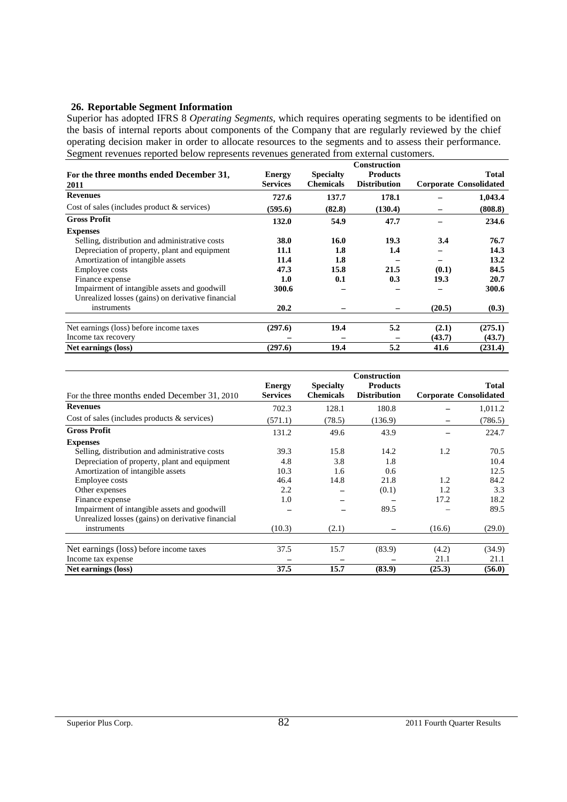#### **26. Reportable Segment Information**

Superior has adopted IFRS 8 *Operating Segments*, which requires operating segments to be identified on the basis of internal reports about components of the Company that are regularly reviewed by the chief operating decision maker in order to allocate resources to the segments and to assess their performance. Segment revenues reported below represents revenues generated from external customers.

|                                                   |                 |                  | <b>Construction</b> |                               |              |
|---------------------------------------------------|-----------------|------------------|---------------------|-------------------------------|--------------|
| For the three months ended December 31,           | <b>Energy</b>   | <b>Specialty</b> | <b>Products</b>     |                               | <b>Total</b> |
| 2011                                              | <b>Services</b> | <b>Chemicals</b> | <b>Distribution</b> | <b>Corporate Consolidated</b> |              |
| <b>Revenues</b>                                   | 727.6           | 137.7            | 178.1               |                               | 1,043.4      |
| Cost of sales (includes product $\&$ services)    | (595.6)         | (82.8)           | (130.4)             |                               | (808.8)      |
| <b>Gross Profit</b>                               | 132.0           | 54.9             | 47.7                |                               | 234.6        |
| <b>Expenses</b>                                   |                 |                  |                     |                               |              |
| Selling, distribution and administrative costs    | <b>38.0</b>     | 16.0             | 19.3                | 3.4                           | 76.7         |
| Depreciation of property, plant and equipment     | 11.1            | 1.8              | 1.4                 |                               | 14.3         |
| Amortization of intangible assets                 | 11.4            | 1.8              |                     |                               | 13.2         |
| Employee costs                                    | 47.3            | 15.8             | 21.5                | (0.1)                         | 84.5         |
| Finance expense                                   | 1.0             | 0.1              | 0.3                 | 19.3                          | 20.7         |
| Impairment of intangible assets and goodwill      | 300.6           |                  |                     |                               | 300.6        |
| Unrealized losses (gains) on derivative financial |                 |                  |                     |                               |              |
| instruments                                       | 20.2            |                  |                     | (20.5)                        | (0.3)        |
| Net earnings (loss) before income taxes           | (297.6)         | 19.4             | 5.2                 | (2.1)                         | (275.1)      |
| Income tax recovery                               |                 |                  |                     | (43.7)                        | (43.7)       |
| Net earnings (loss)                               | (297.6)         | 19.4             | 5.2                 | 41.6                          | (231.4)      |

|                                                   |                 |                  | <b>Construction</b> |                               |              |
|---------------------------------------------------|-----------------|------------------|---------------------|-------------------------------|--------------|
|                                                   | <b>Energy</b>   | <b>Specialty</b> | <b>Products</b>     |                               | <b>Total</b> |
| For the three months ended December 31, 2010      | <b>Services</b> | <b>Chemicals</b> | <b>Distribution</b> | <b>Corporate Consolidated</b> |              |
| <b>Revenues</b>                                   | 702.3           | 128.1            | 180.8               |                               | 1,011.2      |
| Cost of sales (includes products $\&$ services)   | (571.1)         | (78.5)           | (136.9)             |                               | (786.5)      |
| <b>Gross Profit</b>                               | 131.2           | 49.6             | 43.9                |                               | 224.7        |
| <b>Expenses</b>                                   |                 |                  |                     |                               |              |
| Selling, distribution and administrative costs    | 39.3            | 15.8             | 14.2                | 1.2                           | 70.5         |
| Depreciation of property, plant and equipment     | 4.8             | 3.8              | 1.8                 |                               | 10.4         |
| Amortization of intangible assets                 | 10.3            | 1.6              | 0.6                 |                               | 12.5         |
| Employee costs                                    | 46.4            | 14.8             | 21.8                | 1.2                           | 84.2         |
| Other expenses                                    | 2.2             |                  | (0.1)               | 1.2                           | 3.3          |
| Finance expense                                   | 1.0             |                  |                     | 17.2                          | 18.2         |
| Impairment of intangible assets and goodwill      |                 |                  | 89.5                |                               | 89.5         |
| Unrealized losses (gains) on derivative financial |                 |                  |                     |                               |              |
| instruments                                       | (10.3)          | (2.1)            |                     | (16.6)                        | (29.0)       |
| Net earnings (loss) before income taxes           |                 |                  |                     |                               |              |
|                                                   | 37.5            | 15.7             | (83.9)              | (4.2)                         | (34.9)       |
| Income tax expense                                |                 |                  |                     | 21.1                          | 21.1         |
| Net earnings (loss)                               | 37.5            | 15.7             | (83.9)              | (25.3)                        | (56.0)       |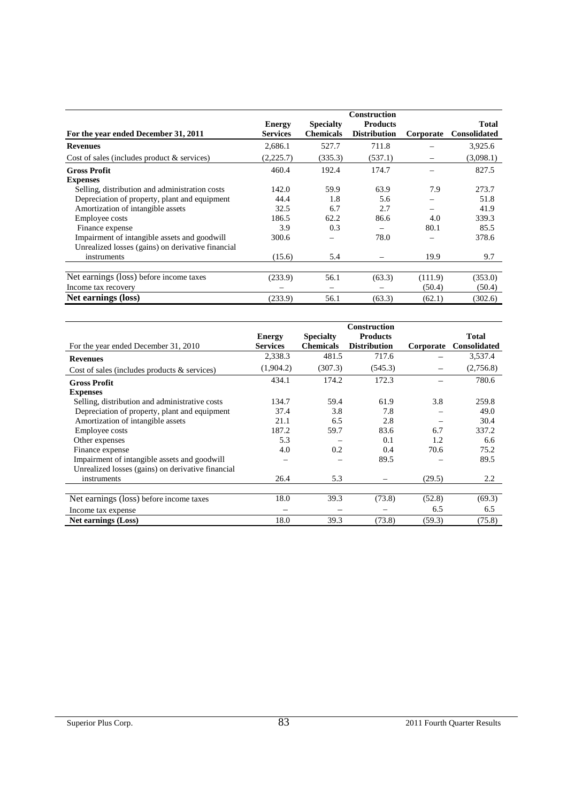|                                                   |                 |                  | <b>Construction</b> |           |              |
|---------------------------------------------------|-----------------|------------------|---------------------|-----------|--------------|
|                                                   | <b>Energy</b>   | <b>Specialty</b> | <b>Products</b>     |           | <b>Total</b> |
| For the year ended December 31, 2011              | <b>Services</b> | <b>Chemicals</b> | <b>Distribution</b> | Corporate | Consolidated |
| <b>Revenues</b>                                   | 2,686.1         | 527.7            | 711.8               |           | 3,925.6      |
| Cost of sales (includes product $\&$ services)    | (2,225.7)       | (335.3)          | (537.1)             |           | (3,098.1)    |
| <b>Gross Profit</b>                               | 460.4           | 192.4            | 174.7               |           | 827.5        |
| <b>Expenses</b>                                   |                 |                  |                     |           |              |
| Selling, distribution and administration costs    | 142.0           | 59.9             | 63.9                | 7.9       | 273.7        |
| Depreciation of property, plant and equipment     | 44.4            | 1.8              | 5.6                 |           | 51.8         |
| Amortization of intangible assets                 | 32.5            | 6.7              | 2.7                 |           | 41.9         |
| Employee costs                                    | 186.5           | 62.2             | 86.6                | 4.0       | 339.3        |
| Finance expense                                   | 3.9             | 0.3              |                     | 80.1      | 85.5         |
| Impairment of intangible assets and goodwill      | 300.6           |                  | 78.0                |           | 378.6        |
| Unrealized losses (gains) on derivative financial |                 |                  |                     |           |              |
| instruments                                       | (15.6)          | 5.4              |                     | 19.9      | 9.7          |
| Net earnings (loss) before income taxes           | (233.9)         | 56.1             | (63.3)              | (111.9)   | (353.0)      |
| Income tax recovery                               |                 |                  |                     | (50.4)    | (50.4)       |
| Net earnings (loss)                               | (233.9)         | 56.1             | (63.3)              | (62.1)    | (302.6)      |

|                                                   |                 |                  | <b>Construction</b> |           |                     |
|---------------------------------------------------|-----------------|------------------|---------------------|-----------|---------------------|
|                                                   | <b>Energy</b>   | <b>Specialty</b> | <b>Products</b>     |           | <b>Total</b>        |
| For the year ended December 31, 2010              | <b>Services</b> | <b>Chemicals</b> | <b>Distribution</b> | Corporate | <b>Consolidated</b> |
| <b>Revenues</b>                                   | 2,338.3         | 481.5            | 717.6               |           | 3,537.4             |
| Cost of sales (includes products $\&$ services)   | (1,904.2)       | (307.3)          | (545.3)             |           | (2,756.8)           |
| <b>Gross Profit</b>                               | 434.1           | 174.2            | 172.3               |           | 780.6               |
| <b>Expenses</b>                                   |                 |                  |                     |           |                     |
| Selling, distribution and administrative costs    | 134.7           | 59.4             | 61.9                | 3.8       | 259.8               |
| Depreciation of property, plant and equipment     | 37.4            | 3.8              | 7.8                 |           | 49.0                |
| Amortization of intangible assets                 | 21.1            | 6.5              | 2.8                 |           | 30.4                |
| Employee costs                                    | 187.2           | 59.7             | 83.6                | 6.7       | 337.2               |
| Other expenses                                    | 5.3             |                  | 0.1                 | 1.2       | 6.6                 |
| Finance expense                                   | 4.0             | 0.2              | 0.4                 | 70.6      | 75.2                |
| Impairment of intangible assets and goodwill      |                 |                  | 89.5                |           | 89.5                |
| Unrealized losses (gains) on derivative financial |                 |                  |                     |           |                     |
| instruments                                       | 26.4            | 5.3              |                     | (29.5)    | 2.2                 |
|                                                   |                 |                  |                     |           |                     |
| Net earnings (loss) before income taxes           | 18.0            | 39.3             | (73.8)              | (52.8)    | (69.3)              |
| Income tax expense                                |                 |                  |                     | 6.5       | 6.5                 |
| <b>Net earnings (Loss)</b>                        | 18.0            | 39.3             | (73.8)              | (59.3)    | (75.8)              |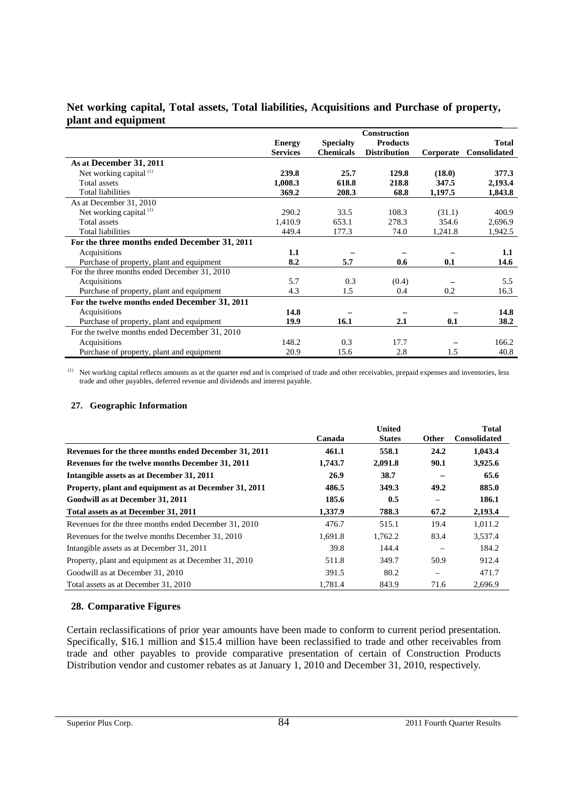## **Net working capital, Total assets, Total liabilities, Acquisitions and Purchase of property, plant and equipment**

|                                               |                 |                  | <b>Construction</b> |           |              |
|-----------------------------------------------|-----------------|------------------|---------------------|-----------|--------------|
|                                               | <b>Energy</b>   | <b>Specialty</b> | <b>Products</b>     |           | <b>Total</b> |
|                                               | <b>Services</b> | <b>Chemicals</b> | <b>Distribution</b> | Corporate | Consolidated |
| As at December 31, 2011                       |                 |                  |                     |           |              |
| Net working capital $(1)$                     | 239.8           | 25.7             | 129.8               | (18.0)    | 377.3        |
| Total assets                                  | 1,008.3         | 618.8            | 218.8               | 347.5     | 2,193.4      |
| <b>Total liabilities</b>                      | 369.2           | 208.3            | 68.8                | 1,197.5   | 1,843.8      |
| As at December 31, 2010                       |                 |                  |                     |           |              |
| Net working capital <sup>(1)</sup>            | 290.2           | 33.5             | 108.3               | (31.1)    | 400.9        |
| Total assets                                  | 1,410.9         | 653.1            | 278.3               | 354.6     | 2,696.9      |
| <b>Total liabilities</b>                      | 449.4           | 177.3            | 74.0                | 1,241.8   | 1,942.5      |
| For the three months ended December 31, 2011  |                 |                  |                     |           |              |
| Acquisitions                                  | 1.1             |                  |                     |           | 1.1          |
| Purchase of property, plant and equipment     | 8.2             | 5.7              | 0.6                 | 0.1       | 14.6         |
| For the three months ended December 31, 2010  |                 |                  |                     |           |              |
| Acquisitions                                  | 5.7             | 0.3              | (0.4)               |           | 5.5          |
| Purchase of property, plant and equipment     | 4.3             | 1.5              | 0.4                 | 0.2       | 16.3         |
| For the twelve months ended December 31, 2011 |                 |                  |                     |           |              |
| Acquisitions                                  | 14.8            |                  |                     |           | 14.8         |
| Purchase of property, plant and equipment     | 19.9            | 16.1             | 2.1                 | 0.1       | 38.2         |
| For the twelve months ended December 31, 2010 |                 |                  |                     |           |              |
| Acquisitions                                  | 148.2           | 0.3              | 17.7                |           | 166.2        |
| Purchase of property, plant and equipment     | 20.9            | 15.6             | 2.8                 | 1.5       | 40.8         |

 (1) Net working capital reflects amounts as at the quarter end and is comprised of trade and other receivables, prepaid expenses and inventories, less trade and other payables, deferred revenue and dividends and interest payable.

#### **27. Geographic Information**

|                                                       |         | <b>United</b> |                              | <b>Total</b>        |
|-------------------------------------------------------|---------|---------------|------------------------------|---------------------|
|                                                       | Canada  | <b>States</b> | <b>Other</b>                 | <b>Consolidated</b> |
| Revenues for the three months ended December 31, 2011 | 461.1   | 558.1         | 24.2                         | 1,043.4             |
| Revenues for the twelve months December 31, 2011      | 1,743.7 | 2,091.8       | 90.1                         | 3,925.6             |
| Intangible assets as at December 31, 2011             | 26.9    | 38.7          |                              | 65.6                |
| Property, plant and equipment as at December 31, 2011 | 486.5   | 349.3         | 49.2                         | 885.0               |
| Goodwill as at December 31, 2011                      | 185.6   | 0.5           | $\qquad \qquad \blacksquare$ | 186.1               |
| Total assets as at December 31, 2011                  | 1.337.9 | 788.3         | 67.2                         | 2,193.4             |
| Revenues for the three months ended December 31, 2010 | 476.7   | 515.1         | 19.4                         | 1.011.2             |
| Revenues for the twelve months December 31, 2010      | 1.691.8 | 1.762.2       | 83.4                         | 3,537.4             |
| Intangible assets as at December 31, 2011             | 39.8    | 144.4         |                              | 184.2               |
| Property, plant and equipment as at December 31, 2010 | 511.8   | 349.7         | 50.9                         | 912.4               |
| Goodwill as at December 31, 2010                      | 391.5   | 80.2          | $\overline{\phantom{m}}$     | 471.7               |
| Total assets as at December 31, 2010                  | 1.781.4 | 843.9         | 71.6                         | 2,696.9             |

## **28. Comparative Figures**

Certain reclassifications of prior year amounts have been made to conform to current period presentation. Specifically, \$16.1 million and \$15.4 million have been reclassified to trade and other receivables from trade and other payables to provide comparative presentation of certain of Construction Products Distribution vendor and customer rebates as at January 1, 2010 and December 31, 2010, respectively.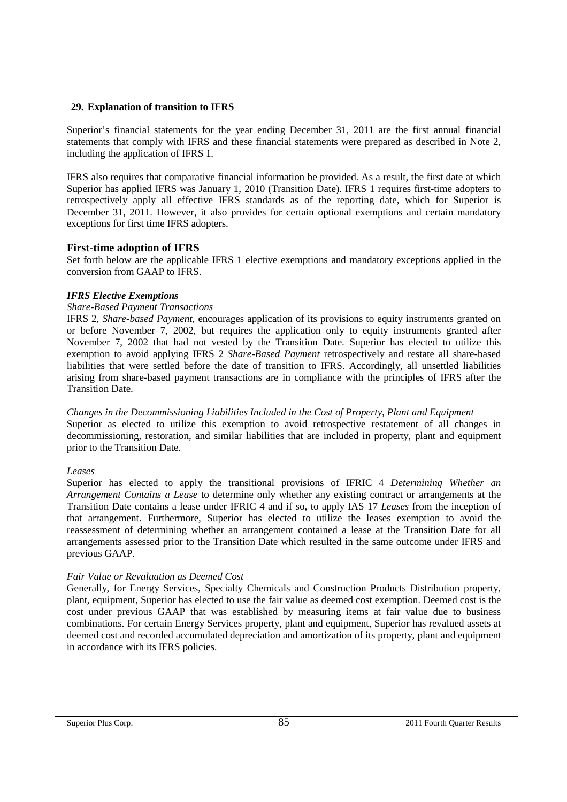## **29. Explanation of transition to IFRS**

Superior's financial statements for the year ending December 31, 2011 are the first annual financial statements that comply with IFRS and these financial statements were prepared as described in Note 2, including the application of IFRS 1.

IFRS also requires that comparative financial information be provided. As a result, the first date at which Superior has applied IFRS was January 1, 2010 (Transition Date). IFRS 1 requires first-time adopters to retrospectively apply all effective IFRS standards as of the reporting date, which for Superior is December 31, 2011. However, it also provides for certain optional exemptions and certain mandatory exceptions for first time IFRS adopters.

## **First-time adoption of IFRS**

Set forth below are the applicable IFRS 1 elective exemptions and mandatory exceptions applied in the conversion from GAAP to IFRS.

#### *IFRS Elective Exemptions*

#### *Share-Based Payment Transactions*

IFRS 2, *Share-based Payment*, encourages application of its provisions to equity instruments granted on or before November 7, 2002, but requires the application only to equity instruments granted after November 7, 2002 that had not vested by the Transition Date. Superior has elected to utilize this exemption to avoid applying IFRS 2 *Share-Based Payment* retrospectively and restate all share-based liabilities that were settled before the date of transition to IFRS. Accordingly, all unsettled liabilities arising from share-based payment transactions are in compliance with the principles of IFRS after the Transition Date.

#### *Changes in the Decommissioning Liabilities Included in the Cost of Property, Plant and Equipment*

Superior as elected to utilize this exemption to avoid retrospective restatement of all changes in decommissioning, restoration, and similar liabilities that are included in property, plant and equipment prior to the Transition Date.

#### *Leases*

Superior has elected to apply the transitional provisions of IFRIC 4 *Determining Whether an Arrangement Contains a Lease* to determine only whether any existing contract or arrangements at the Transition Date contains a lease under IFRIC 4 and if so, to apply IAS 17 *Leases* from the inception of that arrangement. Furthermore, Superior has elected to utilize the leases exemption to avoid the reassessment of determining whether an arrangement contained a lease at the Transition Date for all arrangements assessed prior to the Transition Date which resulted in the same outcome under IFRS and previous GAAP.

#### *Fair Value or Revaluation as Deemed Cost*

Generally, for Energy Services, Specialty Chemicals and Construction Products Distribution property, plant, equipment, Superior has elected to use the fair value as deemed cost exemption. Deemed cost is the cost under previous GAAP that was established by measuring items at fair value due to business combinations. For certain Energy Services property, plant and equipment, Superior has revalued assets at deemed cost and recorded accumulated depreciation and amortization of its property, plant and equipment in accordance with its IFRS policies.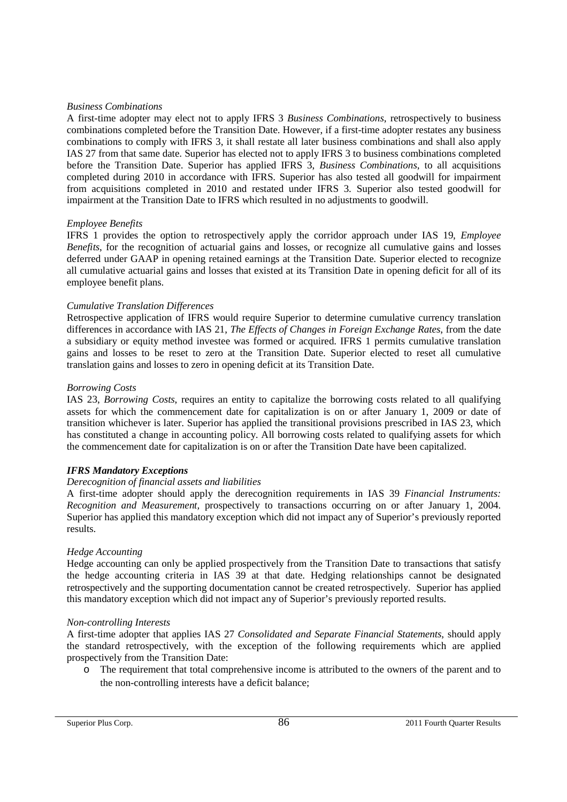#### *Business Combinations*

A first-time adopter may elect not to apply IFRS 3 *Business Combinations*, retrospectively to business combinations completed before the Transition Date. However, if a first-time adopter restates any business combinations to comply with IFRS 3, it shall restate all later business combinations and shall also apply IAS 27 from that same date. Superior has elected not to apply IFRS 3 to business combinations completed before the Transition Date. Superior has applied IFRS 3, *Business Combinations*, to all acquisitions completed during 2010 in accordance with IFRS. Superior has also tested all goodwill for impairment from acquisitions completed in 2010 and restated under IFRS 3. Superior also tested goodwill for impairment at the Transition Date to IFRS which resulted in no adjustments to goodwill.

#### *Employee Benefits*

IFRS 1 provides the option to retrospectively apply the corridor approach under IAS 19, *Employee Benefits*, for the recognition of actuarial gains and losses, or recognize all cumulative gains and losses deferred under GAAP in opening retained earnings at the Transition Date. Superior elected to recognize all cumulative actuarial gains and losses that existed at its Transition Date in opening deficit for all of its employee benefit plans.

#### *Cumulative Translation Differences*

Retrospective application of IFRS would require Superior to determine cumulative currency translation differences in accordance with IAS 21, *The Effects of Changes in Foreign Exchange Rates*, from the date a subsidiary or equity method investee was formed or acquired. IFRS 1 permits cumulative translation gains and losses to be reset to zero at the Transition Date. Superior elected to reset all cumulative translation gains and losses to zero in opening deficit at its Transition Date.

#### *Borrowing Costs*

IAS 23, *Borrowing Costs*, requires an entity to capitalize the borrowing costs related to all qualifying assets for which the commencement date for capitalization is on or after January 1, 2009 or date of transition whichever is later. Superior has applied the transitional provisions prescribed in IAS 23, which has constituted a change in accounting policy. All borrowing costs related to qualifying assets for which the commencement date for capitalization is on or after the Transition Date have been capitalized.

#### *IFRS Mandatory Exceptions*

#### *Derecognition of financial assets and liabilities*

A first-time adopter should apply the derecognition requirements in IAS 39 *Financial Instruments: Recognition and Measurement,* prospectively to transactions occurring on or after January 1, 2004. Superior has applied this mandatory exception which did not impact any of Superior's previously reported results.

#### *Hedge Accounting*

Hedge accounting can only be applied prospectively from the Transition Date to transactions that satisfy the hedge accounting criteria in IAS 39 at that date. Hedging relationships cannot be designated retrospectively and the supporting documentation cannot be created retrospectively. Superior has applied this mandatory exception which did not impact any of Superior's previously reported results.

#### *Non-controlling Interests*

A first-time adopter that applies IAS 27 *Consolidated and Separate Financial Statements*, should apply the standard retrospectively, with the exception of the following requirements which are applied prospectively from the Transition Date:

o The requirement that total comprehensive income is attributed to the owners of the parent and to the non-controlling interests have a deficit balance;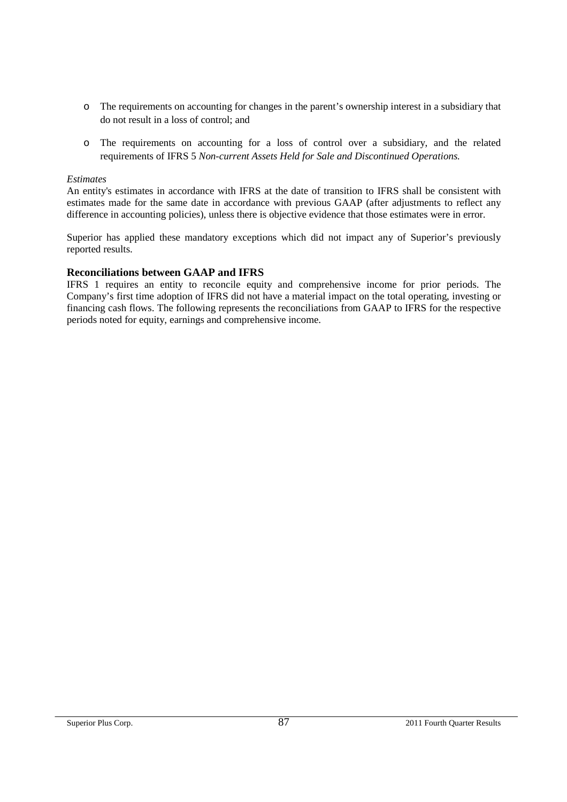- o The requirements on accounting for changes in the parent's ownership interest in a subsidiary that do not result in a loss of control; and
- o The requirements on accounting for a loss of control over a subsidiary, and the related requirements of IFRS 5 *Non-current Assets Held for Sale and Discontinued Operations.*

#### *Estimates*

An entity's estimates in accordance with IFRS at the date of transition to IFRS shall be consistent with estimates made for the same date in accordance with previous GAAP (after adjustments to reflect any difference in accounting policies), unless there is objective evidence that those estimates were in error.

Superior has applied these mandatory exceptions which did not impact any of Superior's previously reported results.

## **Reconciliations between GAAP and IFRS**

IFRS 1 requires an entity to reconcile equity and comprehensive income for prior periods. The Company's first time adoption of IFRS did not have a material impact on the total operating, investing or financing cash flows. The following represents the reconciliations from GAAP to IFRS for the respective periods noted for equity, earnings and comprehensive income.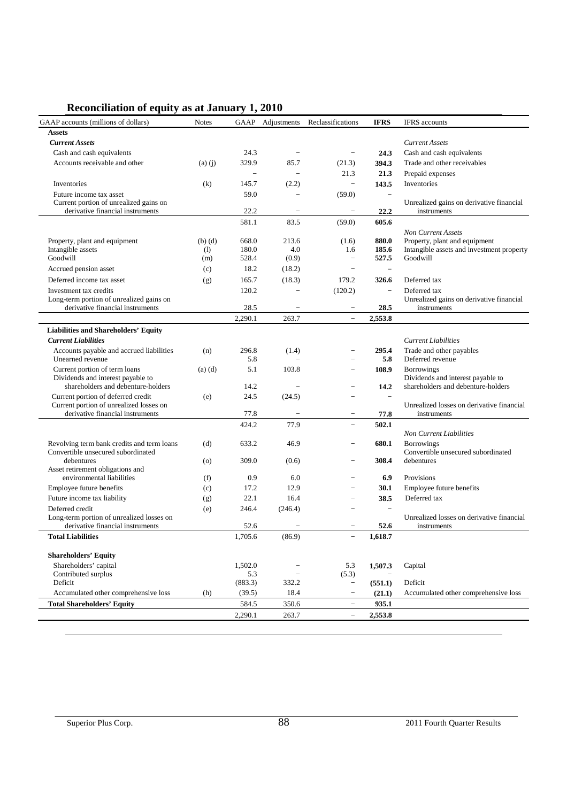# **Reconciliation of equity as at January 1, 2010**

| GAAP accounts (millions of dollars)                                           | <b>Notes</b> |                          |                          | GAAP Adjustments Reclassifications | <b>IFRS</b>              | <b>IFRS</b> accounts                                     |
|-------------------------------------------------------------------------------|--------------|--------------------------|--------------------------|------------------------------------|--------------------------|----------------------------------------------------------|
| <b>Assets</b>                                                                 |              |                          |                          |                                    |                          |                                                          |
| <b>Current Assets</b>                                                         |              |                          |                          |                                    |                          | <b>Current Assets</b>                                    |
| Cash and cash equivalents                                                     |              | 24.3                     |                          |                                    | 24.3                     | Cash and cash equivalents                                |
| Accounts receivable and other                                                 | $(a)$ $(i)$  | 329.9                    | 85.7                     | (21.3)                             | 394.3                    | Trade and other receivables                              |
|                                                                               |              | $\overline{\phantom{0}}$ | $\qquad \qquad -$        | 21.3                               | 21.3                     | Prepaid expenses                                         |
| Inventories                                                                   | (k)          | 145.7                    | (2.2)                    | $\qquad \qquad -$                  | 143.5                    | Inventories                                              |
| Future income tax asset                                                       |              | 59.0                     | $\overline{\phantom{0}}$ | (59.0)                             | $\overline{\phantom{0}}$ |                                                          |
| Current portion of unrealized gains on<br>derivative financial instruments    |              | 22.2                     | $\qquad \qquad -$        | $\qquad \qquad -$                  | 22.2                     | Unrealized gains on derivative financial<br>instruments  |
|                                                                               |              | 581.1                    | 83.5                     | (59.0)                             | 605.6                    |                                                          |
|                                                                               |              |                          |                          |                                    |                          | Non Current Assets                                       |
| Property, plant and equipment                                                 | (b) (d)      | 668.0                    | 213.6                    | (1.6)                              | 880.0                    | Property, plant and equipment                            |
| Intangible assets                                                             | (1)          | 180.0                    | 4.0                      | 1.6                                | 185.6                    | Intangible assets and investment property                |
| Goodwill                                                                      | (m)          | 528.4                    | (0.9)                    | $\overline{\phantom{a}}$           | 527.5                    | Goodwill                                                 |
| Accrued pension asset                                                         | (c)          | 18.2                     | (18.2)                   | ÷                                  |                          |                                                          |
| Deferred income tax asset                                                     | (g)          | 165.7                    | (18.3)                   | 179.2                              | 326.6                    | Deferred tax                                             |
| Investment tax credits                                                        |              | 120.2                    |                          | (120.2)                            | $\overline{\phantom{0}}$ | Deferred tax                                             |
| Long-term portion of unrealized gains on                                      |              |                          |                          |                                    |                          | Unrealized gains on derivative financial                 |
| derivative financial instruments                                              |              | 28.5                     |                          | $\qquad \qquad -$                  | 28.5                     | instruments                                              |
|                                                                               |              | 2,290.1                  | 263.7                    | $\rightarrow$                      | 2,553.8                  |                                                          |
| <b>Liabilities and Shareholders' Equity</b>                                   |              |                          |                          |                                    |                          |                                                          |
| <b>Current Liabilities</b>                                                    |              |                          |                          |                                    |                          | <b>Current Liabilities</b>                               |
| Accounts payable and accrued liabilities<br>Unearned revenue                  | (n)          | 296.8                    | (1.4)                    | ÷                                  | 295.4<br>5.8             | Trade and other payables<br>Deferred revenue             |
| Current portion of term loans                                                 |              | 5.8<br>5.1               | 103.8                    | $\overline{\phantom{0}}$           | 108.9                    | <b>Borrowings</b>                                        |
| Dividends and interest payable to                                             | $(a)$ $(d)$  |                          |                          |                                    |                          | Dividends and interest payable to                        |
| shareholders and debenture-holders                                            |              | 14.2                     |                          | $\equiv$                           | 14.2                     | shareholders and debenture-holders                       |
| Current portion of deferred credit                                            | (e)          | 24.5                     | (24.5)                   | $\overline{\phantom{0}}$           | $\equiv$                 |                                                          |
| Current portion of unrealized losses on                                       |              |                          |                          |                                    |                          | Unrealized losses on derivative financial                |
| derivative financial instruments                                              |              | 77.8                     | $\overline{\phantom{0}}$ | $\overline{\phantom{0}}$           | 77.8                     | instruments                                              |
|                                                                               |              | 424.2                    | 77.9                     | $\overline{\phantom{0}}$           | 502.1                    | Non Current Liabilities                                  |
| Revolving term bank credits and term loans                                    | (d)          | 633.2                    | 46.9                     |                                    | 680.1                    | <b>Borrowings</b>                                        |
| Convertible unsecured subordinated                                            |              |                          |                          |                                    |                          | Convertible unsecured subordinated                       |
| debentures                                                                    | $\circ$      | 309.0                    | (0.6)                    |                                    | 308.4                    | debentures                                               |
| Asset retirement obligations and                                              |              |                          |                          |                                    |                          |                                                          |
| environmental liabilities                                                     | (f)          | 0.9                      | 6.0                      |                                    | 6.9                      | Provisions                                               |
| Employee future benefits                                                      | (c)          | 17.2                     | 12.9                     | $\overline{\phantom{0}}$           | 30.1                     | Employee future benefits                                 |
| Future income tax liability                                                   | (g)          | 22.1                     | 16.4                     | $\overline{\phantom{0}}$           | 38.5                     | Deferred tax                                             |
| Deferred credit                                                               | (e)          | 246.4                    | (246.4)                  |                                    |                          |                                                          |
| Long-term portion of unrealized losses on<br>derivative financial instruments |              | 52.6                     |                          |                                    | 52.6                     | Unrealized losses on derivative financial<br>instruments |
| <b>Total Liabilities</b>                                                      |              | 1,705.6                  | (86.9)                   | $\equiv$                           | 1,618.7                  |                                                          |
|                                                                               |              |                          |                          |                                    |                          |                                                          |
| <b>Shareholders' Equity</b>                                                   |              |                          |                          |                                    |                          |                                                          |
| Shareholders' capital                                                         |              | 1,502.0                  |                          | 5.3                                | 1,507.3                  | Capital                                                  |
| Contributed surplus                                                           |              | 5.3                      | $\qquad \qquad -$        | (5.3)                              |                          |                                                          |
| Deficit                                                                       |              | (883.3)                  | 332.2                    | $\qquad \qquad -$                  | (551.1)                  | Deficit                                                  |
| Accumulated other comprehensive loss                                          | (h)          | (39.5)                   | 18.4                     | $\overline{\phantom{0}}$           | (21.1)                   | Accumulated other comprehensive loss                     |
| <b>Total Shareholders' Equity</b>                                             |              | 584.5                    | 350.6                    | ÷                                  | 935.1                    |                                                          |
|                                                                               |              | 2,290.1                  | 263.7                    |                                    | 2,553.8                  |                                                          |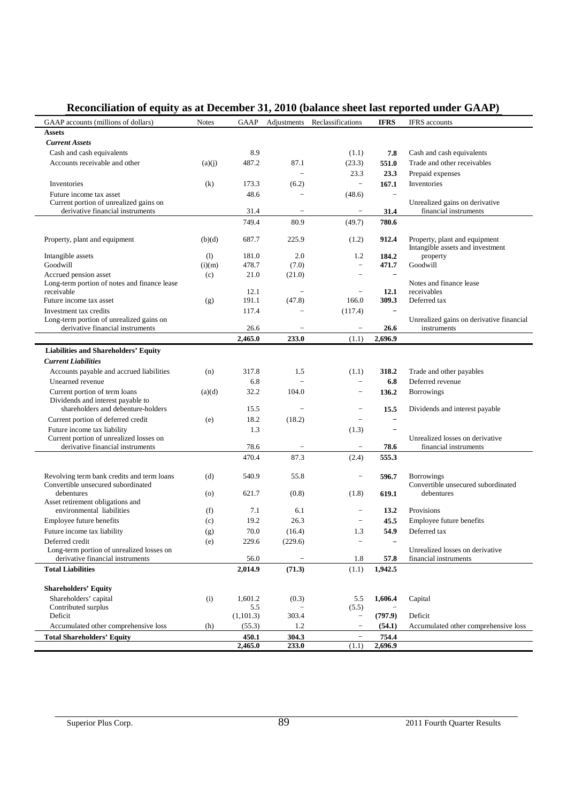| GAAP accounts (millions of dollars)                                              | Notes   | GAAP           |                          | Adjustments Reclassifications | <b>IFRS</b>              | <b>IFRS</b> accounts                                              |
|----------------------------------------------------------------------------------|---------|----------------|--------------------------|-------------------------------|--------------------------|-------------------------------------------------------------------|
| <b>Assets</b>                                                                    |         |                |                          |                               |                          |                                                                   |
| <b>Current Assets</b>                                                            |         |                |                          |                               |                          |                                                                   |
| Cash and cash equivalents                                                        |         | 8.9            |                          | (1.1)                         | 7.8                      | Cash and cash equivalents                                         |
| Accounts receivable and other                                                    | (a)(j)  | 487.2          | 87.1                     | (23.3)                        | 551.0                    | Trade and other receivables                                       |
|                                                                                  |         |                | $\overline{\phantom{a}}$ | 23.3                          | 23.3                     | Prepaid expenses                                                  |
| Inventories                                                                      | (k)     | 173.3          | (6.2)                    | $\qquad \qquad -$             | 167.1                    | Inventories                                                       |
| Future income tax asset                                                          |         | 48.6           |                          | (48.6)                        | $\overline{\phantom{0}}$ |                                                                   |
| Current portion of unrealized gains on                                           |         |                |                          |                               |                          | Unrealized gains on derivative                                    |
| derivative financial instruments                                                 |         | 31.4           |                          | $\qquad \qquad -$             | 31.4                     | financial instruments                                             |
|                                                                                  |         | 749.4          | 80.9                     | (49.7)                        | 780.6                    |                                                                   |
|                                                                                  |         |                |                          |                               |                          |                                                                   |
| Property, plant and equipment                                                    | (b)(d)  | 687.7          | 225.9                    | (1.2)                         | 912.4                    | Property, plant and equipment<br>Intangible assets and investment |
| Intangible assets                                                                | (1)     | 181.0          | 2.0                      | 1.2                           | 184.2                    | property                                                          |
| Goodwill                                                                         | (i)(m)  | 478.7          | (7.0)                    | $\qquad \qquad -$             | 471.7                    | Goodwill                                                          |
| Accrued pension asset                                                            | (c)     | 21.0           | (21.0)                   | $\overline{\phantom{0}}$      |                          |                                                                   |
| Long-term portion of notes and finance lease                                     |         |                |                          |                               |                          | Notes and finance lease                                           |
| receivable                                                                       |         | 12.1           |                          |                               | 12.1                     | receivables                                                       |
| Future income tax asset                                                          | (g)     | 191.1          | (47.8)                   | 166.0                         | 309.3                    | Deferred tax                                                      |
| Investment tax credits<br>Long-term portion of unrealized gains on               |         | 117.4          |                          | (117.4)                       |                          | Unrealized gains on derivative financial                          |
| derivative financial instruments                                                 |         | 26.6           |                          |                               | 26.6                     | instruments                                                       |
|                                                                                  |         | 2,465.0        | 233.0                    | (1.1)                         | 2.696.9                  |                                                                   |
|                                                                                  |         |                |                          |                               |                          |                                                                   |
| Liabilities and Shareholders' Equity                                             |         |                |                          |                               |                          |                                                                   |
| <b>Current Liabilities</b>                                                       |         |                |                          |                               |                          |                                                                   |
| Accounts payable and accrued liabilities                                         | (n)     | 317.8          | 1.5                      | (1.1)                         | 318.2                    | Trade and other payables                                          |
| Unearned revenue                                                                 |         | 6.8            |                          | $\equiv$                      | 6.8                      | Deferred revenue                                                  |
| Current portion of term loans<br>Dividends and interest payable to               | (a)(d)  | 32.2           | 104.0                    |                               | 136.2                    | <b>Borrowings</b>                                                 |
| shareholders and debenture-holders                                               |         | 15.5           |                          | $\overline{\phantom{0}}$      | 15.5                     | Dividends and interest payable                                    |
| Current portion of deferred credit                                               | (e)     | 18.2           | (18.2)                   |                               |                          |                                                                   |
| Future income tax liability                                                      |         | 1.3            |                          | (1.3)                         |                          |                                                                   |
| Current portion of unrealized losses on                                          |         |                |                          |                               |                          | Unrealized losses on derivative                                   |
| derivative financial instruments                                                 |         | 78.6           |                          |                               | 78.6                     | financial instruments                                             |
|                                                                                  |         | 470.4          | 87.3                     | (2.4)                         | 555.3                    |                                                                   |
|                                                                                  |         |                |                          |                               |                          |                                                                   |
| Revolving term bank credits and term loans<br>Convertible unsecured subordinated | (d)     | 540.9          | 55.8                     |                               | 596.7                    | <b>Borrowings</b>                                                 |
| debentures                                                                       | $\circ$ | 621.7          | (0.8)                    | (1.8)                         | 619.1                    | Convertible unsecured subordinated<br>debentures                  |
| Asset retirement obligations and                                                 |         |                |                          |                               |                          |                                                                   |
| environmental liabilities                                                        | (f)     | 7.1            | 6.1                      | $\overline{\phantom{0}}$      | 13.2                     | Provisions                                                        |
| Employee future benefits                                                         | (c)     | 19.2           | 26.3                     |                               | 45.5                     | Employee future benefits                                          |
| Future income tax liability                                                      | (g)     | 70.0           | (16.4)                   | 1.3                           | 54.9                     | Deferred tax                                                      |
| Deferred credit                                                                  | (e)     | 229.6          | (229.6)                  | $\qquad \qquad -$             | $\overline{\phantom{0}}$ |                                                                   |
| Long-term portion of unrealized losses on                                        |         |                |                          |                               |                          | Unrealized losses on derivative                                   |
| derivative financial instruments                                                 |         | 56.0           |                          | 1.8                           | 57.8                     | financial instruments                                             |
| <b>Total Liabilities</b>                                                         |         | 2,014.9        | (71.3)                   | (1.1)                         | 1,942.5                  |                                                                   |
|                                                                                  |         |                |                          |                               |                          |                                                                   |
| <b>Shareholders' Equity</b>                                                      |         |                |                          |                               |                          |                                                                   |
| Shareholders' capital<br>Contributed surplus                                     | (i)     | 1,601.2<br>5.5 | (0.3)                    | 5.5<br>(5.5)                  | 1,606.4                  | Capital                                                           |
| Deficit                                                                          |         | (1,101.3)      | 303.4                    | $\qquad \qquad -$             | (797.9)                  | Deficit                                                           |
| Accumulated other comprehensive loss                                             | (h)     | (55.3)         | 1.2                      | $\qquad \qquad -$             | (54.1)                   | Accumulated other comprehensive loss                              |
| <b>Total Shareholders' Equity</b>                                                |         | 450.1          | 304.3                    | $\overline{\phantom{0}}$      | 754.4                    |                                                                   |
|                                                                                  |         | 2,465.0        | 233.0                    | (1.1)                         | 2,696.9                  |                                                                   |
|                                                                                  |         |                |                          |                               |                          |                                                                   |

# **Reconciliation of equity as at December 31, 2010 (balance sheet last reported under GAAP)**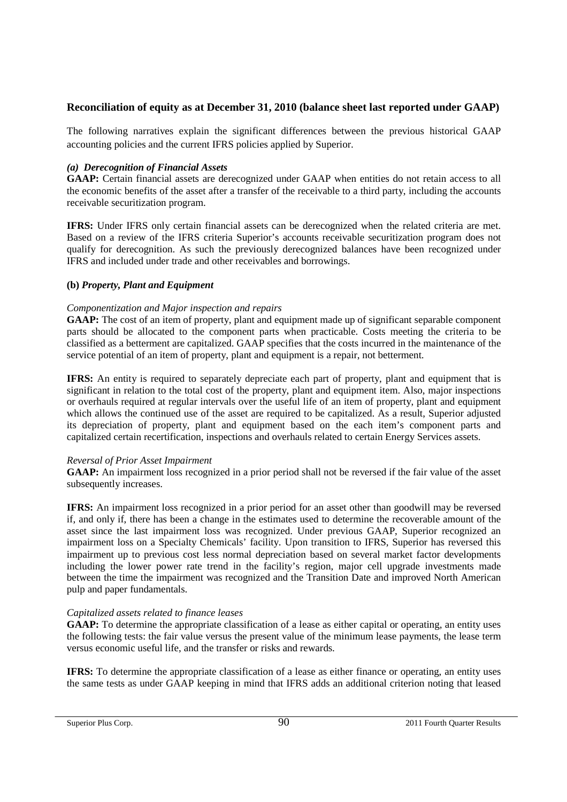## **Reconciliation of equity as at December 31, 2010 (balance sheet last reported under GAAP)**

The following narratives explain the significant differences between the previous historical GAAP accounting policies and the current IFRS policies applied by Superior.

## *(a) Derecognition of Financial Assets*

**GAAP:** Certain financial assets are derecognized under GAAP when entities do not retain access to all the economic benefits of the asset after a transfer of the receivable to a third party, including the accounts receivable securitization program.

**IFRS:** Under IFRS only certain financial assets can be derecognized when the related criteria are met. Based on a review of the IFRS criteria Superior's accounts receivable securitization program does not qualify for derecognition. As such the previously derecognized balances have been recognized under IFRS and included under trade and other receivables and borrowings.

## **(b)** *Property, Plant and Equipment*

## *Componentization and Major inspection and repairs*

**GAAP:** The cost of an item of property, plant and equipment made up of significant separable component parts should be allocated to the component parts when practicable. Costs meeting the criteria to be classified as a betterment are capitalized. GAAP specifies that the costs incurred in the maintenance of the service potential of an item of property, plant and equipment is a repair, not betterment.

**IFRS:** An entity is required to separately depreciate each part of property, plant and equipment that is significant in relation to the total cost of the property, plant and equipment item. Also, major inspections or overhauls required at regular intervals over the useful life of an item of property, plant and equipment which allows the continued use of the asset are required to be capitalized. As a result, Superior adjusted its depreciation of property, plant and equipment based on the each item's component parts and capitalized certain recertification, inspections and overhauls related to certain Energy Services assets.

#### *Reversal of Prior Asset Impairment*

**GAAP:** An impairment loss recognized in a prior period shall not be reversed if the fair value of the asset subsequently increases.

**IFRS:** An impairment loss recognized in a prior period for an asset other than goodwill may be reversed if, and only if, there has been a change in the estimates used to determine the recoverable amount of the asset since the last impairment loss was recognized. Under previous GAAP, Superior recognized an impairment loss on a Specialty Chemicals' facility. Upon transition to IFRS, Superior has reversed this impairment up to previous cost less normal depreciation based on several market factor developments including the lower power rate trend in the facility's region, major cell upgrade investments made between the time the impairment was recognized and the Transition Date and improved North American pulp and paper fundamentals.

## *Capitalized assets related to finance leases*

**GAAP:** To determine the appropriate classification of a lease as either capital or operating, an entity uses the following tests: the fair value versus the present value of the minimum lease payments, the lease term versus economic useful life, and the transfer or risks and rewards.

**IFRS:** To determine the appropriate classification of a lease as either finance or operating, an entity uses the same tests as under GAAP keeping in mind that IFRS adds an additional criterion noting that leased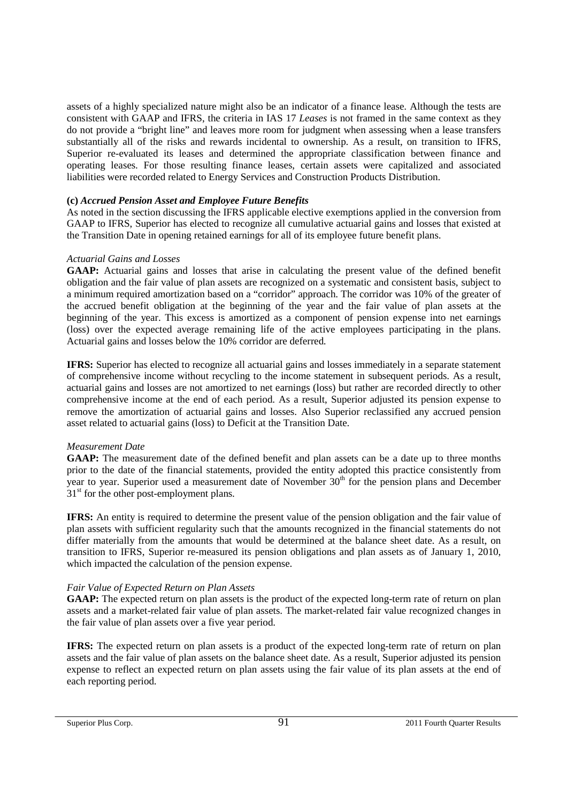assets of a highly specialized nature might also be an indicator of a finance lease. Although the tests are consistent with GAAP and IFRS, the criteria in IAS 17 *Leases* is not framed in the same context as they do not provide a "bright line" and leaves more room for judgment when assessing when a lease transfers substantially all of the risks and rewards incidental to ownership. As a result, on transition to IFRS, Superior re-evaluated its leases and determined the appropriate classification between finance and operating leases. For those resulting finance leases, certain assets were capitalized and associated liabilities were recorded related to Energy Services and Construction Products Distribution.

## **(c)** *Accrued Pension Asset and Employee Future Benefits*

As noted in the section discussing the IFRS applicable elective exemptions applied in the conversion from GAAP to IFRS, Superior has elected to recognize all cumulative actuarial gains and losses that existed at the Transition Date in opening retained earnings for all of its employee future benefit plans.

## *Actuarial Gains and Losses*

**GAAP:** Actuarial gains and losses that arise in calculating the present value of the defined benefit obligation and the fair value of plan assets are recognized on a systematic and consistent basis, subject to a minimum required amortization based on a "corridor" approach. The corridor was 10% of the greater of the accrued benefit obligation at the beginning of the year and the fair value of plan assets at the beginning of the year. This excess is amortized as a component of pension expense into net earnings (loss) over the expected average remaining life of the active employees participating in the plans. Actuarial gains and losses below the 10% corridor are deferred.

**IFRS:** Superior has elected to recognize all actuarial gains and losses immediately in a separate statement of comprehensive income without recycling to the income statement in subsequent periods. As a result, actuarial gains and losses are not amortized to net earnings (loss) but rather are recorded directly to other comprehensive income at the end of each period. As a result, Superior adjusted its pension expense to remove the amortization of actuarial gains and losses. Also Superior reclassified any accrued pension asset related to actuarial gains (loss) to Deficit at the Transition Date.

## *Measurement Date*

**GAAP:** The measurement date of the defined benefit and plan assets can be a date up to three months prior to the date of the financial statements, provided the entity adopted this practice consistently from year to year. Superior used a measurement date of November 30<sup>th</sup> for the pension plans and December  $31<sup>st</sup>$  for the other post-employment plans.

**IFRS:** An entity is required to determine the present value of the pension obligation and the fair value of plan assets with sufficient regularity such that the amounts recognized in the financial statements do not differ materially from the amounts that would be determined at the balance sheet date. As a result, on transition to IFRS, Superior re-measured its pension obligations and plan assets as of January 1, 2010, which impacted the calculation of the pension expense.

## *Fair Value of Expected Return on Plan Assets*

**GAAP:** The expected return on plan assets is the product of the expected long-term rate of return on plan assets and a market-related fair value of plan assets. The market-related fair value recognized changes in the fair value of plan assets over a five year period.

**IFRS:** The expected return on plan assets is a product of the expected long-term rate of return on plan assets and the fair value of plan assets on the balance sheet date. As a result, Superior adjusted its pension expense to reflect an expected return on plan assets using the fair value of its plan assets at the end of each reporting period.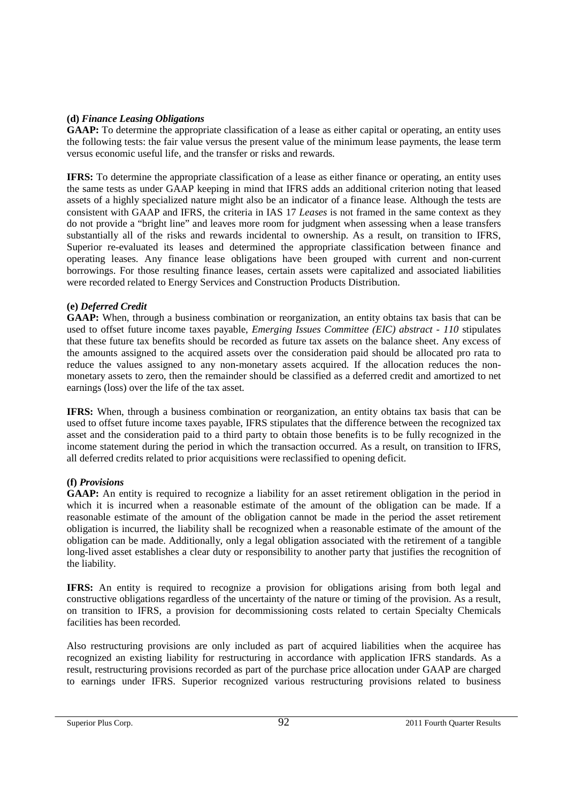## **(d)** *Finance Leasing Obligations*

**GAAP:** To determine the appropriate classification of a lease as either capital or operating, an entity uses the following tests: the fair value versus the present value of the minimum lease payments, the lease term versus economic useful life, and the transfer or risks and rewards.

**IFRS:** To determine the appropriate classification of a lease as either finance or operating, an entity uses the same tests as under GAAP keeping in mind that IFRS adds an additional criterion noting that leased assets of a highly specialized nature might also be an indicator of a finance lease. Although the tests are consistent with GAAP and IFRS, the criteria in IAS 17 *Leases* is not framed in the same context as they do not provide a "bright line" and leaves more room for judgment when assessing when a lease transfers substantially all of the risks and rewards incidental to ownership. As a result, on transition to IFRS, Superior re-evaluated its leases and determined the appropriate classification between finance and operating leases. Any finance lease obligations have been grouped with current and non-current borrowings. For those resulting finance leases, certain assets were capitalized and associated liabilities were recorded related to Energy Services and Construction Products Distribution.

## **(e)** *Deferred Credit*

**GAAP:** When, through a business combination or reorganization, an entity obtains tax basis that can be used to offset future income taxes payable, *Emerging Issues Committee (EIC) abstract - 110* stipulates that these future tax benefits should be recorded as future tax assets on the balance sheet. Any excess of the amounts assigned to the acquired assets over the consideration paid should be allocated pro rata to reduce the values assigned to any non-monetary assets acquired. If the allocation reduces the nonmonetary assets to zero, then the remainder should be classified as a deferred credit and amortized to net earnings (loss) over the life of the tax asset.

**IFRS:** When, through a business combination or reorganization, an entity obtains tax basis that can be used to offset future income taxes payable, IFRS stipulates that the difference between the recognized tax asset and the consideration paid to a third party to obtain those benefits is to be fully recognized in the income statement during the period in which the transaction occurred. As a result, on transition to IFRS, all deferred credits related to prior acquisitions were reclassified to opening deficit.

## **(f)** *Provisions*

**GAAP:** An entity is required to recognize a liability for an asset retirement obligation in the period in which it is incurred when a reasonable estimate of the amount of the obligation can be made. If a reasonable estimate of the amount of the obligation cannot be made in the period the asset retirement obligation is incurred, the liability shall be recognized when a reasonable estimate of the amount of the obligation can be made. Additionally, only a legal obligation associated with the retirement of a tangible long-lived asset establishes a clear duty or responsibility to another party that justifies the recognition of the liability.

**IFRS:** An entity is required to recognize a provision for obligations arising from both legal and constructive obligations regardless of the uncertainty of the nature or timing of the provision. As a result, on transition to IFRS, a provision for decommissioning costs related to certain Specialty Chemicals facilities has been recorded.

Also restructuring provisions are only included as part of acquired liabilities when the acquiree has recognized an existing liability for restructuring in accordance with application IFRS standards. As a result, restructuring provisions recorded as part of the purchase price allocation under GAAP are charged to earnings under IFRS. Superior recognized various restructuring provisions related to business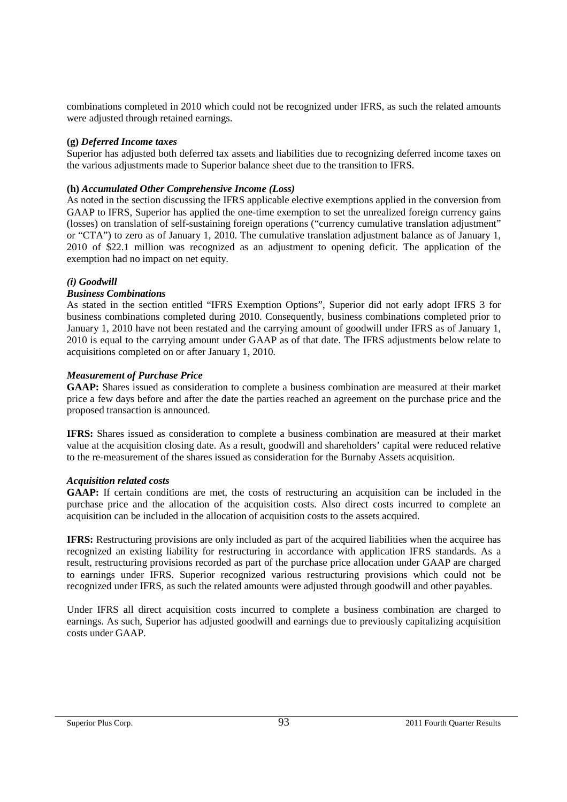combinations completed in 2010 which could not be recognized under IFRS, as such the related amounts were adjusted through retained earnings.

#### **(g)** *Deferred Income taxes*

Superior has adjusted both deferred tax assets and liabilities due to recognizing deferred income taxes on the various adjustments made to Superior balance sheet due to the transition to IFRS.

## **(h)** *Accumulated Other Comprehensive Income (Loss)*

As noted in the section discussing the IFRS applicable elective exemptions applied in the conversion from GAAP to IFRS, Superior has applied the one-time exemption to set the unrealized foreign currency gains (losses) on translation of self-sustaining foreign operations ("currency cumulative translation adjustment" or "CTA") to zero as of January 1, 2010. The cumulative translation adjustment balance as of January 1, 2010 of \$22.1 million was recognized as an adjustment to opening deficit. The application of the exemption had no impact on net equity.

## *(i) Goodwill*

## *Business Combinations*

As stated in the section entitled "IFRS Exemption Options", Superior did not early adopt IFRS 3 for business combinations completed during 2010. Consequently, business combinations completed prior to January 1, 2010 have not been restated and the carrying amount of goodwill under IFRS as of January 1, 2010 is equal to the carrying amount under GAAP as of that date. The IFRS adjustments below relate to acquisitions completed on or after January 1, 2010.

## *Measurement of Purchase Price*

**GAAP:** Shares issued as consideration to complete a business combination are measured at their market price a few days before and after the date the parties reached an agreement on the purchase price and the proposed transaction is announced.

**IFRS:** Shares issued as consideration to complete a business combination are measured at their market value at the acquisition closing date. As a result, goodwill and shareholders' capital were reduced relative to the re-measurement of the shares issued as consideration for the Burnaby Assets acquisition.

#### *Acquisition related costs*

GAAP: If certain conditions are met, the costs of restructuring an acquisition can be included in the purchase price and the allocation of the acquisition costs. Also direct costs incurred to complete an acquisition can be included in the allocation of acquisition costs to the assets acquired.

**IFRS:** Restructuring provisions are only included as part of the acquired liabilities when the acquiree has recognized an existing liability for restructuring in accordance with application IFRS standards. As a result, restructuring provisions recorded as part of the purchase price allocation under GAAP are charged to earnings under IFRS. Superior recognized various restructuring provisions which could not be recognized under IFRS, as such the related amounts were adjusted through goodwill and other payables.

Under IFRS all direct acquisition costs incurred to complete a business combination are charged to earnings. As such, Superior has adjusted goodwill and earnings due to previously capitalizing acquisition costs under GAAP.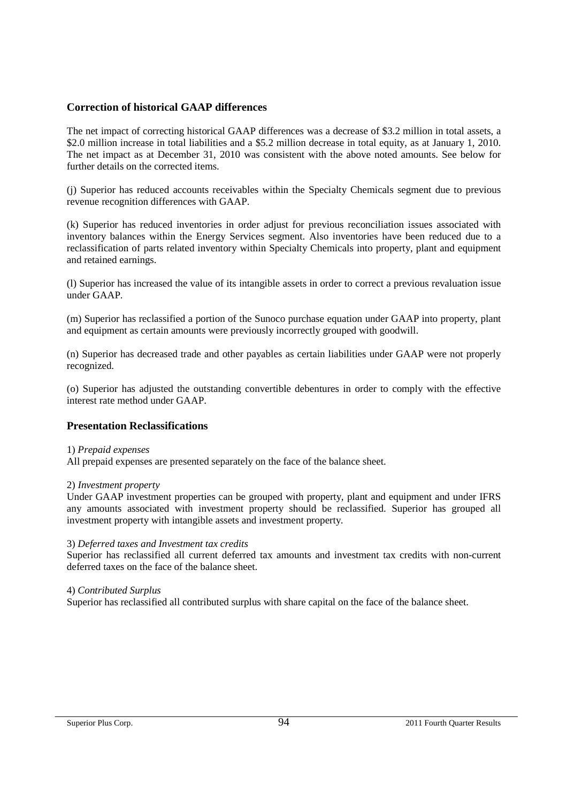## **Correction of historical GAAP differences**

The net impact of correcting historical GAAP differences was a decrease of \$3.2 million in total assets, a \$2.0 million increase in total liabilities and a \$5.2 million decrease in total equity, as at January 1, 2010. The net impact as at December 31, 2010 was consistent with the above noted amounts. See below for further details on the corrected items.

(j) Superior has reduced accounts receivables within the Specialty Chemicals segment due to previous revenue recognition differences with GAAP.

(k) Superior has reduced inventories in order adjust for previous reconciliation issues associated with inventory balances within the Energy Services segment. Also inventories have been reduced due to a reclassification of parts related inventory within Specialty Chemicals into property, plant and equipment and retained earnings.

(l) Superior has increased the value of its intangible assets in order to correct a previous revaluation issue under GAAP.

(m) Superior has reclassified a portion of the Sunoco purchase equation under GAAP into property, plant and equipment as certain amounts were previously incorrectly grouped with goodwill.

(n) Superior has decreased trade and other payables as certain liabilities under GAAP were not properly recognized.

(o) Superior has adjusted the outstanding convertible debentures in order to comply with the effective interest rate method under GAAP.

## **Presentation Reclassifications**

#### 1) *Prepaid expenses*

All prepaid expenses are presented separately on the face of the balance sheet.

#### 2) *Investment property*

Under GAAP investment properties can be grouped with property, plant and equipment and under IFRS any amounts associated with investment property should be reclassified. Superior has grouped all investment property with intangible assets and investment property.

#### 3) *Deferred taxes and Investment tax credits*

Superior has reclassified all current deferred tax amounts and investment tax credits with non-current deferred taxes on the face of the balance sheet.

#### 4) *Contributed Surplus*

Superior has reclassified all contributed surplus with share capital on the face of the balance sheet.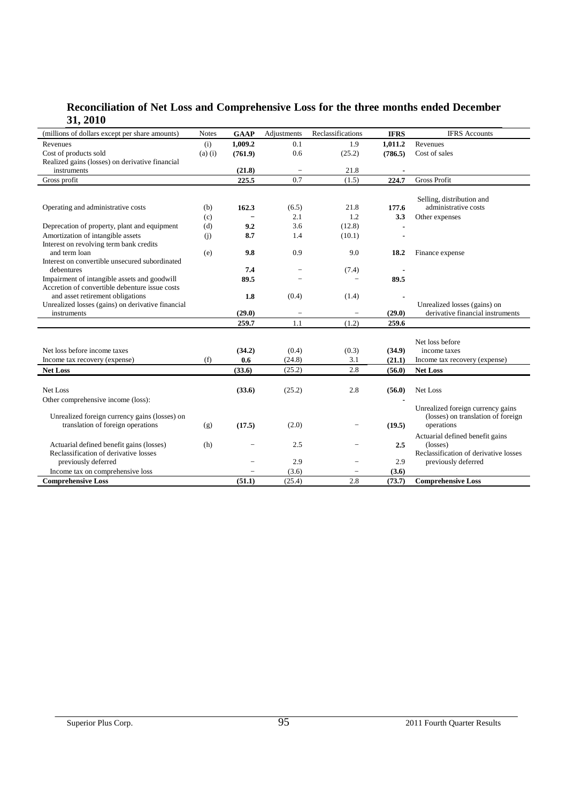## **Reconciliation of Net Loss and Comprehensive Loss for the three months ended December 31, 2010**

| (millions of dollars except per share amounts)    | <b>Notes</b> | <b>GAAP</b> | Adjustments       | Reclassifications        | <b>IFRS</b>    | <b>IFRS</b> Accounts                  |
|---------------------------------------------------|--------------|-------------|-------------------|--------------------------|----------------|---------------------------------------|
| Revenues                                          | (i)          | 1.009.2     | 0.1               | 1.9                      | 1,011.2        | Revenues                              |
| Cost of products sold                             | $(a)$ $(i)$  | (761.9)     | 0.6               | (25.2)                   | (786.5)        | Cost of sales                         |
| Realized gains (losses) on derivative financial   |              |             |                   |                          |                |                                       |
| instruments                                       |              | (21.8)      | $\qquad \qquad -$ | 21.8                     | $\blacksquare$ |                                       |
| Gross profit                                      |              | 225.5       | 0.7               | (1.5)                    | 224.7          | <b>Gross Profit</b>                   |
|                                                   |              |             |                   |                          |                |                                       |
|                                                   |              |             |                   |                          |                | Selling, distribution and             |
| Operating and administrative costs                | (b)          | 162.3       | (6.5)             | 21.8                     | 177.6          | administrative costs                  |
|                                                   | (c)          |             | 2.1               | 1.2                      | 3.3            | Other expenses                        |
| Deprecation of property, plant and equipment      | (d)          | 9.2         | 3.6               | (12.8)                   |                |                                       |
| Amortization of intangible assets                 | (i)          | 8.7         | 1.4               | (10.1)                   |                |                                       |
| Interest on revolving term bank credits           |              |             |                   |                          |                |                                       |
| and term loan                                     | (e)          | 9.8         | 0.9               | 9.0                      | 18.2           | Finance expense                       |
| Interest on convertible unsecured subordinated    |              |             |                   |                          |                |                                       |
| debentures                                        |              | 7.4         |                   | (7.4)                    |                |                                       |
| Impairment of intangible assets and goodwill      |              | 89.5        |                   |                          | 89.5           |                                       |
| Accretion of convertible debenture issue costs    |              |             |                   |                          |                |                                       |
| and asset retirement obligations                  |              | 1.8         | (0.4)             | (1.4)                    |                |                                       |
| Unrealized losses (gains) on derivative financial |              |             |                   |                          |                | Unrealized losses (gains) on          |
| instruments                                       |              | (29.0)      |                   |                          | (29.0)         | derivative financial instruments      |
|                                                   |              | 259.7       | 1.1               | (1.2)                    | 259.6          |                                       |
|                                                   |              |             |                   |                          |                |                                       |
|                                                   |              |             |                   |                          |                | Net loss before                       |
| Net loss before income taxes                      |              | (34.2)      | (0.4)             | (0.3)                    | (34.9)         | income taxes                          |
| Income tax recovery (expense)                     | (f)          | 0.6         | (24.8)            | 3.1                      | (21.1)         | Income tax recovery (expense)         |
| <b>Net Loss</b>                                   |              | (33.6)      | (25.2)            | 2.8                      | (56.0)         | <b>Net Loss</b>                       |
|                                                   |              |             |                   |                          |                |                                       |
| Net Loss                                          |              | (33.6)      | (25.2)            | 2.8                      | (56.0)         | Net Loss                              |
| Other comprehensive income (loss):                |              |             |                   |                          |                |                                       |
|                                                   |              |             |                   |                          |                | Unrealized foreign currency gains     |
| Unrealized foreign currency gains (losses) on     |              |             |                   |                          |                | (losses) on translation of foreign    |
| translation of foreign operations                 | (g)          | (17.5)      | (2.0)             |                          | (19.5)         | operations                            |
|                                                   |              |             |                   |                          |                | Actuarial defined benefit gains       |
| Actuarial defined benefit gains (losses)          | (h)          |             | 2.5               |                          | 2.5            | (losses)                              |
| Reclassification of derivative losses             |              |             |                   |                          |                | Reclassification of derivative losses |
| previously deferred                               |              |             | 2.9               | L,                       | 2.9            | previously deferred                   |
| Income tax on comprehensive loss                  |              |             | (3.6)             | $\overline{\phantom{0}}$ | (3.6)          |                                       |
| <b>Comprehensive Loss</b>                         |              | (51.1)      | (25.4)            | 2.8                      | (73.7)         | <b>Comprehensive Loss</b>             |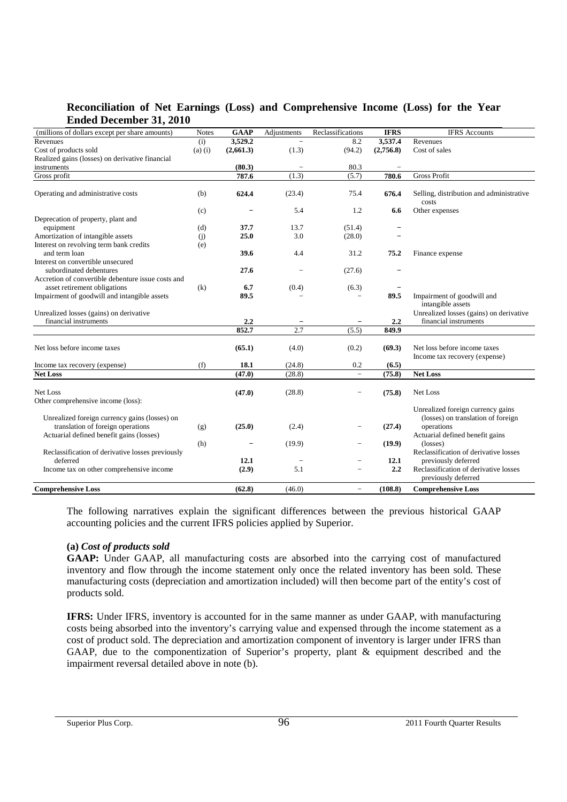## **Reconciliation of Net Earnings (Loss) and Comprehensive Income (Loss) for the Year Ended December 31, 2010**

| (millions of dollars except per share amounts)                                                                                 | Notes       | <b>GAAP</b>              | Adjustments              | Reclassifications | <b>IFRS</b>              | <b>IFRS</b> Accounts                                                                                                     |
|--------------------------------------------------------------------------------------------------------------------------------|-------------|--------------------------|--------------------------|-------------------|--------------------------|--------------------------------------------------------------------------------------------------------------------------|
| Revenues                                                                                                                       | (i)         | 3,529.2                  |                          | 8.2               | 3,537.4                  | Revenues                                                                                                                 |
| Cost of products sold                                                                                                          | $(a)$ $(i)$ | (2,661.3)                | (1.3)                    | (94.2)            | (2,756.8)                | Cost of sales                                                                                                            |
| Realized gains (losses) on derivative financial                                                                                |             |                          |                          |                   |                          |                                                                                                                          |
| instruments                                                                                                                    |             | (80.3)                   |                          | 80.3              |                          |                                                                                                                          |
| Gross profit                                                                                                                   |             | 787.6                    | (1.3)                    | (5.7)             | 780.6                    | <b>Gross Profit</b>                                                                                                      |
| Operating and administrative costs                                                                                             | (b)         | 624.4                    | (23.4)                   | 75.4              | 676.4                    | Selling, distribution and administrative<br>costs                                                                        |
|                                                                                                                                | (c)         | $\overline{\phantom{0}}$ | 5.4                      | 1.2               | 6.6                      | Other expenses                                                                                                           |
| Deprecation of property, plant and                                                                                             |             |                          |                          |                   |                          |                                                                                                                          |
| equipment                                                                                                                      | (d)         | 37.7                     | 13.7                     | (51.4)            | $\overline{\phantom{0}}$ |                                                                                                                          |
| Amortization of intangible assets                                                                                              | (i)         | 25.0                     | 3.0                      | (28.0)            |                          |                                                                                                                          |
| Interest on revolving term bank credits                                                                                        | (e)         |                          |                          |                   |                          |                                                                                                                          |
| and term loan                                                                                                                  |             | 39.6                     | 4.4                      | 31.2              | 75.2                     | Finance expense                                                                                                          |
| Interest on convertible unsecured                                                                                              |             |                          |                          |                   |                          |                                                                                                                          |
| subordinated debentures                                                                                                        |             | 27.6                     |                          | (27.6)            | $\equiv$                 |                                                                                                                          |
| Accretion of convertible debenture issue costs and                                                                             |             |                          |                          |                   |                          |                                                                                                                          |
| asset retirement obligations                                                                                                   | (k)         | 6.7                      | (0.4)                    | (6.3)             | $\overline{\phantom{0}}$ |                                                                                                                          |
| Impairment of goodwill and intangible assets                                                                                   |             | 89.5                     |                          |                   | 89.5                     | Impairment of goodwill and                                                                                               |
|                                                                                                                                |             |                          |                          |                   |                          | intangible assets                                                                                                        |
| Unrealized losses (gains) on derivative                                                                                        |             |                          |                          |                   |                          | Unrealized losses (gains) on derivative                                                                                  |
| financial instruments                                                                                                          |             | 2.2                      | $\overline{\phantom{0}}$ | $\qquad \qquad -$ | 2.2                      | financial instruments                                                                                                    |
|                                                                                                                                |             | 852.7                    | 2.7                      | (5.5)             | 849.9                    |                                                                                                                          |
| Net loss before income taxes                                                                                                   |             | (65.1)                   | (4.0)                    | (0.2)             | (69.3)                   | Net loss before income taxes<br>Income tax recovery (expense)                                                            |
| Income tax recovery (expense)                                                                                                  | (f)         | 18.1                     | (24.8)                   | 0.2               | (6.5)                    |                                                                                                                          |
| Net Loss                                                                                                                       |             | (47.0)                   | (28.8)                   | $\equiv$          | (75.8)                   | <b>Net Loss</b>                                                                                                          |
| Net Loss<br>Other comprehensive income (loss):                                                                                 |             | (47.0)                   | (28.8)                   |                   | (75.8)                   | Net Loss                                                                                                                 |
| Unrealized foreign currency gains (losses) on<br>translation of foreign operations<br>Actuarial defined benefit gains (losses) | (g)         | (25.0)                   | (2.4)                    |                   | (27.4)                   | Unrealized foreign currency gains<br>(losses) on translation of foreign<br>operations<br>Actuarial defined benefit gains |
|                                                                                                                                | (h)         |                          | (19.9)                   |                   | (19.9)                   | (losses)                                                                                                                 |
| Reclassification of derivative losses previously                                                                               |             |                          |                          |                   |                          | Reclassification of derivative losses                                                                                    |
| deferred                                                                                                                       |             | 12.1                     |                          |                   | 12.1                     | previously deferred                                                                                                      |
| Income tax on other comprehensive income                                                                                       |             | (2.9)                    | 5.1                      |                   | 2.2                      | Reclassification of derivative losses<br>previously deferred                                                             |
| <b>Comprehensive Loss</b>                                                                                                      |             | (62.8)                   | (46.0)                   | $\qquad \qquad -$ | (108.8)                  | <b>Comprehensive Loss</b>                                                                                                |

The following narratives explain the significant differences between the previous historical GAAP accounting policies and the current IFRS policies applied by Superior.

#### **(a)** *Cost of products sold*

**GAAP:** Under GAAP, all manufacturing costs are absorbed into the carrying cost of manufactured inventory and flow through the income statement only once the related inventory has been sold. These manufacturing costs (depreciation and amortization included) will then become part of the entity's cost of products sold.

**IFRS:** Under IFRS, inventory is accounted for in the same manner as under GAAP, with manufacturing costs being absorbed into the inventory's carrying value and expensed through the income statement as a cost of product sold. The depreciation and amortization component of inventory is larger under IFRS than GAAP, due to the componentization of Superior's property, plant & equipment described and the impairment reversal detailed above in note (b).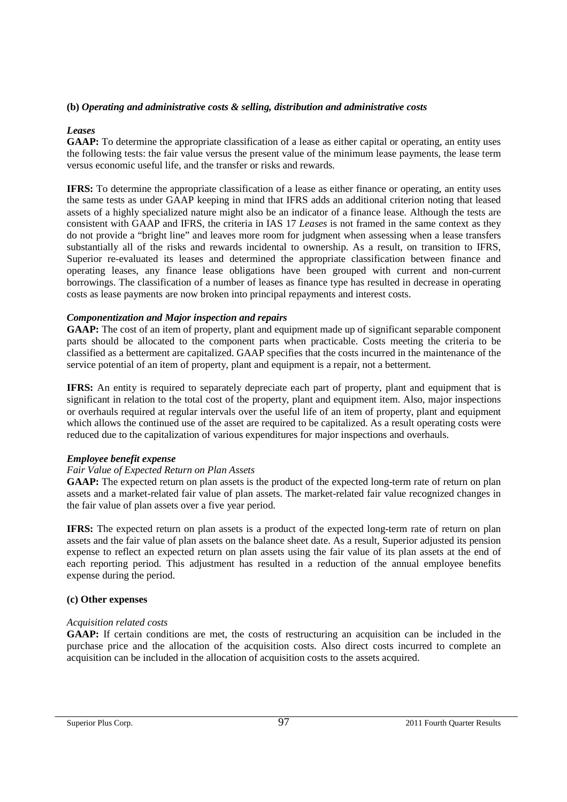## **(b)** *Operating and administrative costs & selling, distribution and administrative costs*

## *Leases*

**GAAP:** To determine the appropriate classification of a lease as either capital or operating, an entity uses the following tests: the fair value versus the present value of the minimum lease payments, the lease term versus economic useful life, and the transfer or risks and rewards.

**IFRS:** To determine the appropriate classification of a lease as either finance or operating, an entity uses the same tests as under GAAP keeping in mind that IFRS adds an additional criterion noting that leased assets of a highly specialized nature might also be an indicator of a finance lease. Although the tests are consistent with GAAP and IFRS, the criteria in IAS 17 *Leases* is not framed in the same context as they do not provide a "bright line" and leaves more room for judgment when assessing when a lease transfers substantially all of the risks and rewards incidental to ownership. As a result, on transition to IFRS, Superior re-evaluated its leases and determined the appropriate classification between finance and operating leases, any finance lease obligations have been grouped with current and non-current borrowings. The classification of a number of leases as finance type has resulted in decrease in operating costs as lease payments are now broken into principal repayments and interest costs.

## *Componentization and Major inspection and repairs*

**GAAP:** The cost of an item of property, plant and equipment made up of significant separable component parts should be allocated to the component parts when practicable. Costs meeting the criteria to be classified as a betterment are capitalized. GAAP specifies that the costs incurred in the maintenance of the service potential of an item of property, plant and equipment is a repair, not a betterment.

**IFRS:** An entity is required to separately depreciate each part of property, plant and equipment that is significant in relation to the total cost of the property, plant and equipment item. Also, major inspections or overhauls required at regular intervals over the useful life of an item of property, plant and equipment which allows the continued use of the asset are required to be capitalized. As a result operating costs were reduced due to the capitalization of various expenditures for major inspections and overhauls.

#### *Employee benefit expense*

## *Fair Value of Expected Return on Plan Assets*

**GAAP:** The expected return on plan assets is the product of the expected long-term rate of return on plan assets and a market-related fair value of plan assets. The market-related fair value recognized changes in the fair value of plan assets over a five year period.

**IFRS:** The expected return on plan assets is a product of the expected long-term rate of return on plan assets and the fair value of plan assets on the balance sheet date. As a result, Superior adjusted its pension expense to reflect an expected return on plan assets using the fair value of its plan assets at the end of each reporting period. This adjustment has resulted in a reduction of the annual employee benefits expense during the period.

## **(c) Other expenses**

## *Acquisition related costs*

GAAP: If certain conditions are met, the costs of restructuring an acquisition can be included in the purchase price and the allocation of the acquisition costs. Also direct costs incurred to complete an acquisition can be included in the allocation of acquisition costs to the assets acquired.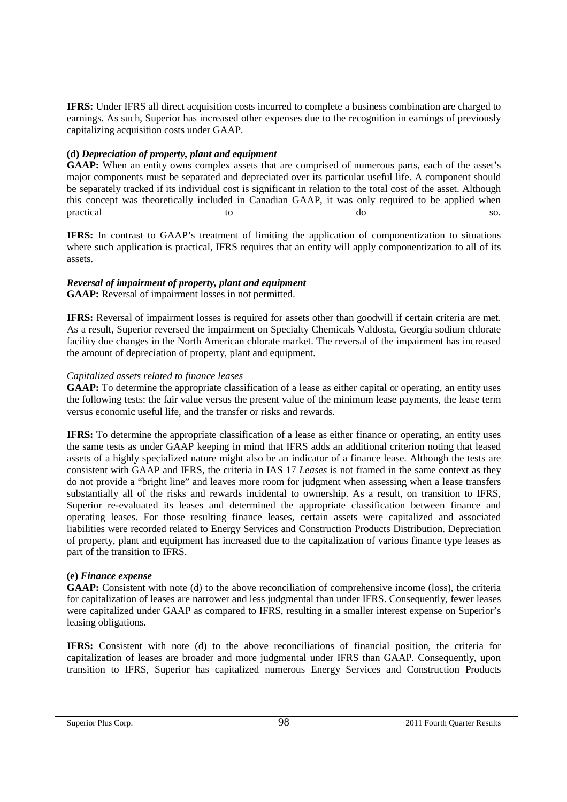**IFRS:** Under IFRS all direct acquisition costs incurred to complete a business combination are charged to earnings. As such, Superior has increased other expenses due to the recognition in earnings of previously capitalizing acquisition costs under GAAP.

## **(d)** *Depreciation of property, plant and equipment*

**GAAP:** When an entity owns complex assets that are comprised of numerous parts, each of the asset's major components must be separated and depreciated over its particular useful life. A component should be separately tracked if its individual cost is significant in relation to the total cost of the asset. Although this concept was theoretically included in Canadian GAAP, it was only required to be applied when practical solution to to do solution to solution and the solution of the solution of the solution of the solution of the solution of the solution of the solution of the solution of the solution of the solution of the solut

**IFRS:** In contrast to GAAP's treatment of limiting the application of componentization to situations where such application is practical, IFRS requires that an entity will apply componentization to all of its assets.

# *Reversal of impairment of property, plant and equipment*

**GAAP:** Reversal of impairment losses in not permitted.

**IFRS:** Reversal of impairment losses is required for assets other than goodwill if certain criteria are met. As a result, Superior reversed the impairment on Specialty Chemicals Valdosta, Georgia sodium chlorate facility due changes in the North American chlorate market. The reversal of the impairment has increased the amount of depreciation of property, plant and equipment.

## *Capitalized assets related to finance leases*

**GAAP:** To determine the appropriate classification of a lease as either capital or operating, an entity uses the following tests: the fair value versus the present value of the minimum lease payments, the lease term versus economic useful life, and the transfer or risks and rewards.

**IFRS:** To determine the appropriate classification of a lease as either finance or operating, an entity uses the same tests as under GAAP keeping in mind that IFRS adds an additional criterion noting that leased assets of a highly specialized nature might also be an indicator of a finance lease. Although the tests are consistent with GAAP and IFRS, the criteria in IAS 17 *Leases* is not framed in the same context as they do not provide a "bright line" and leaves more room for judgment when assessing when a lease transfers substantially all of the risks and rewards incidental to ownership. As a result, on transition to IFRS, Superior re-evaluated its leases and determined the appropriate classification between finance and operating leases. For those resulting finance leases, certain assets were capitalized and associated liabilities were recorded related to Energy Services and Construction Products Distribution. Depreciation of property, plant and equipment has increased due to the capitalization of various finance type leases as part of the transition to IFRS.

## **(e)** *Finance expense*

GAAP: Consistent with note (d) to the above reconciliation of comprehensive income (loss), the criteria for capitalization of leases are narrower and less judgmental than under IFRS. Consequently, fewer leases were capitalized under GAAP as compared to IFRS, resulting in a smaller interest expense on Superior's leasing obligations.

**IFRS:** Consistent with note (d) to the above reconciliations of financial position, the criteria for capitalization of leases are broader and more judgmental under IFRS than GAAP. Consequently, upon transition to IFRS, Superior has capitalized numerous Energy Services and Construction Products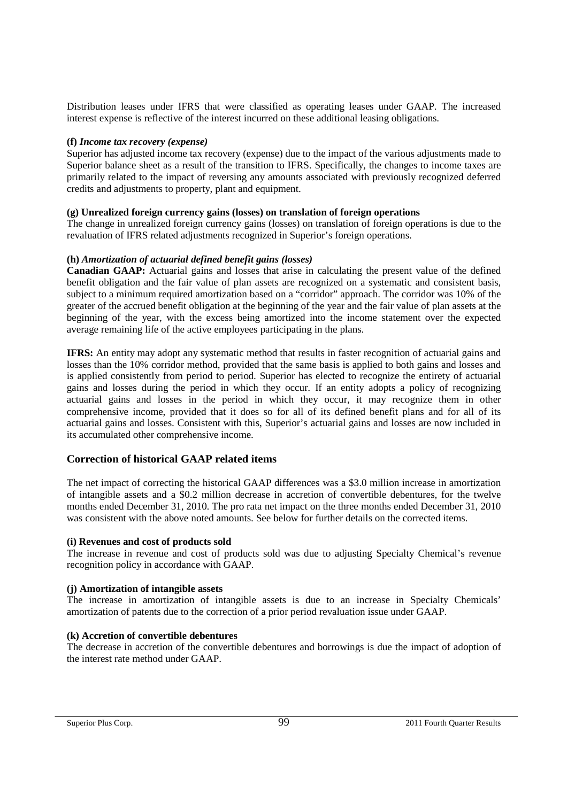Distribution leases under IFRS that were classified as operating leases under GAAP. The increased interest expense is reflective of the interest incurred on these additional leasing obligations.

#### **(f)** *Income tax recovery (expense)*

Superior has adjusted income tax recovery (expense) due to the impact of the various adjustments made to Superior balance sheet as a result of the transition to IFRS. Specifically, the changes to income taxes are primarily related to the impact of reversing any amounts associated with previously recognized deferred credits and adjustments to property, plant and equipment.

## **(g) Unrealized foreign currency gains (losses) on translation of foreign operations**

The change in unrealized foreign currency gains (losses) on translation of foreign operations is due to the revaluation of IFRS related adjustments recognized in Superior's foreign operations.

## **(h)** *Amortization of actuarial defined benefit gains (losses)*

**Canadian GAAP:** Actuarial gains and losses that arise in calculating the present value of the defined benefit obligation and the fair value of plan assets are recognized on a systematic and consistent basis, subject to a minimum required amortization based on a "corridor" approach. The corridor was 10% of the greater of the accrued benefit obligation at the beginning of the year and the fair value of plan assets at the beginning of the year, with the excess being amortized into the income statement over the expected average remaining life of the active employees participating in the plans.

**IFRS:** An entity may adopt any systematic method that results in faster recognition of actuarial gains and losses than the 10% corridor method, provided that the same basis is applied to both gains and losses and is applied consistently from period to period. Superior has elected to recognize the entirety of actuarial gains and losses during the period in which they occur. If an entity adopts a policy of recognizing actuarial gains and losses in the period in which they occur, it may recognize them in other comprehensive income, provided that it does so for all of its defined benefit plans and for all of its actuarial gains and losses. Consistent with this, Superior's actuarial gains and losses are now included in its accumulated other comprehensive income.

## **Correction of historical GAAP related items**

The net impact of correcting the historical GAAP differences was a \$3.0 million increase in amortization of intangible assets and a \$0.2 million decrease in accretion of convertible debentures, for the twelve months ended December 31, 2010. The pro rata net impact on the three months ended December 31, 2010 was consistent with the above noted amounts. See below for further details on the corrected items.

#### **(i) Revenues and cost of products sold**

The increase in revenue and cost of products sold was due to adjusting Specialty Chemical's revenue recognition policy in accordance with GAAP.

#### **(j) Amortization of intangible assets**

The increase in amortization of intangible assets is due to an increase in Specialty Chemicals' amortization of patents due to the correction of a prior period revaluation issue under GAAP.

#### **(k) Accretion of convertible debentures**

The decrease in accretion of the convertible debentures and borrowings is due the impact of adoption of the interest rate method under GAAP.